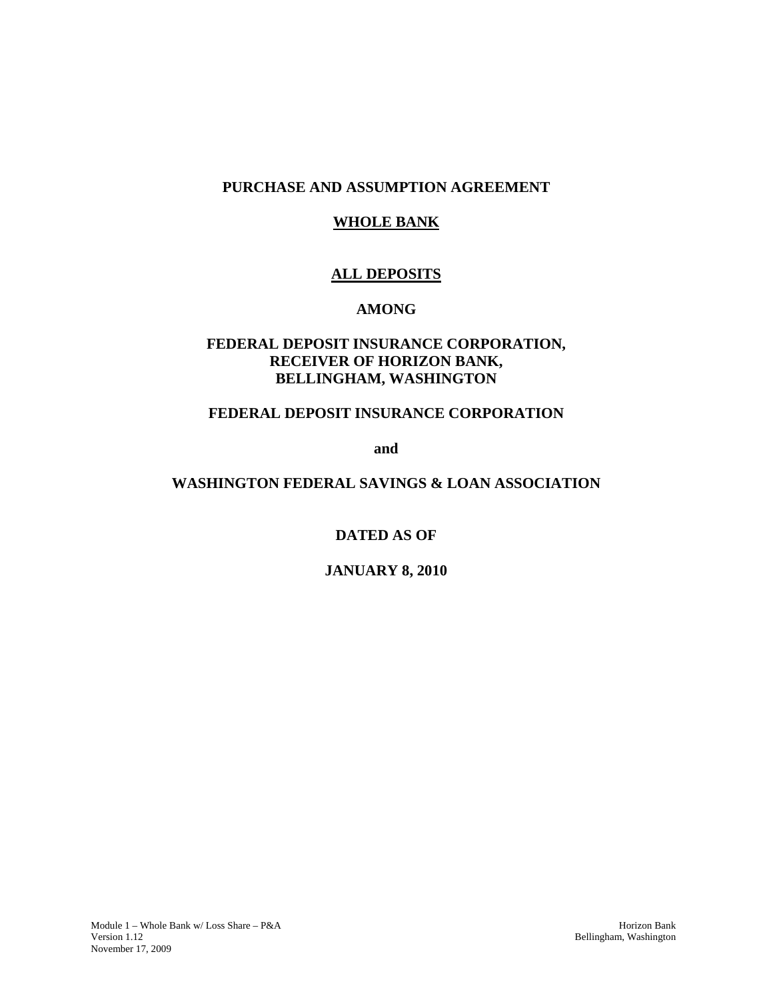#### **PURCHASE AND ASSUMPTION AGREEMENT**

#### **WHOLE BANK**

### **ALL DEPOSITS**

#### **AMONG**

#### **FEDERAL DEPOSIT INSURANCE CORPORATION, RECEIVER OF HORIZON BANK, BELLINGHAM, WASHINGTON**

#### **FEDERAL DEPOSIT INSURANCE CORPORATION**

**and** 

#### **WASHINGTON FEDERAL SAVINGS & LOAN ASSOCIATION**

**DATED AS OF**

**JANUARY 8, 2010**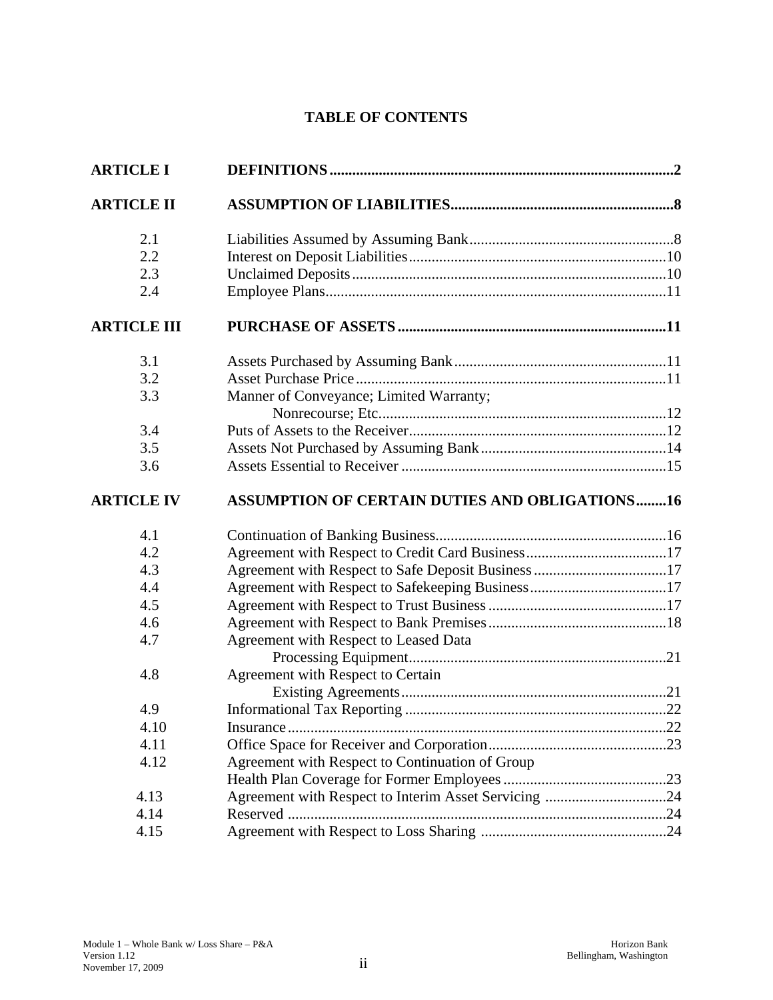## **TABLE OF CONTENTS**

| <b>ARTICLE I</b>   |                                                       |  |
|--------------------|-------------------------------------------------------|--|
| <b>ARTICLE II</b>  |                                                       |  |
| 2.1                |                                                       |  |
| 2.2                |                                                       |  |
| 2.3                |                                                       |  |
| 2.4                |                                                       |  |
| <b>ARTICLE III</b> |                                                       |  |
| 3.1                |                                                       |  |
| 3.2                |                                                       |  |
| 3.3                | Manner of Conveyance; Limited Warranty;               |  |
|                    |                                                       |  |
| 3.4                |                                                       |  |
| 3.5                |                                                       |  |
| 3.6                |                                                       |  |
| <b>ARTICLE IV</b>  | <b>ASSUMPTION OF CERTAIN DUTIES AND OBLIGATIONS16</b> |  |
| 4.1                |                                                       |  |
| 4.2                |                                                       |  |
| 4.3                | Agreement with Respect to Safe Deposit Business 17    |  |
| 4.4                |                                                       |  |
| 4.5                |                                                       |  |
| 4.6                |                                                       |  |
| 4.7                | Agreement with Respect to Leased Data                 |  |
|                    |                                                       |  |
| 4.8                | Agreement with Respect to Certain                     |  |
|                    |                                                       |  |
| 4.9                |                                                       |  |
| 4.10               |                                                       |  |
| 4.11               |                                                       |  |
| 4.12               | Agreement with Respect to Continuation of Group       |  |
|                    |                                                       |  |
| 4.13               | Agreement with Respect to Interim Asset Servicing 24  |  |
| 4.14               |                                                       |  |
| 4.15               |                                                       |  |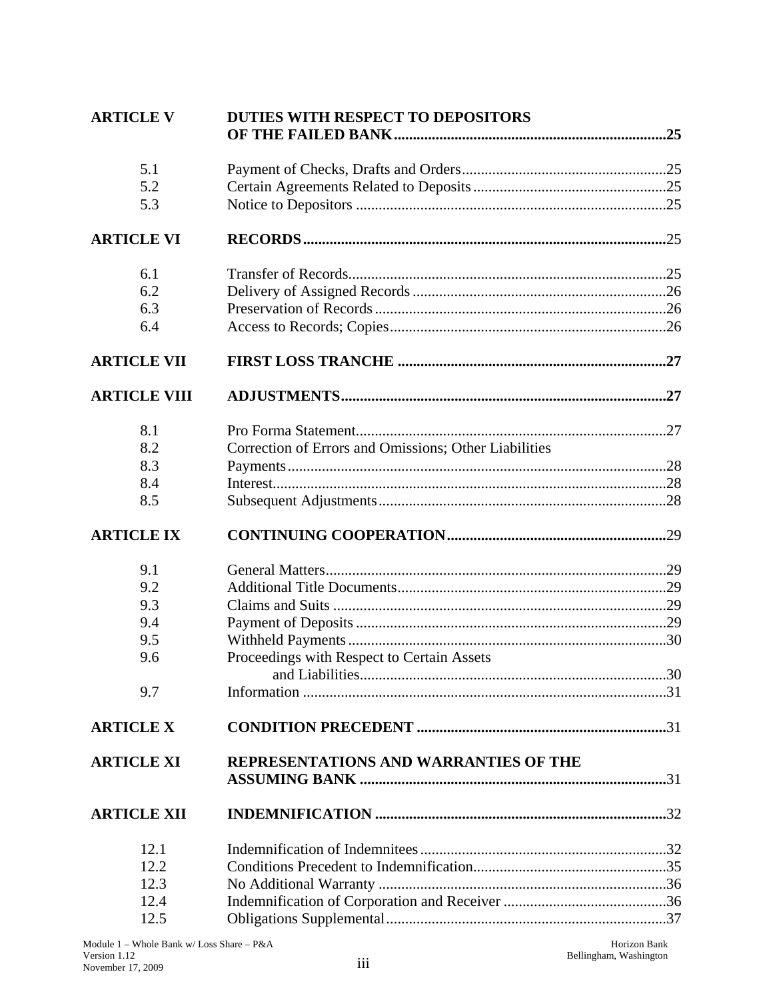| <b>ARTICLE V</b>    | DUTIES WITH RESPECT TO DEPOSITORS                     |  |
|---------------------|-------------------------------------------------------|--|
|                     |                                                       |  |
| 5.1                 |                                                       |  |
| 5.2                 |                                                       |  |
| 5.3                 |                                                       |  |
| <b>ARTICLE VI</b>   |                                                       |  |
| 6.1                 |                                                       |  |
| 6.2                 |                                                       |  |
| 6.3                 |                                                       |  |
| 6.4                 |                                                       |  |
| <b>ARTICLE VII</b>  |                                                       |  |
| <b>ARTICLE VIII</b> |                                                       |  |
| 8.1                 |                                                       |  |
| 8.2                 | Correction of Errors and Omissions; Other Liabilities |  |
| 8.3                 |                                                       |  |
| 8.4                 |                                                       |  |
| 8.5                 |                                                       |  |
| <b>ARTICLE IX</b>   |                                                       |  |
| 9.1                 |                                                       |  |
| 9.2                 |                                                       |  |
| 9.3                 |                                                       |  |
| 9.4                 |                                                       |  |
| 9.5                 |                                                       |  |
| 9.6                 | Proceedings with Respect to Certain Assets            |  |
|                     |                                                       |  |
| 9.7                 |                                                       |  |
| <b>ARTICLE X</b>    |                                                       |  |
| <b>ARTICLE XI</b>   | <b>REPRESENTATIONS AND WARRANTIES OF THE</b>          |  |
| <b>ARTICLE XII</b>  |                                                       |  |
| 12.1                |                                                       |  |
| 12.2                |                                                       |  |
| 12.3                |                                                       |  |
| 12.4                |                                                       |  |
| 12.5                |                                                       |  |
|                     |                                                       |  |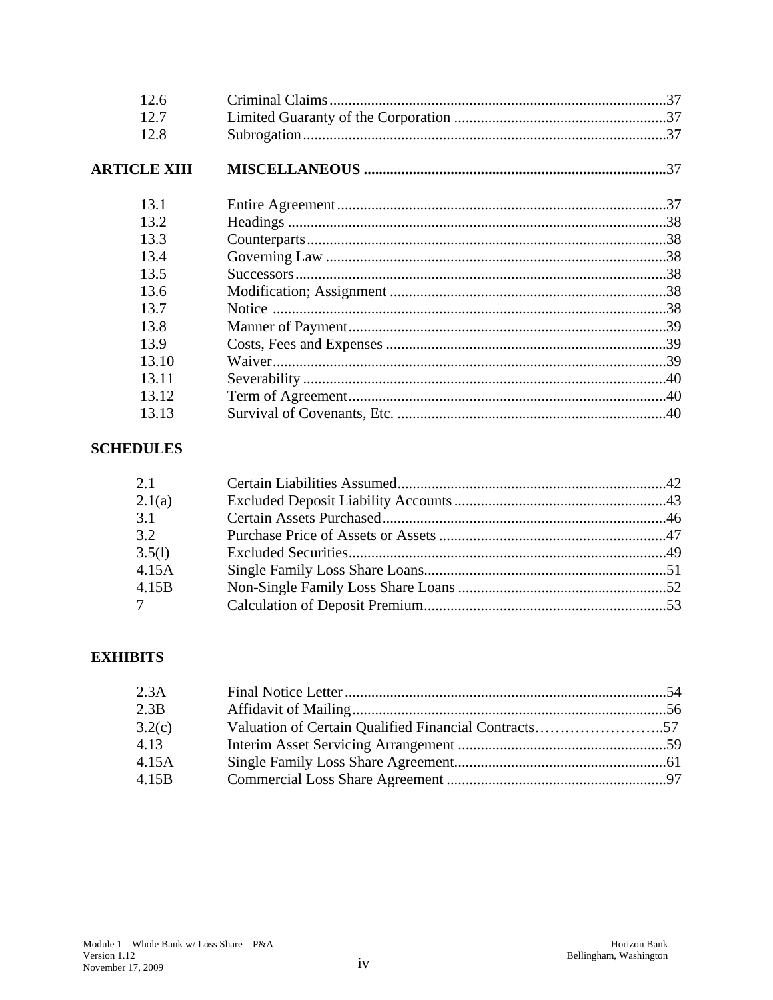| 12.6                |  |
|---------------------|--|
| 12.7                |  |
| 12.8                |  |
| <b>ARTICLE XIII</b> |  |
| 13.1                |  |
| 13.2                |  |
| 13.3                |  |
| 13.4                |  |
| 13.5                |  |
| 13.6                |  |
| 13.7                |  |
| 13.8                |  |
| 13.9                |  |
| 13.10               |  |
| 13.11               |  |
| 13.12               |  |
| 13.13               |  |

### **SCHEDULES**

| 2.1    |  |
|--------|--|
| 2.1(a) |  |
| 3.1    |  |
| 3.2    |  |
| 3.5(l) |  |
| 4.15A  |  |
| 4.15B  |  |
| 7      |  |

# **EXHIBITS**

| 2.3A   |  |
|--------|--|
| 2.3B   |  |
| 3.2(c) |  |
| 4.13   |  |
| 4.15A  |  |
| 4.15B  |  |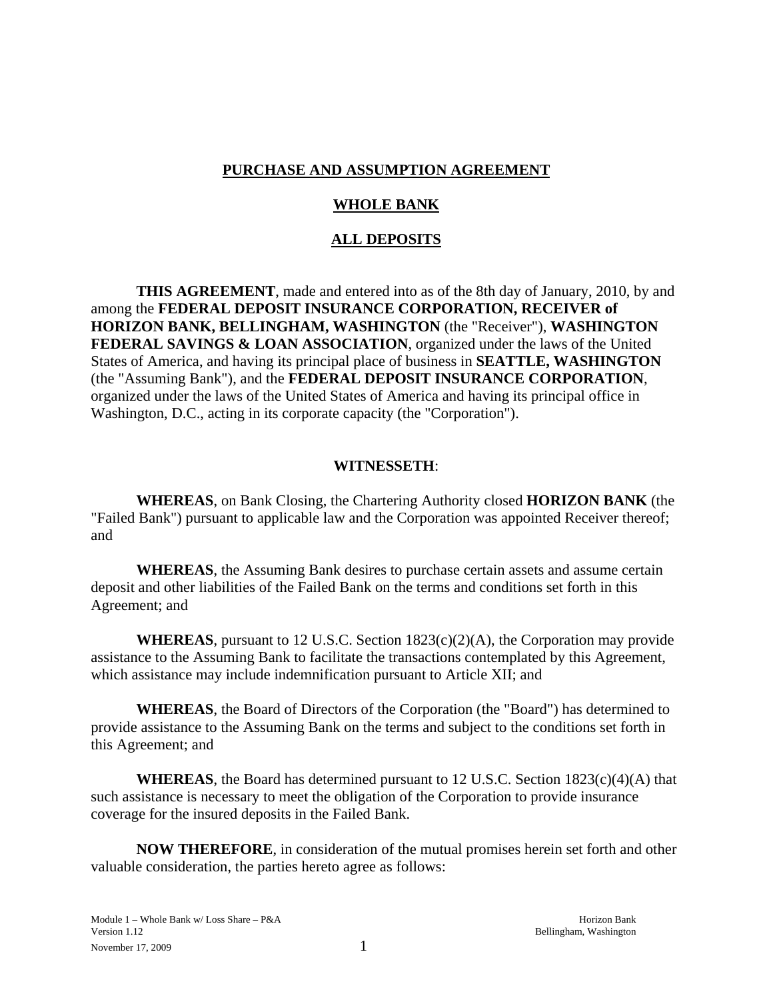### **PURCHASE AND ASSUMPTION AGREEMENT**

### **WHOLE BANK**

### **ALL DEPOSITS**

 **THIS AGREEMENT**, made and entered into as of the 8th day of January, 2010, by and among the **FEDERAL DEPOSIT INSURANCE CORPORATION, RECEIVER of HORIZON BANK, BELLINGHAM, WASHINGTON** (the "Receiver"), **WASHINGTON FEDERAL SAVINGS & LOAN ASSOCIATION**, organized under the laws of the United States of America, and having its principal place of business in **SEATTLE, WASHINGTON**  (the "Assuming Bank"), and the **FEDERAL DEPOSIT INSURANCE CORPORATION**, organized under the laws of the United States of America and having its principal office in Washington, D.C., acting in its corporate capacity (the "Corporation").

#### **WITNESSETH**:

**WHEREAS**, on Bank Closing, the Chartering Authority closed **HORIZON BANK** (the "Failed Bank") pursuant to applicable law and the Corporation was appointed Receiver thereof; and

**WHEREAS**, the Assuming Bank desires to purchase certain assets and assume certain deposit and other liabilities of the Failed Bank on the terms and conditions set forth in this Agreement; and

**WHEREAS**, pursuant to 12 U.S.C. Section 1823(c)(2)(A), the Corporation may provide assistance to the Assuming Bank to facilitate the transactions contemplated by this Agreement, which assistance may include indemnification pursuant to Article XII; and

**WHEREAS**, the Board of Directors of the Corporation (the "Board") has determined to provide assistance to the Assuming Bank on the terms and subject to the conditions set forth in this Agreement; and

**WHEREAS**, the Board has determined pursuant to 12 U.S.C. Section 1823(c)(4)(A) that such assistance is necessary to meet the obligation of the Corporation to provide insurance coverage for the insured deposits in the Failed Bank.

 **NOW THEREFORE**, in consideration of the mutual promises herein set forth and other valuable consideration, the parties hereto agree as follows: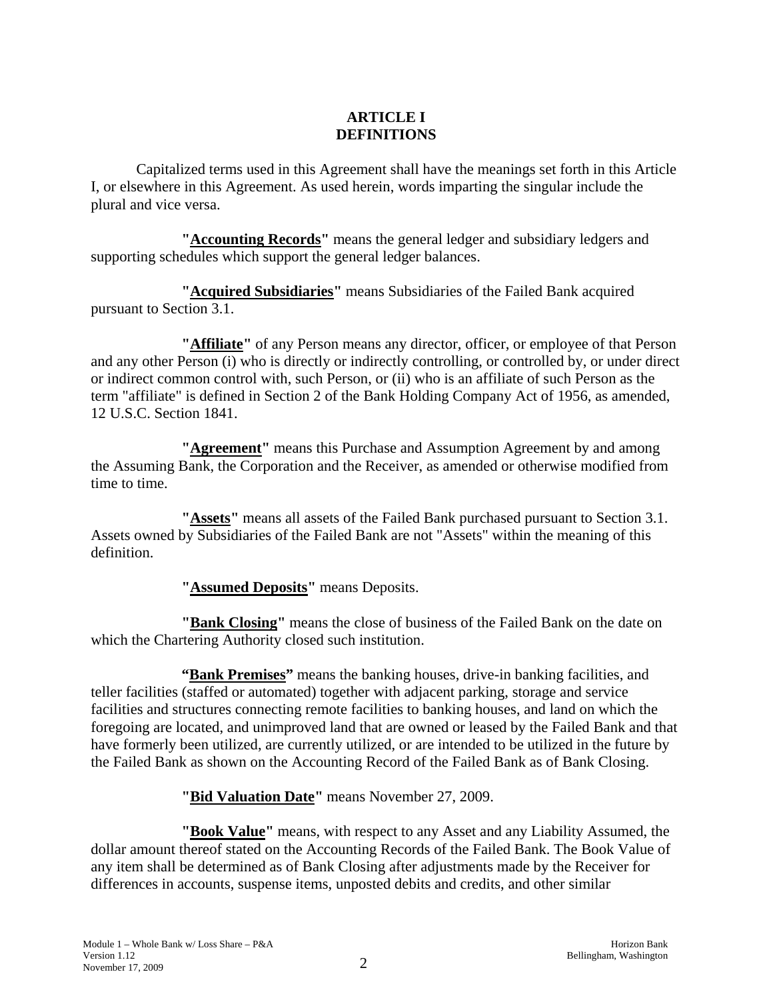## **ARTICLE I DEFINITIONS**

<span id="page-5-0"></span>Capitalized terms used in this Agreement shall have the meanings set forth in this Article I, or elsewhere in this Agreement. As used herein, words imparting the singular include the plural and vice versa.

**"Accounting Records"** means the general ledger and subsidiary ledgers and supporting schedules which support the general ledger balances.

**"Acquired Subsidiaries"** means Subsidiaries of the Failed Bank acquired pursuant to Section 3.1.

**"Affiliate"** of any Person means any director, officer, or employee of that Person and any other Person (i) who is directly or indirectly controlling, or controlled by, or under direct or indirect common control with, such Person, or (ii) who is an affiliate of such Person as the term "affiliate" is defined in Section 2 of the Bank Holding Company Act of 1956, as amended, 12 U.S.C. Section 1841.

**"Agreement"** means this Purchase and Assumption Agreement by and among the Assuming Bank, the Corporation and the Receiver, as amended or otherwise modified from time to time.

**"Assets"** means all assets of the Failed Bank purchased pursuant to Section 3.1. Assets owned by Subsidiaries of the Failed Bank are not "Assets" within the meaning of this definition.

**"Assumed Deposits"** means Deposits.

**"Bank Closing"** means the close of business of the Failed Bank on the date on which the Chartering Authority closed such institution.

**"Bank Premises"** means the banking houses, drive-in banking facilities, and teller facilities (staffed or automated) together with adjacent parking, storage and service facilities and structures connecting remote facilities to banking houses, and land on which the foregoing are located, and unimproved land that are owned or leased by the Failed Bank and that have formerly been utilized, are currently utilized, or are intended to be utilized in the future by the Failed Bank as shown on the Accounting Record of the Failed Bank as of Bank Closing.

**"Bid Valuation Date"** means November 27, 2009.

**"Book Value"** means, with respect to any Asset and any Liability Assumed, the dollar amount thereof stated on the Accounting Records of the Failed Bank. The Book Value of any item shall be determined as of Bank Closing after adjustments made by the Receiver for differences in accounts, suspense items, unposted debits and credits, and other similar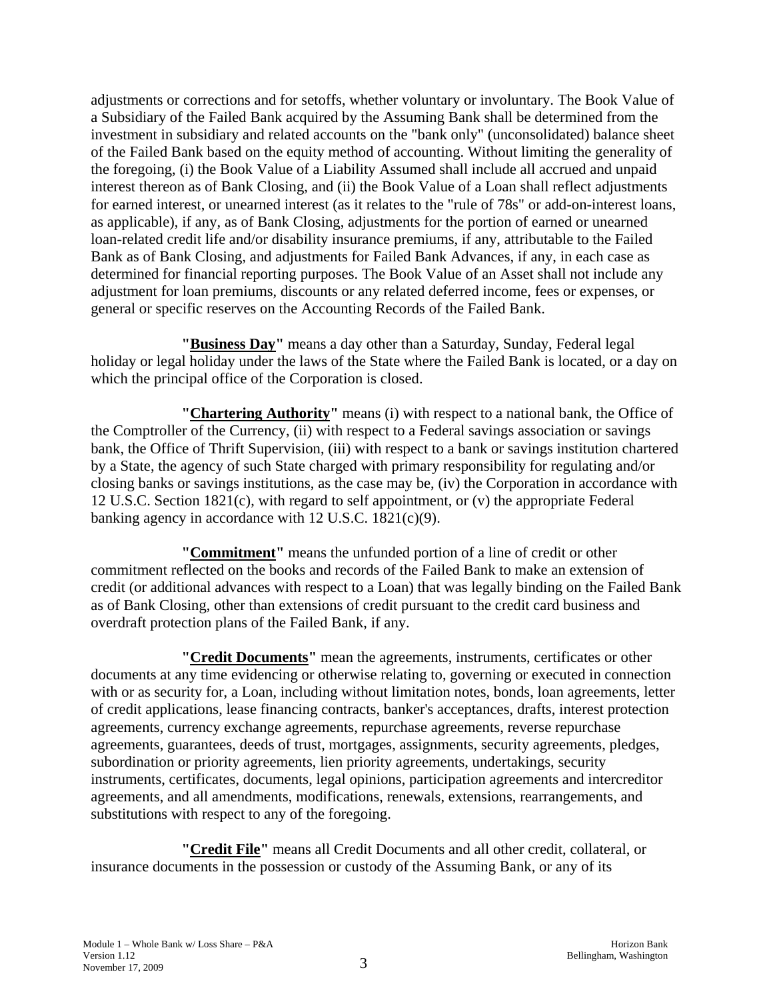<span id="page-6-0"></span>adjustments or corrections and for setoffs, whether voluntary or involuntary. The Book Value of a Subsidiary of the Failed Bank acquired by the Assuming Bank shall be determined from the investment in subsidiary and related accounts on the "bank only" (unconsolidated) balance sheet of the Failed Bank based on the equity method of accounting. Without limiting the generality of the foregoing, (i) the Book Value of a Liability Assumed shall include all accrued and unpaid interest thereon as of Bank Closing, and (ii) the Book Value of a Loan shall reflect adjustments for earned interest, or unearned interest (as it relates to the "rule of 78s" or add-on-interest loans, as applicable), if any, as of Bank Closing, adjustments for the portion of earned or unearned loan-related credit life and/or disability insurance premiums, if any, attributable to the Failed Bank as of Bank Closing, and adjustments for Failed Bank Advances, if any, in each case as determined for financial reporting purposes. The Book Value of an Asset shall not include any adjustment for loan premiums, discounts or any related deferred income, fees or expenses, or general or specific reserves on the Accounting Records of the Failed Bank.

**"Business Day"** means a day other than a Saturday, Sunday, Federal legal holiday or legal holiday under the laws of the State where the Failed Bank is located, or a day on which the principal office of the Corporation is closed.

**"Chartering Authority"** means (i) with respect to a national bank, the Office of the Comptroller of the Currency, (ii) with respect to a Federal savings association or savings bank, the Office of Thrift Supervision, (iii) with respect to a bank or savings institution chartered by a State, the agency of such State charged with primary responsibility for regulating and/or closing banks or savings institutions, as the case may be, (iv) the Corporation in accordance with 12 U.S.C. Section 1821(c), with regard to self appointment, or (v) the appropriate Federal banking agency in accordance with 12 U.S.C. 1821(c)(9).

**"Commitment"** means the unfunded portion of a line of credit or other commitment reflected on the books and records of the Failed Bank to make an extension of credit (or additional advances with respect to a Loan) that was legally binding on the Failed Bank as of Bank Closing, other than extensions of credit pursuant to the credit card business and overdraft protection plans of the Failed Bank, if any.

**"Credit Documents"** mean the agreements, instruments, certificates or other documents at any time evidencing or otherwise relating to, governing or executed in connection with or as security for, a Loan, including without limitation notes, bonds, loan agreements, letter of credit applications, lease financing contracts, banker's acceptances, drafts, interest protection agreements, currency exchange agreements, repurchase agreements, reverse repurchase agreements, guarantees, deeds of trust, mortgages, assignments, security agreements, pledges, subordination or priority agreements, lien priority agreements, undertakings, security instruments, certificates, documents, legal opinions, participation agreements and intercreditor agreements, and all amendments, modifications, renewals, extensions, rearrangements, and substitutions with respect to any of the foregoing.

**"Credit File"** means all Credit Documents and all other credit, collateral, or insurance documents in the possession or custody of the Assuming Bank, or any of its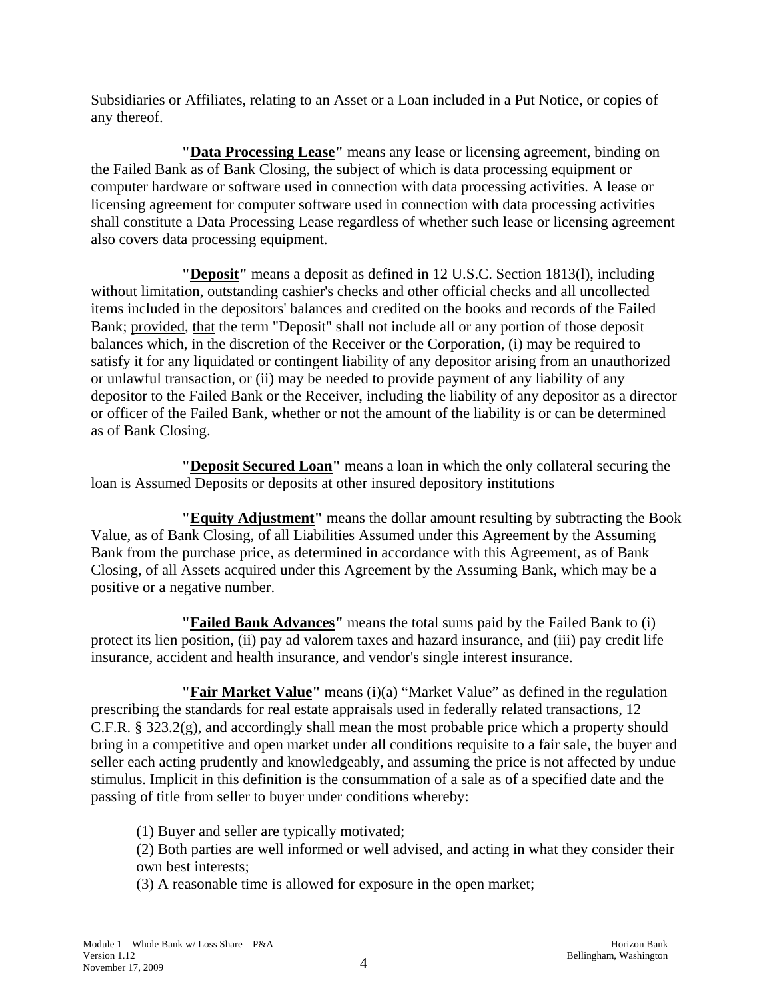<span id="page-7-0"></span>Subsidiaries or Affiliates, relating to an Asset or a Loan included in a Put Notice, or copies of any thereof.

**"Data Processing Lease"** means any lease or licensing agreement, binding on the Failed Bank as of Bank Closing, the subject of which is data processing equipment or computer hardware or software used in connection with data processing activities. A lease or licensing agreement for computer software used in connection with data processing activities shall constitute a Data Processing Lease regardless of whether such lease or licensing agreement also covers data processing equipment.

**"Deposit"** means a deposit as defined in 12 U.S.C. Section 1813(l), including without limitation, outstanding cashier's checks and other official checks and all uncollected items included in the depositors' balances and credited on the books and records of the Failed Bank; provided, that the term "Deposit" shall not include all or any portion of those deposit balances which, in the discretion of the Receiver or the Corporation, (i) may be required to satisfy it for any liquidated or contingent liability of any depositor arising from an unauthorized or unlawful transaction, or (ii) may be needed to provide payment of any liability of any depositor to the Failed Bank or the Receiver, including the liability of any depositor as a director or officer of the Failed Bank, whether or not the amount of the liability is or can be determined as of Bank Closing.

**"Deposit Secured Loan"** means a loan in which the only collateral securing the loan is Assumed Deposits or deposits at other insured depository institutions

**"Equity Adjustment"** means the dollar amount resulting by subtracting the Book Value, as of Bank Closing, of all Liabilities Assumed under this Agreement by the Assuming Bank from the purchase price, as determined in accordance with this Agreement, as of Bank Closing, of all Assets acquired under this Agreement by the Assuming Bank, which may be a positive or a negative number.

**"Failed Bank Advances"** means the total sums paid by the Failed Bank to (i) protect its lien position, (ii) pay ad valorem taxes and hazard insurance, and (iii) pay credit life insurance, accident and health insurance, and vendor's single interest insurance.

**"Fair Market Value"** means (i)(a) "Market Value" as defined in the regulation prescribing the standards for real estate appraisals used in federally related transactions, 12 C.F.R. § 323.2(g), and accordingly shall mean the most probable price which a property should bring in a competitive and open market under all conditions requisite to a fair sale, the buyer and seller each acting prudently and knowledgeably, and assuming the price is not affected by undue stimulus. Implicit in this definition is the consummation of a sale as of a specified date and the passing of title from seller to buyer under conditions whereby:

(1) Buyer and seller are typically motivated;

(2) Both parties are well informed or well advised, and acting in what they consider their own best interests;

(3) A reasonable time is allowed for exposure in the open market;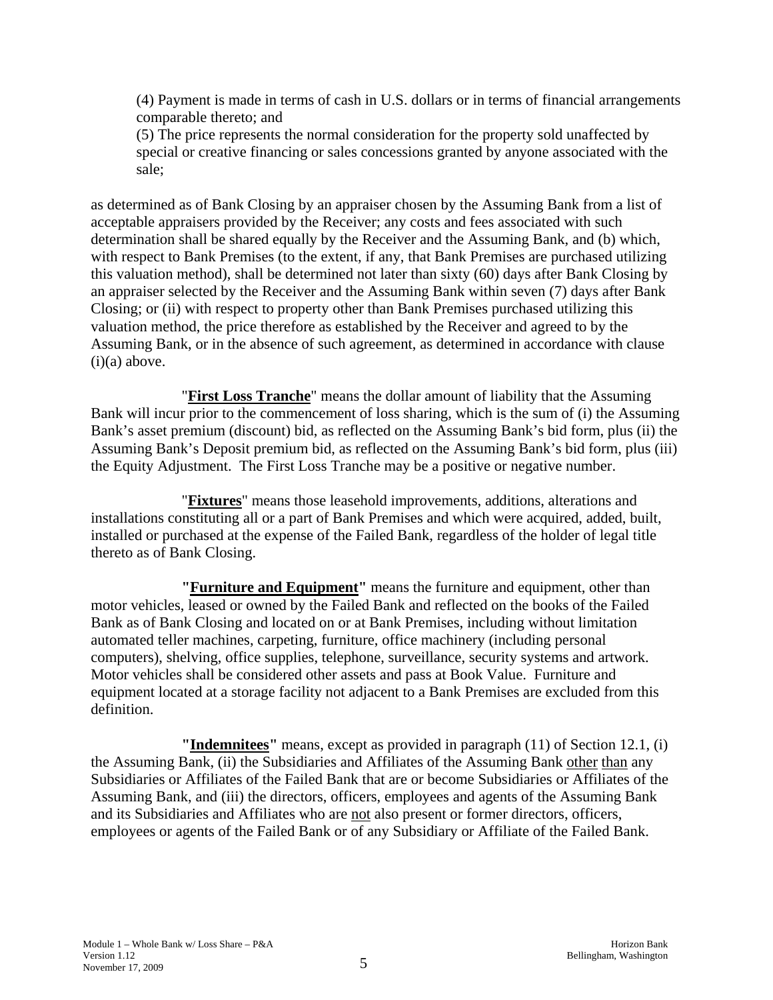(4) Payment is made in terms of cash in U.S. dollars or in terms of financial arrangements comparable thereto; and

(5) The price represents the normal consideration for the property sold unaffected by special or creative financing or sales concessions granted by anyone associated with the sale;

as determined as of Bank Closing by an appraiser chosen by the Assuming Bank from a list of acceptable appraisers provided by the Receiver; any costs and fees associated with such determination shall be shared equally by the Receiver and the Assuming Bank, and (b) which, with respect to Bank Premises (to the extent, if any, that Bank Premises are purchased utilizing this valuation method), shall be determined not later than sixty (60) days after Bank Closing by an appraiser selected by the Receiver and the Assuming Bank within seven (7) days after Bank Closing; or (ii) with respect to property other than Bank Premises purchased utilizing this valuation method, the price therefore as established by the Receiver and agreed to by the Assuming Bank, or in the absence of such agreement, as determined in accordance with clause  $(i)(a)$  above.

"**First Loss Tranche**" means the dollar amount of liability that the Assuming Bank will incur prior to the commencement of loss sharing, which is the sum of (i) the Assuming Bank's asset premium (discount) bid, as reflected on the Assuming Bank's bid form, plus (ii) the Assuming Bank's Deposit premium bid, as reflected on the Assuming Bank's bid form, plus (iii) the Equity Adjustment. The First Loss Tranche may be a positive or negative number.

"**Fixtures**" means those leasehold improvements, additions, alterations and installations constituting all or a part of Bank Premises and which were acquired, added, built, installed or purchased at the expense of the Failed Bank, regardless of the holder of legal title thereto as of Bank Closing.

**"Furniture and Equipment"** means the furniture and equipment, other than motor vehicles, leased or owned by the Failed Bank and reflected on the books of the Failed Bank as of Bank Closing and located on or at Bank Premises, including without limitation automated teller machines, carpeting, furniture, office machinery (including personal computers), shelving, office supplies, telephone, surveillance, security systems and artwork. Motor vehicles shall be considered other assets and pass at Book Value. Furniture and equipment located at a storage facility not adjacent to a Bank Premises are excluded from this definition.

**"Indemnitees"** means, except as provided in paragraph (11) of Section 12.1, (i) the Assuming Bank, (ii) the Subsidiaries and Affiliates of the Assuming Bank other than any Subsidiaries or Affiliates of the Failed Bank that are or become Subsidiaries or Affiliates of the Assuming Bank, and (iii) the directors, officers, employees and agents of the Assuming Bank and its Subsidiaries and Affiliates who are not also present or former directors, officers, employees or agents of the Failed Bank or of any Subsidiary or Affiliate of the Failed Bank.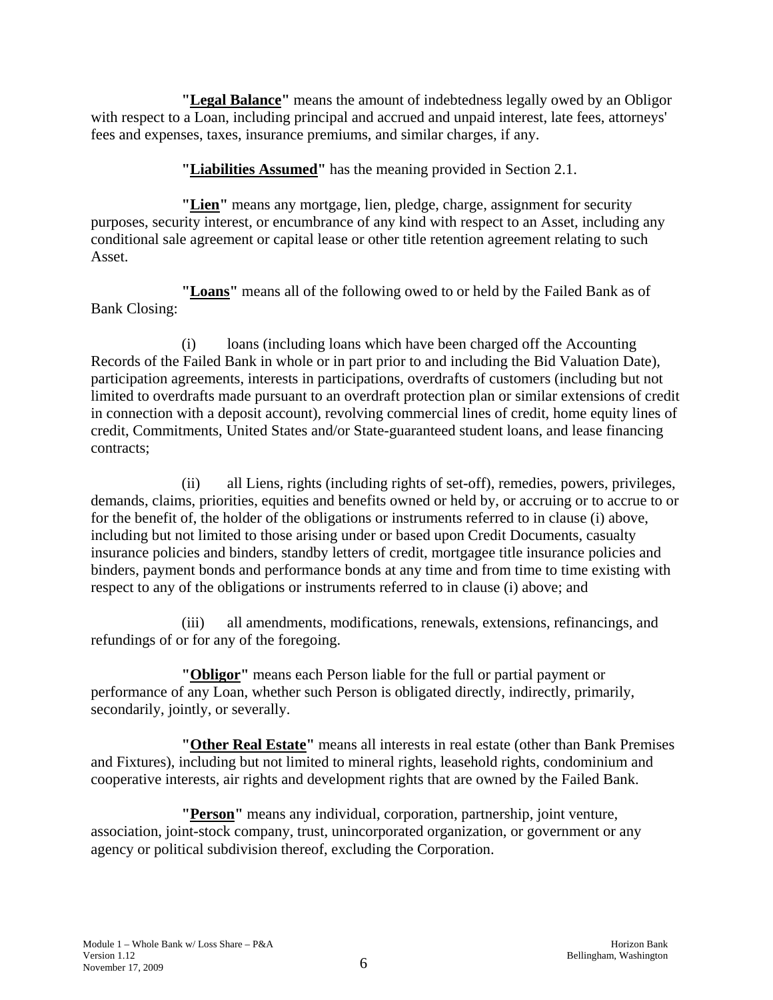**"Legal Balance"** means the amount of indebtedness legally owed by an Obligor with respect to a Loan, including principal and accrued and unpaid interest, late fees, attorneys' fees and expenses, taxes, insurance premiums, and similar charges, if any.

**"Liabilities Assumed"** has the meaning provided in Section 2.1.

**"Lien"** means any mortgage, lien, pledge, charge, assignment for security purposes, security interest, or encumbrance of any kind with respect to an Asset, including any conditional sale agreement or capital lease or other title retention agreement relating to such Asset.

**"Loans"** means all of the following owed to or held by the Failed Bank as of Bank Closing:

(i) loans (including loans which have been charged off the Accounting Records of the Failed Bank in whole or in part prior to and including the Bid Valuation Date), participation agreements, interests in participations, overdrafts of customers (including but not limited to overdrafts made pursuant to an overdraft protection plan or similar extensions of credit in connection with a deposit account), revolving commercial lines of credit, home equity lines of credit, Commitments, United States and/or State-guaranteed student loans, and lease financing contracts;

(ii) all Liens, rights (including rights of set-off), remedies, powers, privileges, demands, claims, priorities, equities and benefits owned or held by, or accruing or to accrue to or for the benefit of, the holder of the obligations or instruments referred to in clause (i) above, including but not limited to those arising under or based upon Credit Documents, casualty insurance policies and binders, standby letters of credit, mortgagee title insurance policies and binders, payment bonds and performance bonds at any time and from time to time existing with respect to any of the obligations or instruments referred to in clause (i) above; and

(iii) all amendments, modifications, renewals, extensions, refinancings, and refundings of or for any of the foregoing.

**"Obligor"** means each Person liable for the full or partial payment or performance of any Loan, whether such Person is obligated directly, indirectly, primarily, secondarily, jointly, or severally.

**"Other Real Estate"** means all interests in real estate (other than Bank Premises and Fixtures), including but not limited to mineral rights, leasehold rights, condominium and cooperative interests, air rights and development rights that are owned by the Failed Bank.

**"Person"** means any individual, corporation, partnership, joint venture, association, joint-stock company, trust, unincorporated organization, or government or any agency or political subdivision thereof, excluding the Corporation.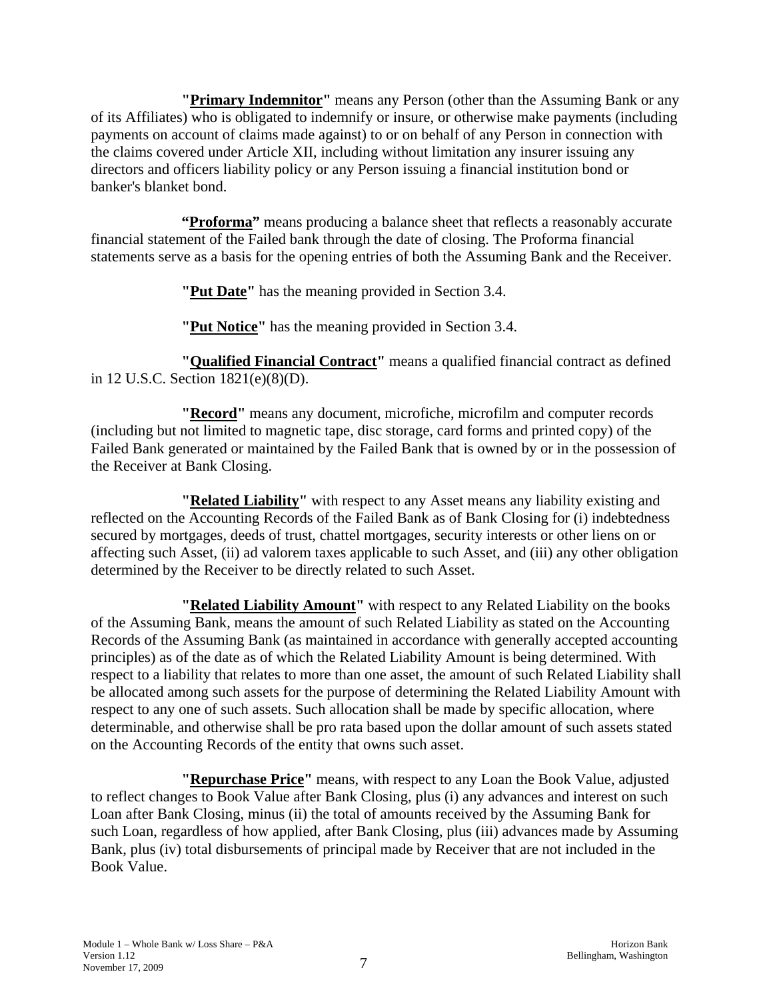**"Primary Indemnitor"** means any Person (other than the Assuming Bank or any of its Affiliates) who is obligated to indemnify or insure, or otherwise make payments (including payments on account of claims made against) to or on behalf of any Person in connection with the claims covered under Article XII, including without limitation any insurer issuing any directors and officers liability policy or any Person issuing a financial institution bond or banker's blanket bond.

**"Proforma"** means producing a balance sheet that reflects a reasonably accurate financial statement of the Failed bank through the date of closing. The Proforma financial statements serve as a basis for the opening entries of both the Assuming Bank and the Receiver.

**"Put Date"** has the meaning provided in Section 3.4.

**"Put Notice"** has the meaning provided in Section 3.4.

**"Qualified Financial Contract"** means a qualified financial contract as defined in 12 U.S.C. Section 1821(e)(8)(D).

**"Record"** means any document, microfiche, microfilm and computer records (including but not limited to magnetic tape, disc storage, card forms and printed copy) of the Failed Bank generated or maintained by the Failed Bank that is owned by or in the possession of the Receiver at Bank Closing.

**"Related Liability"** with respect to any Asset means any liability existing and reflected on the Accounting Records of the Failed Bank as of Bank Closing for (i) indebtedness secured by mortgages, deeds of trust, chattel mortgages, security interests or other liens on or affecting such Asset, (ii) ad valorem taxes applicable to such Asset, and (iii) any other obligation determined by the Receiver to be directly related to such Asset.

**"Related Liability Amount"** with respect to any Related Liability on the books of the Assuming Bank, means the amount of such Related Liability as stated on the Accounting Records of the Assuming Bank (as maintained in accordance with generally accepted accounting principles) as of the date as of which the Related Liability Amount is being determined. With respect to a liability that relates to more than one asset, the amount of such Related Liability shall be allocated among such assets for the purpose of determining the Related Liability Amount with respect to any one of such assets. Such allocation shall be made by specific allocation, where determinable, and otherwise shall be pro rata based upon the dollar amount of such assets stated on the Accounting Records of the entity that owns such asset.

 **"Repurchase Price"** means, with respect to any Loan the Book Value, adjusted to reflect changes to Book Value after Bank Closing, plus (i) any advances and interest on such Loan after Bank Closing, minus (ii) the total of amounts received by the Assuming Bank for such Loan, regardless of how applied, after Bank Closing, plus (iii) advances made by Assuming Bank, plus (iv) total disbursements of principal made by Receiver that are not included in the Book Value.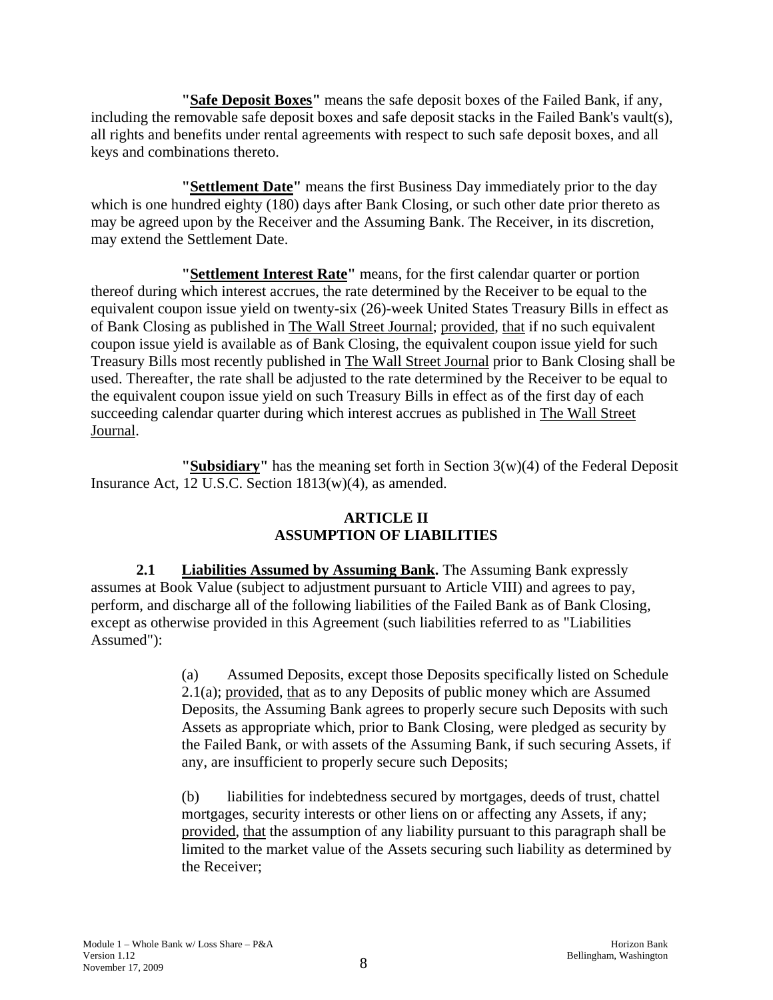**"Safe Deposit Boxes"** means the safe deposit boxes of the Failed Bank, if any, including the removable safe deposit boxes and safe deposit stacks in the Failed Bank's vault(s), all rights and benefits under rental agreements with respect to such safe deposit boxes, and all keys and combinations thereto.

**"Settlement Date"** means the first Business Day immediately prior to the day which is one hundred eighty (180) days after Bank Closing, or such other date prior thereto as may be agreed upon by the Receiver and the Assuming Bank. The Receiver, in its discretion, may extend the Settlement Date.

**"Settlement Interest Rate"** means, for the first calendar quarter or portion thereof during which interest accrues, the rate determined by the Receiver to be equal to the equivalent coupon issue yield on twenty-six (26)-week United States Treasury Bills in effect as of Bank Closing as published in The Wall Street Journal; provided, that if no such equivalent coupon issue yield is available as of Bank Closing, the equivalent coupon issue yield for such Treasury Bills most recently published in The Wall Street Journal prior to Bank Closing shall be used. Thereafter, the rate shall be adjusted to the rate determined by the Receiver to be equal to the equivalent coupon issue yield on such Treasury Bills in effect as of the first day of each succeeding calendar quarter during which interest accrues as published in The Wall Street Journal.

**"Subsidiary"** has the meaning set forth in Section 3(w)(4) of the Federal Deposit Insurance Act, 12 U.S.C. Section 1813(w)(4), as amended.

### **ARTICLE II ASSUMPTION OF LIABILITIES**

 **2.1 Liabilities Assumed by Assuming Bank.** The Assuming Bank expressly assumes at Book Value (subject to adjustment pursuant to Article VIII) and agrees to pay, perform, and discharge all of the following liabilities of the Failed Bank as of Bank Closing, except as otherwise provided in this Agreement (such liabilities referred to as "Liabilities Assumed"):

> (a) Assumed Deposits, except those Deposits specifically listed on Schedule 2.1(a); provided, that as to any Deposits of public money which are Assumed Deposits, the Assuming Bank agrees to properly secure such Deposits with such Assets as appropriate which, prior to Bank Closing, were pledged as security by the Failed Bank, or with assets of the Assuming Bank, if such securing Assets, if any, are insufficient to properly secure such Deposits;

> (b) liabilities for indebtedness secured by mortgages, deeds of trust, chattel mortgages, security interests or other liens on or affecting any Assets, if any; provided, that the assumption of any liability pursuant to this paragraph shall be limited to the market value of the Assets securing such liability as determined by the Receiver;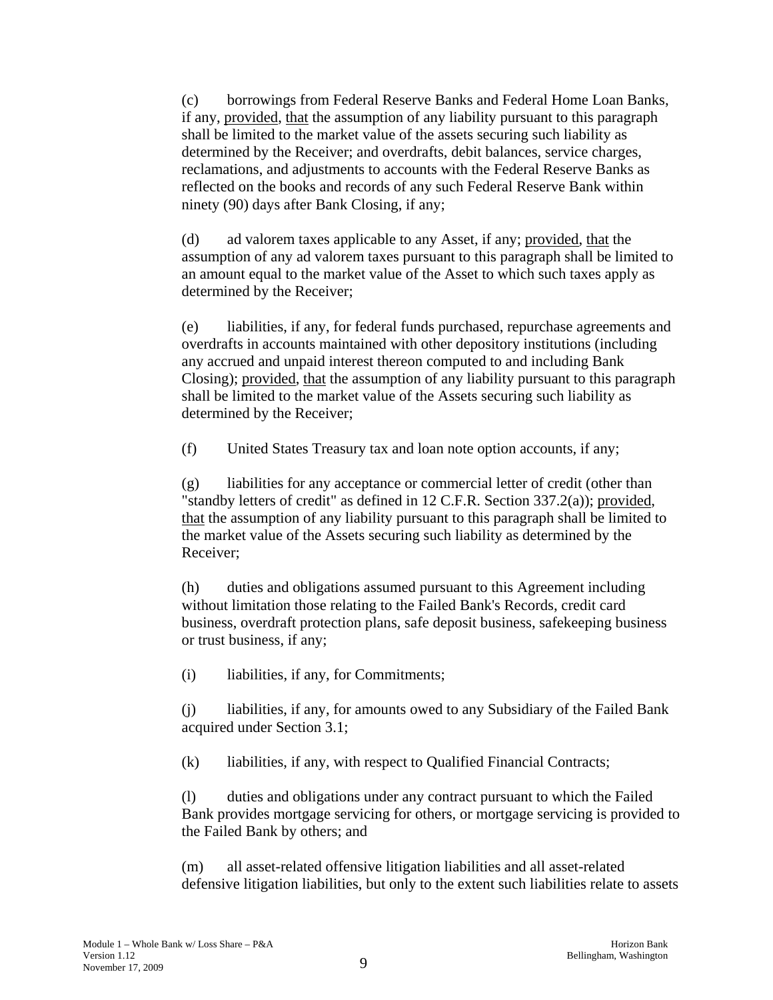(c) borrowings from Federal Reserve Banks and Federal Home Loan Banks, if any, provided, that the assumption of any liability pursuant to this paragraph shall be limited to the market value of the assets securing such liability as determined by the Receiver; and overdrafts, debit balances, service charges, reclamations, and adjustments to accounts with the Federal Reserve Banks as reflected on the books and records of any such Federal Reserve Bank within ninety (90) days after Bank Closing, if any;

(d) ad valorem taxes applicable to any Asset, if any; provided, that the assumption of any ad valorem taxes pursuant to this paragraph shall be limited to an amount equal to the market value of the Asset to which such taxes apply as determined by the Receiver;

(e) liabilities, if any, for federal funds purchased, repurchase agreements and overdrafts in accounts maintained with other depository institutions (including any accrued and unpaid interest thereon computed to and including Bank Closing); provided, that the assumption of any liability pursuant to this paragraph shall be limited to the market value of the Assets securing such liability as determined by the Receiver;

(f) United States Treasury tax and loan note option accounts, if any;

(g) liabilities for any acceptance or commercial letter of credit (other than "standby letters of credit" as defined in 12 C.F.R. Section 337.2(a)); provided, that the assumption of any liability pursuant to this paragraph shall be limited to the market value of the Assets securing such liability as determined by the Receiver;

(h) duties and obligations assumed pursuant to this Agreement including without limitation those relating to the Failed Bank's Records, credit card business, overdraft protection plans, safe deposit business, safekeeping business or trust business, if any;

(i) liabilities, if any, for Commitments;

(j) liabilities, if any, for amounts owed to any Subsidiary of the Failed Bank acquired under Section 3.1;

(k) liabilities, if any, with respect to Qualified Financial Contracts;

(l) duties and obligations under any contract pursuant to which the Failed Bank provides mortgage servicing for others, or mortgage servicing is provided to the Failed Bank by others; and

(m) all asset-related offensive litigation liabilities and all asset-related defensive litigation liabilities, but only to the extent such liabilities relate to assets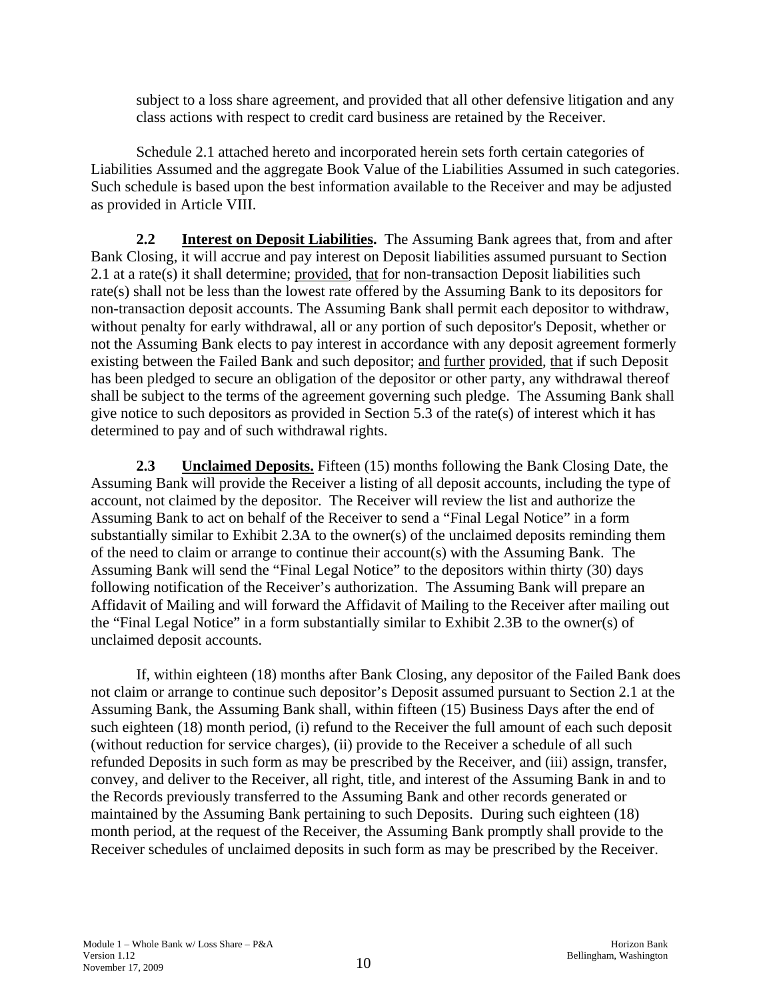subject to a loss share agreement, and provided that all other defensive litigation and any class actions with respect to credit card business are retained by the Receiver.

Schedule 2.1 attached hereto and incorporated herein sets forth certain categories of Liabilities Assumed and the aggregate Book Value of the Liabilities Assumed in such categories. Such schedule is based upon the best information available to the Receiver and may be adjusted as provided in Article VIII.

**2.2 Interest on Deposit Liabilities.** The Assuming Bank agrees that, from and after Bank Closing, it will accrue and pay interest on Deposit liabilities assumed pursuant to Section 2.1 at a rate(s) it shall determine; provided, that for non-transaction Deposit liabilities such rate(s) shall not be less than the lowest rate offered by the Assuming Bank to its depositors for non-transaction deposit accounts. The Assuming Bank shall permit each depositor to withdraw, without penalty for early withdrawal, all or any portion of such depositor's Deposit, whether or not the Assuming Bank elects to pay interest in accordance with any deposit agreement formerly existing between the Failed Bank and such depositor; and further provided, that if such Deposit has been pledged to secure an obligation of the depositor or other party, any withdrawal thereof shall be subject to the terms of the agreement governing such pledge. The Assuming Bank shall give notice to such depositors as provided in Section 5.3 of the rate(s) of interest which it has determined to pay and of such withdrawal rights.

**2.3 Unclaimed Deposits.** Fifteen (15) months following the Bank Closing Date, the Assuming Bank will provide the Receiver a listing of all deposit accounts, including the type of account, not claimed by the depositor. The Receiver will review the list and authorize the Assuming Bank to act on behalf of the Receiver to send a "Final Legal Notice" in a form substantially similar to Exhibit 2.3A to the owner(s) of the unclaimed deposits reminding them of the need to claim or arrange to continue their account(s) with the Assuming Bank. The Assuming Bank will send the "Final Legal Notice" to the depositors within thirty (30) days following notification of the Receiver's authorization. The Assuming Bank will prepare an Affidavit of Mailing and will forward the Affidavit of Mailing to the Receiver after mailing out the "Final Legal Notice" in a form substantially similar to Exhibit 2.3B to the owner(s) of unclaimed deposit accounts.

If, within eighteen (18) months after Bank Closing, any depositor of the Failed Bank does not claim or arrange to continue such depositor's Deposit assumed pursuant to Section 2.1 at the Assuming Bank, the Assuming Bank shall, within fifteen (15) Business Days after the end of such eighteen (18) month period, (i) refund to the Receiver the full amount of each such deposit (without reduction for service charges), (ii) provide to the Receiver a schedule of all such refunded Deposits in such form as may be prescribed by the Receiver, and (iii) assign, transfer, convey, and deliver to the Receiver, all right, title, and interest of the Assuming Bank in and to the Records previously transferred to the Assuming Bank and other records generated or maintained by the Assuming Bank pertaining to such Deposits. During such eighteen (18) month period, at the request of the Receiver, the Assuming Bank promptly shall provide to the Receiver schedules of unclaimed deposits in such form as may be prescribed by the Receiver.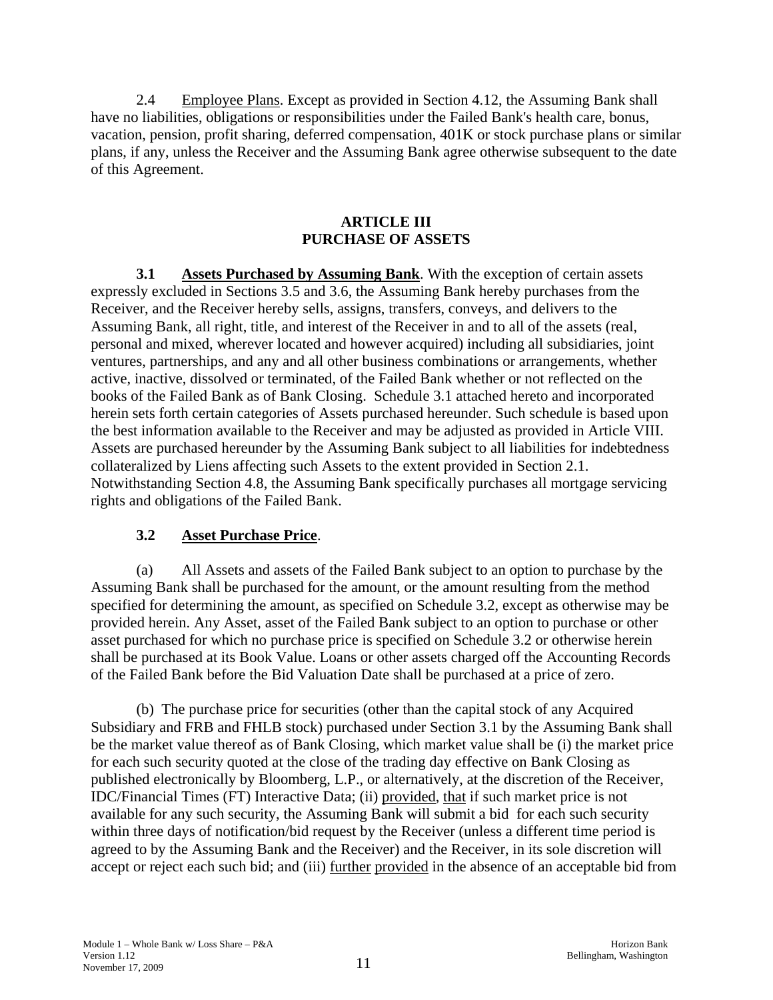2.4 Employee Plans. Except as provided in Section 4.12, the Assuming Bank shall have no liabilities, obligations or responsibilities under the Failed Bank's health care, bonus, vacation, pension, profit sharing, deferred compensation, 401K or stock purchase plans or similar plans, if any, unless the Receiver and the Assuming Bank agree otherwise subsequent to the date of this Agreement.

#### **ARTICLE III PURCHASE OF ASSETS**

**3.1** Assets Purchased by Assuming Bank. With the exception of certain assets expressly excluded in Sections 3.5 and 3.6, the Assuming Bank hereby purchases from the Receiver, and the Receiver hereby sells, assigns, transfers, conveys, and delivers to the Assuming Bank, all right, title, and interest of the Receiver in and to all of the assets (real, personal and mixed, wherever located and however acquired) including all subsidiaries, joint ventures, partnerships, and any and all other business combinations or arrangements, whether active, inactive, dissolved or terminated, of the Failed Bank whether or not reflected on the books of the Failed Bank as of Bank Closing. Schedule 3.1 attached hereto and incorporated herein sets forth certain categories of Assets purchased hereunder. Such schedule is based upon the best information available to the Receiver and may be adjusted as provided in Article VIII. Assets are purchased hereunder by the Assuming Bank subject to all liabilities for indebtedness collateralized by Liens affecting such Assets to the extent provided in Section 2.1. Notwithstanding Section 4.8, the Assuming Bank specifically purchases all mortgage servicing rights and obligations of the Failed Bank.

#### **3.2 Asset Purchase Price**.

(a) All Assets and assets of the Failed Bank subject to an option to purchase by the Assuming Bank shall be purchased for the amount, or the amount resulting from the method specified for determining the amount, as specified on Schedule 3.2, except as otherwise may be provided herein. Any Asset, asset of the Failed Bank subject to an option to purchase or other asset purchased for which no purchase price is specified on Schedule 3.2 or otherwise herein shall be purchased at its Book Value. Loans or other assets charged off the Accounting Records of the Failed Bank before the Bid Valuation Date shall be purchased at a price of zero.

(b) The purchase price for securities (other than the capital stock of any Acquired Subsidiary and FRB and FHLB stock) purchased under Section 3.1 by the Assuming Bank shall be the market value thereof as of Bank Closing, which market value shall be (i) the market price for each such security quoted at the close of the trading day effective on Bank Closing as published electronically by Bloomberg, L.P., or alternatively, at the discretion of the Receiver, IDC/Financial Times (FT) Interactive Data; (ii) provided, that if such market price is not available for any such security, the Assuming Bank will submit a bid for each such security within three days of notification/bid request by the Receiver (unless a different time period is agreed to by the Assuming Bank and the Receiver) and the Receiver, in its sole discretion will accept or reject each such bid; and (iii) further provided in the absence of an acceptable bid from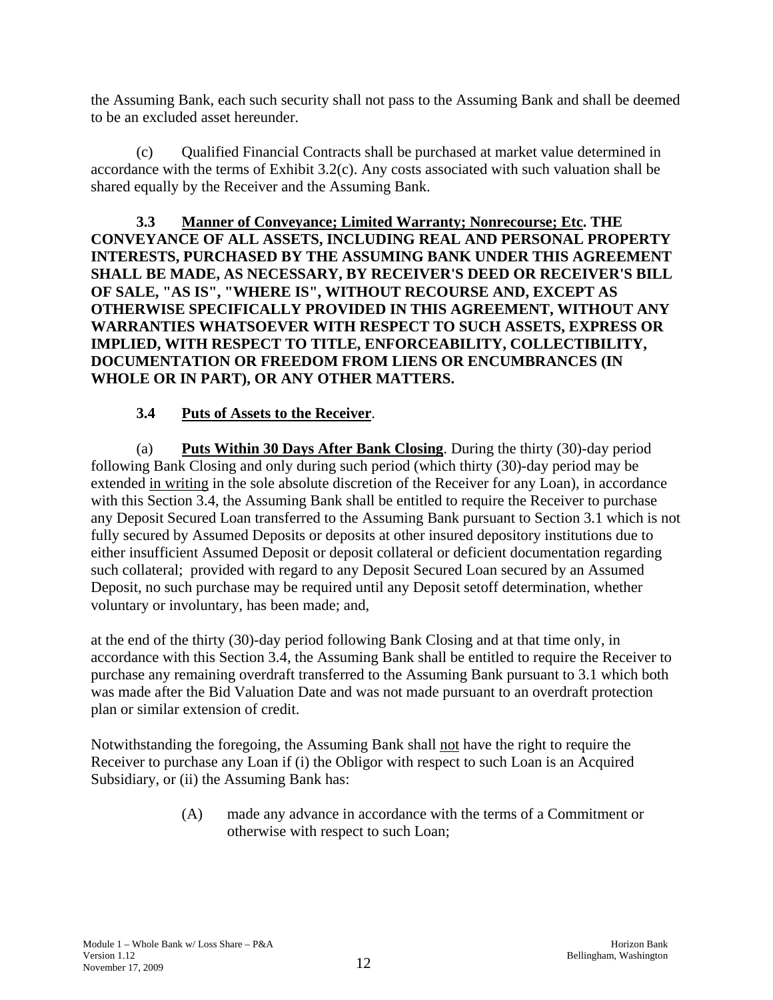the Assuming Bank, each such security shall not pass to the Assuming Bank and shall be deemed to be an excluded asset hereunder.

(c) Qualified Financial Contracts shall be purchased at market value determined in accordance with the terms of Exhibit 3.2(c). Any costs associated with such valuation shall be shared equally by the Receiver and the Assuming Bank.

**3.3 Manner of Conveyance; Limited Warranty; Nonrecourse; Etc. THE CONVEYANCE OF ALL ASSETS, INCLUDING REAL AND PERSONAL PROPERTY INTERESTS, PURCHASED BY THE ASSUMING BANK UNDER THIS AGREEMENT SHALL BE MADE, AS NECESSARY, BY RECEIVER'S DEED OR RECEIVER'S BILL OF SALE, "AS IS", "WHERE IS", WITHOUT RECOURSE AND, EXCEPT AS OTHERWISE SPECIFICALLY PROVIDED IN THIS AGREEMENT, WITHOUT ANY WARRANTIES WHATSOEVER WITH RESPECT TO SUCH ASSETS, EXPRESS OR IMPLIED, WITH RESPECT TO TITLE, ENFORCEABILITY, COLLECTIBILITY, DOCUMENTATION OR FREEDOM FROM LIENS OR ENCUMBRANCES (IN WHOLE OR IN PART), OR ANY OTHER MATTERS.** 

## **3.4 Puts of Assets to the Receiver**.

(a) **Puts Within 30 Days After Bank Closing**. During the thirty (30)-day period following Bank Closing and only during such period (which thirty (30)-day period may be extended in writing in the sole absolute discretion of the Receiver for any Loan), in accordance with this Section 3.4, the Assuming Bank shall be entitled to require the Receiver to purchase any Deposit Secured Loan transferred to the Assuming Bank pursuant to Section 3.1 which is not fully secured by Assumed Deposits or deposits at other insured depository institutions due to either insufficient Assumed Deposit or deposit collateral or deficient documentation regarding such collateral; provided with regard to any Deposit Secured Loan secured by an Assumed Deposit, no such purchase may be required until any Deposit setoff determination, whether voluntary or involuntary, has been made; and,

at the end of the thirty (30)-day period following Bank Closing and at that time only, in accordance with this Section 3.4, the Assuming Bank shall be entitled to require the Receiver to purchase any remaining overdraft transferred to the Assuming Bank pursuant to 3.1 which both was made after the Bid Valuation Date and was not made pursuant to an overdraft protection plan or similar extension of credit.

Notwithstanding the foregoing, the Assuming Bank shall not have the right to require the Receiver to purchase any Loan if (i) the Obligor with respect to such Loan is an Acquired Subsidiary, or (ii) the Assuming Bank has:

> (A) made any advance in accordance with the terms of a Commitment or otherwise with respect to such Loan;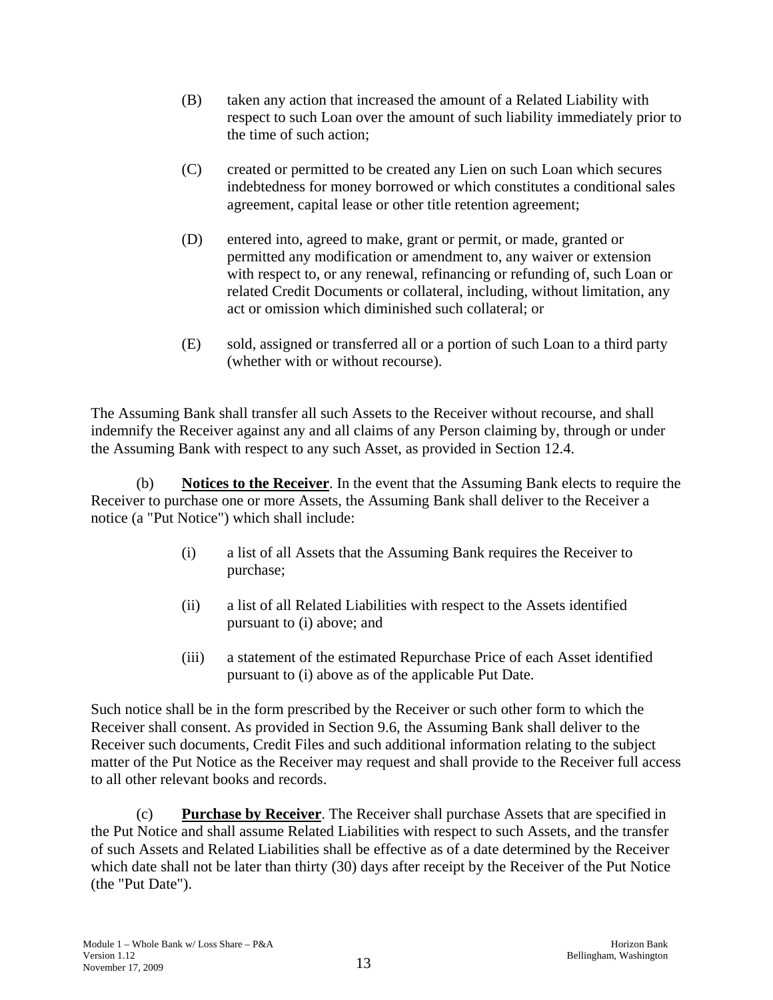- (B) taken any action that increased the amount of a Related Liability with respect to such Loan over the amount of such liability immediately prior to the time of such action;
- (C) created or permitted to be created any Lien on such Loan which secures indebtedness for money borrowed or which constitutes a conditional sales agreement, capital lease or other title retention agreement;
- (D) entered into, agreed to make, grant or permit, or made, granted or permitted any modification or amendment to, any waiver or extension with respect to, or any renewal, refinancing or refunding of, such Loan or related Credit Documents or collateral, including, without limitation, any act or omission which diminished such collateral; or
- (E) sold, assigned or transferred all or a portion of such Loan to a third party (whether with or without recourse).

The Assuming Bank shall transfer all such Assets to the Receiver without recourse, and shall indemnify the Receiver against any and all claims of any Person claiming by, through or under the Assuming Bank with respect to any such Asset, as provided in Section 12.4.

(b) **Notices to the Receiver**. In the event that the Assuming Bank elects to require the Receiver to purchase one or more Assets, the Assuming Bank shall deliver to the Receiver a notice (a "Put Notice") which shall include:

- (i) a list of all Assets that the Assuming Bank requires the Receiver to purchase;
- (ii) a list of all Related Liabilities with respect to the Assets identified pursuant to (i) above; and
- (iii) a statement of the estimated Repurchase Price of each Asset identified pursuant to (i) above as of the applicable Put Date.

Such notice shall be in the form prescribed by the Receiver or such other form to which the Receiver shall consent. As provided in Section 9.6, the Assuming Bank shall deliver to the Receiver such documents, Credit Files and such additional information relating to the subject matter of the Put Notice as the Receiver may request and shall provide to the Receiver full access to all other relevant books and records.

(c) **Purchase by Receiver**. The Receiver shall purchase Assets that are specified in the Put Notice and shall assume Related Liabilities with respect to such Assets, and the transfer of such Assets and Related Liabilities shall be effective as of a date determined by the Receiver which date shall not be later than thirty (30) days after receipt by the Receiver of the Put Notice (the "Put Date").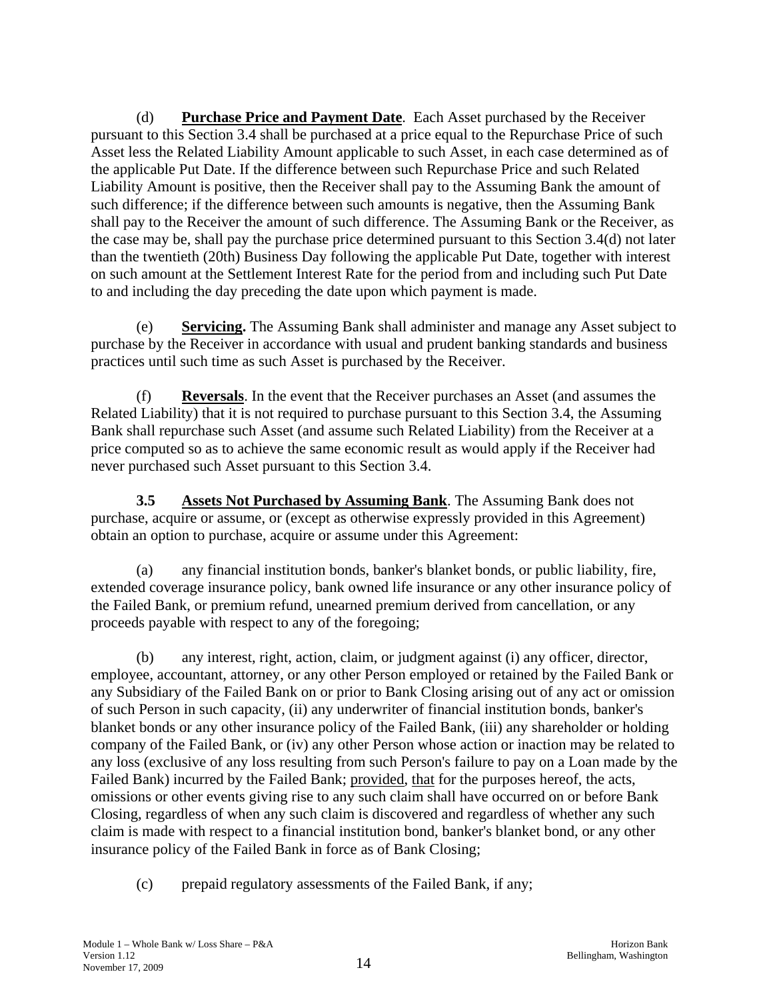(d) **Purchase Price and Payment Date**. Each Asset purchased by the Receiver pursuant to this Section 3.4 shall be purchased at a price equal to the Repurchase Price of such Asset less the Related Liability Amount applicable to such Asset, in each case determined as of the applicable Put Date. If the difference between such Repurchase Price and such Related Liability Amount is positive, then the Receiver shall pay to the Assuming Bank the amount of such difference; if the difference between such amounts is negative, then the Assuming Bank shall pay to the Receiver the amount of such difference. The Assuming Bank or the Receiver, as the case may be, shall pay the purchase price determined pursuant to this Section 3.4(d) not later than the twentieth (20th) Business Day following the applicable Put Date, together with interest on such amount at the Settlement Interest Rate for the period from and including such Put Date to and including the day preceding the date upon which payment is made.

(e) **Servicing.** The Assuming Bank shall administer and manage any Asset subject to purchase by the Receiver in accordance with usual and prudent banking standards and business practices until such time as such Asset is purchased by the Receiver.

(f) **Reversals**. In the event that the Receiver purchases an Asset (and assumes the Related Liability) that it is not required to purchase pursuant to this Section 3.4, the Assuming Bank shall repurchase such Asset (and assume such Related Liability) from the Receiver at a price computed so as to achieve the same economic result as would apply if the Receiver had never purchased such Asset pursuant to this Section 3.4.

**3.5 Assets Not Purchased by Assuming Bank**. The Assuming Bank does not purchase, acquire or assume, or (except as otherwise expressly provided in this Agreement) obtain an option to purchase, acquire or assume under this Agreement:

(a) any financial institution bonds, banker's blanket bonds, or public liability, fire, extended coverage insurance policy, bank owned life insurance or any other insurance policy of the Failed Bank, or premium refund, unearned premium derived from cancellation, or any proceeds payable with respect to any of the foregoing;

(b) any interest, right, action, claim, or judgment against (i) any officer, director, employee, accountant, attorney, or any other Person employed or retained by the Failed Bank or any Subsidiary of the Failed Bank on or prior to Bank Closing arising out of any act or omission of such Person in such capacity, (ii) any underwriter of financial institution bonds, banker's blanket bonds or any other insurance policy of the Failed Bank, (iii) any shareholder or holding company of the Failed Bank, or (iv) any other Person whose action or inaction may be related to any loss (exclusive of any loss resulting from such Person's failure to pay on a Loan made by the Failed Bank) incurred by the Failed Bank; provided, that for the purposes hereof, the acts, omissions or other events giving rise to any such claim shall have occurred on or before Bank Closing, regardless of when any such claim is discovered and regardless of whether any such claim is made with respect to a financial institution bond, banker's blanket bond, or any other insurance policy of the Failed Bank in force as of Bank Closing;

(c) prepaid regulatory assessments of the Failed Bank, if any;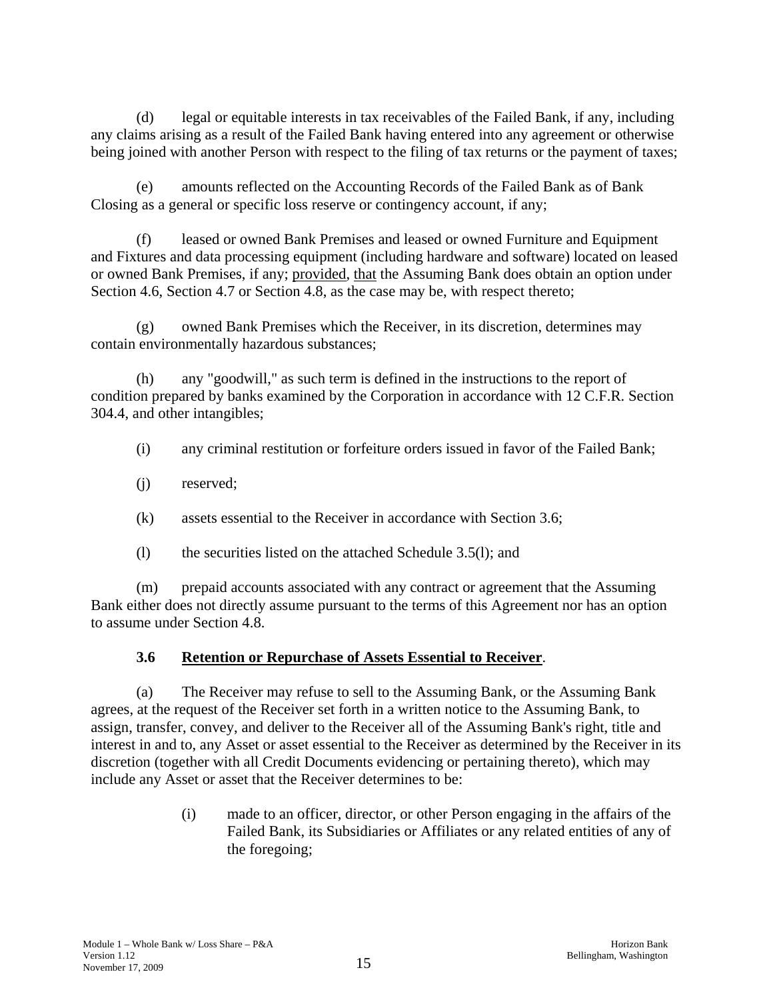(d) legal or equitable interests in tax receivables of the Failed Bank, if any, including any claims arising as a result of the Failed Bank having entered into any agreement or otherwise being joined with another Person with respect to the filing of tax returns or the payment of taxes;

(e) amounts reflected on the Accounting Records of the Failed Bank as of Bank Closing as a general or specific loss reserve or contingency account, if any;

(f) leased or owned Bank Premises and leased or owned Furniture and Equipment and Fixtures and data processing equipment (including hardware and software) located on leased or owned Bank Premises, if any; provided, that the Assuming Bank does obtain an option under Section 4.6, Section 4.7 or Section 4.8, as the case may be, with respect thereto;

(g) owned Bank Premises which the Receiver, in its discretion, determines may contain environmentally hazardous substances;

(h) any "goodwill," as such term is defined in the instructions to the report of condition prepared by banks examined by the Corporation in accordance with 12 C.F.R. Section 304.4, and other intangibles;

- (i) any criminal restitution or forfeiture orders issued in favor of the Failed Bank;
- (j) reserved;
- (k) assets essential to the Receiver in accordance with Section 3.6;
- (l) the securities listed on the attached Schedule 3.5(l); and

(m) prepaid accounts associated with any contract or agreement that the Assuming Bank either does not directly assume pursuant to the terms of this Agreement nor has an option to assume under Section 4.8.

#### **3.6 Retention or Repurchase of Assets Essential to Receiver**.

(a) The Receiver may refuse to sell to the Assuming Bank, or the Assuming Bank agrees, at the request of the Receiver set forth in a written notice to the Assuming Bank, to assign, transfer, convey, and deliver to the Receiver all of the Assuming Bank's right, title and interest in and to, any Asset or asset essential to the Receiver as determined by the Receiver in its discretion (together with all Credit Documents evidencing or pertaining thereto), which may include any Asset or asset that the Receiver determines to be:

> (i) made to an officer, director, or other Person engaging in the affairs of the Failed Bank, its Subsidiaries or Affiliates or any related entities of any of the foregoing;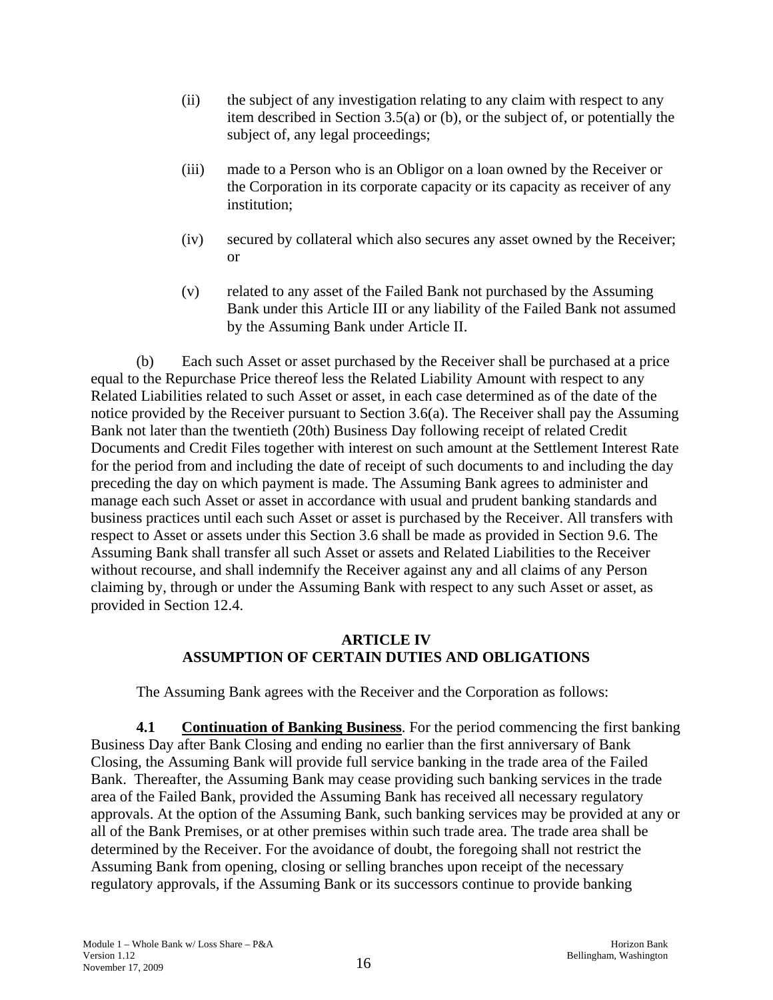- (ii) the subject of any investigation relating to any claim with respect to any item described in Section 3.5(a) or (b), or the subject of, or potentially the subject of, any legal proceedings;
- (iii) made to a Person who is an Obligor on a loan owned by the Receiver or the Corporation in its corporate capacity or its capacity as receiver of any institution;
- (iv) secured by collateral which also secures any asset owned by the Receiver; or
- (v) related to any asset of the Failed Bank not purchased by the Assuming Bank under this Article III or any liability of the Failed Bank not assumed by the Assuming Bank under Article II.

(b) Each such Asset or asset purchased by the Receiver shall be purchased at a price equal to the Repurchase Price thereof less the Related Liability Amount with respect to any Related Liabilities related to such Asset or asset, in each case determined as of the date of the notice provided by the Receiver pursuant to Section 3.6(a). The Receiver shall pay the Assuming Bank not later than the twentieth (20th) Business Day following receipt of related Credit Documents and Credit Files together with interest on such amount at the Settlement Interest Rate for the period from and including the date of receipt of such documents to and including the day preceding the day on which payment is made. The Assuming Bank agrees to administer and manage each such Asset or asset in accordance with usual and prudent banking standards and business practices until each such Asset or asset is purchased by the Receiver. All transfers with respect to Asset or assets under this Section 3.6 shall be made as provided in Section 9.6. The Assuming Bank shall transfer all such Asset or assets and Related Liabilities to the Receiver without recourse, and shall indemnify the Receiver against any and all claims of any Person claiming by, through or under the Assuming Bank with respect to any such Asset or asset, as provided in Section 12.4.

### **ARTICLE IV ASSUMPTION OF CERTAIN DUTIES AND OBLIGATIONS**

The Assuming Bank agrees with the Receiver and the Corporation as follows:

**4.1 Continuation of Banking Business**. For the period commencing the first banking Business Day after Bank Closing and ending no earlier than the first anniversary of Bank Closing, the Assuming Bank will provide full service banking in the trade area of the Failed Bank. Thereafter, the Assuming Bank may cease providing such banking services in the trade area of the Failed Bank, provided the Assuming Bank has received all necessary regulatory approvals. At the option of the Assuming Bank, such banking services may be provided at any or all of the Bank Premises, or at other premises within such trade area. The trade area shall be determined by the Receiver. For the avoidance of doubt, the foregoing shall not restrict the Assuming Bank from opening, closing or selling branches upon receipt of the necessary regulatory approvals, if the Assuming Bank or its successors continue to provide banking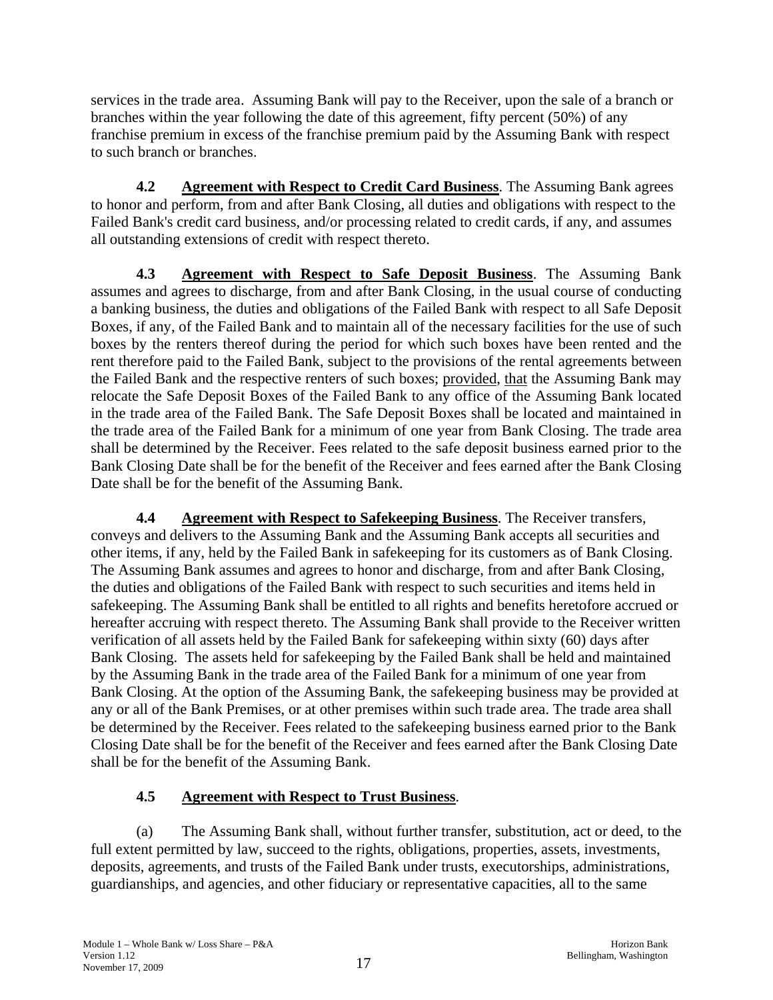services in the trade area. Assuming Bank will pay to the Receiver, upon the sale of a branch or branches within the year following the date of this agreement, fifty percent (50%) of any franchise premium in excess of the franchise premium paid by the Assuming Bank with respect to such branch or branches.

**4.2** Agreement with Respect to Credit Card Business. The Assuming Bank agrees to honor and perform, from and after Bank Closing, all duties and obligations with respect to the Failed Bank's credit card business, and/or processing related to credit cards, if any, and assumes all outstanding extensions of credit with respect thereto.

**4.3 Agreement with Respect to Safe Deposit Business**. The Assuming Bank assumes and agrees to discharge, from and after Bank Closing, in the usual course of conducting a banking business, the duties and obligations of the Failed Bank with respect to all Safe Deposit Boxes, if any, of the Failed Bank and to maintain all of the necessary facilities for the use of such boxes by the renters thereof during the period for which such boxes have been rented and the rent therefore paid to the Failed Bank, subject to the provisions of the rental agreements between the Failed Bank and the respective renters of such boxes; provided, that the Assuming Bank may relocate the Safe Deposit Boxes of the Failed Bank to any office of the Assuming Bank located in the trade area of the Failed Bank. The Safe Deposit Boxes shall be located and maintained in the trade area of the Failed Bank for a minimum of one year from Bank Closing. The trade area shall be determined by the Receiver. Fees related to the safe deposit business earned prior to the Bank Closing Date shall be for the benefit of the Receiver and fees earned after the Bank Closing Date shall be for the benefit of the Assuming Bank.

**4.4 Agreement with Respect to Safekeeping Business**. The Receiver transfers, conveys and delivers to the Assuming Bank and the Assuming Bank accepts all securities and other items, if any, held by the Failed Bank in safekeeping for its customers as of Bank Closing. The Assuming Bank assumes and agrees to honor and discharge, from and after Bank Closing, the duties and obligations of the Failed Bank with respect to such securities and items held in safekeeping. The Assuming Bank shall be entitled to all rights and benefits heretofore accrued or hereafter accruing with respect thereto. The Assuming Bank shall provide to the Receiver written verification of all assets held by the Failed Bank for safekeeping within sixty (60) days after Bank Closing. The assets held for safekeeping by the Failed Bank shall be held and maintained by the Assuming Bank in the trade area of the Failed Bank for a minimum of one year from Bank Closing. At the option of the Assuming Bank, the safekeeping business may be provided at any or all of the Bank Premises, or at other premises within such trade area. The trade area shall be determined by the Receiver. Fees related to the safekeeping business earned prior to the Bank Closing Date shall be for the benefit of the Receiver and fees earned after the Bank Closing Date shall be for the benefit of the Assuming Bank.

# **4.5 Agreement with Respect to Trust Business**.

(a) The Assuming Bank shall, without further transfer, substitution, act or deed, to the full extent permitted by law, succeed to the rights, obligations, properties, assets, investments, deposits, agreements, and trusts of the Failed Bank under trusts, executorships, administrations, guardianships, and agencies, and other fiduciary or representative capacities, all to the same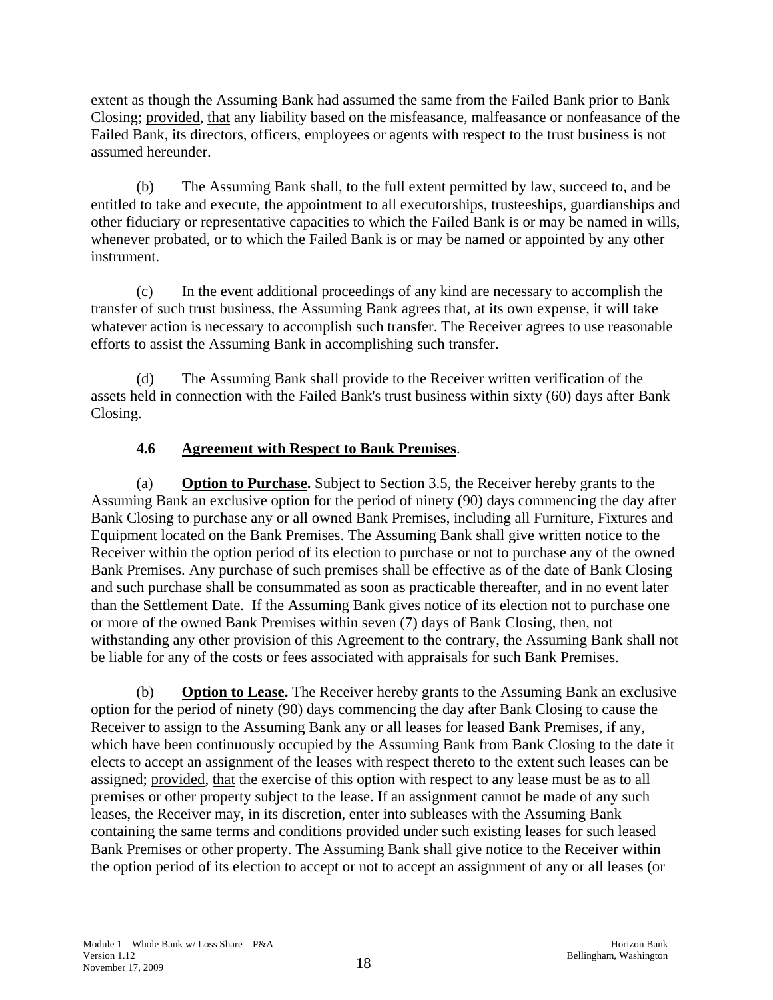extent as though the Assuming Bank had assumed the same from the Failed Bank prior to Bank Closing; provided, that any liability based on the misfeasance, malfeasance or nonfeasance of the Failed Bank, its directors, officers, employees or agents with respect to the trust business is not assumed hereunder.

(b) The Assuming Bank shall, to the full extent permitted by law, succeed to, and be entitled to take and execute, the appointment to all executorships, trusteeships, guardianships and other fiduciary or representative capacities to which the Failed Bank is or may be named in wills, whenever probated, or to which the Failed Bank is or may be named or appointed by any other instrument.

(c) In the event additional proceedings of any kind are necessary to accomplish the transfer of such trust business, the Assuming Bank agrees that, at its own expense, it will take whatever action is necessary to accomplish such transfer. The Receiver agrees to use reasonable efforts to assist the Assuming Bank in accomplishing such transfer.

(d) The Assuming Bank shall provide to the Receiver written verification of the assets held in connection with the Failed Bank's trust business within sixty (60) days after Bank Closing.

## **4.6 Agreement with Respect to Bank Premises**.

(a) **Option to Purchase.** Subject to Section 3.5, the Receiver hereby grants to the Assuming Bank an exclusive option for the period of ninety (90) days commencing the day after Bank Closing to purchase any or all owned Bank Premises, including all Furniture, Fixtures and Equipment located on the Bank Premises. The Assuming Bank shall give written notice to the Receiver within the option period of its election to purchase or not to purchase any of the owned Bank Premises. Any purchase of such premises shall be effective as of the date of Bank Closing and such purchase shall be consummated as soon as practicable thereafter, and in no event later than the Settlement Date. If the Assuming Bank gives notice of its election not to purchase one or more of the owned Bank Premises within seven (7) days of Bank Closing, then, not withstanding any other provision of this Agreement to the contrary, the Assuming Bank shall not be liable for any of the costs or fees associated with appraisals for such Bank Premises.

(b) **Option to Lease.** The Receiver hereby grants to the Assuming Bank an exclusive option for the period of ninety (90) days commencing the day after Bank Closing to cause the Receiver to assign to the Assuming Bank any or all leases for leased Bank Premises, if any, which have been continuously occupied by the Assuming Bank from Bank Closing to the date it elects to accept an assignment of the leases with respect thereto to the extent such leases can be assigned; provided, that the exercise of this option with respect to any lease must be as to all premises or other property subject to the lease. If an assignment cannot be made of any such leases, the Receiver may, in its discretion, enter into subleases with the Assuming Bank containing the same terms and conditions provided under such existing leases for such leased Bank Premises or other property. The Assuming Bank shall give notice to the Receiver within the option period of its election to accept or not to accept an assignment of any or all leases (or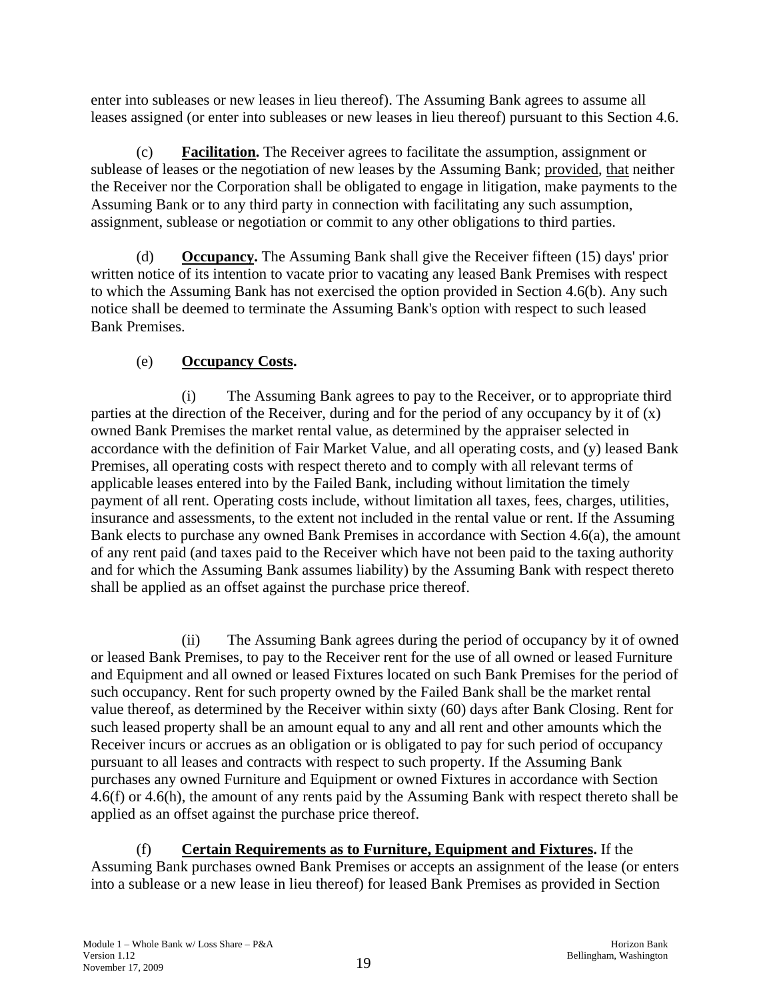enter into subleases or new leases in lieu thereof). The Assuming Bank agrees to assume all leases assigned (or enter into subleases or new leases in lieu thereof) pursuant to this Section 4.6.

(c) **Facilitation.** The Receiver agrees to facilitate the assumption, assignment or sublease of leases or the negotiation of new leases by the Assuming Bank; provided, that neither the Receiver nor the Corporation shall be obligated to engage in litigation, make payments to the Assuming Bank or to any third party in connection with facilitating any such assumption, assignment, sublease or negotiation or commit to any other obligations to third parties.

(d) **Occupancy.** The Assuming Bank shall give the Receiver fifteen (15) days' prior written notice of its intention to vacate prior to vacating any leased Bank Premises with respect to which the Assuming Bank has not exercised the option provided in Section 4.6(b). Any such notice shall be deemed to terminate the Assuming Bank's option with respect to such leased Bank Premises.

# (e) **Occupancy Costs.**

(i) The Assuming Bank agrees to pay to the Receiver, or to appropriate third parties at the direction of the Receiver, during and for the period of any occupancy by it of (x) owned Bank Premises the market rental value, as determined by the appraiser selected in accordance with the definition of Fair Market Value, and all operating costs, and (y) leased Bank Premises, all operating costs with respect thereto and to comply with all relevant terms of applicable leases entered into by the Failed Bank, including without limitation the timely payment of all rent. Operating costs include, without limitation all taxes, fees, charges, utilities, insurance and assessments, to the extent not included in the rental value or rent. If the Assuming Bank elects to purchase any owned Bank Premises in accordance with Section 4.6(a), the amount of any rent paid (and taxes paid to the Receiver which have not been paid to the taxing authority and for which the Assuming Bank assumes liability) by the Assuming Bank with respect thereto shall be applied as an offset against the purchase price thereof.

(ii) The Assuming Bank agrees during the period of occupancy by it of owned or leased Bank Premises, to pay to the Receiver rent for the use of all owned or leased Furniture and Equipment and all owned or leased Fixtures located on such Bank Premises for the period of such occupancy. Rent for such property owned by the Failed Bank shall be the market rental value thereof, as determined by the Receiver within sixty (60) days after Bank Closing. Rent for such leased property shall be an amount equal to any and all rent and other amounts which the Receiver incurs or accrues as an obligation or is obligated to pay for such period of occupancy pursuant to all leases and contracts with respect to such property. If the Assuming Bank purchases any owned Furniture and Equipment or owned Fixtures in accordance with Section 4.6(f) or 4.6(h), the amount of any rents paid by the Assuming Bank with respect thereto shall be applied as an offset against the purchase price thereof.

(f) **Certain Requirements as to Furniture, Equipment and Fixtures.** If the Assuming Bank purchases owned Bank Premises or accepts an assignment of the lease (or enters into a sublease or a new lease in lieu thereof) for leased Bank Premises as provided in Section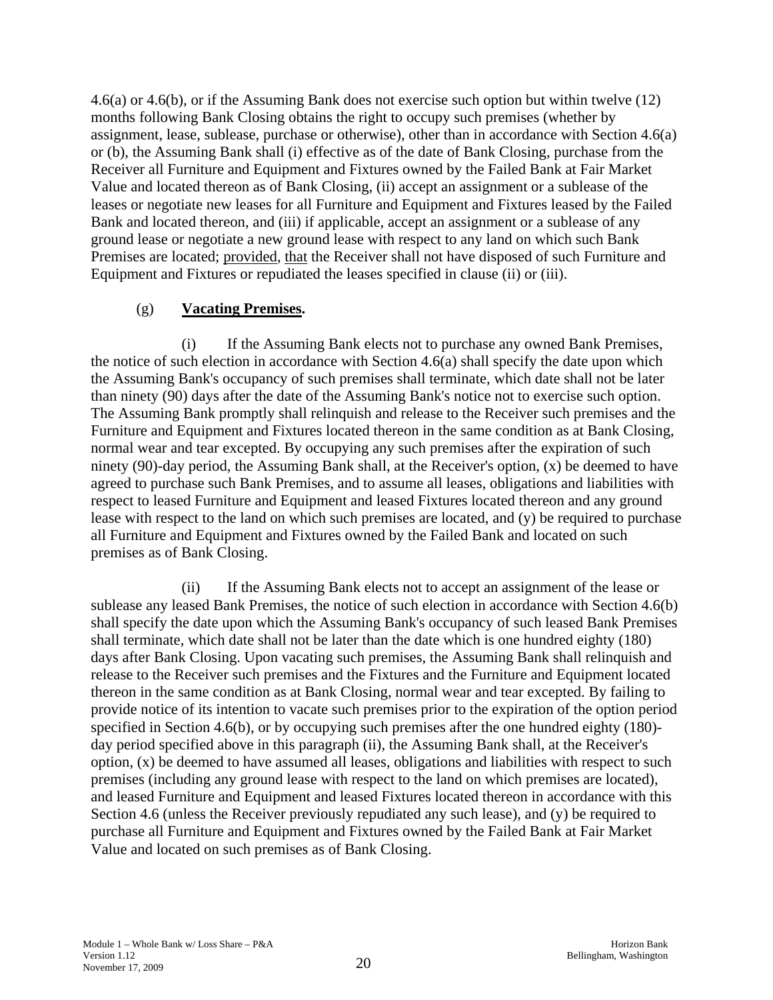4.6(a) or 4.6(b), or if the Assuming Bank does not exercise such option but within twelve (12) months following Bank Closing obtains the right to occupy such premises (whether by assignment, lease, sublease, purchase or otherwise), other than in accordance with Section 4.6(a) or (b), the Assuming Bank shall (i) effective as of the date of Bank Closing, purchase from the Receiver all Furniture and Equipment and Fixtures owned by the Failed Bank at Fair Market Value and located thereon as of Bank Closing, (ii) accept an assignment or a sublease of the leases or negotiate new leases for all Furniture and Equipment and Fixtures leased by the Failed Bank and located thereon, and (iii) if applicable, accept an assignment or a sublease of any ground lease or negotiate a new ground lease with respect to any land on which such Bank Premises are located; provided, that the Receiver shall not have disposed of such Furniture and Equipment and Fixtures or repudiated the leases specified in clause (ii) or (iii).

#### (g) **Vacating Premises.**

(i) If the Assuming Bank elects not to purchase any owned Bank Premises, the notice of such election in accordance with Section 4.6(a) shall specify the date upon which the Assuming Bank's occupancy of such premises shall terminate, which date shall not be later than ninety (90) days after the date of the Assuming Bank's notice not to exercise such option. The Assuming Bank promptly shall relinquish and release to the Receiver such premises and the Furniture and Equipment and Fixtures located thereon in the same condition as at Bank Closing, normal wear and tear excepted. By occupying any such premises after the expiration of such ninety (90)-day period, the Assuming Bank shall, at the Receiver's option, (x) be deemed to have agreed to purchase such Bank Premises, and to assume all leases, obligations and liabilities with respect to leased Furniture and Equipment and leased Fixtures located thereon and any ground lease with respect to the land on which such premises are located, and (y) be required to purchase all Furniture and Equipment and Fixtures owned by the Failed Bank and located on such premises as of Bank Closing.

(ii) If the Assuming Bank elects not to accept an assignment of the lease or sublease any leased Bank Premises, the notice of such election in accordance with Section 4.6(b) shall specify the date upon which the Assuming Bank's occupancy of such leased Bank Premises shall terminate, which date shall not be later than the date which is one hundred eighty (180) days after Bank Closing. Upon vacating such premises, the Assuming Bank shall relinquish and release to the Receiver such premises and the Fixtures and the Furniture and Equipment located thereon in the same condition as at Bank Closing, normal wear and tear excepted. By failing to provide notice of its intention to vacate such premises prior to the expiration of the option period specified in Section 4.6(b), or by occupying such premises after the one hundred eighty (180) day period specified above in this paragraph (ii), the Assuming Bank shall, at the Receiver's option, (x) be deemed to have assumed all leases, obligations and liabilities with respect to such premises (including any ground lease with respect to the land on which premises are located), and leased Furniture and Equipment and leased Fixtures located thereon in accordance with this Section 4.6 (unless the Receiver previously repudiated any such lease), and (y) be required to purchase all Furniture and Equipment and Fixtures owned by the Failed Bank at Fair Market Value and located on such premises as of Bank Closing.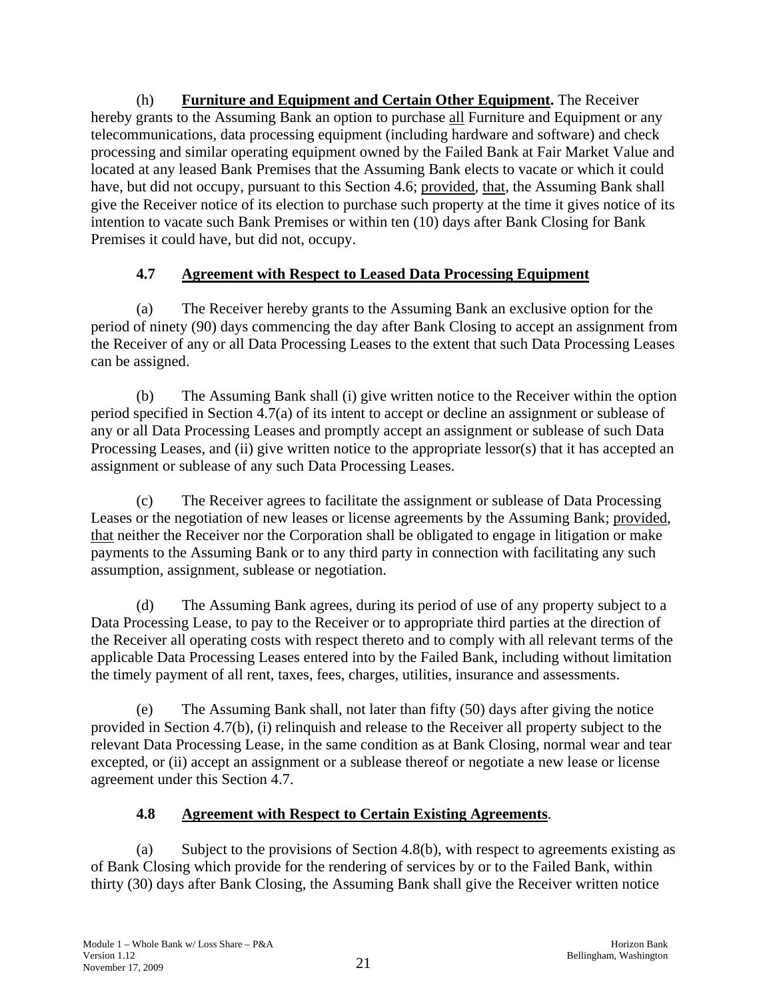(h) **Furniture and Equipment and Certain Other Equipment.** The Receiver hereby grants to the Assuming Bank an option to purchase all Furniture and Equipment or any telecommunications, data processing equipment (including hardware and software) and check processing and similar operating equipment owned by the Failed Bank at Fair Market Value and located at any leased Bank Premises that the Assuming Bank elects to vacate or which it could have, but did not occupy, pursuant to this Section 4.6; provided, that, the Assuming Bank shall give the Receiver notice of its election to purchase such property at the time it gives notice of its intention to vacate such Bank Premises or within ten (10) days after Bank Closing for Bank Premises it could have, but did not, occupy.

# **4.7 Agreement with Respect to Leased Data Processing Equipment**

(a) The Receiver hereby grants to the Assuming Bank an exclusive option for the period of ninety (90) days commencing the day after Bank Closing to accept an assignment from the Receiver of any or all Data Processing Leases to the extent that such Data Processing Leases can be assigned.

(b) The Assuming Bank shall (i) give written notice to the Receiver within the option period specified in Section 4.7(a) of its intent to accept or decline an assignment or sublease of any or all Data Processing Leases and promptly accept an assignment or sublease of such Data Processing Leases, and (ii) give written notice to the appropriate lessor(s) that it has accepted an assignment or sublease of any such Data Processing Leases.

(c) The Receiver agrees to facilitate the assignment or sublease of Data Processing Leases or the negotiation of new leases or license agreements by the Assuming Bank; provided, that neither the Receiver nor the Corporation shall be obligated to engage in litigation or make payments to the Assuming Bank or to any third party in connection with facilitating any such assumption, assignment, sublease or negotiation.

(d) The Assuming Bank agrees, during its period of use of any property subject to a Data Processing Lease, to pay to the Receiver or to appropriate third parties at the direction of the Receiver all operating costs with respect thereto and to comply with all relevant terms of the applicable Data Processing Leases entered into by the Failed Bank, including without limitation the timely payment of all rent, taxes, fees, charges, utilities, insurance and assessments.

(e) The Assuming Bank shall, not later than fifty (50) days after giving the notice provided in Section 4.7(b), (i) relinquish and release to the Receiver all property subject to the relevant Data Processing Lease, in the same condition as at Bank Closing, normal wear and tear excepted, or (ii) accept an assignment or a sublease thereof or negotiate a new lease or license agreement under this Section 4.7.

## **4.8 Agreement with Respect to Certain Existing Agreements**.

(a) Subject to the provisions of Section 4.8(b), with respect to agreements existing as of Bank Closing which provide for the rendering of services by or to the Failed Bank, within thirty (30) days after Bank Closing, the Assuming Bank shall give the Receiver written notice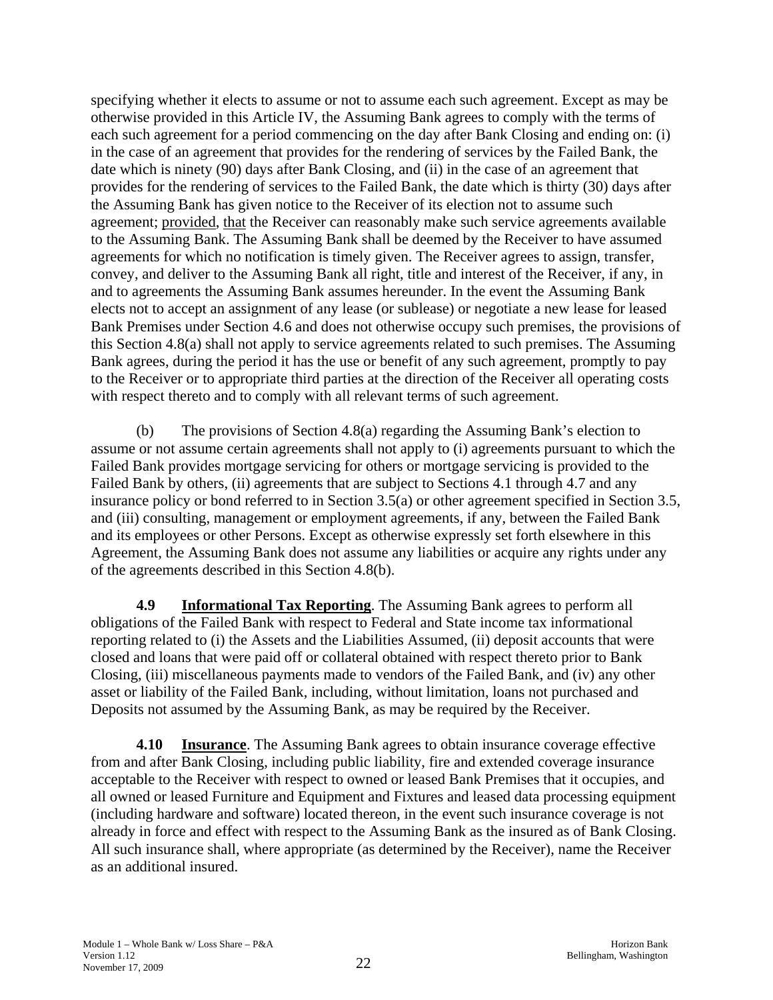specifying whether it elects to assume or not to assume each such agreement. Except as may be otherwise provided in this Article IV, the Assuming Bank agrees to comply with the terms of each such agreement for a period commencing on the day after Bank Closing and ending on: (i) in the case of an agreement that provides for the rendering of services by the Failed Bank, the date which is ninety (90) days after Bank Closing, and (ii) in the case of an agreement that provides for the rendering of services to the Failed Bank, the date which is thirty (30) days after the Assuming Bank has given notice to the Receiver of its election not to assume such agreement; provided, that the Receiver can reasonably make such service agreements available to the Assuming Bank. The Assuming Bank shall be deemed by the Receiver to have assumed agreements for which no notification is timely given. The Receiver agrees to assign, transfer, convey, and deliver to the Assuming Bank all right, title and interest of the Receiver, if any, in and to agreements the Assuming Bank assumes hereunder. In the event the Assuming Bank elects not to accept an assignment of any lease (or sublease) or negotiate a new lease for leased Bank Premises under Section 4.6 and does not otherwise occupy such premises, the provisions of this Section 4.8(a) shall not apply to service agreements related to such premises. The Assuming Bank agrees, during the period it has the use or benefit of any such agreement, promptly to pay to the Receiver or to appropriate third parties at the direction of the Receiver all operating costs with respect thereto and to comply with all relevant terms of such agreement.

(b) The provisions of Section 4.8(a) regarding the Assuming Bank's election to assume or not assume certain agreements shall not apply to (i) agreements pursuant to which the Failed Bank provides mortgage servicing for others or mortgage servicing is provided to the Failed Bank by others, (ii) agreements that are subject to Sections 4.1 through 4.7 and any insurance policy or bond referred to in Section 3.5(a) or other agreement specified in Section 3.5, and (iii) consulting, management or employment agreements, if any, between the Failed Bank and its employees or other Persons. Except as otherwise expressly set forth elsewhere in this Agreement, the Assuming Bank does not assume any liabilities or acquire any rights under any of the agreements described in this Section 4.8(b).

**4.9 Informational Tax Reporting**. The Assuming Bank agrees to perform all obligations of the Failed Bank with respect to Federal and State income tax informational reporting related to (i) the Assets and the Liabilities Assumed, (ii) deposit accounts that were closed and loans that were paid off or collateral obtained with respect thereto prior to Bank Closing, (iii) miscellaneous payments made to vendors of the Failed Bank, and (iv) any other asset or liability of the Failed Bank, including, without limitation, loans not purchased and Deposits not assumed by the Assuming Bank, as may be required by the Receiver.

**4.10 Insurance**. The Assuming Bank agrees to obtain insurance coverage effective from and after Bank Closing, including public liability, fire and extended coverage insurance acceptable to the Receiver with respect to owned or leased Bank Premises that it occupies, and all owned or leased Furniture and Equipment and Fixtures and leased data processing equipment (including hardware and software) located thereon, in the event such insurance coverage is not already in force and effect with respect to the Assuming Bank as the insured as of Bank Closing. All such insurance shall, where appropriate (as determined by the Receiver), name the Receiver as an additional insured.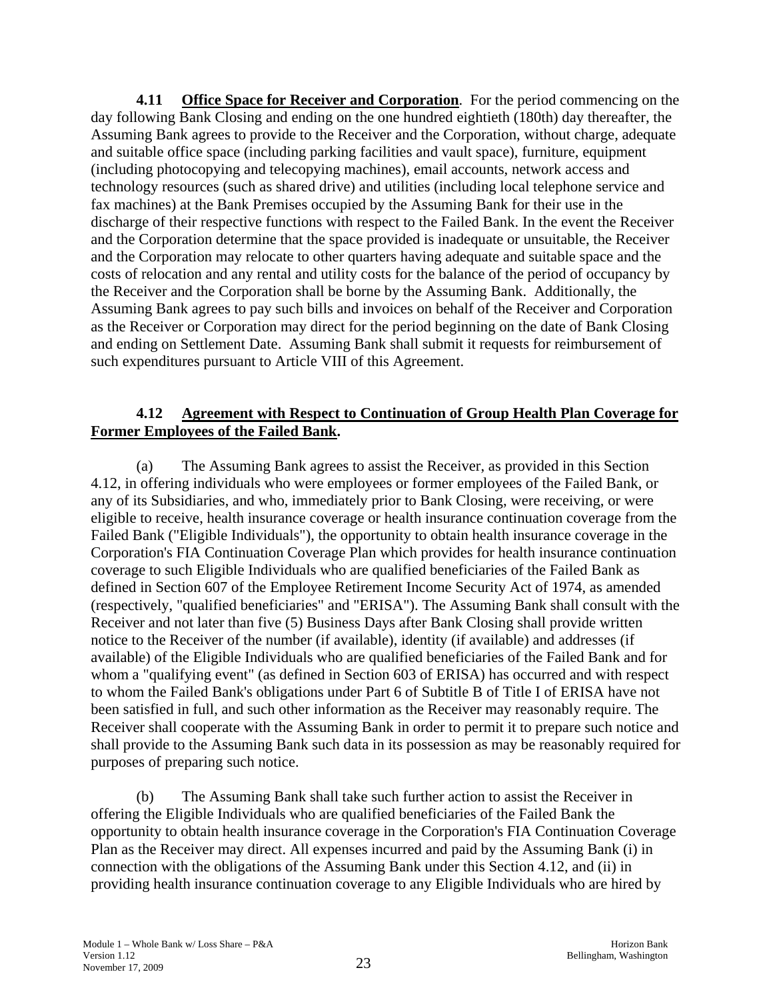**4.11** Office Space for Receiver and Corporation. For the period commencing on the day following Bank Closing and ending on the one hundred eightieth (180th) day thereafter, the Assuming Bank agrees to provide to the Receiver and the Corporation, without charge, adequate and suitable office space (including parking facilities and vault space), furniture, equipment (including photocopying and telecopying machines), email accounts, network access and technology resources (such as shared drive) and utilities (including local telephone service and fax machines) at the Bank Premises occupied by the Assuming Bank for their use in the discharge of their respective functions with respect to the Failed Bank. In the event the Receiver and the Corporation determine that the space provided is inadequate or unsuitable, the Receiver and the Corporation may relocate to other quarters having adequate and suitable space and the costs of relocation and any rental and utility costs for the balance of the period of occupancy by the Receiver and the Corporation shall be borne by the Assuming Bank. Additionally, the Assuming Bank agrees to pay such bills and invoices on behalf of the Receiver and Corporation as the Receiver or Corporation may direct for the period beginning on the date of Bank Closing and ending on Settlement Date. Assuming Bank shall submit it requests for reimbursement of such expenditures pursuant to Article VIII of this Agreement.

#### **4.12 Agreement with Respect to Continuation of Group Health Plan Coverage for Former Employees of the Failed Bank.**

(a) The Assuming Bank agrees to assist the Receiver, as provided in this Section 4.12, in offering individuals who were employees or former employees of the Failed Bank, or any of its Subsidiaries, and who, immediately prior to Bank Closing, were receiving, or were eligible to receive, health insurance coverage or health insurance continuation coverage from the Failed Bank ("Eligible Individuals"), the opportunity to obtain health insurance coverage in the Corporation's FIA Continuation Coverage Plan which provides for health insurance continuation coverage to such Eligible Individuals who are qualified beneficiaries of the Failed Bank as defined in Section 607 of the Employee Retirement Income Security Act of 1974, as amended (respectively, "qualified beneficiaries" and "ERISA"). The Assuming Bank shall consult with the Receiver and not later than five (5) Business Days after Bank Closing shall provide written notice to the Receiver of the number (if available), identity (if available) and addresses (if available) of the Eligible Individuals who are qualified beneficiaries of the Failed Bank and for whom a "qualifying event" (as defined in Section 603 of ERISA) has occurred and with respect to whom the Failed Bank's obligations under Part 6 of Subtitle B of Title I of ERISA have not been satisfied in full, and such other information as the Receiver may reasonably require. The Receiver shall cooperate with the Assuming Bank in order to permit it to prepare such notice and shall provide to the Assuming Bank such data in its possession as may be reasonably required for purposes of preparing such notice.

(b) The Assuming Bank shall take such further action to assist the Receiver in offering the Eligible Individuals who are qualified beneficiaries of the Failed Bank the opportunity to obtain health insurance coverage in the Corporation's FIA Continuation Coverage Plan as the Receiver may direct. All expenses incurred and paid by the Assuming Bank (i) in connection with the obligations of the Assuming Bank under this Section 4.12, and (ii) in providing health insurance continuation coverage to any Eligible Individuals who are hired by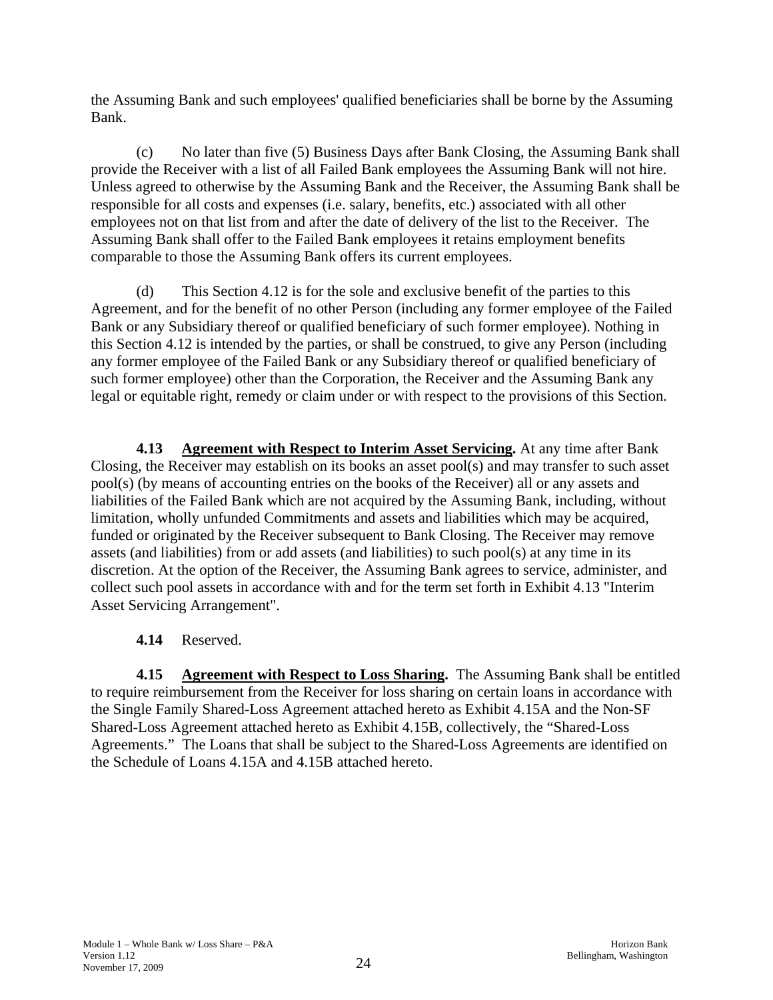the Assuming Bank and such employees' qualified beneficiaries shall be borne by the Assuming Bank.

(c) No later than five (5) Business Days after Bank Closing, the Assuming Bank shall provide the Receiver with a list of all Failed Bank employees the Assuming Bank will not hire. Unless agreed to otherwise by the Assuming Bank and the Receiver, the Assuming Bank shall be responsible for all costs and expenses (i.e. salary, benefits, etc.) associated with all other employees not on that list from and after the date of delivery of the list to the Receiver. The Assuming Bank shall offer to the Failed Bank employees it retains employment benefits comparable to those the Assuming Bank offers its current employees.

(d) This Section 4.12 is for the sole and exclusive benefit of the parties to this Agreement, and for the benefit of no other Person (including any former employee of the Failed Bank or any Subsidiary thereof or qualified beneficiary of such former employee). Nothing in this Section 4.12 is intended by the parties, or shall be construed, to give any Person (including any former employee of the Failed Bank or any Subsidiary thereof or qualified beneficiary of such former employee) other than the Corporation, the Receiver and the Assuming Bank any legal or equitable right, remedy or claim under or with respect to the provisions of this Section.

**4.13 Agreement with Respect to Interim Asset Servicing.** At any time after Bank Closing, the Receiver may establish on its books an asset pool(s) and may transfer to such asset pool(s) (by means of accounting entries on the books of the Receiver) all or any assets and liabilities of the Failed Bank which are not acquired by the Assuming Bank, including, without limitation, wholly unfunded Commitments and assets and liabilities which may be acquired, funded or originated by the Receiver subsequent to Bank Closing. The Receiver may remove assets (and liabilities) from or add assets (and liabilities) to such pool(s) at any time in its discretion. At the option of the Receiver, the Assuming Bank agrees to service, administer, and collect such pool assets in accordance with and for the term set forth in Exhibit 4.13 "Interim Asset Servicing Arrangement".

## **4.14** Reserved.

**4.15 Agreement with Respect to Loss Sharing.** The Assuming Bank shall be entitled to require reimbursement from the Receiver for loss sharing on certain loans in accordance with the Single Family Shared-Loss Agreement attached hereto as Exhibit 4.15A and the Non-SF Shared-Loss Agreement attached hereto as Exhibit 4.15B, collectively, the "Shared-Loss Agreements." The Loans that shall be subject to the Shared-Loss Agreements are identified on the Schedule of Loans 4.15A and 4.15B attached hereto.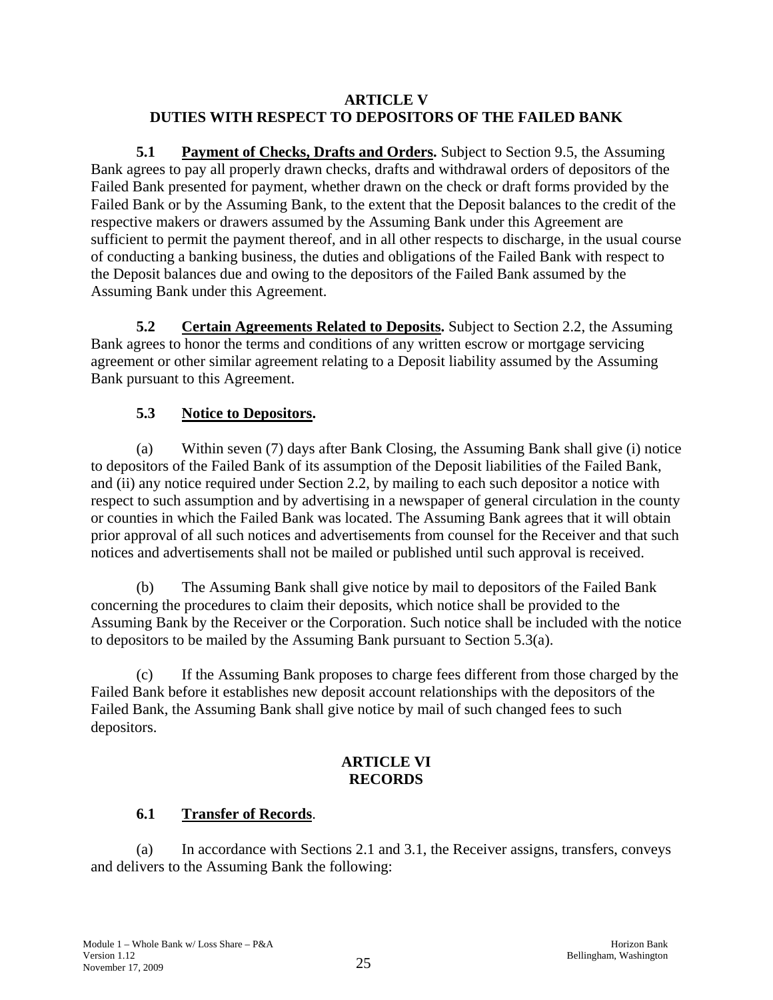#### **ARTICLE V DUTIES WITH RESPECT TO DEPOSITORS OF THE FAILED BANK**

**5.1 Payment of Checks, Drafts and Orders.** Subject to Section 9.5, the Assuming Bank agrees to pay all properly drawn checks, drafts and withdrawal orders of depositors of the Failed Bank presented for payment, whether drawn on the check or draft forms provided by the Failed Bank or by the Assuming Bank, to the extent that the Deposit balances to the credit of the respective makers or drawers assumed by the Assuming Bank under this Agreement are sufficient to permit the payment thereof, and in all other respects to discharge, in the usual course of conducting a banking business, the duties and obligations of the Failed Bank with respect to the Deposit balances due and owing to the depositors of the Failed Bank assumed by the Assuming Bank under this Agreement.

**5.2** Certain Agreements Related to Deposits. Subject to Section 2.2, the Assuming Bank agrees to honor the terms and conditions of any written escrow or mortgage servicing agreement or other similar agreement relating to a Deposit liability assumed by the Assuming Bank pursuant to this Agreement.

## **5.3 Notice to Depositors.**

(a) Within seven (7) days after Bank Closing, the Assuming Bank shall give (i) notice to depositors of the Failed Bank of its assumption of the Deposit liabilities of the Failed Bank, and (ii) any notice required under Section 2.2, by mailing to each such depositor a notice with respect to such assumption and by advertising in a newspaper of general circulation in the county or counties in which the Failed Bank was located. The Assuming Bank agrees that it will obtain prior approval of all such notices and advertisements from counsel for the Receiver and that such notices and advertisements shall not be mailed or published until such approval is received.

(b) The Assuming Bank shall give notice by mail to depositors of the Failed Bank concerning the procedures to claim their deposits, which notice shall be provided to the Assuming Bank by the Receiver or the Corporation. Such notice shall be included with the notice to depositors to be mailed by the Assuming Bank pursuant to Section 5.3(a).

(c) If the Assuming Bank proposes to charge fees different from those charged by the Failed Bank before it establishes new deposit account relationships with the depositors of the Failed Bank, the Assuming Bank shall give notice by mail of such changed fees to such depositors.

#### **ARTICLE VI RECORDS**

## **6.1 Transfer of Records**.

(a) In accordance with Sections 2.1 and 3.1, the Receiver assigns, transfers, conveys and delivers to the Assuming Bank the following: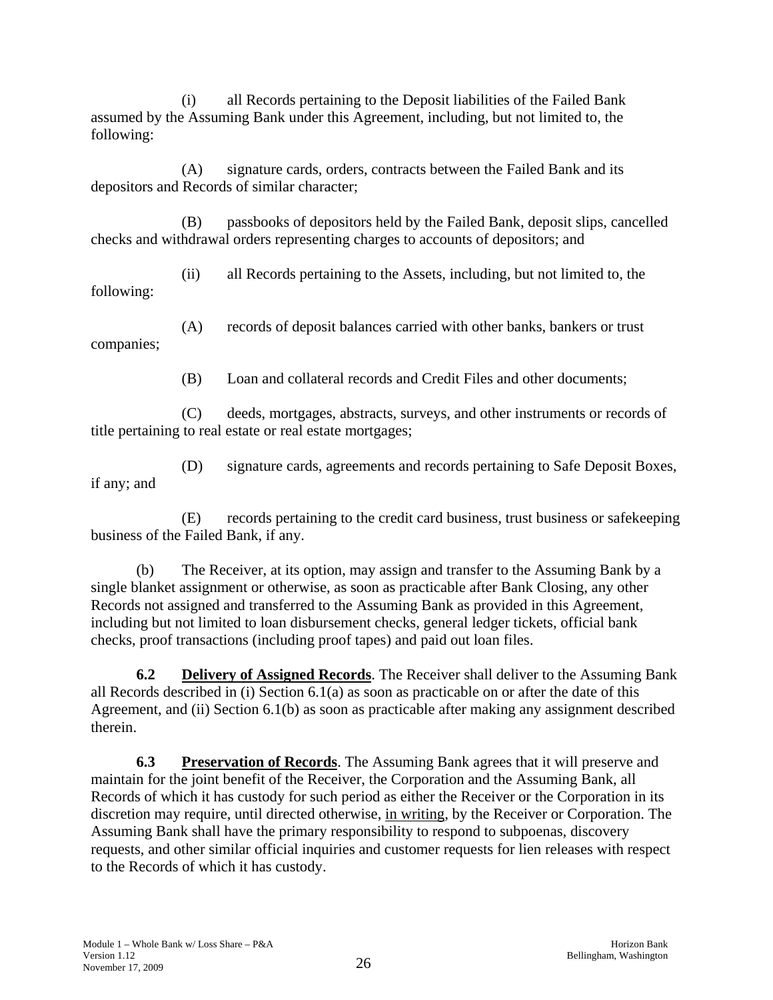(i) all Records pertaining to the Deposit liabilities of the Failed Bank assumed by the Assuming Bank under this Agreement, including, but not limited to, the following:

(A) signature cards, orders, contracts between the Failed Bank and its depositors and Records of similar character;

(B) passbooks of depositors held by the Failed Bank, deposit slips, cancelled checks and withdrawal orders representing charges to accounts of depositors; and

following: (ii) all Records pertaining to the Assets, including, but not limited to, the

companies; (A) records of deposit balances carried with other banks, bankers or trust

(B) Loan and collateral records and Credit Files and other documents;

(C) deeds, mortgages, abstracts, surveys, and other instruments or records of title pertaining to real estate or real estate mortgages;

(D) signature cards, agreements and records pertaining to Safe Deposit Boxes, if any; and

(E) records pertaining to the credit card business, trust business or safekeeping business of the Failed Bank, if any.

(b) The Receiver, at its option, may assign and transfer to the Assuming Bank by a single blanket assignment or otherwise, as soon as practicable after Bank Closing, any other Records not assigned and transferred to the Assuming Bank as provided in this Agreement, including but not limited to loan disbursement checks, general ledger tickets, official bank checks, proof transactions (including proof tapes) and paid out loan files.

**6.2 Delivery of Assigned Records**. The Receiver shall deliver to the Assuming Bank all Records described in (i) Section 6.1(a) as soon as practicable on or after the date of this Agreement, and (ii) Section 6.1(b) as soon as practicable after making any assignment described therein.

**6.3 Preservation of Records**. The Assuming Bank agrees that it will preserve and maintain for the joint benefit of the Receiver, the Corporation and the Assuming Bank, all Records of which it has custody for such period as either the Receiver or the Corporation in its discretion may require, until directed otherwise, in writing, by the Receiver or Corporation. The Assuming Bank shall have the primary responsibility to respond to subpoenas, discovery requests, and other similar official inquiries and customer requests for lien releases with respect to the Records of which it has custody.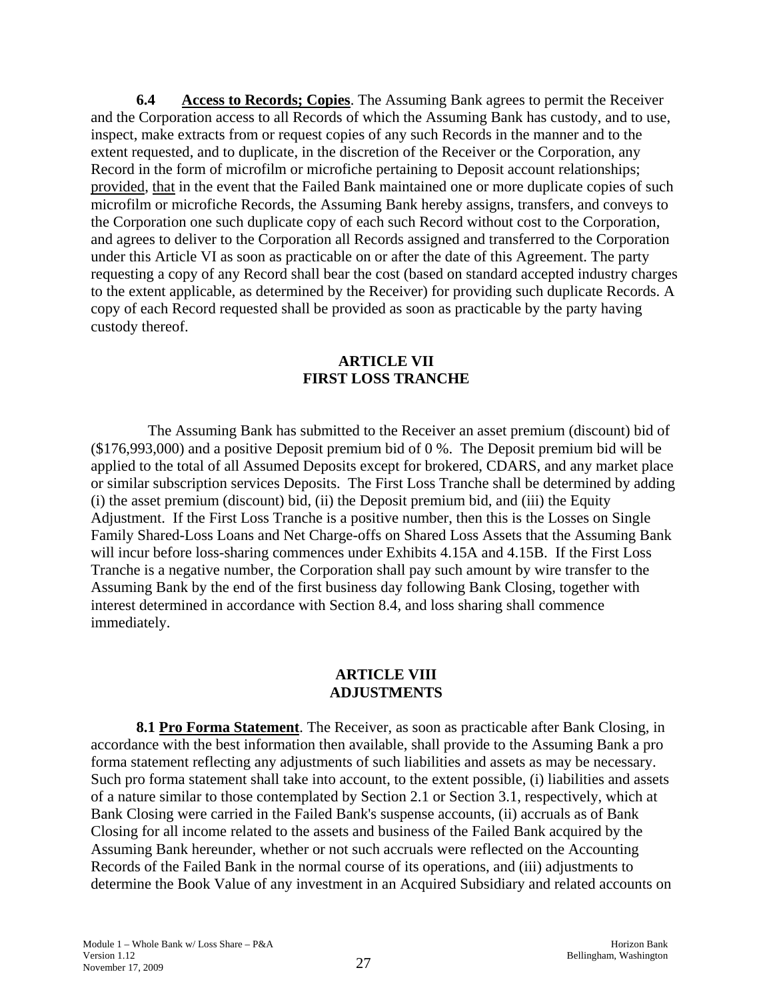**6.4** Access to Records; Copies. The Assuming Bank agrees to permit the Receiver and the Corporation access to all Records of which the Assuming Bank has custody, and to use, inspect, make extracts from or request copies of any such Records in the manner and to the extent requested, and to duplicate, in the discretion of the Receiver or the Corporation, any Record in the form of microfilm or microfiche pertaining to Deposit account relationships; provided, that in the event that the Failed Bank maintained one or more duplicate copies of such microfilm or microfiche Records, the Assuming Bank hereby assigns, transfers, and conveys to the Corporation one such duplicate copy of each such Record without cost to the Corporation, and agrees to deliver to the Corporation all Records assigned and transferred to the Corporation under this Article VI as soon as practicable on or after the date of this Agreement. The party requesting a copy of any Record shall bear the cost (based on standard accepted industry charges to the extent applicable, as determined by the Receiver) for providing such duplicate Records. A copy of each Record requested shall be provided as soon as practicable by the party having custody thereof.

#### **ARTICLE VII FIRST LOSS TRANCHE**

 The Assuming Bank has submitted to the Receiver an asset premium (discount) bid of (\$176,993,000) and a positive Deposit premium bid of 0 %. The Deposit premium bid will be applied to the total of all Assumed Deposits except for brokered, CDARS, and any market place or similar subscription services Deposits. The First Loss Tranche shall be determined by adding (i) the asset premium (discount) bid, (ii) the Deposit premium bid, and (iii) the Equity Adjustment. If the First Loss Tranche is a positive number, then this is the Losses on Single Family Shared-Loss Loans and Net Charge-offs on Shared Loss Assets that the Assuming Bank will incur before loss-sharing commences under Exhibits 4.15A and 4.15B. If the First Loss Tranche is a negative number, the Corporation shall pay such amount by wire transfer to the Assuming Bank by the end of the first business day following Bank Closing, together with interest determined in accordance with Section 8.4, and loss sharing shall commence immediately.

#### **ARTICLE VIII ADJUSTMENTS**

**8.1 Pro Forma Statement**. The Receiver, as soon as practicable after Bank Closing, in accordance with the best information then available, shall provide to the Assuming Bank a pro forma statement reflecting any adjustments of such liabilities and assets as may be necessary. Such pro forma statement shall take into account, to the extent possible, (i) liabilities and assets of a nature similar to those contemplated by Section 2.1 or Section 3.1, respectively, which at Bank Closing were carried in the Failed Bank's suspense accounts, (ii) accruals as of Bank Closing for all income related to the assets and business of the Failed Bank acquired by the Assuming Bank hereunder, whether or not such accruals were reflected on the Accounting Records of the Failed Bank in the normal course of its operations, and (iii) adjustments to determine the Book Value of any investment in an Acquired Subsidiary and related accounts on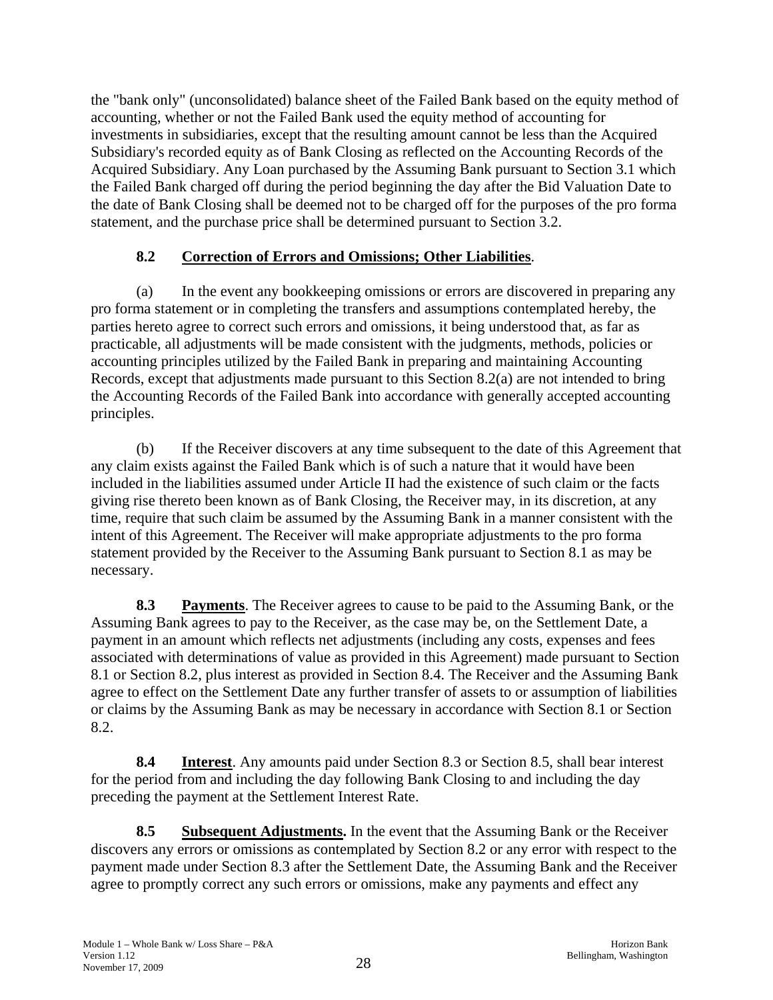the "bank only" (unconsolidated) balance sheet of the Failed Bank based on the equity method of accounting, whether or not the Failed Bank used the equity method of accounting for investments in subsidiaries, except that the resulting amount cannot be less than the Acquired Subsidiary's recorded equity as of Bank Closing as reflected on the Accounting Records of the Acquired Subsidiary. Any Loan purchased by the Assuming Bank pursuant to Section 3.1 which the Failed Bank charged off during the period beginning the day after the Bid Valuation Date to the date of Bank Closing shall be deemed not to be charged off for the purposes of the pro forma statement, and the purchase price shall be determined pursuant to Section 3.2.

# **8.2 Correction of Errors and Omissions; Other Liabilities**.

(a) In the event any bookkeeping omissions or errors are discovered in preparing any pro forma statement or in completing the transfers and assumptions contemplated hereby, the parties hereto agree to correct such errors and omissions, it being understood that, as far as practicable, all adjustments will be made consistent with the judgments, methods, policies or accounting principles utilized by the Failed Bank in preparing and maintaining Accounting Records, except that adjustments made pursuant to this Section 8.2(a) are not intended to bring the Accounting Records of the Failed Bank into accordance with generally accepted accounting principles.

(b) If the Receiver discovers at any time subsequent to the date of this Agreement that any claim exists against the Failed Bank which is of such a nature that it would have been included in the liabilities assumed under Article II had the existence of such claim or the facts giving rise thereto been known as of Bank Closing, the Receiver may, in its discretion, at any time, require that such claim be assumed by the Assuming Bank in a manner consistent with the intent of this Agreement. The Receiver will make appropriate adjustments to the pro forma statement provided by the Receiver to the Assuming Bank pursuant to Section 8.1 as may be necessary.

**8.3 Payments**. The Receiver agrees to cause to be paid to the Assuming Bank, or the Assuming Bank agrees to pay to the Receiver, as the case may be, on the Settlement Date, a payment in an amount which reflects net adjustments (including any costs, expenses and fees associated with determinations of value as provided in this Agreement) made pursuant to Section 8.1 or Section 8.2, plus interest as provided in Section 8.4. The Receiver and the Assuming Bank agree to effect on the Settlement Date any further transfer of assets to or assumption of liabilities or claims by the Assuming Bank as may be necessary in accordance with Section 8.1 or Section 8.2.

**8.4 Interest**. Any amounts paid under Section 8.3 or Section 8.5, shall bear interest for the period from and including the day following Bank Closing to and including the day preceding the payment at the Settlement Interest Rate.

**8.5 Subsequent Adjustments.** In the event that the Assuming Bank or the Receiver discovers any errors or omissions as contemplated by Section 8.2 or any error with respect to the payment made under Section 8.3 after the Settlement Date, the Assuming Bank and the Receiver agree to promptly correct any such errors or omissions, make any payments and effect any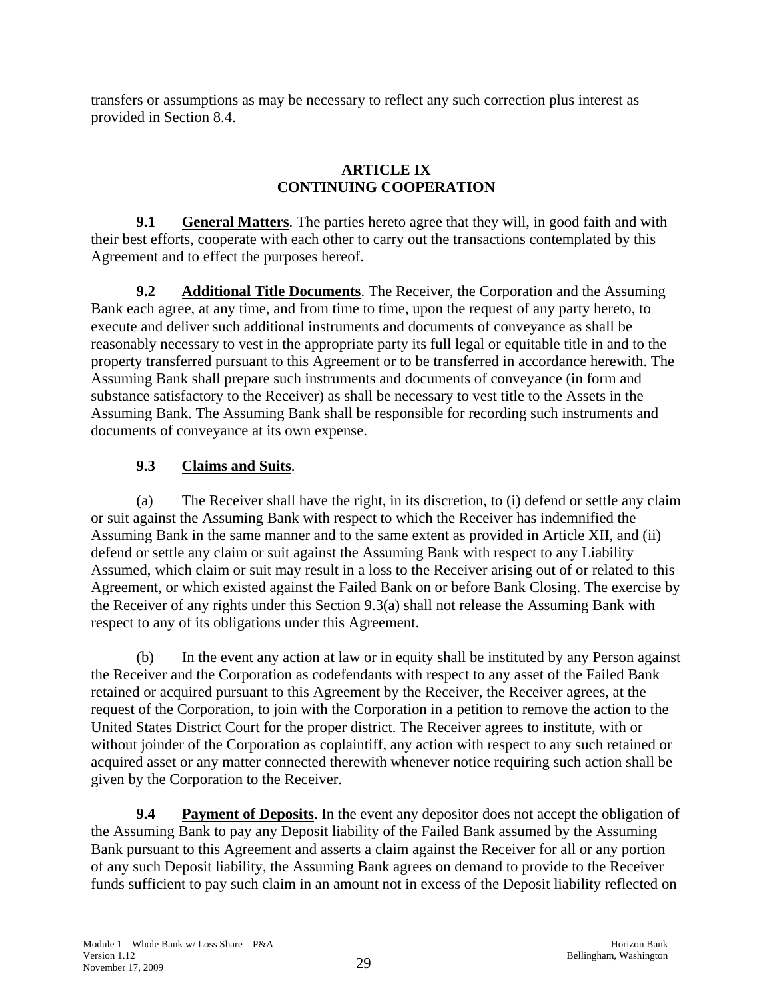transfers or assumptions as may be necessary to reflect any such correction plus interest as provided in Section 8.4.

### **ARTICLE IX CONTINUING COOPERATION**

**9.1** General Matters. The parties hereto agree that they will, in good faith and with their best efforts, cooperate with each other to carry out the transactions contemplated by this Agreement and to effect the purposes hereof.

**9.2** Additional Title Documents. The Receiver, the Corporation and the Assuming Bank each agree, at any time, and from time to time, upon the request of any party hereto, to execute and deliver such additional instruments and documents of conveyance as shall be reasonably necessary to vest in the appropriate party its full legal or equitable title in and to the property transferred pursuant to this Agreement or to be transferred in accordance herewith. The Assuming Bank shall prepare such instruments and documents of conveyance (in form and substance satisfactory to the Receiver) as shall be necessary to vest title to the Assets in the Assuming Bank. The Assuming Bank shall be responsible for recording such instruments and documents of conveyance at its own expense.

# **9.3 Claims and Suits**.

(a) The Receiver shall have the right, in its discretion, to (i) defend or settle any claim or suit against the Assuming Bank with respect to which the Receiver has indemnified the Assuming Bank in the same manner and to the same extent as provided in Article XII, and (ii) defend or settle any claim or suit against the Assuming Bank with respect to any Liability Assumed, which claim or suit may result in a loss to the Receiver arising out of or related to this Agreement, or which existed against the Failed Bank on or before Bank Closing. The exercise by the Receiver of any rights under this Section 9.3(a) shall not release the Assuming Bank with respect to any of its obligations under this Agreement.

(b) In the event any action at law or in equity shall be instituted by any Person against the Receiver and the Corporation as codefendants with respect to any asset of the Failed Bank retained or acquired pursuant to this Agreement by the Receiver, the Receiver agrees, at the request of the Corporation, to join with the Corporation in a petition to remove the action to the United States District Court for the proper district. The Receiver agrees to institute, with or without joinder of the Corporation as coplaintiff, any action with respect to any such retained or acquired asset or any matter connected therewith whenever notice requiring such action shall be given by the Corporation to the Receiver.

**9.4 Payment of Deposits**. In the event any depositor does not accept the obligation of the Assuming Bank to pay any Deposit liability of the Failed Bank assumed by the Assuming Bank pursuant to this Agreement and asserts a claim against the Receiver for all or any portion of any such Deposit liability, the Assuming Bank agrees on demand to provide to the Receiver funds sufficient to pay such claim in an amount not in excess of the Deposit liability reflected on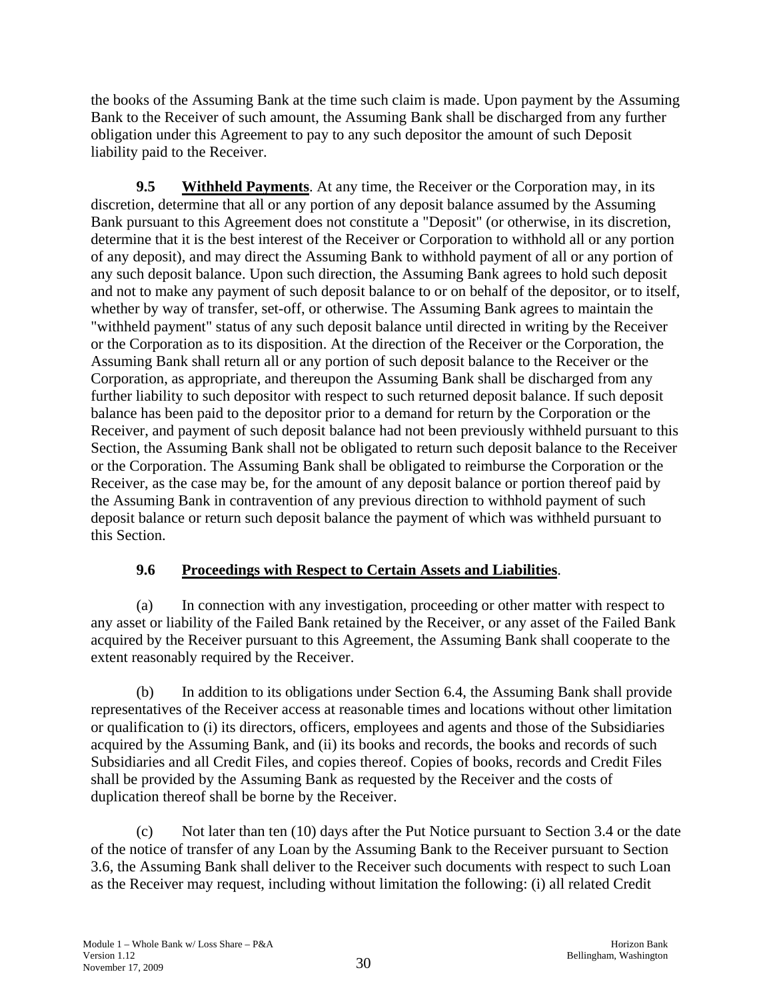the books of the Assuming Bank at the time such claim is made. Upon payment by the Assuming Bank to the Receiver of such amount, the Assuming Bank shall be discharged from any further obligation under this Agreement to pay to any such depositor the amount of such Deposit liability paid to the Receiver.

**9.5** Withheld Payments. At any time, the Receiver or the Corporation may, in its discretion, determine that all or any portion of any deposit balance assumed by the Assuming Bank pursuant to this Agreement does not constitute a "Deposit" (or otherwise, in its discretion, determine that it is the best interest of the Receiver or Corporation to withhold all or any portion of any deposit), and may direct the Assuming Bank to withhold payment of all or any portion of any such deposit balance. Upon such direction, the Assuming Bank agrees to hold such deposit and not to make any payment of such deposit balance to or on behalf of the depositor, or to itself, whether by way of transfer, set-off, or otherwise. The Assuming Bank agrees to maintain the "withheld payment" status of any such deposit balance until directed in writing by the Receiver or the Corporation as to its disposition. At the direction of the Receiver or the Corporation, the Assuming Bank shall return all or any portion of such deposit balance to the Receiver or the Corporation, as appropriate, and thereupon the Assuming Bank shall be discharged from any further liability to such depositor with respect to such returned deposit balance. If such deposit balance has been paid to the depositor prior to a demand for return by the Corporation or the Receiver, and payment of such deposit balance had not been previously withheld pursuant to this Section, the Assuming Bank shall not be obligated to return such deposit balance to the Receiver or the Corporation. The Assuming Bank shall be obligated to reimburse the Corporation or the Receiver, as the case may be, for the amount of any deposit balance or portion thereof paid by the Assuming Bank in contravention of any previous direction to withhold payment of such deposit balance or return such deposit balance the payment of which was withheld pursuant to this Section.

# **9.6 Proceedings with Respect to Certain Assets and Liabilities**.

(a) In connection with any investigation, proceeding or other matter with respect to any asset or liability of the Failed Bank retained by the Receiver, or any asset of the Failed Bank acquired by the Receiver pursuant to this Agreement, the Assuming Bank shall cooperate to the extent reasonably required by the Receiver.

(b) In addition to its obligations under Section 6.4, the Assuming Bank shall provide representatives of the Receiver access at reasonable times and locations without other limitation or qualification to (i) its directors, officers, employees and agents and those of the Subsidiaries acquired by the Assuming Bank, and (ii) its books and records, the books and records of such Subsidiaries and all Credit Files, and copies thereof. Copies of books, records and Credit Files shall be provided by the Assuming Bank as requested by the Receiver and the costs of duplication thereof shall be borne by the Receiver.

(c) Not later than ten (10) days after the Put Notice pursuant to Section 3.4 or the date of the notice of transfer of any Loan by the Assuming Bank to the Receiver pursuant to Section 3.6, the Assuming Bank shall deliver to the Receiver such documents with respect to such Loan as the Receiver may request, including without limitation the following: (i) all related Credit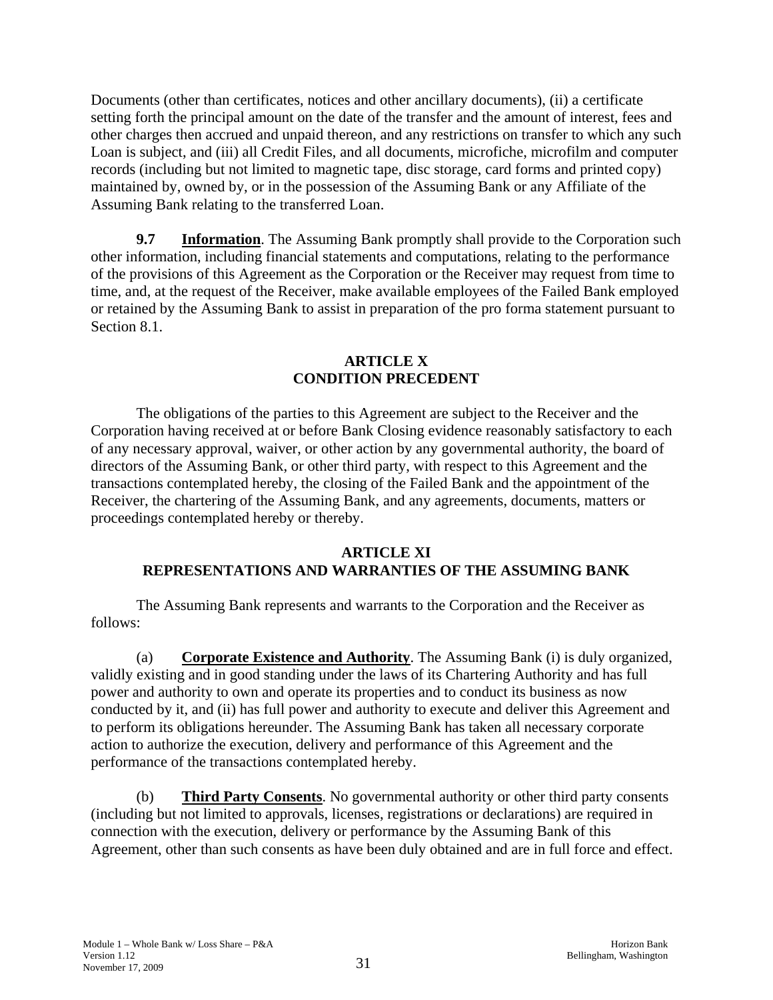Documents (other than certificates, notices and other ancillary documents), (ii) a certificate setting forth the principal amount on the date of the transfer and the amount of interest, fees and other charges then accrued and unpaid thereon, and any restrictions on transfer to which any such Loan is subject, and (iii) all Credit Files, and all documents, microfiche, microfilm and computer records (including but not limited to magnetic tape, disc storage, card forms and printed copy) maintained by, owned by, or in the possession of the Assuming Bank or any Affiliate of the Assuming Bank relating to the transferred Loan.

**9.7 Information**. The Assuming Bank promptly shall provide to the Corporation such other information, including financial statements and computations, relating to the performance of the provisions of this Agreement as the Corporation or the Receiver may request from time to time, and, at the request of the Receiver, make available employees of the Failed Bank employed or retained by the Assuming Bank to assist in preparation of the pro forma statement pursuant to Section 8.1.

### **ARTICLE X CONDITION PRECEDENT**

The obligations of the parties to this Agreement are subject to the Receiver and the Corporation having received at or before Bank Closing evidence reasonably satisfactory to each of any necessary approval, waiver, or other action by any governmental authority, the board of directors of the Assuming Bank, or other third party, with respect to this Agreement and the transactions contemplated hereby, the closing of the Failed Bank and the appointment of the Receiver, the chartering of the Assuming Bank, and any agreements, documents, matters or proceedings contemplated hereby or thereby.

## **ARTICLE XI**

# **REPRESENTATIONS AND WARRANTIES OF THE ASSUMING BANK**

The Assuming Bank represents and warrants to the Corporation and the Receiver as follows:

(a) **Corporate Existence and Authority**. The Assuming Bank (i) is duly organized, validly existing and in good standing under the laws of its Chartering Authority and has full power and authority to own and operate its properties and to conduct its business as now conducted by it, and (ii) has full power and authority to execute and deliver this Agreement and to perform its obligations hereunder. The Assuming Bank has taken all necessary corporate action to authorize the execution, delivery and performance of this Agreement and the performance of the transactions contemplated hereby.

(b) **Third Party Consents**. No governmental authority or other third party consents (including but not limited to approvals, licenses, registrations or declarations) are required in connection with the execution, delivery or performance by the Assuming Bank of this Agreement, other than such consents as have been duly obtained and are in full force and effect.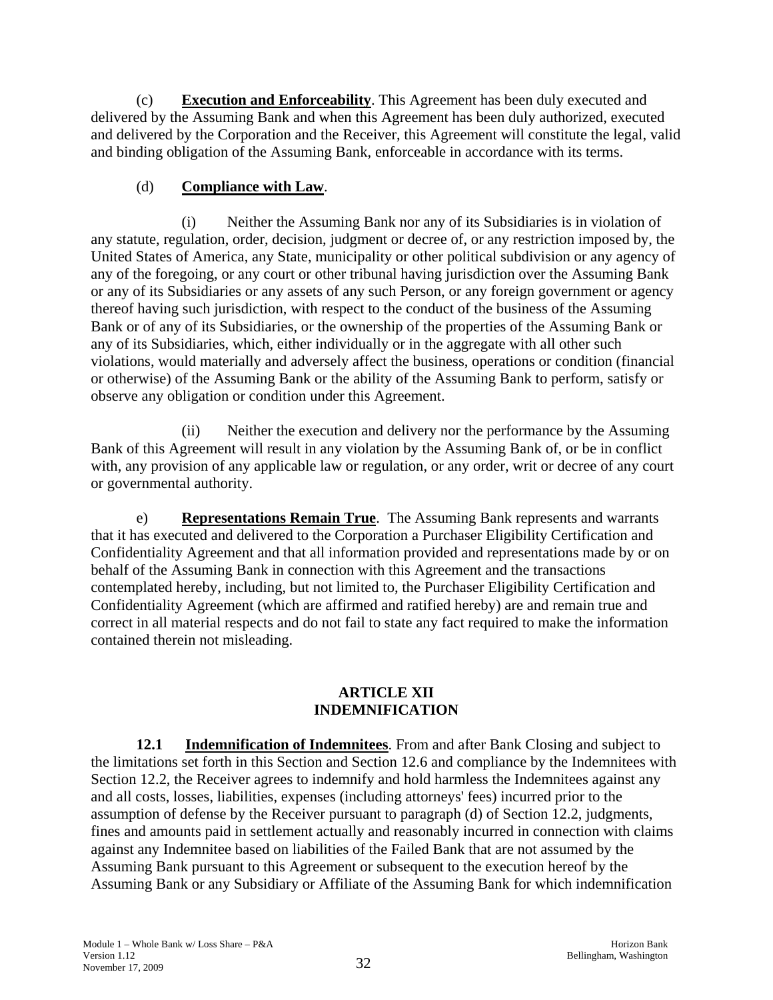(c) **Execution and Enforceability**. This Agreement has been duly executed and delivered by the Assuming Bank and when this Agreement has been duly authorized, executed and delivered by the Corporation and the Receiver, this Agreement will constitute the legal, valid and binding obligation of the Assuming Bank, enforceable in accordance with its terms.

# (d) **Compliance with Law**.

(i) Neither the Assuming Bank nor any of its Subsidiaries is in violation of any statute, regulation, order, decision, judgment or decree of, or any restriction imposed by, the United States of America, any State, municipality or other political subdivision or any agency of any of the foregoing, or any court or other tribunal having jurisdiction over the Assuming Bank or any of its Subsidiaries or any assets of any such Person, or any foreign government or agency thereof having such jurisdiction, with respect to the conduct of the business of the Assuming Bank or of any of its Subsidiaries, or the ownership of the properties of the Assuming Bank or any of its Subsidiaries, which, either individually or in the aggregate with all other such violations, would materially and adversely affect the business, operations or condition (financial or otherwise) of the Assuming Bank or the ability of the Assuming Bank to perform, satisfy or observe any obligation or condition under this Agreement.

(ii) Neither the execution and delivery nor the performance by the Assuming Bank of this Agreement will result in any violation by the Assuming Bank of, or be in conflict with, any provision of any applicable law or regulation, or any order, writ or decree of any court or governmental authority.

e) **Representations Remain True**. The Assuming Bank represents and warrants that it has executed and delivered to the Corporation a Purchaser Eligibility Certification and Confidentiality Agreement and that all information provided and representations made by or on behalf of the Assuming Bank in connection with this Agreement and the transactions contemplated hereby, including, but not limited to, the Purchaser Eligibility Certification and Confidentiality Agreement (which are affirmed and ratified hereby) are and remain true and correct in all material respects and do not fail to state any fact required to make the information contained therein not misleading.

#### **ARTICLE XII INDEMNIFICATION**

**12.1 Indemnification of Indemnitees**. From and after Bank Closing and subject to the limitations set forth in this Section and Section 12.6 and compliance by the Indemnitees with Section 12.2, the Receiver agrees to indemnify and hold harmless the Indemnitees against any and all costs, losses, liabilities, expenses (including attorneys' fees) incurred prior to the assumption of defense by the Receiver pursuant to paragraph (d) of Section 12.2, judgments, fines and amounts paid in settlement actually and reasonably incurred in connection with claims against any Indemnitee based on liabilities of the Failed Bank that are not assumed by the Assuming Bank pursuant to this Agreement or subsequent to the execution hereof by the Assuming Bank or any Subsidiary or Affiliate of the Assuming Bank for which indemnification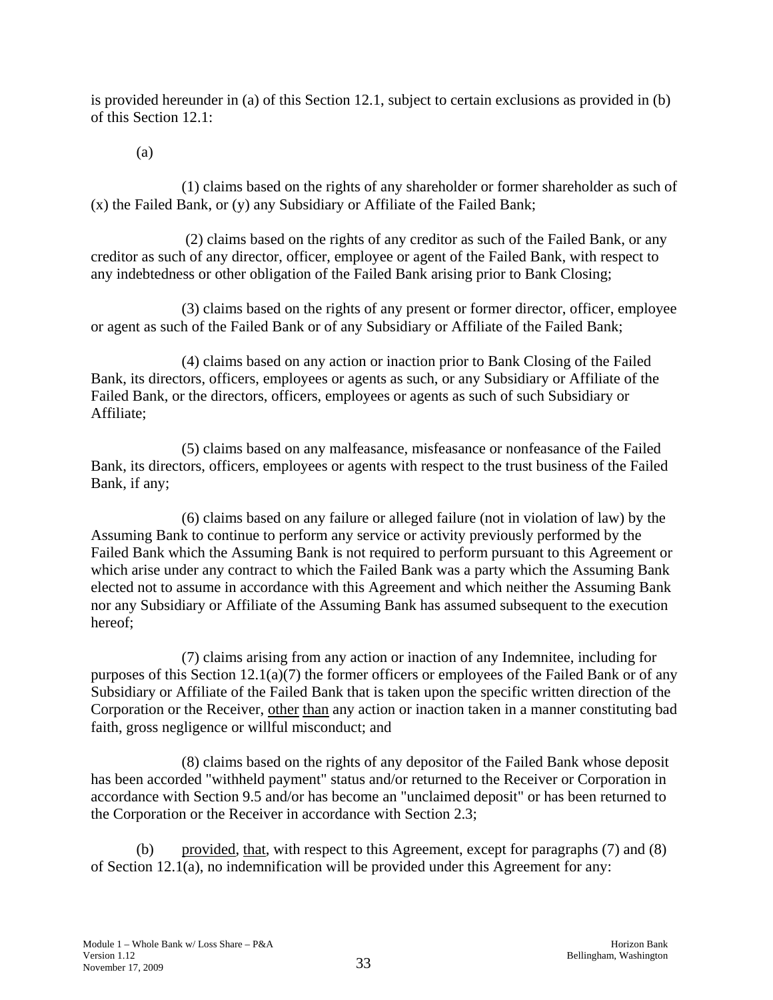is provided hereunder in (a) of this Section 12.1, subject to certain exclusions as provided in (b) of this Section 12.1:

(a)

(1) claims based on the rights of any shareholder or former shareholder as such of (x) the Failed Bank, or (y) any Subsidiary or Affiliate of the Failed Bank;

(2) claims based on the rights of any creditor as such of the Failed Bank, or any creditor as such of any director, officer, employee or agent of the Failed Bank, with respect to any indebtedness or other obligation of the Failed Bank arising prior to Bank Closing;

(3) claims based on the rights of any present or former director, officer, employee or agent as such of the Failed Bank or of any Subsidiary or Affiliate of the Failed Bank;

(4) claims based on any action or inaction prior to Bank Closing of the Failed Bank, its directors, officers, employees or agents as such, or any Subsidiary or Affiliate of the Failed Bank, or the directors, officers, employees or agents as such of such Subsidiary or Affiliate;

(5) claims based on any malfeasance, misfeasance or nonfeasance of the Failed Bank, its directors, officers, employees or agents with respect to the trust business of the Failed Bank, if any;

(6) claims based on any failure or alleged failure (not in violation of law) by the Assuming Bank to continue to perform any service or activity previously performed by the Failed Bank which the Assuming Bank is not required to perform pursuant to this Agreement or which arise under any contract to which the Failed Bank was a party which the Assuming Bank elected not to assume in accordance with this Agreement and which neither the Assuming Bank nor any Subsidiary or Affiliate of the Assuming Bank has assumed subsequent to the execution hereof;

(7) claims arising from any action or inaction of any Indemnitee, including for purposes of this Section 12.1(a)(7) the former officers or employees of the Failed Bank or of any Subsidiary or Affiliate of the Failed Bank that is taken upon the specific written direction of the Corporation or the Receiver, other than any action or inaction taken in a manner constituting bad faith, gross negligence or willful misconduct; and

(8) claims based on the rights of any depositor of the Failed Bank whose deposit has been accorded "withheld payment" status and/or returned to the Receiver or Corporation in accordance with Section 9.5 and/or has become an "unclaimed deposit" or has been returned to the Corporation or the Receiver in accordance with Section 2.3;

(b) provided, that, with respect to this Agreement, except for paragraphs (7) and (8) of Section 12.1(a), no indemnification will be provided under this Agreement for any: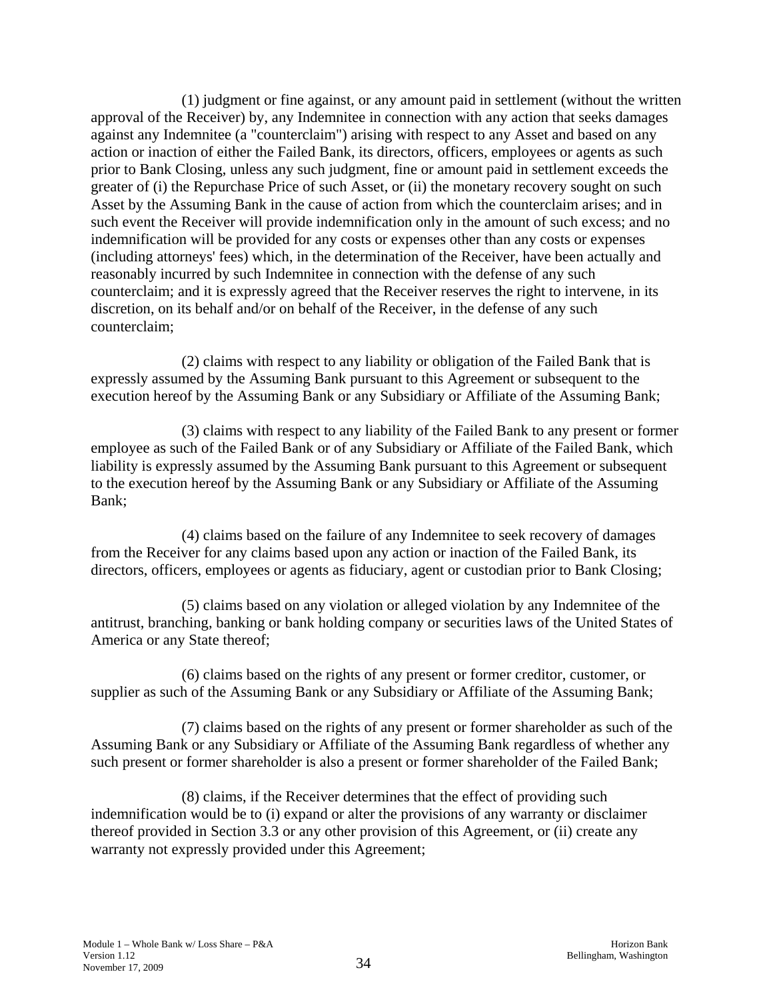(1) judgment or fine against, or any amount paid in settlement (without the written approval of the Receiver) by, any Indemnitee in connection with any action that seeks damages against any Indemnitee (a "counterclaim") arising with respect to any Asset and based on any action or inaction of either the Failed Bank, its directors, officers, employees or agents as such prior to Bank Closing, unless any such judgment, fine or amount paid in settlement exceeds the greater of (i) the Repurchase Price of such Asset, or (ii) the monetary recovery sought on such Asset by the Assuming Bank in the cause of action from which the counterclaim arises; and in such event the Receiver will provide indemnification only in the amount of such excess; and no indemnification will be provided for any costs or expenses other than any costs or expenses (including attorneys' fees) which, in the determination of the Receiver, have been actually and reasonably incurred by such Indemnitee in connection with the defense of any such counterclaim; and it is expressly agreed that the Receiver reserves the right to intervene, in its discretion, on its behalf and/or on behalf of the Receiver, in the defense of any such counterclaim;

(2) claims with respect to any liability or obligation of the Failed Bank that is expressly assumed by the Assuming Bank pursuant to this Agreement or subsequent to the execution hereof by the Assuming Bank or any Subsidiary or Affiliate of the Assuming Bank;

(3) claims with respect to any liability of the Failed Bank to any present or former employee as such of the Failed Bank or of any Subsidiary or Affiliate of the Failed Bank, which liability is expressly assumed by the Assuming Bank pursuant to this Agreement or subsequent to the execution hereof by the Assuming Bank or any Subsidiary or Affiliate of the Assuming Bank;

(4) claims based on the failure of any Indemnitee to seek recovery of damages from the Receiver for any claims based upon any action or inaction of the Failed Bank, its directors, officers, employees or agents as fiduciary, agent or custodian prior to Bank Closing;

(5) claims based on any violation or alleged violation by any Indemnitee of the antitrust, branching, banking or bank holding company or securities laws of the United States of America or any State thereof;

(6) claims based on the rights of any present or former creditor, customer, or supplier as such of the Assuming Bank or any Subsidiary or Affiliate of the Assuming Bank;

(7) claims based on the rights of any present or former shareholder as such of the Assuming Bank or any Subsidiary or Affiliate of the Assuming Bank regardless of whether any such present or former shareholder is also a present or former shareholder of the Failed Bank;

(8) claims, if the Receiver determines that the effect of providing such indemnification would be to (i) expand or alter the provisions of any warranty or disclaimer thereof provided in Section 3.3 or any other provision of this Agreement, or (ii) create any warranty not expressly provided under this Agreement;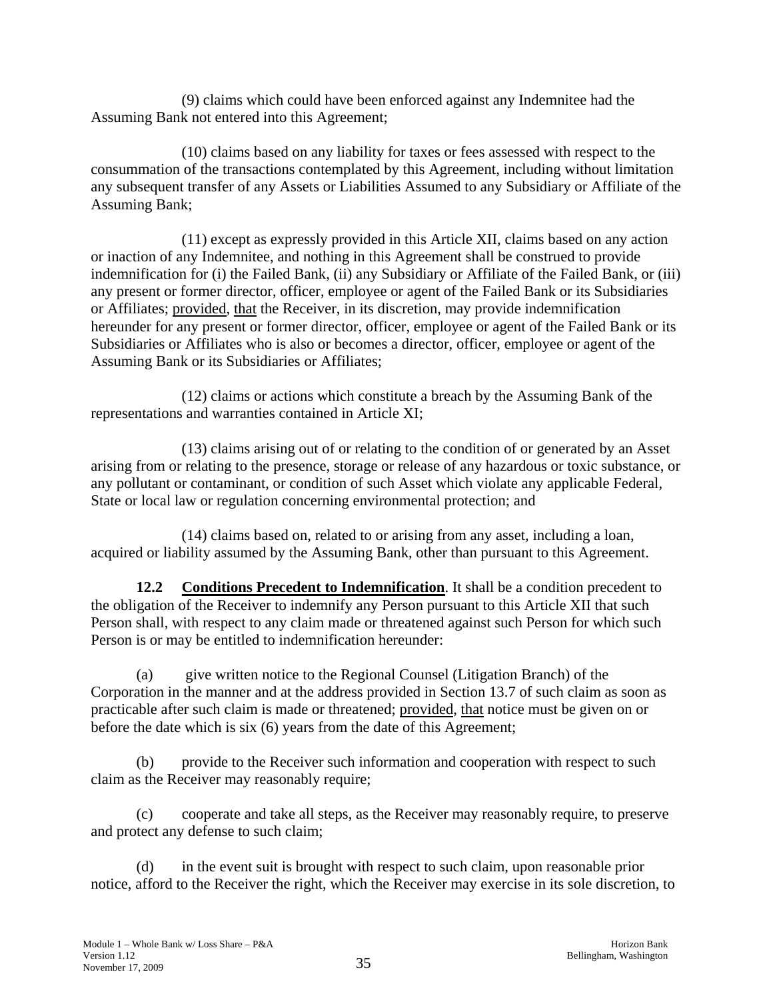(9) claims which could have been enforced against any Indemnitee had the Assuming Bank not entered into this Agreement;

(10) claims based on any liability for taxes or fees assessed with respect to the consummation of the transactions contemplated by this Agreement, including without limitation any subsequent transfer of any Assets or Liabilities Assumed to any Subsidiary or Affiliate of the Assuming Bank;

(11) except as expressly provided in this Article XII, claims based on any action or inaction of any Indemnitee, and nothing in this Agreement shall be construed to provide indemnification for (i) the Failed Bank, (ii) any Subsidiary or Affiliate of the Failed Bank, or (iii) any present or former director, officer, employee or agent of the Failed Bank or its Subsidiaries or Affiliates; provided, that the Receiver, in its discretion, may provide indemnification hereunder for any present or former director, officer, employee or agent of the Failed Bank or its Subsidiaries or Affiliates who is also or becomes a director, officer, employee or agent of the Assuming Bank or its Subsidiaries or Affiliates;

(12) claims or actions which constitute a breach by the Assuming Bank of the representations and warranties contained in Article XI;

(13) claims arising out of or relating to the condition of or generated by an Asset arising from or relating to the presence, storage or release of any hazardous or toxic substance, or any pollutant or contaminant, or condition of such Asset which violate any applicable Federal, State or local law or regulation concerning environmental protection; and

(14) claims based on, related to or arising from any asset, including a loan, acquired or liability assumed by the Assuming Bank, other than pursuant to this Agreement.

**12.2 Conditions Precedent to Indemnification**. It shall be a condition precedent to the obligation of the Receiver to indemnify any Person pursuant to this Article XII that such Person shall, with respect to any claim made or threatened against such Person for which such Person is or may be entitled to indemnification hereunder:

(a) give written notice to the Regional Counsel (Litigation Branch) of the Corporation in the manner and at the address provided in Section 13.7 of such claim as soon as practicable after such claim is made or threatened; provided, that notice must be given on or before the date which is six (6) years from the date of this Agreement;

(b) provide to the Receiver such information and cooperation with respect to such claim as the Receiver may reasonably require;

(c) cooperate and take all steps, as the Receiver may reasonably require, to preserve and protect any defense to such claim;

(d) in the event suit is brought with respect to such claim, upon reasonable prior notice, afford to the Receiver the right, which the Receiver may exercise in its sole discretion, to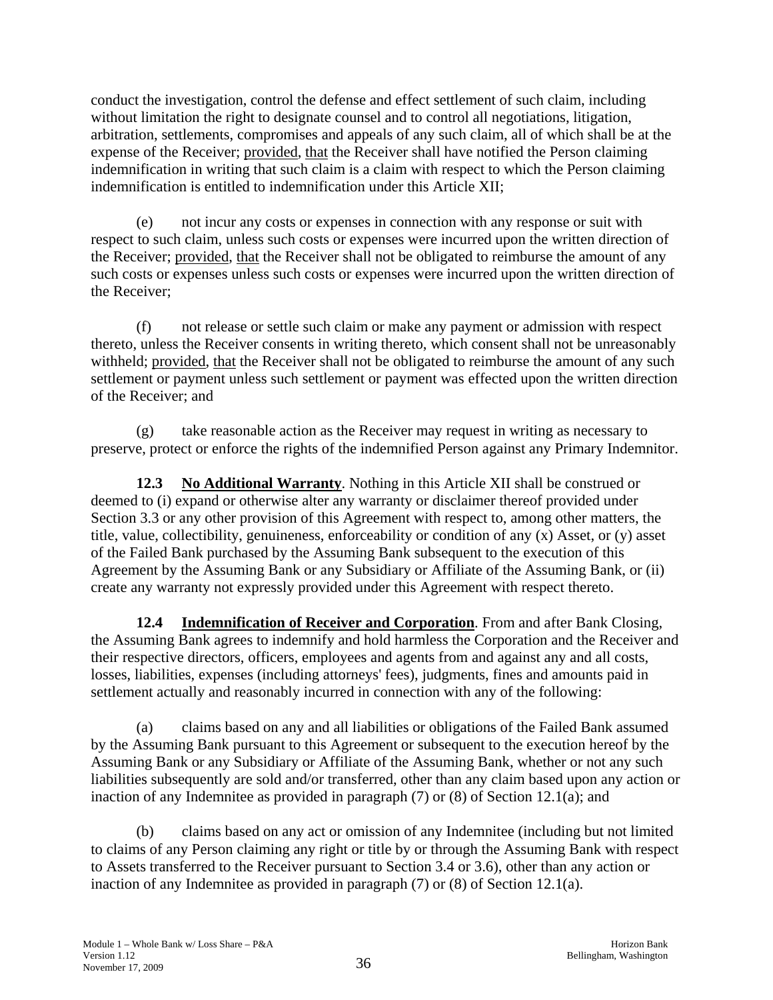conduct the investigation, control the defense and effect settlement of such claim, including without limitation the right to designate counsel and to control all negotiations, litigation, arbitration, settlements, compromises and appeals of any such claim, all of which shall be at the expense of the Receiver; provided, that the Receiver shall have notified the Person claiming indemnification in writing that such claim is a claim with respect to which the Person claiming indemnification is entitled to indemnification under this Article XII;

(e) not incur any costs or expenses in connection with any response or suit with respect to such claim, unless such costs or expenses were incurred upon the written direction of the Receiver; provided, that the Receiver shall not be obligated to reimburse the amount of any such costs or expenses unless such costs or expenses were incurred upon the written direction of the Receiver;

(f) not release or settle such claim or make any payment or admission with respect thereto, unless the Receiver consents in writing thereto, which consent shall not be unreasonably withheld; provided, that the Receiver shall not be obligated to reimburse the amount of any such settlement or payment unless such settlement or payment was effected upon the written direction of the Receiver; and

(g) take reasonable action as the Receiver may request in writing as necessary to preserve, protect or enforce the rights of the indemnified Person against any Primary Indemnitor.

**12.3** No **Additional Warranty**. Nothing in this Article XII shall be construed or deemed to (i) expand or otherwise alter any warranty or disclaimer thereof provided under Section 3.3 or any other provision of this Agreement with respect to, among other matters, the title, value, collectibility, genuineness, enforceability or condition of any (x) Asset, or (y) asset of the Failed Bank purchased by the Assuming Bank subsequent to the execution of this Agreement by the Assuming Bank or any Subsidiary or Affiliate of the Assuming Bank, or (ii) create any warranty not expressly provided under this Agreement with respect thereto.

**12.4 Indemnification of Receiver and Corporation**. From and after Bank Closing, the Assuming Bank agrees to indemnify and hold harmless the Corporation and the Receiver and their respective directors, officers, employees and agents from and against any and all costs, losses, liabilities, expenses (including attorneys' fees), judgments, fines and amounts paid in settlement actually and reasonably incurred in connection with any of the following:

(a) claims based on any and all liabilities or obligations of the Failed Bank assumed by the Assuming Bank pursuant to this Agreement or subsequent to the execution hereof by the Assuming Bank or any Subsidiary or Affiliate of the Assuming Bank, whether or not any such liabilities subsequently are sold and/or transferred, other than any claim based upon any action or inaction of any Indemnitee as provided in paragraph (7) or (8) of Section 12.1(a); and

(b) claims based on any act or omission of any Indemnitee (including but not limited to claims of any Person claiming any right or title by or through the Assuming Bank with respect to Assets transferred to the Receiver pursuant to Section 3.4 or 3.6), other than any action or inaction of any Indemnitee as provided in paragraph (7) or (8) of Section 12.1(a).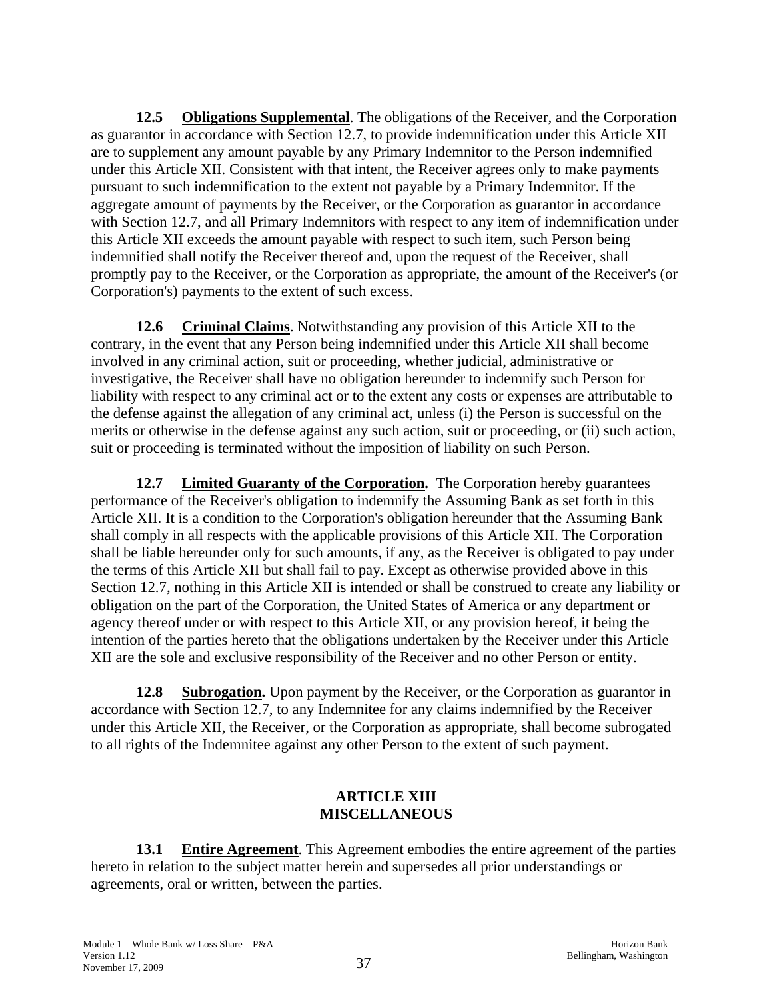**12.5 Obligations Supplemental**. The obligations of the Receiver, and the Corporation as guarantor in accordance with Section 12.7, to provide indemnification under this Article XII are to supplement any amount payable by any Primary Indemnitor to the Person indemnified under this Article XII. Consistent with that intent, the Receiver agrees only to make payments pursuant to such indemnification to the extent not payable by a Primary Indemnitor. If the aggregate amount of payments by the Receiver, or the Corporation as guarantor in accordance with Section 12.7, and all Primary Indemnitors with respect to any item of indemnification under this Article XII exceeds the amount payable with respect to such item, such Person being indemnified shall notify the Receiver thereof and, upon the request of the Receiver, shall promptly pay to the Receiver, or the Corporation as appropriate, the amount of the Receiver's (or Corporation's) payments to the extent of such excess.

**12.6 Criminal Claims**. Notwithstanding any provision of this Article XII to the contrary, in the event that any Person being indemnified under this Article XII shall become involved in any criminal action, suit or proceeding, whether judicial, administrative or investigative, the Receiver shall have no obligation hereunder to indemnify such Person for liability with respect to any criminal act or to the extent any costs or expenses are attributable to the defense against the allegation of any criminal act, unless (i) the Person is successful on the merits or otherwise in the defense against any such action, suit or proceeding, or (ii) such action, suit or proceeding is terminated without the imposition of liability on such Person.

**12.7** Limited Guaranty of the Corporation. The Corporation hereby guarantees performance of the Receiver's obligation to indemnify the Assuming Bank as set forth in this Article XII. It is a condition to the Corporation's obligation hereunder that the Assuming Bank shall comply in all respects with the applicable provisions of this Article XII. The Corporation shall be liable hereunder only for such amounts, if any, as the Receiver is obligated to pay under the terms of this Article XII but shall fail to pay. Except as otherwise provided above in this Section 12.7, nothing in this Article XII is intended or shall be construed to create any liability or obligation on the part of the Corporation, the United States of America or any department or agency thereof under or with respect to this Article XII, or any provision hereof, it being the intention of the parties hereto that the obligations undertaken by the Receiver under this Article XII are the sole and exclusive responsibility of the Receiver and no other Person or entity.

**12.8 Subrogation.** Upon payment by the Receiver, or the Corporation as guarantor in accordance with Section 12.7, to any Indemnitee for any claims indemnified by the Receiver under this Article XII, the Receiver, or the Corporation as appropriate, shall become subrogated to all rights of the Indemnitee against any other Person to the extent of such payment.

#### **ARTICLE XIII MISCELLANEOUS**

**13.1 Entire Agreement**. This Agreement embodies the entire agreement of the parties hereto in relation to the subject matter herein and supersedes all prior understandings or agreements, oral or written, between the parties.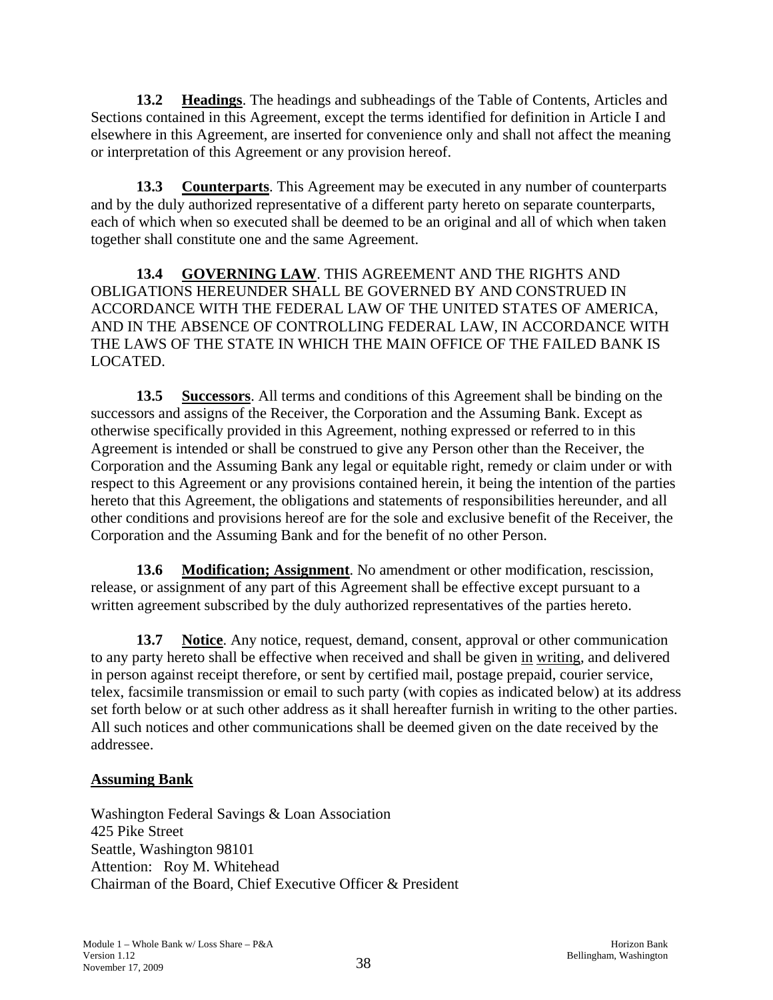**13.2 Headings**. The headings and subheadings of the Table of Contents, Articles and Sections contained in this Agreement, except the terms identified for definition in Article I and elsewhere in this Agreement, are inserted for convenience only and shall not affect the meaning or interpretation of this Agreement or any provision hereof.

**13.3** Counterparts. This Agreement may be executed in any number of counterparts and by the duly authorized representative of a different party hereto on separate counterparts, each of which when so executed shall be deemed to be an original and all of which when taken together shall constitute one and the same Agreement.

**13.4 GOVERNING LAW**. THIS AGREEMENT AND THE RIGHTS AND OBLIGATIONS HEREUNDER SHALL BE GOVERNED BY AND CONSTRUED IN ACCORDANCE WITH THE FEDERAL LAW OF THE UNITED STATES OF AMERICA, AND IN THE ABSENCE OF CONTROLLING FEDERAL LAW, IN ACCORDANCE WITH THE LAWS OF THE STATE IN WHICH THE MAIN OFFICE OF THE FAILED BANK IS LOCATED.

 **13.5 Successors**. All terms and conditions of this Agreement shall be binding on the successors and assigns of the Receiver, the Corporation and the Assuming Bank. Except as otherwise specifically provided in this Agreement, nothing expressed or referred to in this Agreement is intended or shall be construed to give any Person other than the Receiver, the Corporation and the Assuming Bank any legal or equitable right, remedy or claim under or with respect to this Agreement or any provisions contained herein, it being the intention of the parties hereto that this Agreement, the obligations and statements of responsibilities hereunder, and all other conditions and provisions hereof are for the sole and exclusive benefit of the Receiver, the Corporation and the Assuming Bank and for the benefit of no other Person.

**13.6 Modification; Assignment**. No amendment or other modification, rescission, release, or assignment of any part of this Agreement shall be effective except pursuant to a written agreement subscribed by the duly authorized representatives of the parties hereto.

**13.7 Notice**. Any notice, request, demand, consent, approval or other communication to any party hereto shall be effective when received and shall be given in writing, and delivered in person against receipt therefore, or sent by certified mail, postage prepaid, courier service, telex, facsimile transmission or email to such party (with copies as indicated below) at its address set forth below or at such other address as it shall hereafter furnish in writing to the other parties. All such notices and other communications shall be deemed given on the date received by the addressee.

#### **Assuming Bank**

Washington Federal Savings & Loan Association 425 Pike Street Seattle, Washington 98101 Attention: Roy M. Whitehead Chairman of the Board, Chief Executive Officer & President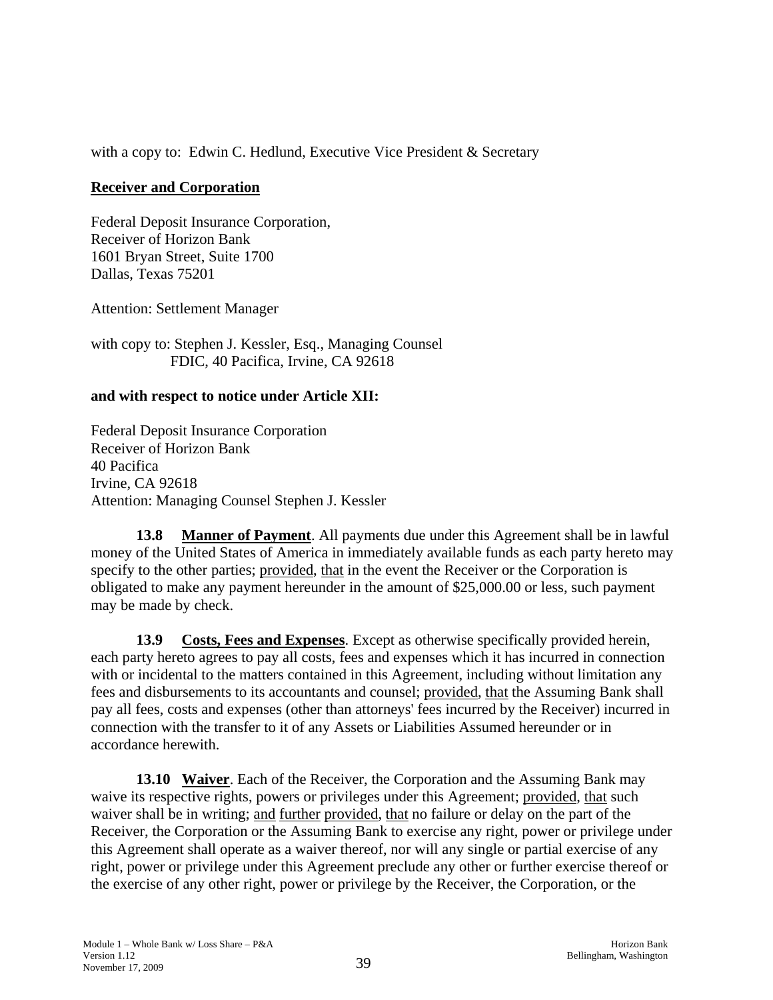with a copy to: Edwin C. Hedlund, Executive Vice President & Secretary

## **Receiver and Corporation**

Federal Deposit Insurance Corporation, Receiver of Horizon Bank 1601 Bryan Street, Suite 1700 Dallas, Texas 75201

Attention: Settlement Manager

with copy to: Stephen J. Kessler, Esq., Managing Counsel FDIC, 40 Pacifica, Irvine, CA 92618

# **and with respect to notice under Article XII:**

Federal Deposit Insurance Corporation Receiver of Horizon Bank 40 Pacifica Irvine, CA 92618 Attention: Managing Counsel Stephen J. Kessler

**13.8 Manner of Payment**. All payments due under this Agreement shall be in lawful money of the United States of America in immediately available funds as each party hereto may specify to the other parties; provided, that in the event the Receiver or the Corporation is obligated to make any payment hereunder in the amount of \$25,000.00 or less, such payment may be made by check.

**13.9 Costs, Fees and Expenses**. Except as otherwise specifically provided herein, each party hereto agrees to pay all costs, fees and expenses which it has incurred in connection with or incidental to the matters contained in this Agreement, including without limitation any fees and disbursements to its accountants and counsel; provided, that the Assuming Bank shall pay all fees, costs and expenses (other than attorneys' fees incurred by the Receiver) incurred in connection with the transfer to it of any Assets or Liabilities Assumed hereunder or in accordance herewith.

**13.10 Waiver**. Each of the Receiver, the Corporation and the Assuming Bank may waive its respective rights, powers or privileges under this Agreement; provided, that such waiver shall be in writing; and further provided, that no failure or delay on the part of the Receiver, the Corporation or the Assuming Bank to exercise any right, power or privilege under this Agreement shall operate as a waiver thereof, nor will any single or partial exercise of any right, power or privilege under this Agreement preclude any other or further exercise thereof or the exercise of any other right, power or privilege by the Receiver, the Corporation, or the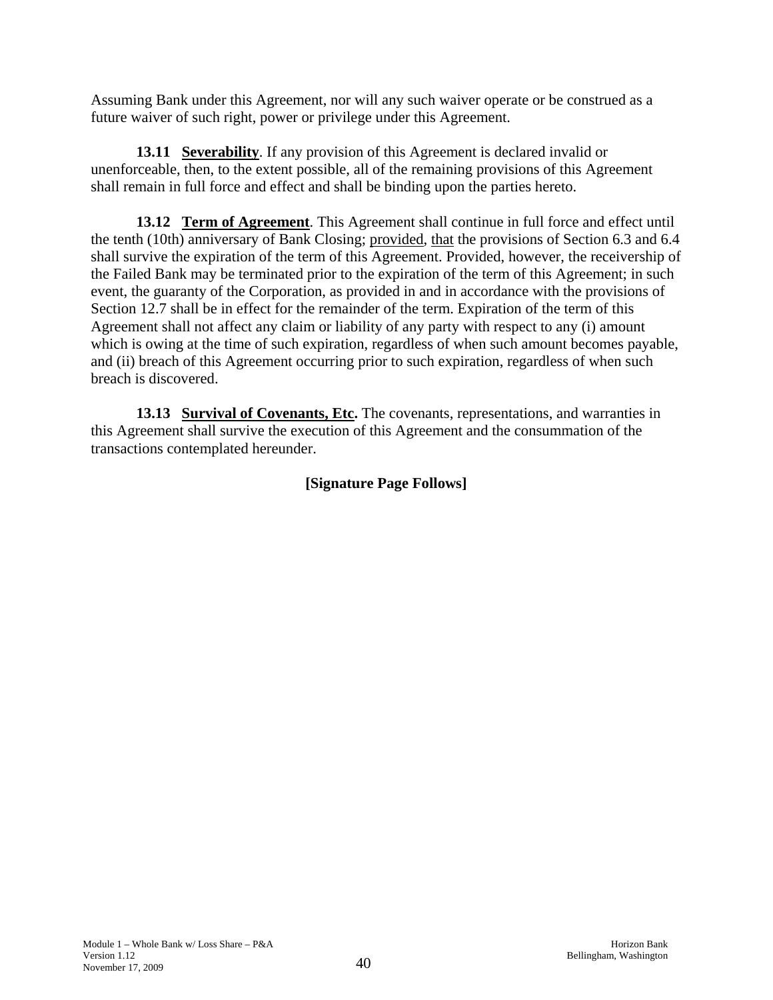Assuming Bank under this Agreement, nor will any such waiver operate or be construed as a future waiver of such right, power or privilege under this Agreement.

**13.11 Severability**. If any provision of this Agreement is declared invalid or unenforceable, then, to the extent possible, all of the remaining provisions of this Agreement shall remain in full force and effect and shall be binding upon the parties hereto.

**13.12 Term of Agreement**. This Agreement shall continue in full force and effect until the tenth (10th) anniversary of Bank Closing; provided, that the provisions of Section 6.3 and 6.4 shall survive the expiration of the term of this Agreement. Provided, however, the receivership of the Failed Bank may be terminated prior to the expiration of the term of this Agreement; in such event, the guaranty of the Corporation, as provided in and in accordance with the provisions of Section 12.7 shall be in effect for the remainder of the term. Expiration of the term of this Agreement shall not affect any claim or liability of any party with respect to any (i) amount which is owing at the time of such expiration, regardless of when such amount becomes payable, and (ii) breach of this Agreement occurring prior to such expiration, regardless of when such breach is discovered.

**13.13 Survival of Covenants, Etc.** The covenants, representations, and warranties in this Agreement shall survive the execution of this Agreement and the consummation of the transactions contemplated hereunder.

# **[Signature Page Follows]**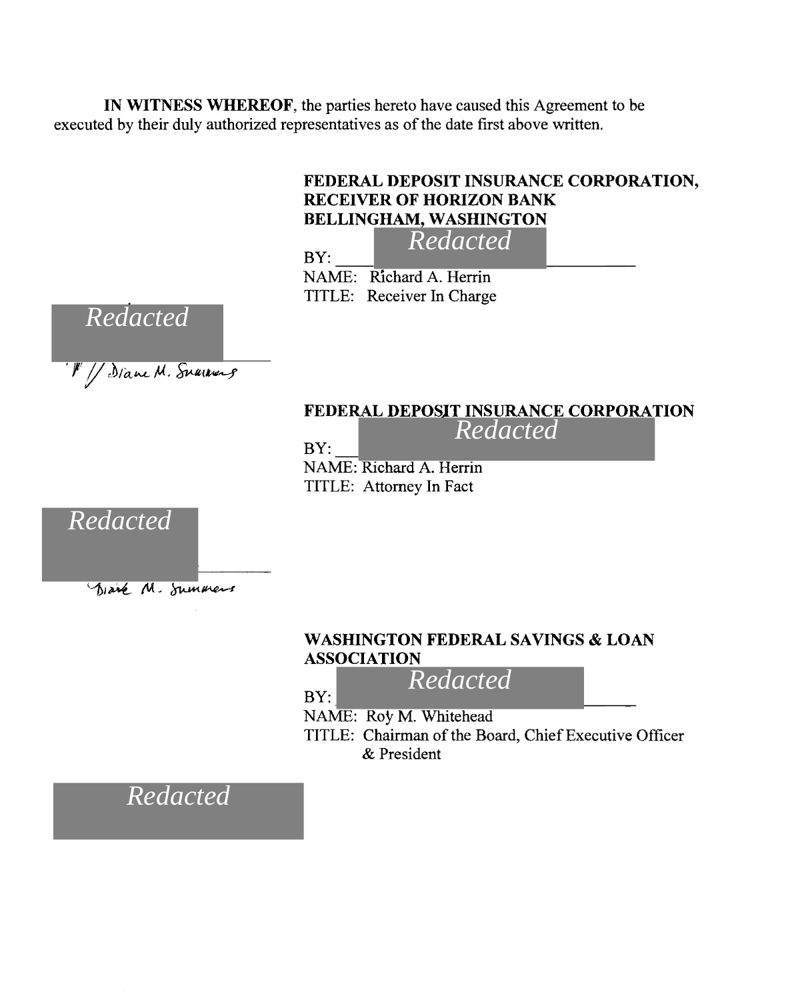**IN WITNESS WHEREOF,** the parties hereto have caused this Agreement to be executed by their duly authorized representatives as of the date first above written.

#### **FEDERAL DEPOSIT INSURANCE CORPORATION, RECEIVER OF HORIZON BANK BELLINGHAM, WASHINGTON**

*Redacted*

BY:

NAME: Richard A. Herrin TITLE: Receiver In Charge

Redacted<br>*We Michael M. Swareng* 

# **FEDERAL DEPOSIT INSURANCE CORPORATION**

*Redacted*

BY:

NAME: Richard A. Herrin TITLE: Attorney In Fact

*Redacted*

Diare M. Summers

#### **WASHINGTON FEDERAL SAVINGS & LOAN ASSOCIATION**  *Redacted*

BY:



NAME: Roy M. Whitehead

TITLE: Chairman of the Board, Chief Executive Officer & President

*Redacted*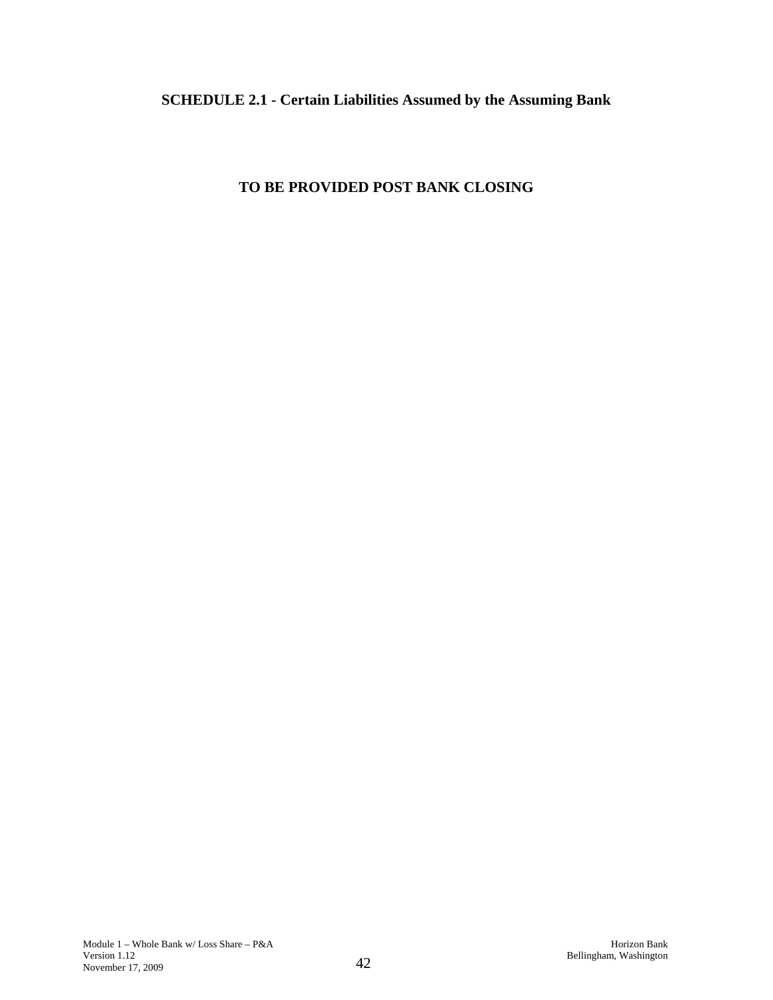# **SCHEDULE 2.1 - Certain Liabilities Assumed by the Assuming Bank**

**TO BE PROVIDED POST BANK CLOSING**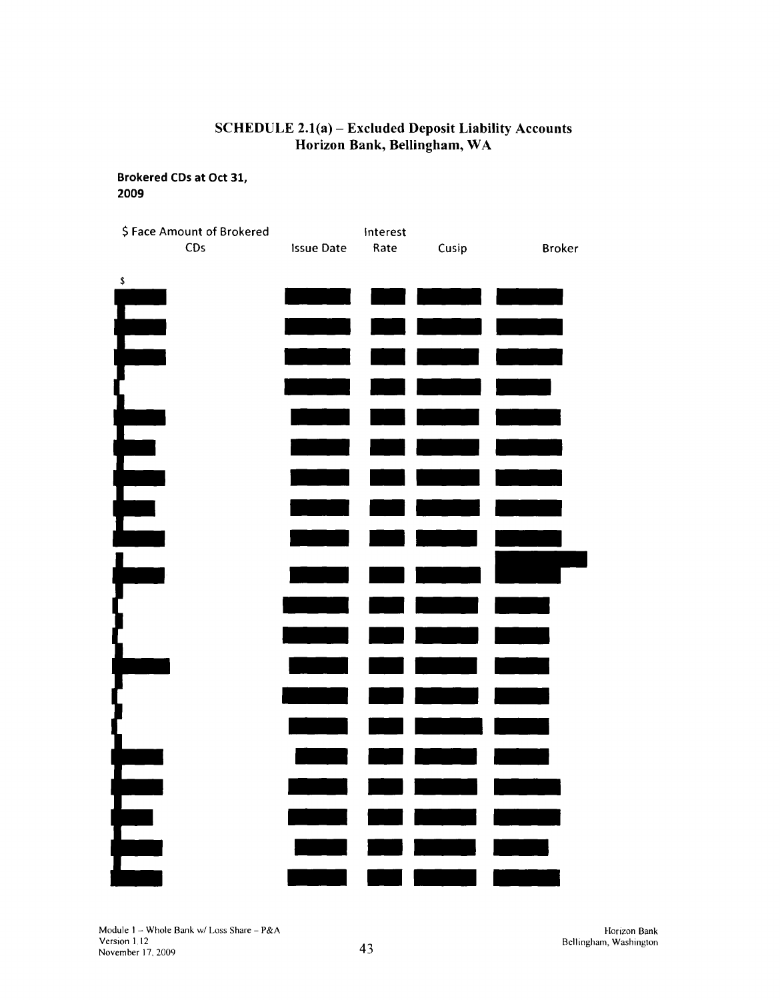### SCHEDULE 2.1(a) - Excluded Deposit Liability Accounts Horizon Bank, Bellingham, WA

Brokered CDs at Oct 31, 2009

| 2009                              |                   |                  |       |               |
|-----------------------------------|-------------------|------------------|-------|---------------|
| \$ Face Amount of Brokered<br>CDs | <b>Issue Date</b> | Interest<br>Rate | Cusip | <b>Broker</b> |
| $\mathbb{S}$                      |                   |                  |       |               |
|                                   |                   |                  |       |               |
|                                   |                   |                  |       |               |
|                                   |                   |                  |       |               |
|                                   |                   |                  |       |               |
| $\overline{\phantom{a}}$          |                   |                  |       |               |
| ودي<br>ا                          |                   |                  |       |               |
| $\Box$                            |                   |                  |       |               |
|                                   |                   |                  |       |               |
|                                   |                   |                  |       |               |
|                                   |                   |                  |       |               |
|                                   |                   |                  |       |               |
|                                   |                   |                  |       |               |
|                                   |                   |                  |       |               |
|                                   |                   |                  |       |               |
|                                   |                   |                  |       |               |
|                                   |                   |                  |       |               |
|                                   |                   |                  |       |               |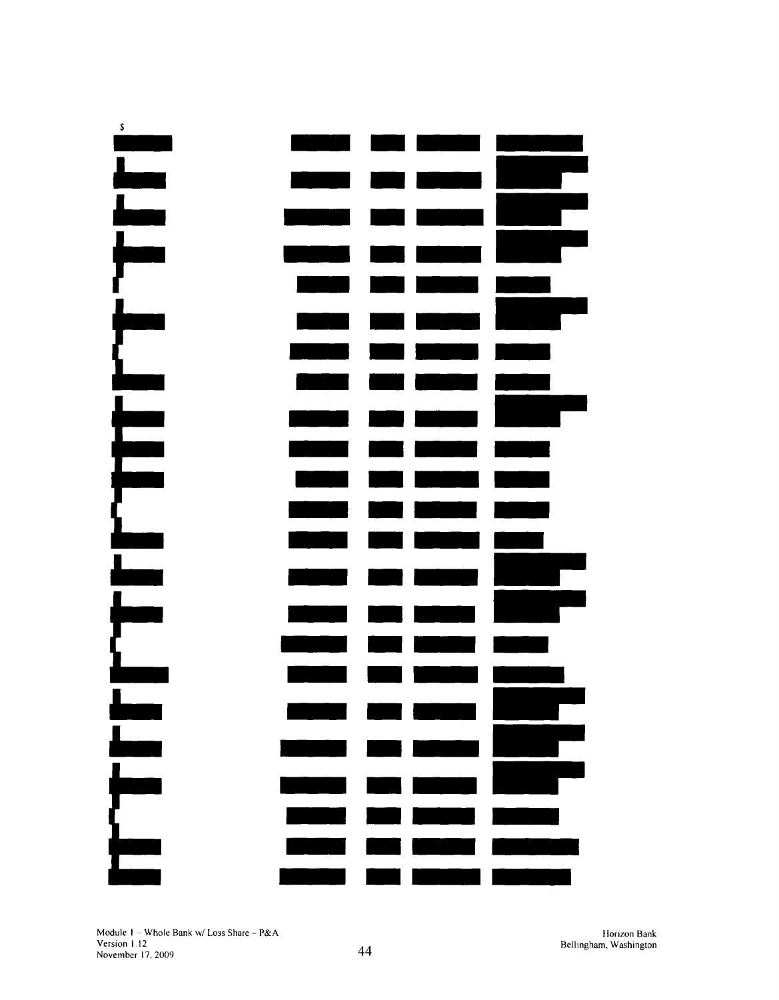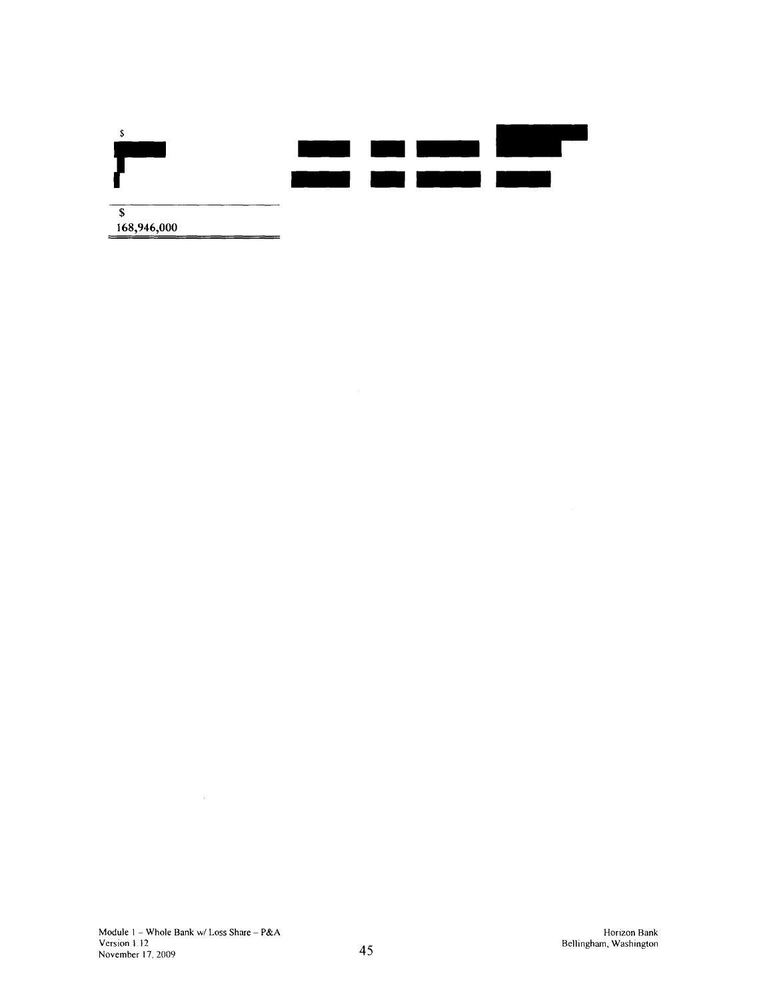|                   |  | and the state of the state of the state of the state of the state of the state of the state of the state of the |  |
|-------------------|--|-----------------------------------------------------------------------------------------------------------------|--|
|                   |  | <u>an an am mac am an </u>                                                                                      |  |
| \$<br>168,946,000 |  |                                                                                                                 |  |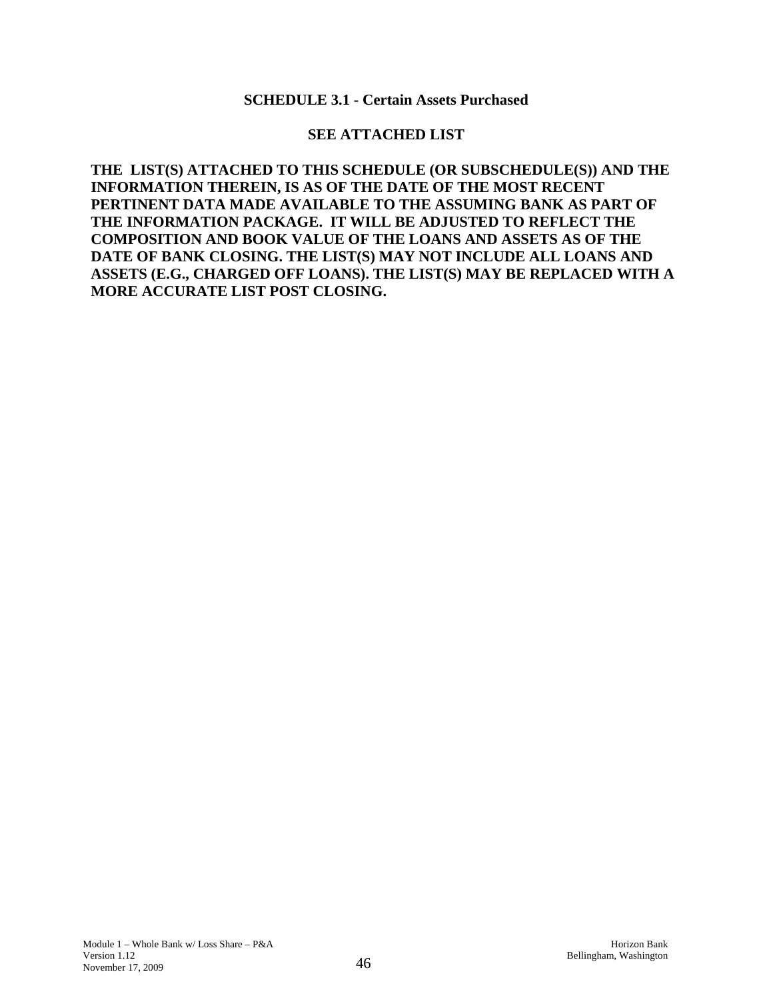#### **SCHEDULE 3.1 - Certain Assets Purchased**

#### **SEE ATTACHED LIST**

THE LIST(S) ATTACHED TO THIS SCHEDULE (OR SUBSCHEDULE(S)) AND THE **INFORMATION THEREIN, IS AS OF THE DATE OF THE MOST RECENT PERTINENT DATA MADE AVAILABLE TO THE ASSUMING BANK AS PART OF THE INFORMATION PACKAGE. IT WILL BE ADJUSTED TO REFLECT THE COMPOSITION AND BOOK VALUE OF THE LOANS AND ASSETS AS OF THE DATE OF BANK CLOSING. THE LIST(S) MAY NOT INCLUDE ALL LOANS AND ASSETS (E.G., CHARGED OFF LOANS). THE LIST(S) MAY BE REPLACED WITH A MORE ACCURATE LIST POST CLOSING.**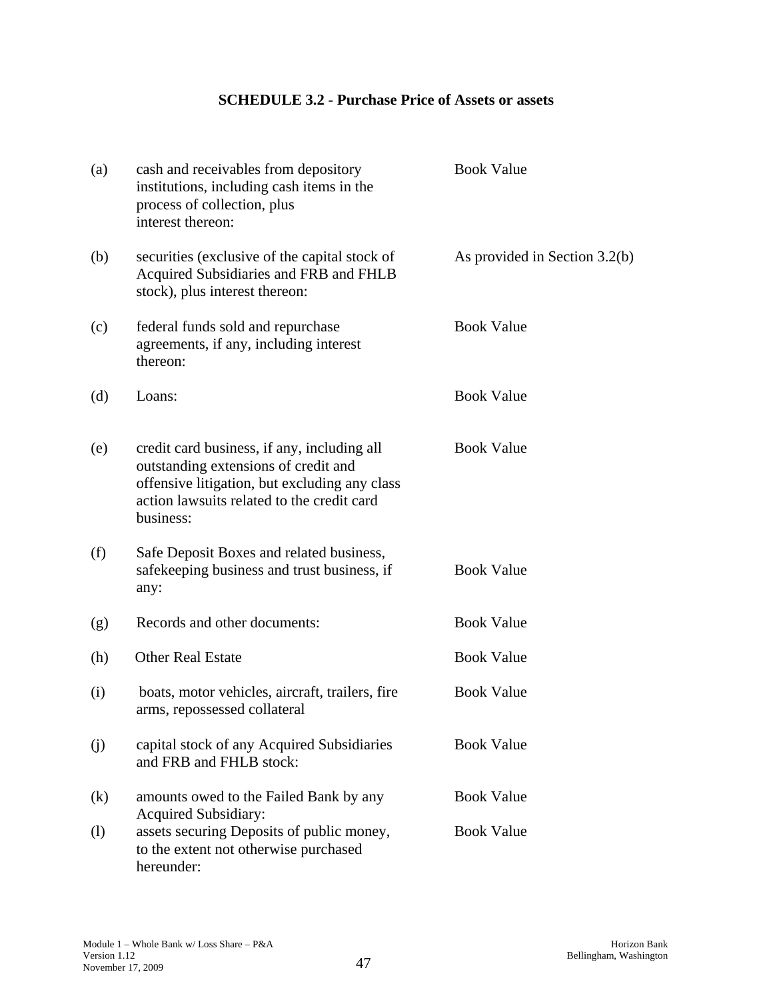# **SCHEDULE 3.2 - Purchase Price of Assets or assets**

| (a)        | cash and receivables from depository<br>institutions, including cash items in the<br>process of collection, plus<br>interest thereon:                                                           | <b>Book Value</b>                      |
|------------|-------------------------------------------------------------------------------------------------------------------------------------------------------------------------------------------------|----------------------------------------|
| (b)        | securities (exclusive of the capital stock of<br>Acquired Subsidiaries and FRB and FHLB<br>stock), plus interest thereon:                                                                       | As provided in Section $3.2(b)$        |
| (c)        | federal funds sold and repurchase<br>agreements, if any, including interest<br>thereon:                                                                                                         | <b>Book Value</b>                      |
| (d)        | Loans:                                                                                                                                                                                          | <b>Book Value</b>                      |
| (e)        | credit card business, if any, including all<br>outstanding extensions of credit and<br>offensive litigation, but excluding any class<br>action lawsuits related to the credit card<br>business: | <b>Book Value</b>                      |
| (f)        | Safe Deposit Boxes and related business,<br>safekeeping business and trust business, if<br>any:                                                                                                 | <b>Book Value</b>                      |
| (g)        | Records and other documents:                                                                                                                                                                    | <b>Book Value</b>                      |
| (h)        | <b>Other Real Estate</b>                                                                                                                                                                        | <b>Book Value</b>                      |
| (i)        | boats, motor vehicles, aircraft, trailers, fire<br>arms, repossessed collateral                                                                                                                 | <b>Book Value</b>                      |
| (j)        | capital stock of any Acquired Subsidiaries<br>and FRB and FHLB stock:                                                                                                                           | <b>Book Value</b>                      |
| (k)<br>(1) | amounts owed to the Failed Bank by any<br><b>Acquired Subsidiary:</b><br>assets securing Deposits of public money,                                                                              | <b>Book Value</b><br><b>Book Value</b> |
|            | to the extent not otherwise purchased<br>hereunder:                                                                                                                                             |                                        |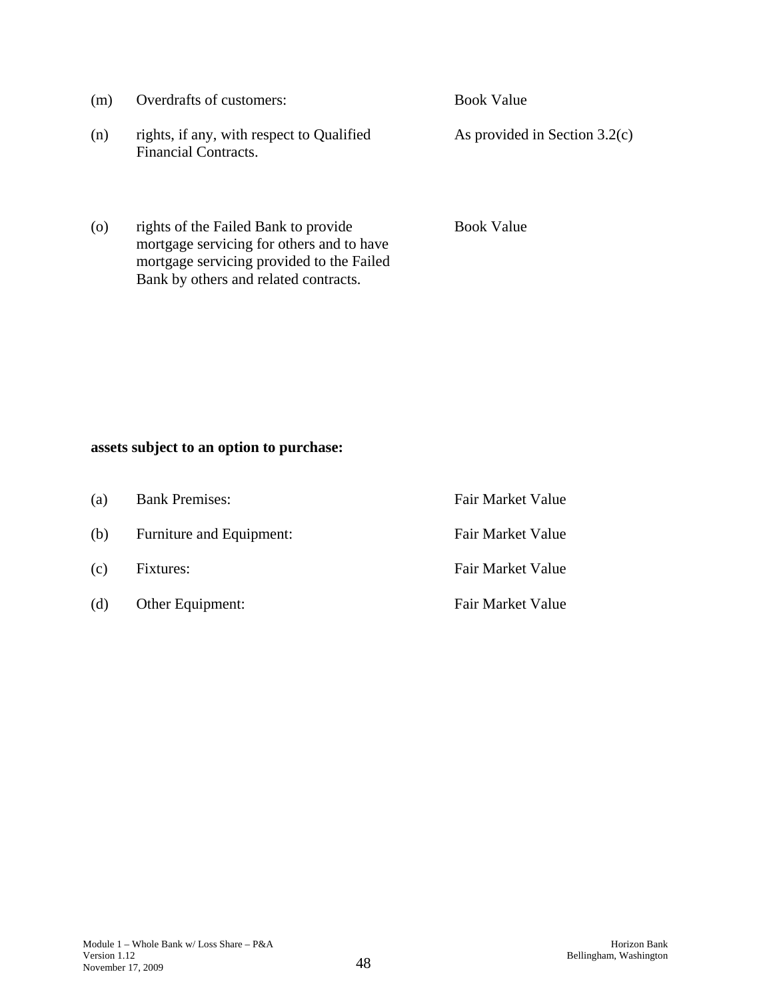- (m) Overdrafts of customers: Book Value
- (n) rights, if any, with respect to Qualified As provided in Section  $3.2(c)$ Financial Contracts.
- (o) rights of the Failed Bank to provide Book Value mortgage servicing for others and to have mortgage servicing provided to the Failed Bank by others and related contracts.

# **assets subject to an option to purchase:**

| (a) | <b>Bank Premises:</b>    | Fair Market Value |
|-----|--------------------------|-------------------|
| (b) | Furniture and Equipment: | Fair Market Value |
| (c) | Fixtures:                | Fair Market Value |
| (d) | Other Equipment:         | Fair Market Value |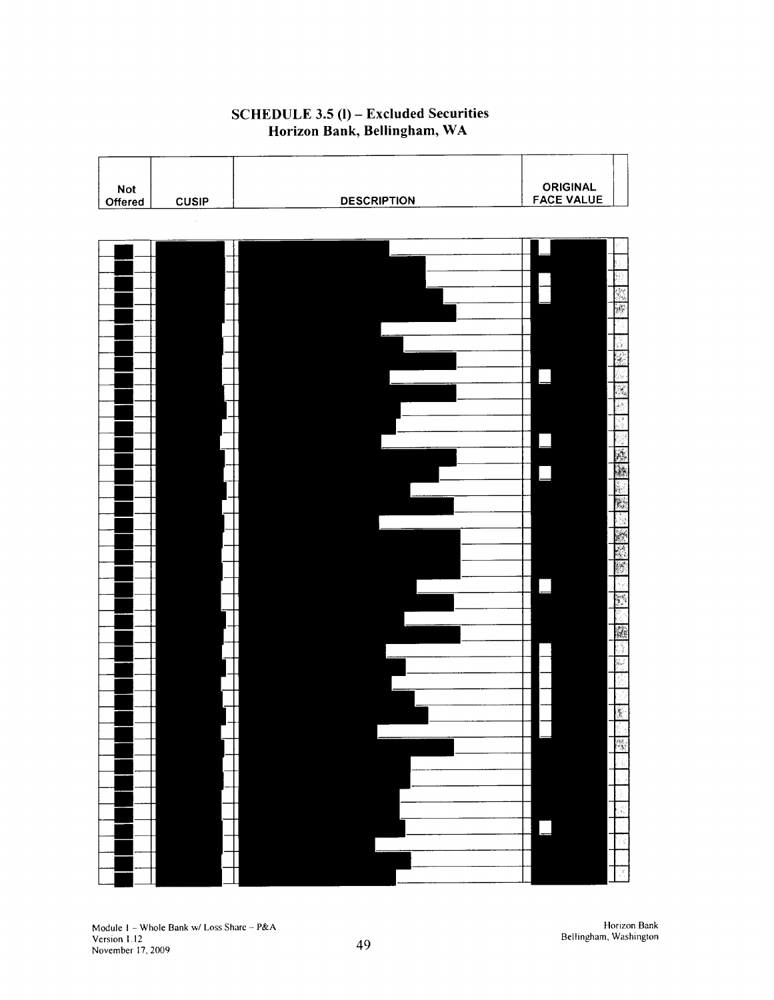

# **SCHEDULE 3.5 (I) - Excluded Securities Horizon Bank, Bellingham, WA**

Module 1 - Whole Bank *w*/ Loss Share - P&A<br>Version 1.12 Version 1.12 **49** November 17,2009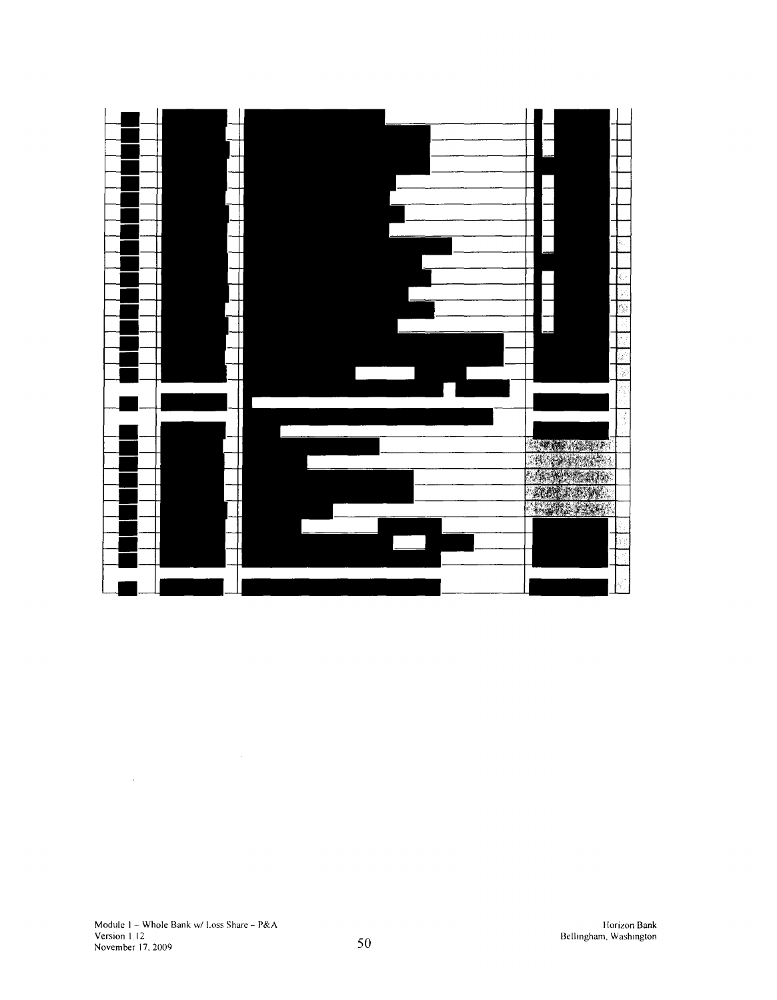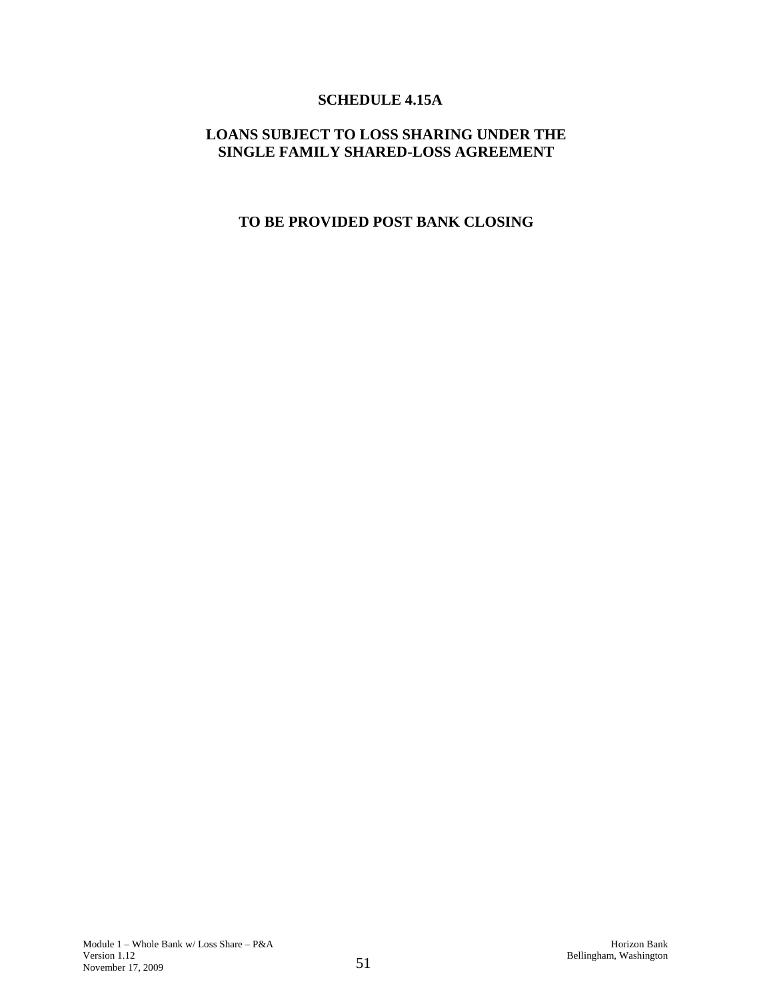# **SCHEDULE 4.15A**

#### **LOANS SUBJECT TO LOSS SHARING UNDER THE SINGLE FAMILY SHARED-LOSS AGREEMENT**

#### **TO BE PROVIDED POST BANK CLOSING**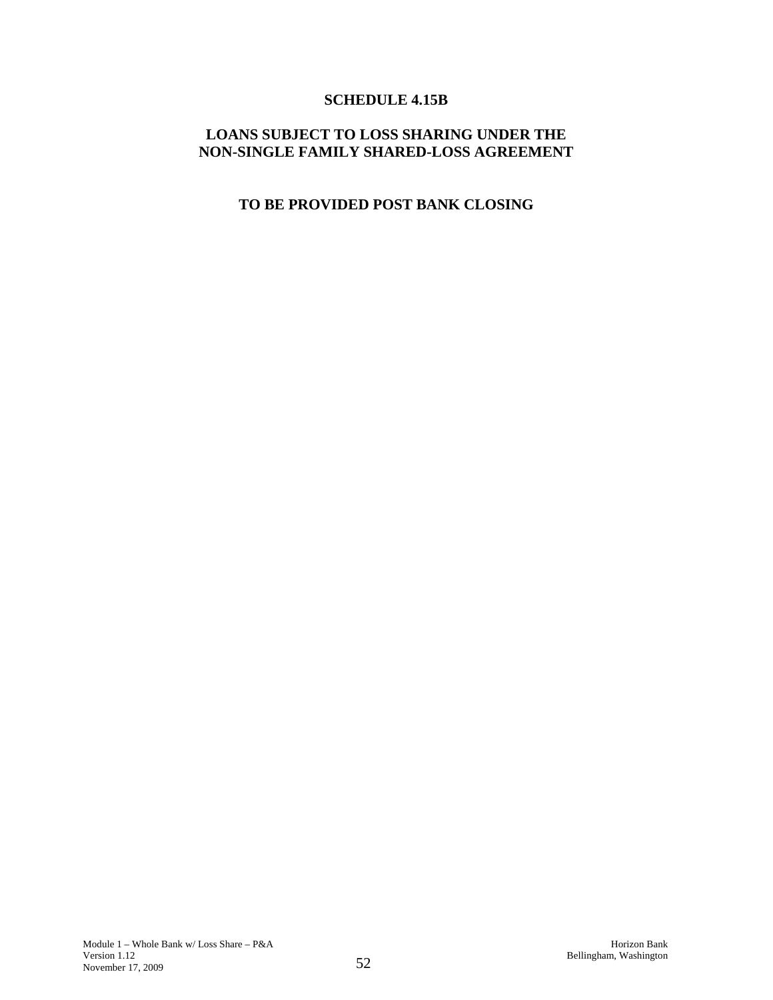### **SCHEDULE 4.15B**

#### **LOANS SUBJECT TO LOSS SHARING UNDER THE NON-SINGLE FAMILY SHARED-LOSS AGREEMENT**

# **TO BE PROVIDED POST BANK CLOSING**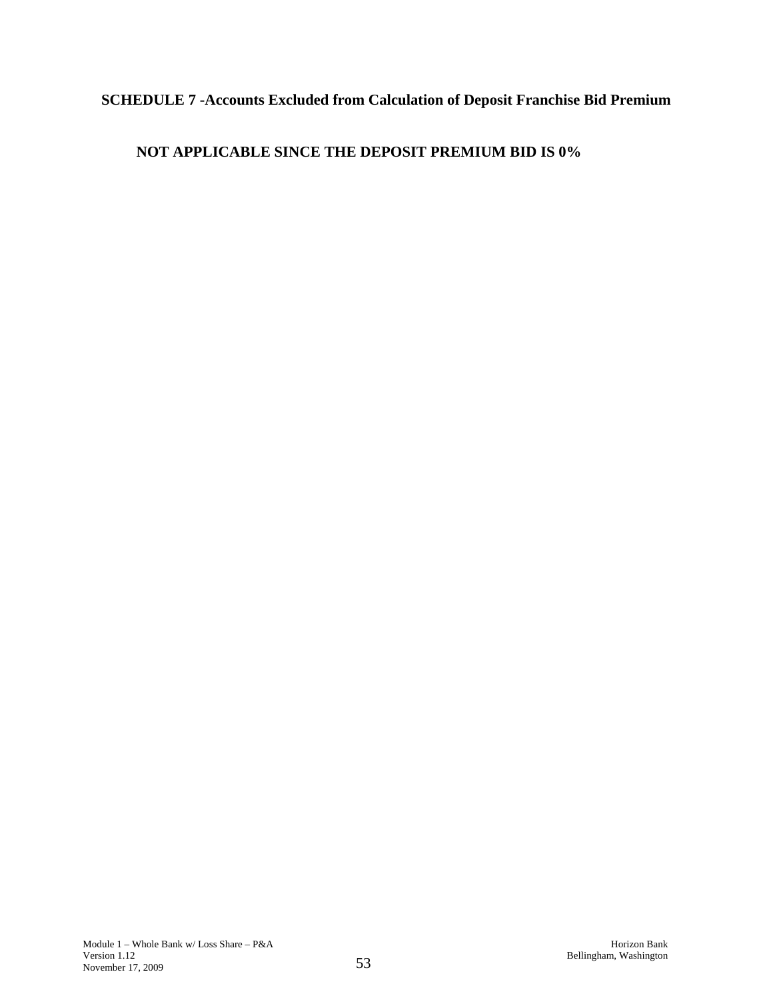# **SCHEDULE 7 -Accounts Excluded from Calculation of Deposit Franchise Bid Premium**

# **NOT APPLICABLE SINCE THE DEPOSIT PREMIUM BID IS 0%**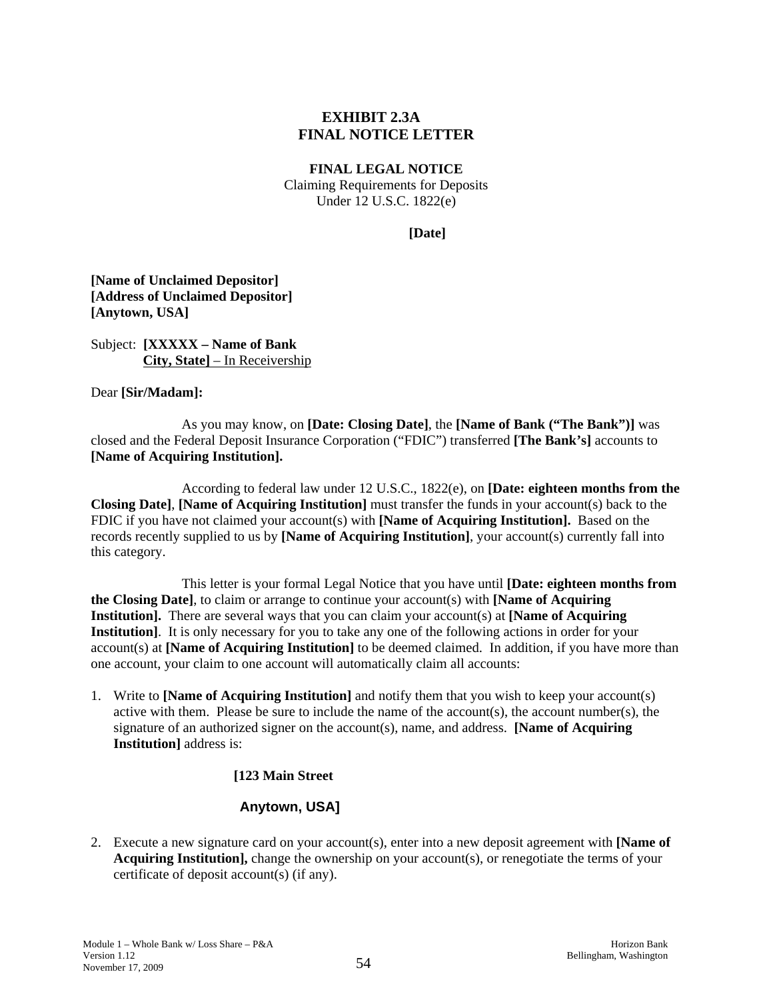# **EXHIBIT 2.3A FINAL NOTICE LETTER**

#### **FINAL LEGAL NOTICE**

Claiming Requirements for Deposits Under 12 U.S.C. 1822(e)

**[Date]** 

**[Name of Unclaimed Depositor] [Address of Unclaimed Depositor] [Anytown, USA]** 

Subject: **[XXXXX – Name of Bank City, State]** – In Receivership

Dear **[Sir/Madam]:** 

As you may know, on **[Date: Closing Date]**, the **[Name of Bank ("The Bank")]** was closed and the Federal Deposit Insurance Corporation ("FDIC") transferred **[The Bank's]** accounts to **[Name of Acquiring Institution].** 

According to federal law under 12 U.S.C., 1822(e), on **[Date: eighteen months from the Closing Date]**, **[Name of Acquiring Institution]** must transfer the funds in your account(s) back to the FDIC if you have not claimed your account(s) with **[Name of Acquiring Institution].** Based on the records recently supplied to us by **[Name of Acquiring Institution]**, your account(s) currently fall into this category.

This letter is your formal Legal Notice that you have until **[Date: eighteen months from the Closing Date]**, to claim or arrange to continue your account(s) with **[Name of Acquiring Institution].** There are several ways that you can claim your account(s) at **[Name of Acquiring Institution]**. It is only necessary for you to take any one of the following actions in order for your account(s) at **[Name of Acquiring Institution]** to be deemed claimed. In addition, if you have more than one account, your claim to one account will automatically claim all accounts:

1. Write to **[Name of Acquiring Institution**] and notify them that you wish to keep your account(s) active with them. Please be sure to include the name of the account(s), the account number(s), the signature of an authorized signer on the account(s), name, and address. **[Name of Acquiring Institution]** address is:

#### **[123 Main Street**

#### **Anytown, USA]**

2. Execute a new signature card on your account(s), enter into a new deposit agreement with **[Name of Acquiring Institution],** change the ownership on your account(s), or renegotiate the terms of your certificate of deposit account(s) (if any).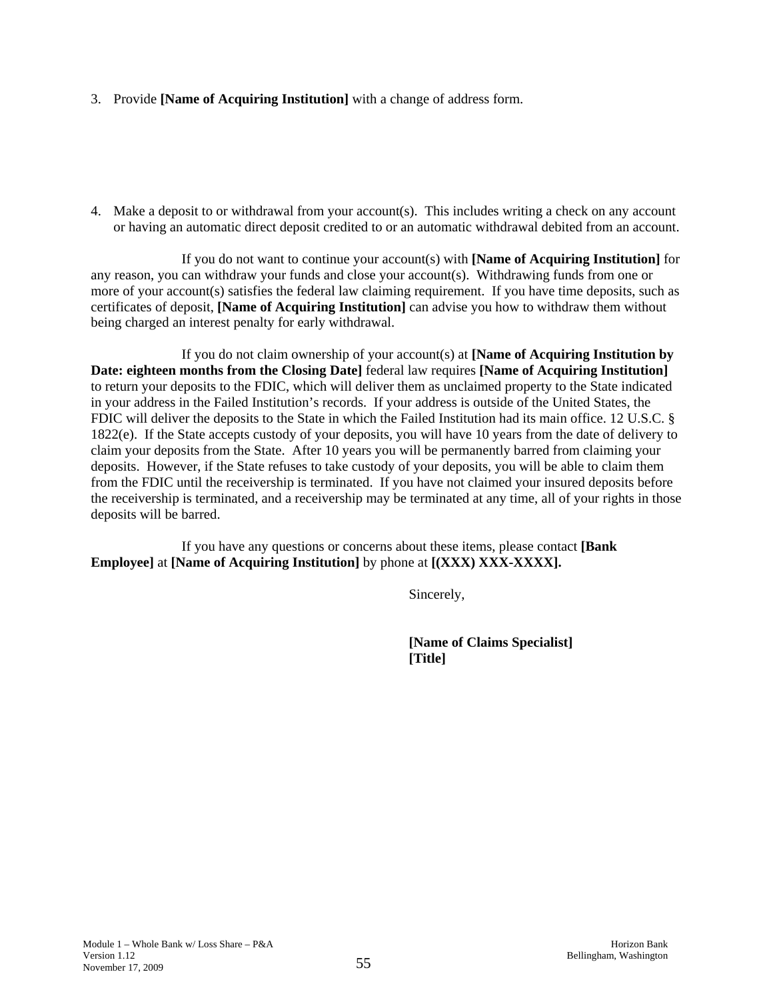- 3. Provide **[Name of Acquiring Institution]** with a change of address form.
- 4. Make a deposit to or withdrawal from your account(s). This includes writing a check on any account or having an automatic direct deposit credited to or an automatic withdrawal debited from an account.

If you do not want to continue your account(s) with **[Name of Acquiring Institution]** for any reason, you can withdraw your funds and close your account(s). Withdrawing funds from one or more of your account(s) satisfies the federal law claiming requirement. If you have time deposits, such as certificates of deposit, **[Name of Acquiring Institution]** can advise you how to withdraw them without being charged an interest penalty for early withdrawal.

If you do not claim ownership of your account(s) at **[Name of Acquiring Institution by Date: eighteen months from the Closing Date]** federal law requires **[Name of Acquiring Institution]**  to return your deposits to the FDIC, which will deliver them as unclaimed property to the State indicated in your address in the Failed Institution's records. If your address is outside of the United States, the FDIC will deliver the deposits to the State in which the Failed Institution had its main office. 12 U.S.C. § 1822(e). If the State accepts custody of your deposits, you will have 10 years from the date of delivery to claim your deposits from the State. After 10 years you will be permanently barred from claiming your deposits. However, if the State refuses to take custody of your deposits, you will be able to claim them from the FDIC until the receivership is terminated. If you have not claimed your insured deposits before the receivership is terminated, and a receivership may be terminated at any time, all of your rights in those deposits will be barred.

If you have any questions or concerns about these items, please contact **[Bank Employee]** at **[Name of Acquiring Institution]** by phone at **[(XXX) XXX-XXXX].** 

Sincerely,

**[Name of Claims Specialist] [Title]**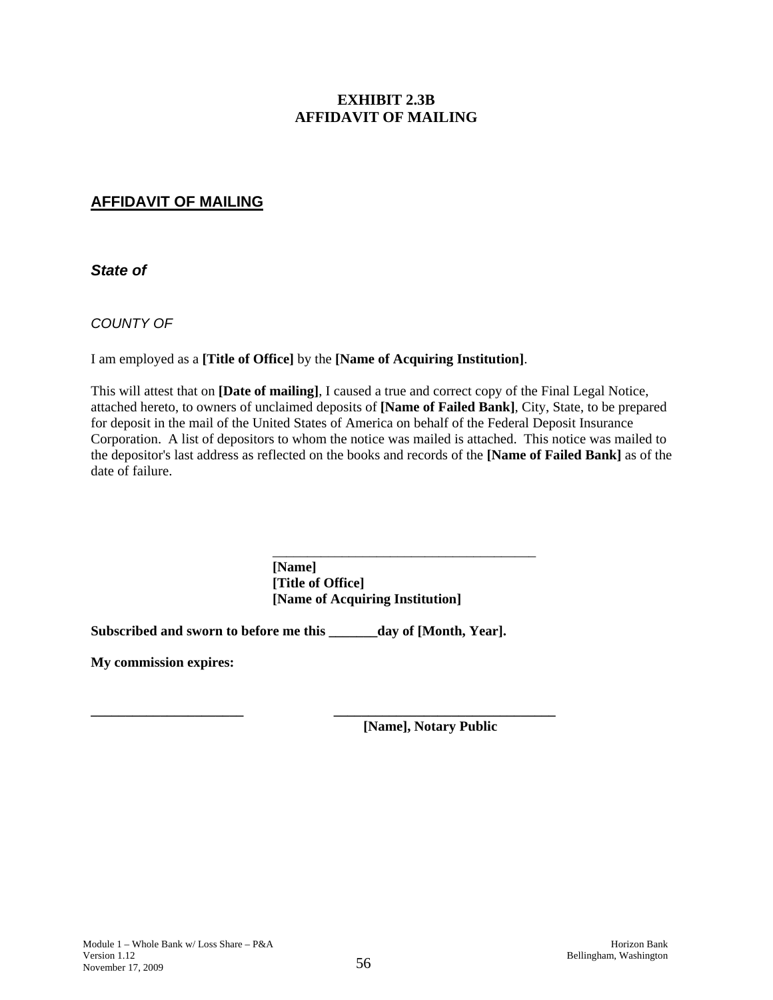## **EXHIBIT 2.3B AFFIDAVIT OF MAILING**

#### **AFFIDAVIT OF MAILING**

*State of* 

*COUNTY OF* 

I am employed as a **[Title of Office]** by the **[Name of Acquiring Institution]**.

This will attest that on **[Date of mailing]**, I caused a true and correct copy of the Final Legal Notice, attached hereto, to owners of unclaimed deposits of **[Name of Failed Bank]**, City, State, to be prepared for deposit in the mail of the United States of America on behalf of the Federal Deposit Insurance Corporation. A list of depositors to whom the notice was mailed is attached. This notice was mailed to the depositor's last address as reflected on the books and records of the **[Name of Failed Bank]** as of the date of failure.

 $\overline{\phantom{a}}$  ,  $\overline{\phantom{a}}$  ,  $\overline{\phantom{a}}$  ,  $\overline{\phantom{a}}$  ,  $\overline{\phantom{a}}$  ,  $\overline{\phantom{a}}$  ,  $\overline{\phantom{a}}$  ,  $\overline{\phantom{a}}$  ,  $\overline{\phantom{a}}$  ,  $\overline{\phantom{a}}$  ,  $\overline{\phantom{a}}$  ,  $\overline{\phantom{a}}$  ,  $\overline{\phantom{a}}$  ,  $\overline{\phantom{a}}$  ,  $\overline{\phantom{a}}$  ,  $\overline{\phantom{a}}$ **[Name] [Title of Office] [Name of Acquiring Institution]** 

**Subscribed and sworn to before me this \_\_\_\_\_\_\_day of [Month, Year].** 

**My commission expires:** 

**\_\_\_\_\_\_\_\_\_\_\_\_\_\_\_\_\_\_\_\_\_\_ \_\_\_\_\_\_\_\_\_\_\_\_\_\_\_\_\_\_\_\_\_\_\_\_\_\_\_\_\_\_\_\_ [Name], Notary Public**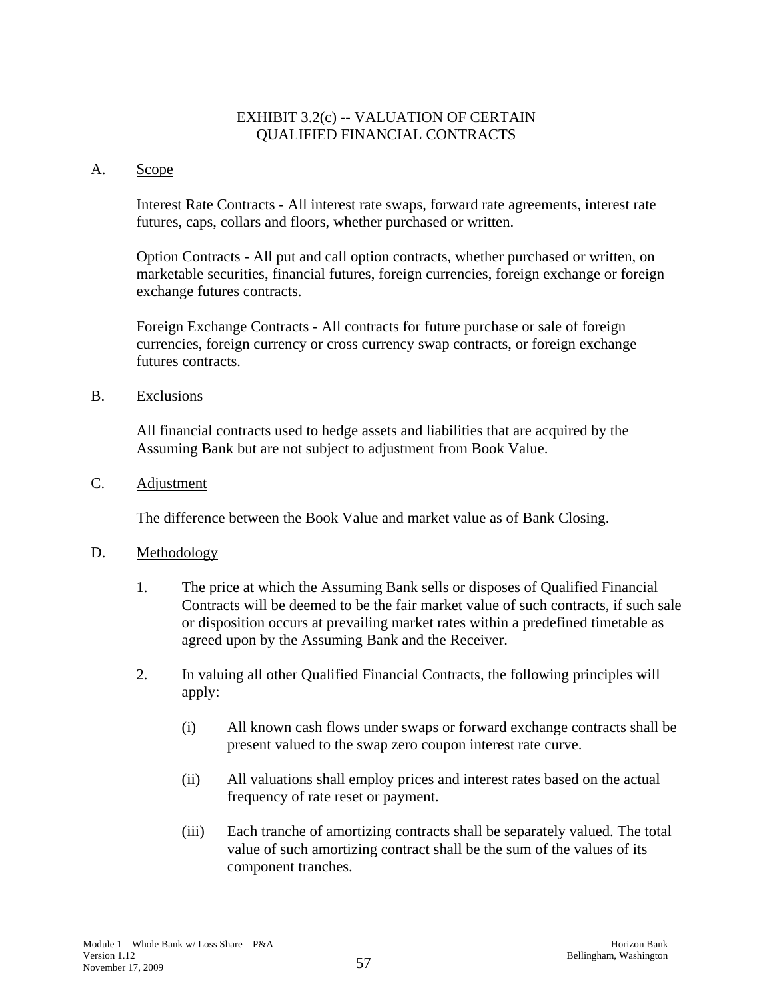#### EXHIBIT 3.2(c) -- VALUATION OF CERTAIN QUALIFIED FINANCIAL CONTRACTS

#### A. Scope

Interest Rate Contracts - All interest rate swaps, forward rate agreements, interest rate futures, caps, collars and floors, whether purchased or written.

Option Contracts - All put and call option contracts, whether purchased or written, on marketable securities, financial futures, foreign currencies, foreign exchange or foreign exchange futures contracts.

Foreign Exchange Contracts - All contracts for future purchase or sale of foreign currencies, foreign currency or cross currency swap contracts, or foreign exchange futures contracts.

#### B. Exclusions

All financial contracts used to hedge assets and liabilities that are acquired by the Assuming Bank but are not subject to adjustment from Book Value.

#### C. Adjustment

The difference between the Book Value and market value as of Bank Closing.

#### D. Methodology

- 1. The price at which the Assuming Bank sells or disposes of Qualified Financial Contracts will be deemed to be the fair market value of such contracts, if such sale or disposition occurs at prevailing market rates within a predefined timetable as agreed upon by the Assuming Bank and the Receiver.
- 2. In valuing all other Qualified Financial Contracts, the following principles will apply:
	- (i) All known cash flows under swaps or forward exchange contracts shall be present valued to the swap zero coupon interest rate curve.
	- (ii) All valuations shall employ prices and interest rates based on the actual frequency of rate reset or payment.
	- (iii) Each tranche of amortizing contracts shall be separately valued. The total value of such amortizing contract shall be the sum of the values of its component tranches.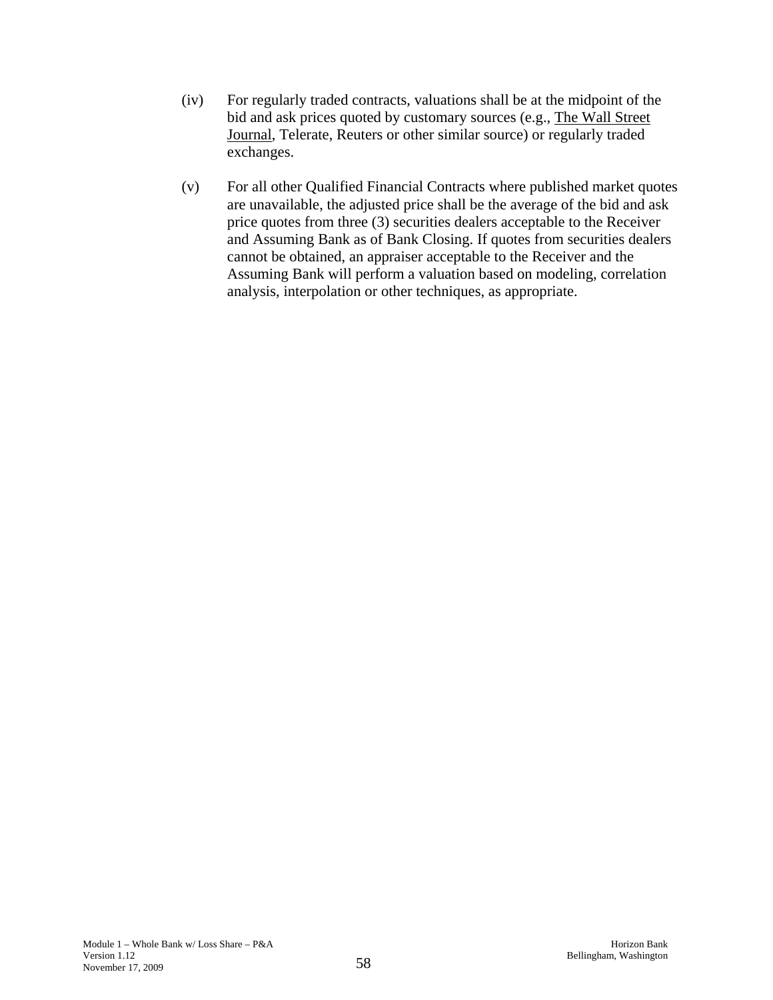- (iv) For regularly traded contracts, valuations shall be at the midpoint of the bid and ask prices quoted by customary sources (e.g., The Wall Street Journal, Telerate, Reuters or other similar source) or regularly traded exchanges.
- (v) For all other Qualified Financial Contracts where published market quotes are unavailable, the adjusted price shall be the average of the bid and ask price quotes from three (3) securities dealers acceptable to the Receiver and Assuming Bank as of Bank Closing. If quotes from securities dealers cannot be obtained, an appraiser acceptable to the Receiver and the Assuming Bank will perform a valuation based on modeling, correlation analysis, interpolation or other techniques, as appropriate.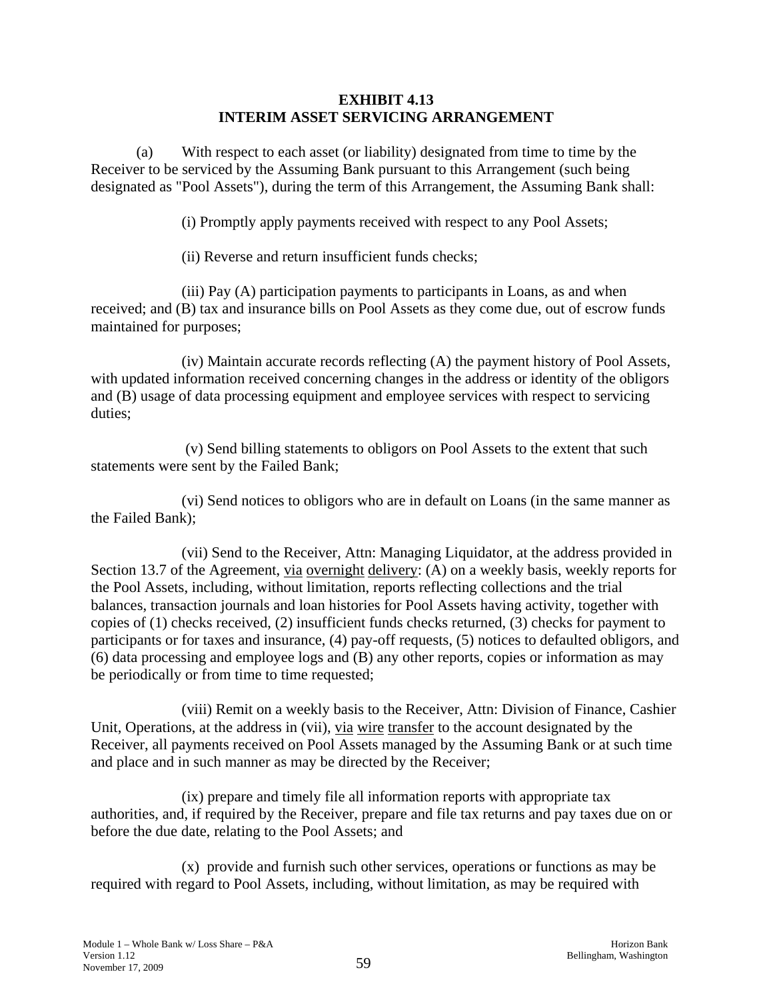#### **EXHIBIT 4.13 INTERIM ASSET SERVICING ARRANGEMENT**

(a) With respect to each asset (or liability) designated from time to time by the Receiver to be serviced by the Assuming Bank pursuant to this Arrangement (such being designated as "Pool Assets"), during the term of this Arrangement, the Assuming Bank shall:

(i) Promptly apply payments received with respect to any Pool Assets;

(ii) Reverse and return insufficient funds checks;

(iii) Pay (A) participation payments to participants in Loans, as and when received; and (B) tax and insurance bills on Pool Assets as they come due, out of escrow funds maintained for purposes;

(iv) Maintain accurate records reflecting (A) the payment history of Pool Assets, with updated information received concerning changes in the address or identity of the obligors and (B) usage of data processing equipment and employee services with respect to servicing duties;

 (v) Send billing statements to obligors on Pool Assets to the extent that such statements were sent by the Failed Bank;

(vi) Send notices to obligors who are in default on Loans (in the same manner as the Failed Bank);

(vii) Send to the Receiver, Attn: Managing Liquidator, at the address provided in Section 13.7 of the Agreement, via overnight delivery: (A) on a weekly basis, weekly reports for the Pool Assets, including, without limitation, reports reflecting collections and the trial balances, transaction journals and loan histories for Pool Assets having activity, together with copies of (1) checks received, (2) insufficient funds checks returned, (3) checks for payment to participants or for taxes and insurance, (4) pay-off requests, (5) notices to defaulted obligors, and (6) data processing and employee logs and (B) any other reports, copies or information as may be periodically or from time to time requested;

(viii) Remit on a weekly basis to the Receiver, Attn: Division of Finance, Cashier Unit, Operations, at the address in (vii), via wire transfer to the account designated by the Receiver, all payments received on Pool Assets managed by the Assuming Bank or at such time and place and in such manner as may be directed by the Receiver;

(ix) prepare and timely file all information reports with appropriate tax authorities, and, if required by the Receiver, prepare and file tax returns and pay taxes due on or before the due date, relating to the Pool Assets; and

(x) provide and furnish such other services, operations or functions as may be required with regard to Pool Assets, including, without limitation, as may be required with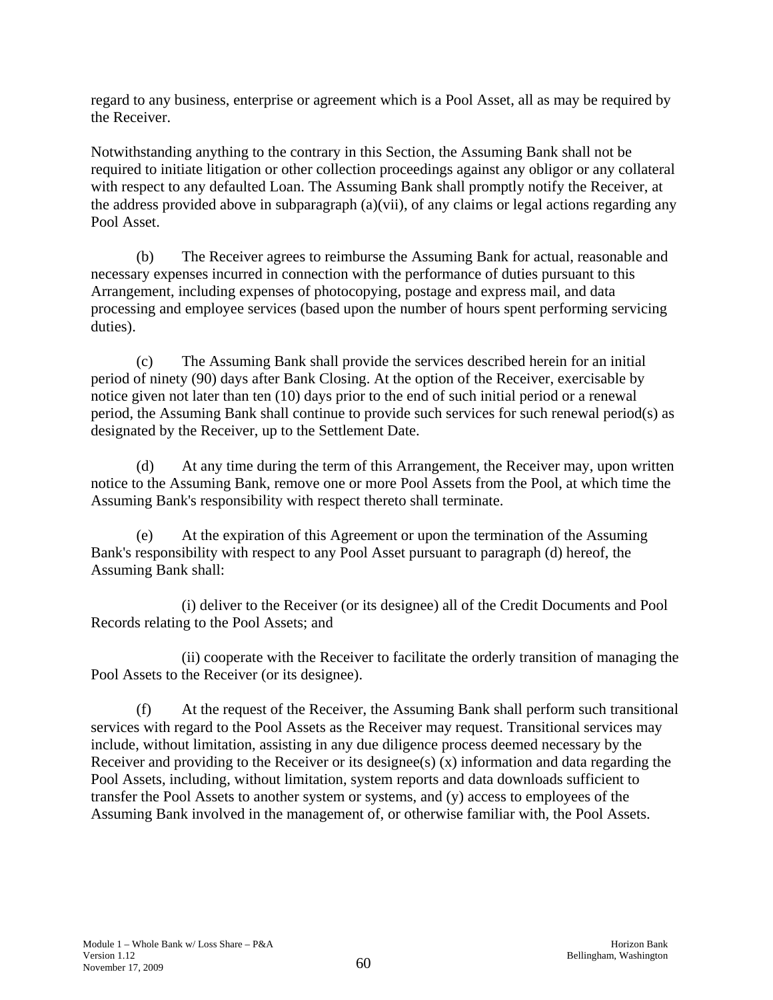regard to any business, enterprise or agreement which is a Pool Asset, all as may be required by the Receiver.

Notwithstanding anything to the contrary in this Section, the Assuming Bank shall not be required to initiate litigation or other collection proceedings against any obligor or any collateral with respect to any defaulted Loan. The Assuming Bank shall promptly notify the Receiver, at the address provided above in subparagraph (a)(vii), of any claims or legal actions regarding any Pool Asset.

(b) The Receiver agrees to reimburse the Assuming Bank for actual, reasonable and necessary expenses incurred in connection with the performance of duties pursuant to this Arrangement, including expenses of photocopying, postage and express mail, and data processing and employee services (based upon the number of hours spent performing servicing duties).

(c) The Assuming Bank shall provide the services described herein for an initial period of ninety (90) days after Bank Closing. At the option of the Receiver, exercisable by notice given not later than ten (10) days prior to the end of such initial period or a renewal period, the Assuming Bank shall continue to provide such services for such renewal period(s) as designated by the Receiver, up to the Settlement Date.

(d) At any time during the term of this Arrangement, the Receiver may, upon written notice to the Assuming Bank, remove one or more Pool Assets from the Pool, at which time the Assuming Bank's responsibility with respect thereto shall terminate.

(e) At the expiration of this Agreement or upon the termination of the Assuming Bank's responsibility with respect to any Pool Asset pursuant to paragraph (d) hereof, the Assuming Bank shall:

(i) deliver to the Receiver (or its designee) all of the Credit Documents and Pool Records relating to the Pool Assets; and

(ii) cooperate with the Receiver to facilitate the orderly transition of managing the Pool Assets to the Receiver (or its designee).

(f) At the request of the Receiver, the Assuming Bank shall perform such transitional services with regard to the Pool Assets as the Receiver may request. Transitional services may include, without limitation, assisting in any due diligence process deemed necessary by the Receiver and providing to the Receiver or its designee(s) (x) information and data regarding the Pool Assets, including, without limitation, system reports and data downloads sufficient to transfer the Pool Assets to another system or systems, and (y) access to employees of the Assuming Bank involved in the management of, or otherwise familiar with, the Pool Assets.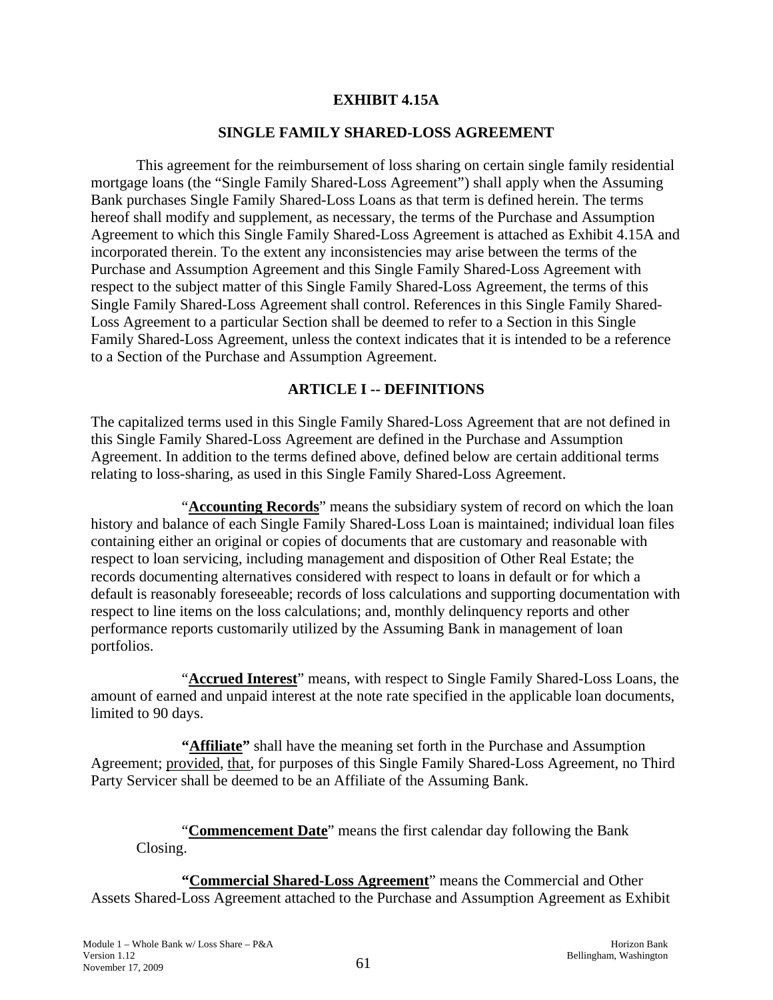#### **EXHIBIT 4.15A**

#### **SINGLE FAMILY SHARED-LOSS AGREEMENT**

This agreement for the reimbursement of loss sharing on certain single family residential mortgage loans (the "Single Family Shared-Loss Agreement") shall apply when the Assuming Bank purchases Single Family Shared-Loss Loans as that term is defined herein. The terms hereof shall modify and supplement, as necessary, the terms of the Purchase and Assumption Agreement to which this Single Family Shared-Loss Agreement is attached as Exhibit 4.15A and incorporated therein. To the extent any inconsistencies may arise between the terms of the Purchase and Assumption Agreement and this Single Family Shared-Loss Agreement with respect to the subject matter of this Single Family Shared-Loss Agreement, the terms of this Single Family Shared-Loss Agreement shall control. References in this Single Family Shared-Loss Agreement to a particular Section shall be deemed to refer to a Section in this Single Family Shared-Loss Agreement, unless the context indicates that it is intended to be a reference to a Section of the Purchase and Assumption Agreement.

#### **ARTICLE I -- DEFINITIONS**

The capitalized terms used in this Single Family Shared-Loss Agreement that are not defined in this Single Family Shared-Loss Agreement are defined in the Purchase and Assumption Agreement. In addition to the terms defined above, defined below are certain additional terms relating to loss-sharing, as used in this Single Family Shared-Loss Agreement.

"**Accounting Records**" means the subsidiary system of record on which the loan history and balance of each Single Family Shared-Loss Loan is maintained; individual loan files containing either an original or copies of documents that are customary and reasonable with respect to loan servicing, including management and disposition of Other Real Estate; the records documenting alternatives considered with respect to loans in default or for which a default is reasonably foreseeable; records of loss calculations and supporting documentation with respect to line items on the loss calculations; and, monthly delinquency reports and other performance reports customarily utilized by the Assuming Bank in management of loan portfolios.

"**Accrued Interest**" means, with respect to Single Family Shared-Loss Loans, the amount of earned and unpaid interest at the note rate specified in the applicable loan documents, limited to 90 days.

**"Affiliate"** shall have the meaning set forth in the Purchase and Assumption Agreement; provided, that, for purposes of this Single Family Shared-Loss Agreement, no Third Party Servicer shall be deemed to be an Affiliate of the Assuming Bank.

"**Commencement Date**" means the first calendar day following the Bank Closing.

**"Commercial Shared-Loss Agreement**" means the Commercial and Other Assets Shared-Loss Agreement attached to the Purchase and Assumption Agreement as Exhibit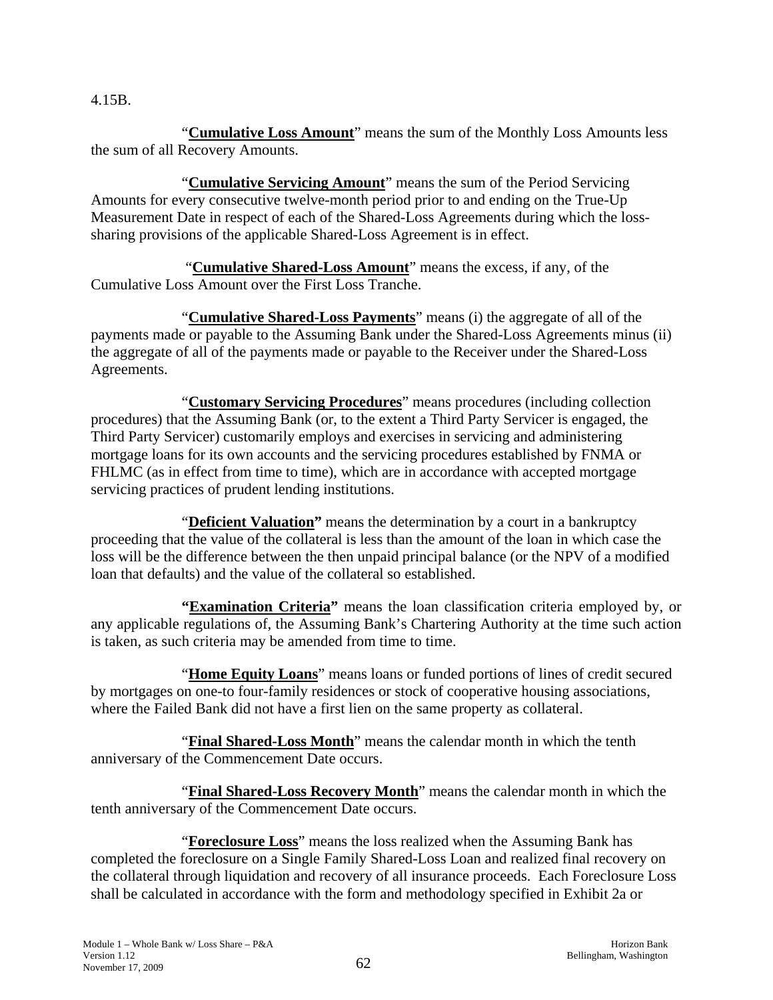4.15B.

"**Cumulative Loss Amount**" means the sum of the Monthly Loss Amounts less the sum of all Recovery Amounts.

"**Cumulative Servicing Amount**" means the sum of the Period Servicing Amounts for every consecutive twelve-month period prior to and ending on the True-Up Measurement Date in respect of each of the Shared-Loss Agreements during which the losssharing provisions of the applicable Shared-Loss Agreement is in effect.

"**Cumulative Shared-Loss Amount**" means the excess, if any, of the Cumulative Loss Amount over the First Loss Tranche.

"**Cumulative Shared-Loss Payments**" means (i) the aggregate of all of the payments made or payable to the Assuming Bank under the Shared-Loss Agreements minus (ii) the aggregate of all of the payments made or payable to the Receiver under the Shared-Loss Agreements.

"**Customary Servicing Procedures**" means procedures (including collection procedures) that the Assuming Bank (or, to the extent a Third Party Servicer is engaged, the Third Party Servicer) customarily employs and exercises in servicing and administering mortgage loans for its own accounts and the servicing procedures established by FNMA or FHLMC (as in effect from time to time), which are in accordance with accepted mortgage servicing practices of prudent lending institutions.

"**Deficient Valuation"** means the determination by a court in a bankruptcy proceeding that the value of the collateral is less than the amount of the loan in which case the loss will be the difference between the then unpaid principal balance (or the NPV of a modified loan that defaults) and the value of the collateral so established.

**"Examination Criteria"** means the loan classification criteria employed by, or any applicable regulations of, the Assuming Bank's Chartering Authority at the time such action is taken, as such criteria may be amended from time to time.

"**Home Equity Loans**" means loans or funded portions of lines of credit secured by mortgages on one-to four-family residences or stock of cooperative housing associations, where the Failed Bank did not have a first lien on the same property as collateral.

"**Final Shared-Loss Month**" means the calendar month in which the tenth anniversary of the Commencement Date occurs.

"**Final Shared-Loss Recovery Month**" means the calendar month in which the tenth anniversary of the Commencement Date occurs.

"**Foreclosure Loss**" means the loss realized when the Assuming Bank has completed the foreclosure on a Single Family Shared-Loss Loan and realized final recovery on the collateral through liquidation and recovery of all insurance proceeds. Each Foreclosure Loss shall be calculated in accordance with the form and methodology specified in Exhibit 2a or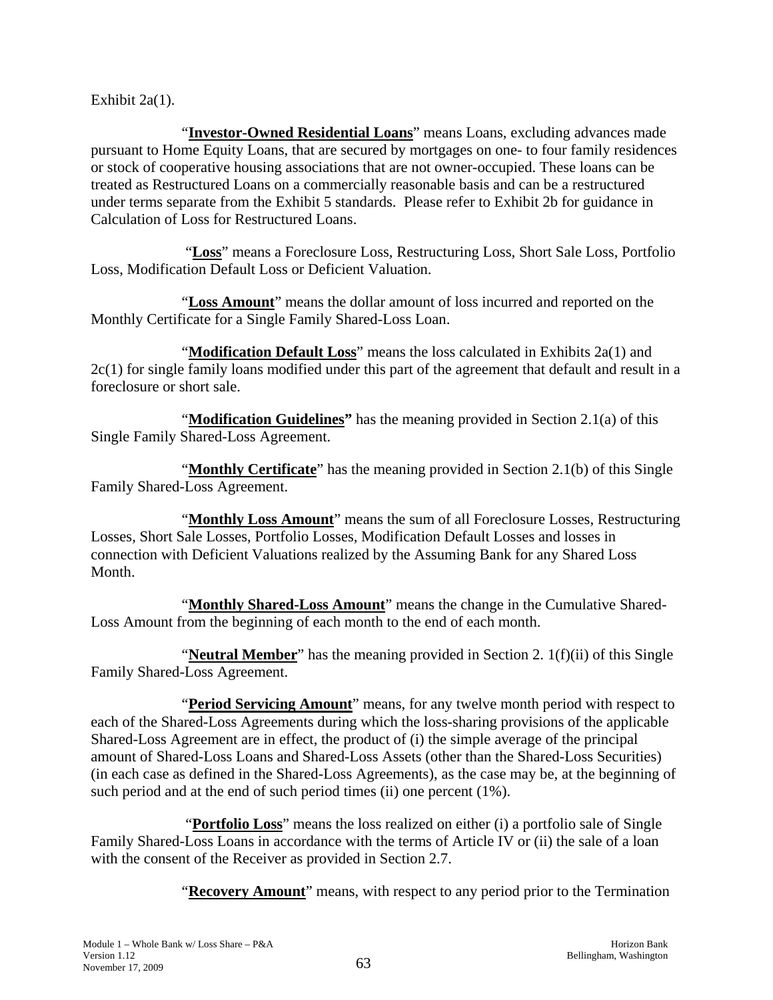Exhibit 2a(1).

"**Investor-Owned Residential Loans**" means Loans, excluding advances made pursuant to Home Equity Loans, that are secured by mortgages on one- to four family residences or stock of cooperative housing associations that are not owner-occupied. These loans can be treated as Restructured Loans on a commercially reasonable basis and can be a restructured under terms separate from the Exhibit 5 standards. Please refer to Exhibit 2b for guidance in Calculation of Loss for Restructured Loans.

"**Loss**" means a Foreclosure Loss, Restructuring Loss, Short Sale Loss, Portfolio Loss, Modification Default Loss or Deficient Valuation.

"**Loss Amount**" means the dollar amount of loss incurred and reported on the Monthly Certificate for a Single Family Shared-Loss Loan.

"**Modification Default Loss**" means the loss calculated in Exhibits 2a(1) and 2c(1) for single family loans modified under this part of the agreement that default and result in a foreclosure or short sale.

"**Modification Guidelines"** has the meaning provided in Section 2.1(a) of this Single Family Shared-Loss Agreement.

"**Monthly Certificate**" has the meaning provided in Section 2.1(b) of this Single Family Shared-Loss Agreement.

"**Monthly Loss Amount**" means the sum of all Foreclosure Losses, Restructuring Losses, Short Sale Losses, Portfolio Losses, Modification Default Losses and losses in connection with Deficient Valuations realized by the Assuming Bank for any Shared Loss Month.

"**Monthly Shared-Loss Amount**" means the change in the Cumulative Shared-Loss Amount from the beginning of each month to the end of each month.

"**Neutral Member**" has the meaning provided in Section 2. 1(f)(ii) of this Single Family Shared-Loss Agreement.

"**Period Servicing Amount**" means, for any twelve month period with respect to each of the Shared-Loss Agreements during which the loss-sharing provisions of the applicable Shared-Loss Agreement are in effect, the product of (i) the simple average of the principal amount of Shared-Loss Loans and Shared-Loss Assets (other than the Shared-Loss Securities) (in each case as defined in the Shared-Loss Agreements), as the case may be, at the beginning of such period and at the end of such period times (ii) one percent (1%).

"**Portfolio Loss**" means the loss realized on either (i) a portfolio sale of Single Family Shared-Loss Loans in accordance with the terms of Article IV or (ii) the sale of a loan with the consent of the Receiver as provided in Section 2.7.

"**Recovery Amount**" means, with respect to any period prior to the Termination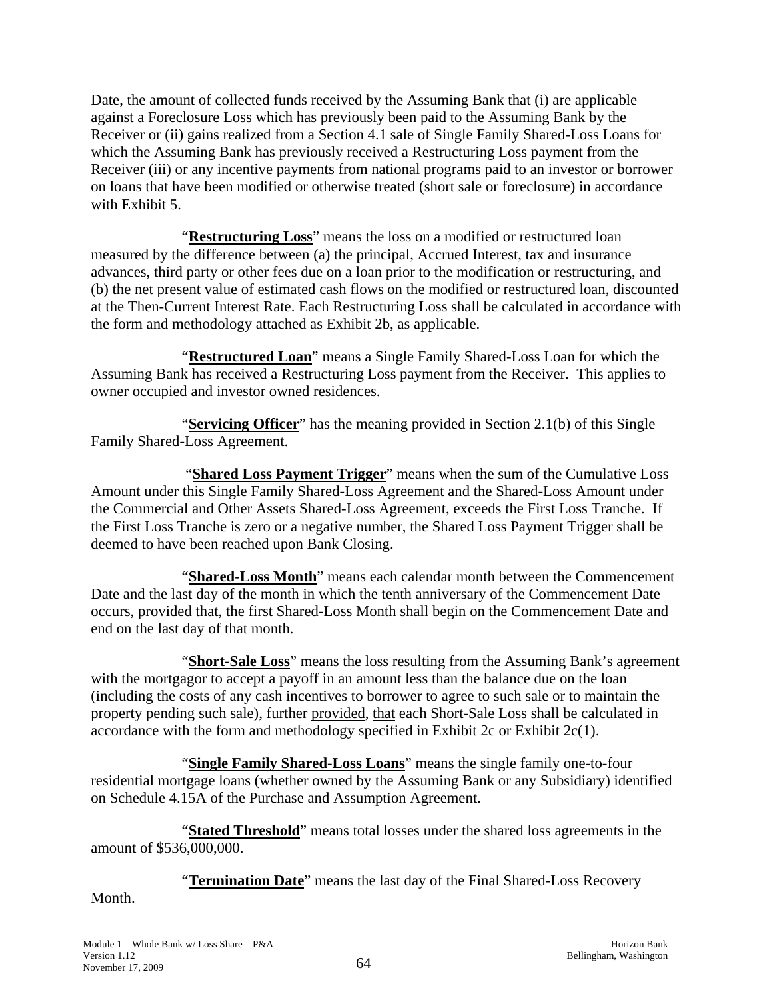Date, the amount of collected funds received by the Assuming Bank that (i) are applicable against a Foreclosure Loss which has previously been paid to the Assuming Bank by the Receiver or (ii) gains realized from a Section 4.1 sale of Single Family Shared-Loss Loans for which the Assuming Bank has previously received a Restructuring Loss payment from the Receiver (iii) or any incentive payments from national programs paid to an investor or borrower on loans that have been modified or otherwise treated (short sale or foreclosure) in accordance with Exhibit 5.

"**Restructuring Loss**" means the loss on a modified or restructured loan measured by the difference between (a) the principal, Accrued Interest, tax and insurance advances, third party or other fees due on a loan prior to the modification or restructuring, and (b) the net present value of estimated cash flows on the modified or restructured loan, discounted at the Then-Current Interest Rate. Each Restructuring Loss shall be calculated in accordance with the form and methodology attached as Exhibit 2b, as applicable.

"**Restructured Loan**" means a Single Family Shared-Loss Loan for which the Assuming Bank has received a Restructuring Loss payment from the Receiver. This applies to owner occupied and investor owned residences.

"**Servicing Officer**" has the meaning provided in Section 2.1(b) of this Single Family Shared-Loss Agreement.

"**Shared Loss Payment Trigger**" means when the sum of the Cumulative Loss Amount under this Single Family Shared-Loss Agreement and the Shared-Loss Amount under the Commercial and Other Assets Shared-Loss Agreement, exceeds the First Loss Tranche. If the First Loss Tranche is zero or a negative number, the Shared Loss Payment Trigger shall be deemed to have been reached upon Bank Closing.

"**Shared-Loss Month**" means each calendar month between the Commencement Date and the last day of the month in which the tenth anniversary of the Commencement Date occurs, provided that, the first Shared-Loss Month shall begin on the Commencement Date and end on the last day of that month.

"**Short-Sale Loss**" means the loss resulting from the Assuming Bank's agreement with the mortgagor to accept a payoff in an amount less than the balance due on the loan (including the costs of any cash incentives to borrower to agree to such sale or to maintain the property pending such sale), further provided, that each Short-Sale Loss shall be calculated in accordance with the form and methodology specified in Exhibit 2c or Exhibit  $2c(1)$ .

"**Single Family Shared-Loss Loans**" means the single family one-to-four residential mortgage loans (whether owned by the Assuming Bank or any Subsidiary) identified on Schedule 4.15A of the Purchase and Assumption Agreement.

"**Stated Threshold**" means total losses under the shared loss agreements in the amount of \$536,000,000.

"**Termination Date**" means the last day of the Final Shared-Loss Recovery Month.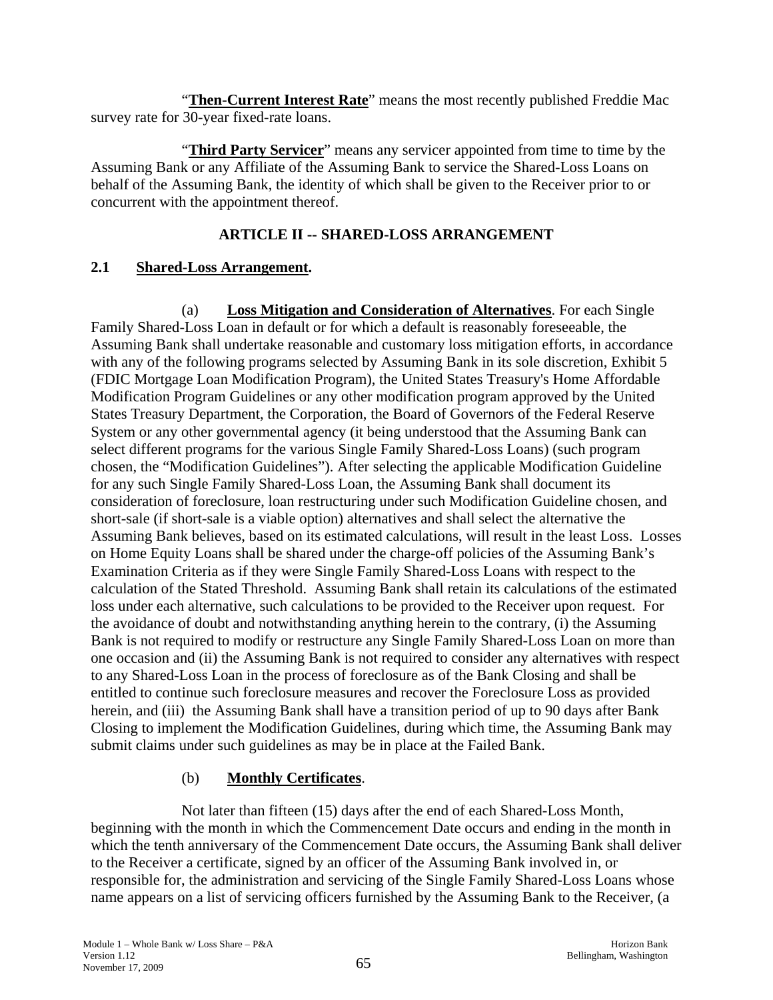"**Then-Current Interest Rate**" means the most recently published Freddie Mac survey rate for 30-year fixed-rate loans.

"**Third Party Servicer**" means any servicer appointed from time to time by the Assuming Bank or any Affiliate of the Assuming Bank to service the Shared-Loss Loans on behalf of the Assuming Bank, the identity of which shall be given to the Receiver prior to or concurrent with the appointment thereof.

# **ARTICLE II -- SHARED-LOSS ARRANGEMENT**

# **2.1 Shared-Loss Arrangement.**

(a) **Loss Mitigation and Consideration of Alternatives**. For each Single Family Shared-Loss Loan in default or for which a default is reasonably foreseeable, the Assuming Bank shall undertake reasonable and customary loss mitigation efforts, in accordance with any of the following programs selected by Assuming Bank in its sole discretion, Exhibit 5 (FDIC Mortgage Loan Modification Program), the United States Treasury's Home Affordable Modification Program Guidelines or any other modification program approved by the United States Treasury Department, the Corporation, the Board of Governors of the Federal Reserve System or any other governmental agency (it being understood that the Assuming Bank can select different programs for the various Single Family Shared-Loss Loans) (such program chosen, the "Modification Guidelines"). After selecting the applicable Modification Guideline for any such Single Family Shared-Loss Loan, the Assuming Bank shall document its consideration of foreclosure, loan restructuring under such Modification Guideline chosen, and short-sale (if short-sale is a viable option) alternatives and shall select the alternative the Assuming Bank believes, based on its estimated calculations, will result in the least Loss. Losses on Home Equity Loans shall be shared under the charge-off policies of the Assuming Bank's Examination Criteria as if they were Single Family Shared-Loss Loans with respect to the calculation of the Stated Threshold. Assuming Bank shall retain its calculations of the estimated loss under each alternative, such calculations to be provided to the Receiver upon request. For the avoidance of doubt and notwithstanding anything herein to the contrary, (i) the Assuming Bank is not required to modify or restructure any Single Family Shared-Loss Loan on more than one occasion and (ii) the Assuming Bank is not required to consider any alternatives with respect to any Shared-Loss Loan in the process of foreclosure as of the Bank Closing and shall be entitled to continue such foreclosure measures and recover the Foreclosure Loss as provided herein, and (iii) the Assuming Bank shall have a transition period of up to 90 days after Bank Closing to implement the Modification Guidelines, during which time, the Assuming Bank may submit claims under such guidelines as may be in place at the Failed Bank.

# (b) **Monthly Certificates**.

Not later than fifteen (15) days after the end of each Shared-Loss Month, beginning with the month in which the Commencement Date occurs and ending in the month in which the tenth anniversary of the Commencement Date occurs, the Assuming Bank shall deliver to the Receiver a certificate, signed by an officer of the Assuming Bank involved in, or responsible for, the administration and servicing of the Single Family Shared-Loss Loans whose name appears on a list of servicing officers furnished by the Assuming Bank to the Receiver, (a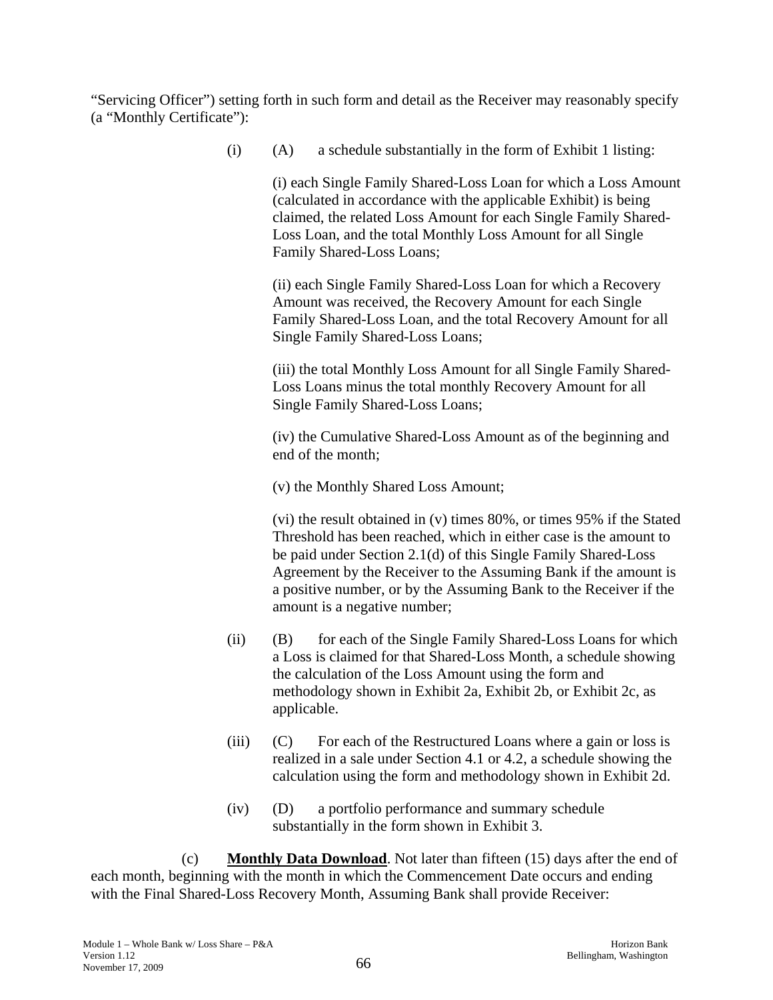"Servicing Officer") setting forth in such form and detail as the Receiver may reasonably specify (a "Monthly Certificate"):

 $(i)$  (A) a schedule substantially in the form of Exhibit 1 listing:

(i) each Single Family Shared-Loss Loan for which a Loss Amount (calculated in accordance with the applicable Exhibit) is being claimed, the related Loss Amount for each Single Family Shared-Loss Loan, and the total Monthly Loss Amount for all Single Family Shared-Loss Loans;

(ii) each Single Family Shared-Loss Loan for which a Recovery Amount was received, the Recovery Amount for each Single Family Shared-Loss Loan, and the total Recovery Amount for all Single Family Shared-Loss Loans;

(iii) the total Monthly Loss Amount for all Single Family Shared-Loss Loans minus the total monthly Recovery Amount for all Single Family Shared-Loss Loans;

(iv) the Cumulative Shared-Loss Amount as of the beginning and end of the month;

(v) the Monthly Shared Loss Amount;

(vi) the result obtained in (v) times 80%, or times 95% if the Stated Threshold has been reached, which in either case is the amount to be paid under Section 2.1(d) of this Single Family Shared-Loss Agreement by the Receiver to the Assuming Bank if the amount is a positive number, or by the Assuming Bank to the Receiver if the amount is a negative number;

- (ii) (B) for each of the Single Family Shared-Loss Loans for which a Loss is claimed for that Shared-Loss Month, a schedule showing the calculation of the Loss Amount using the form and methodology shown in Exhibit 2a, Exhibit 2b, or Exhibit 2c, as applicable.
- (iii) (C) For each of the Restructured Loans where a gain or loss is realized in a sale under Section 4.1 or 4.2, a schedule showing the calculation using the form and methodology shown in Exhibit 2d.
- $(iv)$  (D) a portfolio performance and summary schedule substantially in the form shown in Exhibit 3.

(c) **Monthly Data Download**. Not later than fifteen (15) days after the end of each month, beginning with the month in which the Commencement Date occurs and ending with the Final Shared-Loss Recovery Month, Assuming Bank shall provide Receiver: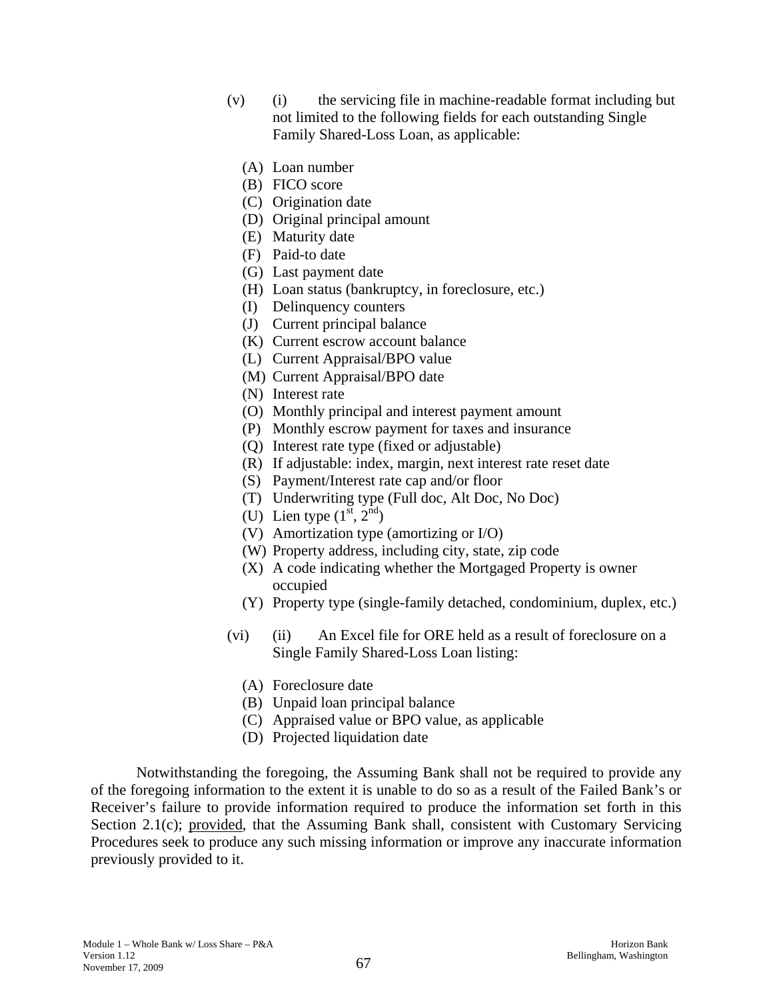- $(v)$  (i) the servicing file in machine-readable format including but not limited to the following fields for each outstanding Single Family Shared-Loss Loan, as applicable:
	- (A) Loan number
	- (B) FICO score
	- (C) Origination date
	- (D) Original principal amount
	- (E) Maturity date
	- (F) Paid-to date
	- (G) Last payment date
	- (H) Loan status (bankruptcy, in foreclosure, etc.)
	- (I) Delinquency counters
	- (J) Current principal balance
	- (K) Current escrow account balance
	- (L) Current Appraisal/BPO value
	- (M) Current Appraisal/BPO date
	- (N) Interest rate
	- (O) Monthly principal and interest payment amount
	- (P) Monthly escrow payment for taxes and insurance
	- (Q) Interest rate type (fixed or adjustable)
	- (R) If adjustable: index, margin, next interest rate reset date
	- (S) Payment/Interest rate cap and/or floor
	- (T) Underwriting type (Full doc, Alt Doc, No Doc)
	- (U) Lien type  $(1<sup>st</sup>, 2<sup>nd</sup>)$
	- (V) Amortization type (amortizing or I/O)
	- (W) Property address, including city, state, zip code
	- (X) A code indicating whether the Mortgaged Property is owner occupied
	- (Y) Property type (single-family detached, condominium, duplex, etc.)
- (vi) (ii) An Excel file for ORE held as a result of foreclosure on a Single Family Shared-Loss Loan listing:
	- (A) Foreclosure date
	- (B) Unpaid loan principal balance
	- (C) Appraised value or BPO value, as applicable
	- (D) Projected liquidation date

Notwithstanding the foregoing, the Assuming Bank shall not be required to provide any of the foregoing information to the extent it is unable to do so as a result of the Failed Bank's or Receiver's failure to provide information required to produce the information set forth in this Section 2.1(c); provided, that the Assuming Bank shall, consistent with Customary Servicing Procedures seek to produce any such missing information or improve any inaccurate information previously provided to it.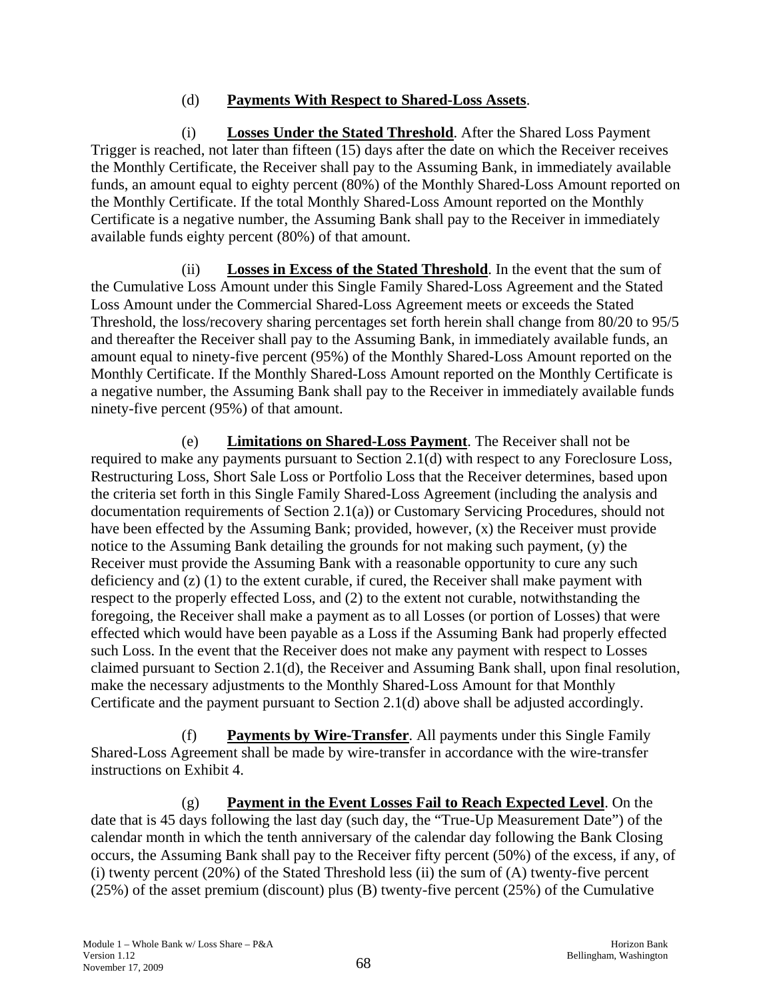# (d) **Payments With Respect to Shared-Loss Assets**.

(i) **Losses Under the Stated Threshold**. After the Shared Loss Payment Trigger is reached, not later than fifteen (15) days after the date on which the Receiver receives the Monthly Certificate, the Receiver shall pay to the Assuming Bank, in immediately available funds, an amount equal to eighty percent (80%) of the Monthly Shared-Loss Amount reported on the Monthly Certificate. If the total Monthly Shared-Loss Amount reported on the Monthly Certificate is a negative number, the Assuming Bank shall pay to the Receiver in immediately available funds eighty percent (80%) of that amount.

(ii) **Losses in Excess of the Stated Threshold**. In the event that the sum of the Cumulative Loss Amount under this Single Family Shared-Loss Agreement and the Stated Loss Amount under the Commercial Shared-Loss Agreement meets or exceeds the Stated Threshold, the loss/recovery sharing percentages set forth herein shall change from 80/20 to 95/5 and thereafter the Receiver shall pay to the Assuming Bank, in immediately available funds, an amount equal to ninety-five percent (95%) of the Monthly Shared-Loss Amount reported on the Monthly Certificate. If the Monthly Shared-Loss Amount reported on the Monthly Certificate is a negative number, the Assuming Bank shall pay to the Receiver in immediately available funds ninety-five percent (95%) of that amount.

(e) **Limitations on Shared-Loss Payment**. The Receiver shall not be required to make any payments pursuant to Section 2.1(d) with respect to any Foreclosure Loss, Restructuring Loss, Short Sale Loss or Portfolio Loss that the Receiver determines, based upon the criteria set forth in this Single Family Shared-Loss Agreement (including the analysis and documentation requirements of Section 2.1(a)) or Customary Servicing Procedures, should not have been effected by the Assuming Bank; provided, however, (x) the Receiver must provide notice to the Assuming Bank detailing the grounds for not making such payment, (y) the Receiver must provide the Assuming Bank with a reasonable opportunity to cure any such deficiency and (z) (1) to the extent curable, if cured, the Receiver shall make payment with respect to the properly effected Loss, and (2) to the extent not curable, notwithstanding the foregoing, the Receiver shall make a payment as to all Losses (or portion of Losses) that were effected which would have been payable as a Loss if the Assuming Bank had properly effected such Loss. In the event that the Receiver does not make any payment with respect to Losses claimed pursuant to Section 2.1(d), the Receiver and Assuming Bank shall, upon final resolution, make the necessary adjustments to the Monthly Shared-Loss Amount for that Monthly Certificate and the payment pursuant to Section 2.1(d) above shall be adjusted accordingly.

(f) **Payments by Wire-Transfer**. All payments under this Single Family Shared-Loss Agreement shall be made by wire-transfer in accordance with the wire-transfer instructions on Exhibit 4.

 (g) **Payment in the Event Losses Fail to Reach Expected Level**. On the date that is 45 days following the last day (such day, the "True-Up Measurement Date") of the calendar month in which the tenth anniversary of the calendar day following the Bank Closing occurs, the Assuming Bank shall pay to the Receiver fifty percent (50%) of the excess, if any, of  $(i)$  twenty percent (20%) of the Stated Threshold less  $(ii)$  the sum of  $(A)$  twenty-five percent (25%) of the asset premium (discount) plus (B) twenty-five percent (25%) of the Cumulative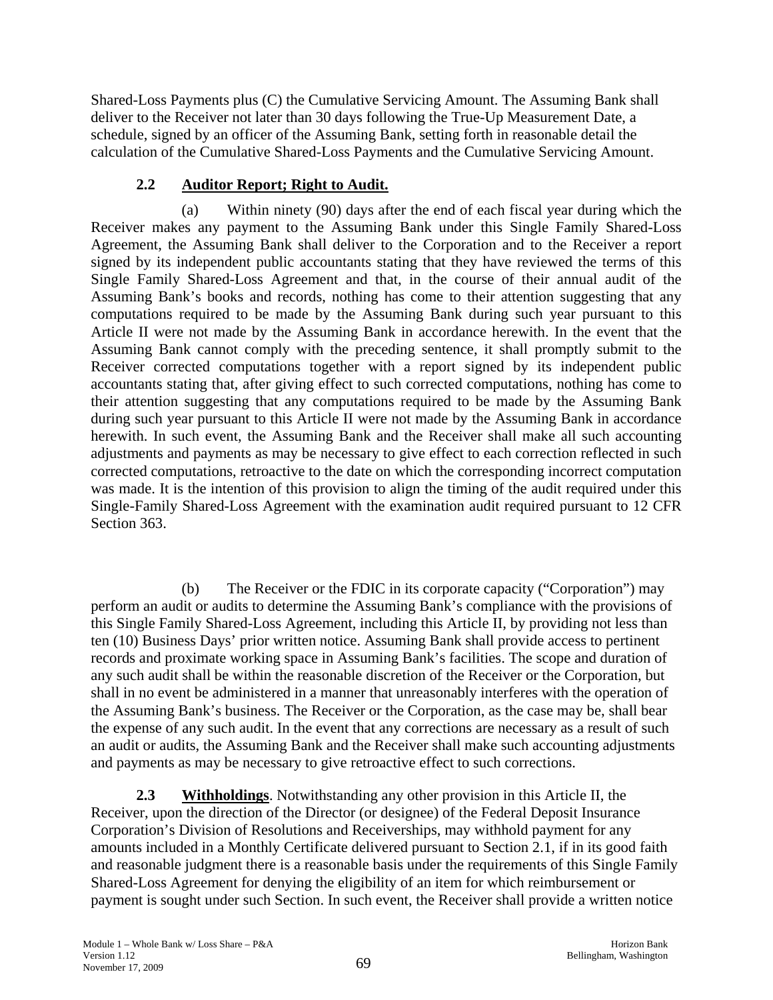Shared-Loss Payments plus (C) the Cumulative Servicing Amount. The Assuming Bank shall deliver to the Receiver not later than 30 days following the True-Up Measurement Date, a schedule, signed by an officer of the Assuming Bank, setting forth in reasonable detail the calculation of the Cumulative Shared-Loss Payments and the Cumulative Servicing Amount.

## **2.2 Auditor Report; Right to Audit.**

(a) Within ninety (90) days after the end of each fiscal year during which the Receiver makes any payment to the Assuming Bank under this Single Family Shared-Loss Agreement, the Assuming Bank shall deliver to the Corporation and to the Receiver a report signed by its independent public accountants stating that they have reviewed the terms of this Single Family Shared-Loss Agreement and that, in the course of their annual audit of the Assuming Bank's books and records, nothing has come to their attention suggesting that any computations required to be made by the Assuming Bank during such year pursuant to this Article II were not made by the Assuming Bank in accordance herewith. In the event that the Assuming Bank cannot comply with the preceding sentence, it shall promptly submit to the Receiver corrected computations together with a report signed by its independent public accountants stating that, after giving effect to such corrected computations, nothing has come to their attention suggesting that any computations required to be made by the Assuming Bank during such year pursuant to this Article II were not made by the Assuming Bank in accordance herewith. In such event, the Assuming Bank and the Receiver shall make all such accounting adjustments and payments as may be necessary to give effect to each correction reflected in such corrected computations, retroactive to the date on which the corresponding incorrect computation was made. It is the intention of this provision to align the timing of the audit required under this Single-Family Shared-Loss Agreement with the examination audit required pursuant to 12 CFR Section 363.

(b) The Receiver or the FDIC in its corporate capacity ("Corporation") may perform an audit or audits to determine the Assuming Bank's compliance with the provisions of this Single Family Shared-Loss Agreement, including this Article II, by providing not less than ten (10) Business Days' prior written notice. Assuming Bank shall provide access to pertinent records and proximate working space in Assuming Bank's facilities. The scope and duration of any such audit shall be within the reasonable discretion of the Receiver or the Corporation, but shall in no event be administered in a manner that unreasonably interferes with the operation of the Assuming Bank's business. The Receiver or the Corporation, as the case may be, shall bear the expense of any such audit. In the event that any corrections are necessary as a result of such an audit or audits, the Assuming Bank and the Receiver shall make such accounting adjustments and payments as may be necessary to give retroactive effect to such corrections.

**2.3 Withholdings**. Notwithstanding any other provision in this Article II, the Receiver, upon the direction of the Director (or designee) of the Federal Deposit Insurance Corporation's Division of Resolutions and Receiverships, may withhold payment for any amounts included in a Monthly Certificate delivered pursuant to Section 2.1, if in its good faith and reasonable judgment there is a reasonable basis under the requirements of this Single Family Shared-Loss Agreement for denying the eligibility of an item for which reimbursement or payment is sought under such Section. In such event, the Receiver shall provide a written notice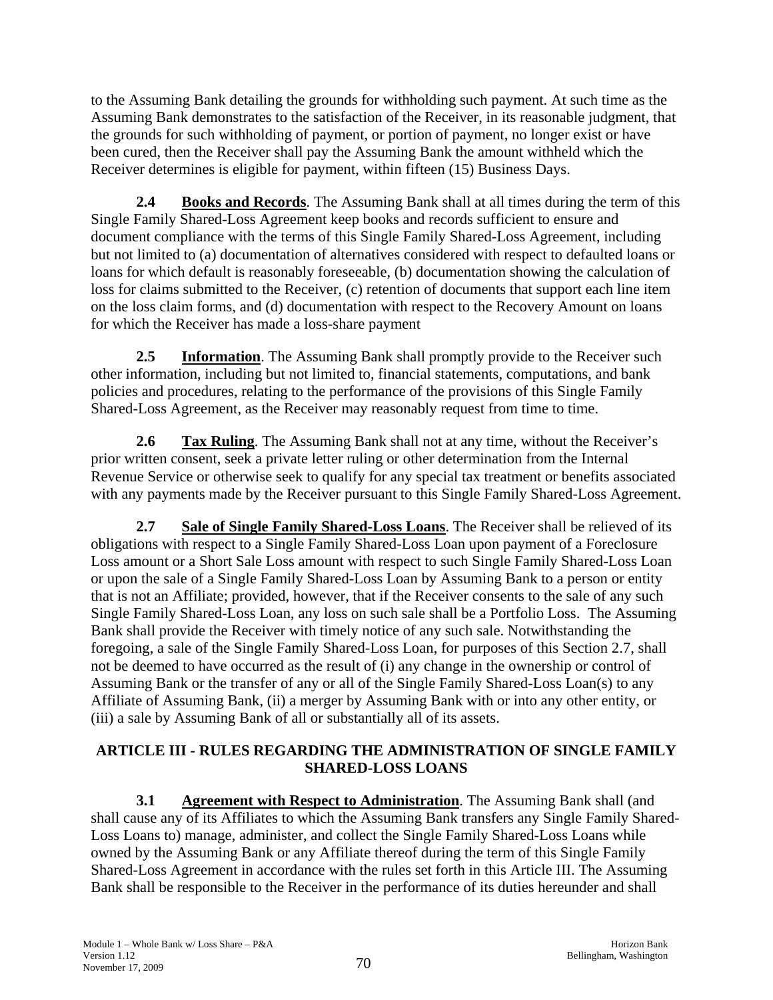to the Assuming Bank detailing the grounds for withholding such payment. At such time as the Assuming Bank demonstrates to the satisfaction of the Receiver, in its reasonable judgment, that the grounds for such withholding of payment, or portion of payment, no longer exist or have been cured, then the Receiver shall pay the Assuming Bank the amount withheld which the Receiver determines is eligible for payment, within fifteen (15) Business Days.

**2.4 Books and Records**. The Assuming Bank shall at all times during the term of this Single Family Shared-Loss Agreement keep books and records sufficient to ensure and document compliance with the terms of this Single Family Shared-Loss Agreement, including but not limited to (a) documentation of alternatives considered with respect to defaulted loans or loans for which default is reasonably foreseeable, (b) documentation showing the calculation of loss for claims submitted to the Receiver, (c) retention of documents that support each line item on the loss claim forms, and (d) documentation with respect to the Recovery Amount on loans for which the Receiver has made a loss-share payment

**2.5 Information**. The Assuming Bank shall promptly provide to the Receiver such other information, including but not limited to, financial statements, computations, and bank policies and procedures, relating to the performance of the provisions of this Single Family Shared-Loss Agreement, as the Receiver may reasonably request from time to time.

**2.6 Tax Ruling**. The Assuming Bank shall not at any time, without the Receiver's prior written consent, seek a private letter ruling or other determination from the Internal Revenue Service or otherwise seek to qualify for any special tax treatment or benefits associated with any payments made by the Receiver pursuant to this Single Family Shared-Loss Agreement.

**2.7 Sale of Single Family Shared-Loss Loans**. The Receiver shall be relieved of its obligations with respect to a Single Family Shared-Loss Loan upon payment of a Foreclosure Loss amount or a Short Sale Loss amount with respect to such Single Family Shared-Loss Loan or upon the sale of a Single Family Shared-Loss Loan by Assuming Bank to a person or entity that is not an Affiliate; provided, however, that if the Receiver consents to the sale of any such Single Family Shared-Loss Loan, any loss on such sale shall be a Portfolio Loss. The Assuming Bank shall provide the Receiver with timely notice of any such sale. Notwithstanding the foregoing, a sale of the Single Family Shared-Loss Loan, for purposes of this Section 2.7, shall not be deemed to have occurred as the result of (i) any change in the ownership or control of Assuming Bank or the transfer of any or all of the Single Family Shared-Loss Loan(s) to any Affiliate of Assuming Bank, (ii) a merger by Assuming Bank with or into any other entity, or (iii) a sale by Assuming Bank of all or substantially all of its assets.

## **ARTICLE III - RULES REGARDING THE ADMINISTRATION OF SINGLE FAMILY SHARED-LOSS LOANS**

**3.1 Agreement with Respect to Administration**. The Assuming Bank shall (and shall cause any of its Affiliates to which the Assuming Bank transfers any Single Family Shared-Loss Loans to) manage, administer, and collect the Single Family Shared-Loss Loans while owned by the Assuming Bank or any Affiliate thereof during the term of this Single Family Shared-Loss Agreement in accordance with the rules set forth in this Article III. The Assuming Bank shall be responsible to the Receiver in the performance of its duties hereunder and shall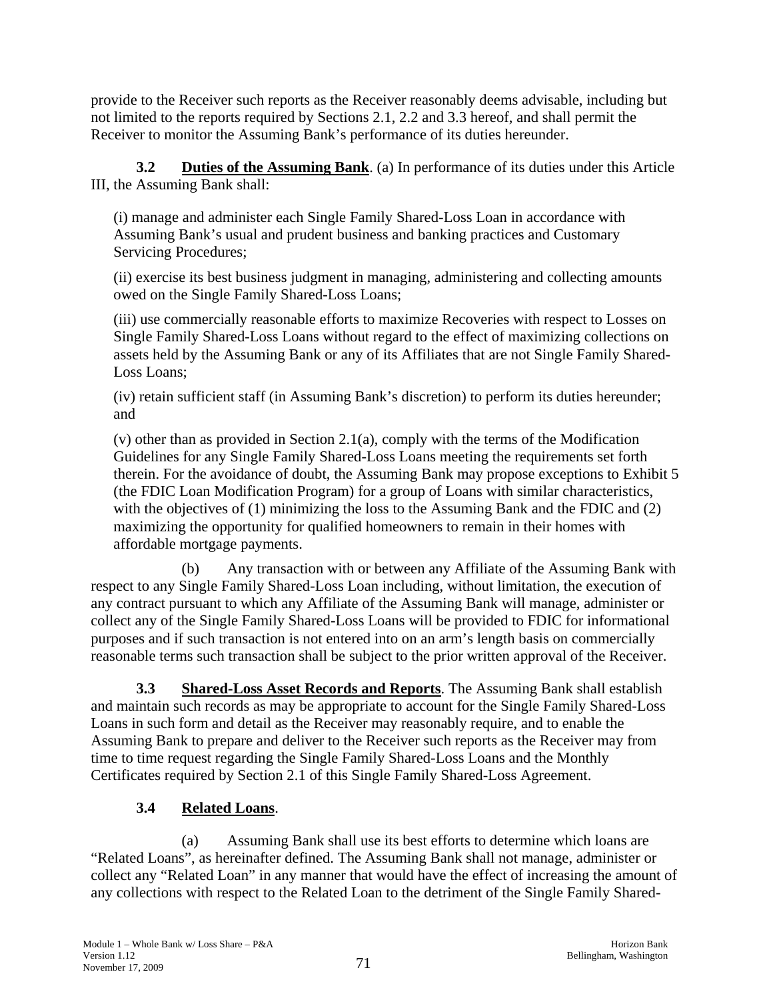provide to the Receiver such reports as the Receiver reasonably deems advisable, including but not limited to the reports required by Sections 2.1, 2.2 and 3.3 hereof, and shall permit the Receiver to monitor the Assuming Bank's performance of its duties hereunder.

**3.2 Duties of the Assuming Bank**. (a) In performance of its duties under this Article III, the Assuming Bank shall:

(i) manage and administer each Single Family Shared-Loss Loan in accordance with Assuming Bank's usual and prudent business and banking practices and Customary Servicing Procedures;

(ii) exercise its best business judgment in managing, administering and collecting amounts owed on the Single Family Shared-Loss Loans;

(iii) use commercially reasonable efforts to maximize Recoveries with respect to Losses on Single Family Shared-Loss Loans without regard to the effect of maximizing collections on assets held by the Assuming Bank or any of its Affiliates that are not Single Family Shared-Loss Loans;

(iv) retain sufficient staff (in Assuming Bank's discretion) to perform its duties hereunder; and

(v) other than as provided in Section 2.1(a), comply with the terms of the Modification Guidelines for any Single Family Shared-Loss Loans meeting the requirements set forth therein. For the avoidance of doubt, the Assuming Bank may propose exceptions to Exhibit 5 (the FDIC Loan Modification Program) for a group of Loans with similar characteristics, with the objectives of (1) minimizing the loss to the Assuming Bank and the FDIC and (2) maximizing the opportunity for qualified homeowners to remain in their homes with affordable mortgage payments.

(b) Any transaction with or between any Affiliate of the Assuming Bank with respect to any Single Family Shared-Loss Loan including, without limitation, the execution of any contract pursuant to which any Affiliate of the Assuming Bank will manage, administer or collect any of the Single Family Shared-Loss Loans will be provided to FDIC for informational purposes and if such transaction is not entered into on an arm's length basis on commercially reasonable terms such transaction shall be subject to the prior written approval of the Receiver.

**3.3 Shared-Loss Asset Records and Reports**. The Assuming Bank shall establish and maintain such records as may be appropriate to account for the Single Family Shared-Loss Loans in such form and detail as the Receiver may reasonably require, and to enable the Assuming Bank to prepare and deliver to the Receiver such reports as the Receiver may from time to time request regarding the Single Family Shared-Loss Loans and the Monthly Certificates required by Section 2.1 of this Single Family Shared-Loss Agreement.

# **3.4 Related Loans**.

(a) Assuming Bank shall use its best efforts to determine which loans are "Related Loans", as hereinafter defined. The Assuming Bank shall not manage, administer or collect any "Related Loan" in any manner that would have the effect of increasing the amount of any collections with respect to the Related Loan to the detriment of the Single Family Shared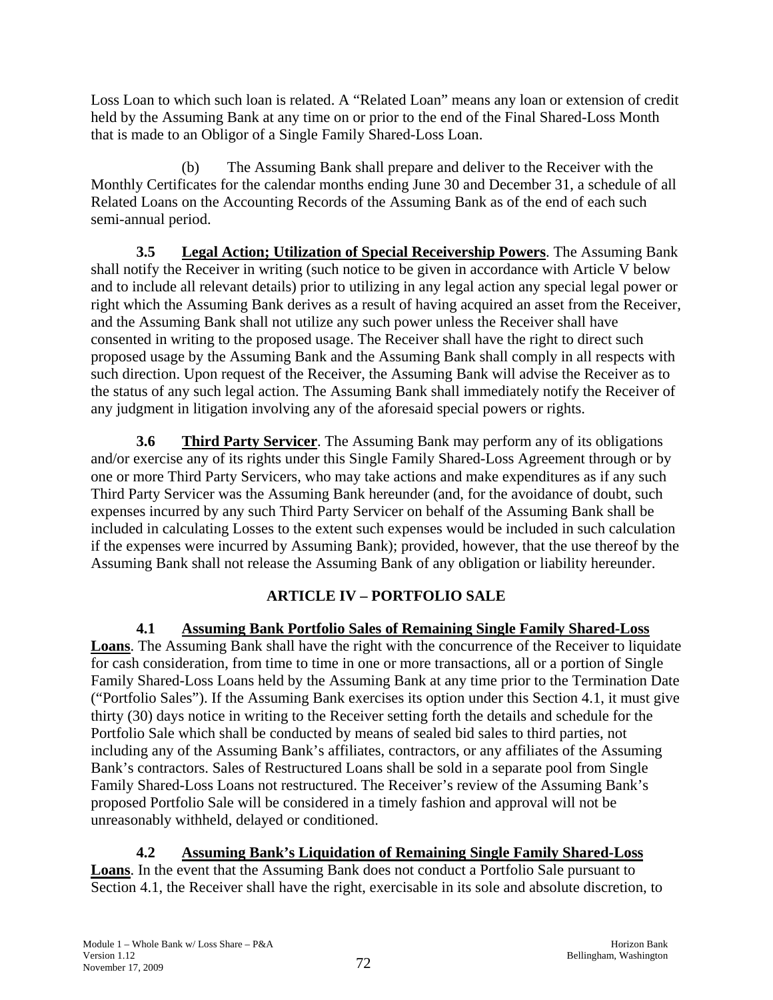Loss Loan to which such loan is related. A "Related Loan" means any loan or extension of credit held by the Assuming Bank at any time on or prior to the end of the Final Shared-Loss Month that is made to an Obligor of a Single Family Shared-Loss Loan.

(b) The Assuming Bank shall prepare and deliver to the Receiver with the Monthly Certificates for the calendar months ending June 30 and December 31, a schedule of all Related Loans on the Accounting Records of the Assuming Bank as of the end of each such semi-annual period.

**3.5 Legal Action; Utilization of Special Receivership Powers**. The Assuming Bank shall notify the Receiver in writing (such notice to be given in accordance with Article V below and to include all relevant details) prior to utilizing in any legal action any special legal power or right which the Assuming Bank derives as a result of having acquired an asset from the Receiver, and the Assuming Bank shall not utilize any such power unless the Receiver shall have consented in writing to the proposed usage. The Receiver shall have the right to direct such proposed usage by the Assuming Bank and the Assuming Bank shall comply in all respects with such direction. Upon request of the Receiver, the Assuming Bank will advise the Receiver as to the status of any such legal action. The Assuming Bank shall immediately notify the Receiver of any judgment in litigation involving any of the aforesaid special powers or rights.

**3.6 Third Party Servicer**. The Assuming Bank may perform any of its obligations and/or exercise any of its rights under this Single Family Shared-Loss Agreement through or by one or more Third Party Servicers, who may take actions and make expenditures as if any such Third Party Servicer was the Assuming Bank hereunder (and, for the avoidance of doubt, such expenses incurred by any such Third Party Servicer on behalf of the Assuming Bank shall be included in calculating Losses to the extent such expenses would be included in such calculation if the expenses were incurred by Assuming Bank); provided, however, that the use thereof by the Assuming Bank shall not release the Assuming Bank of any obligation or liability hereunder.

# **ARTICLE IV – PORTFOLIO SALE**

**4.1 Assuming Bank Portfolio Sales of Remaining Single Family Shared-Loss Loans**. The Assuming Bank shall have the right with the concurrence of the Receiver to liquidate for cash consideration, from time to time in one or more transactions, all or a portion of Single Family Shared-Loss Loans held by the Assuming Bank at any time prior to the Termination Date ("Portfolio Sales"). If the Assuming Bank exercises its option under this Section 4.1, it must give thirty (30) days notice in writing to the Receiver setting forth the details and schedule for the Portfolio Sale which shall be conducted by means of sealed bid sales to third parties, not including any of the Assuming Bank's affiliates, contractors, or any affiliates of the Assuming Bank's contractors. Sales of Restructured Loans shall be sold in a separate pool from Single Family Shared-Loss Loans not restructured. The Receiver's review of the Assuming Bank's proposed Portfolio Sale will be considered in a timely fashion and approval will not be unreasonably withheld, delayed or conditioned.

# **4.2 Assuming Bank's Liquidation of Remaining Single Family Shared-Loss**

**Loans**. In the event that the Assuming Bank does not conduct a Portfolio Sale pursuant to Section 4.1, the Receiver shall have the right, exercisable in its sole and absolute discretion, to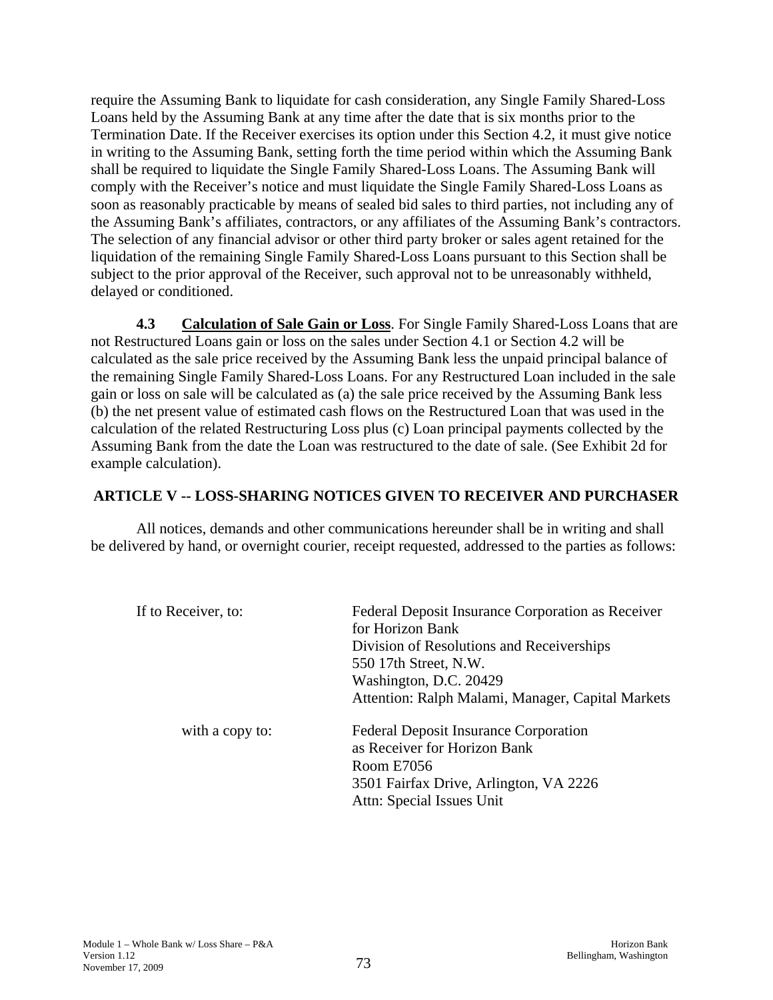require the Assuming Bank to liquidate for cash consideration, any Single Family Shared-Loss Loans held by the Assuming Bank at any time after the date that is six months prior to the Termination Date. If the Receiver exercises its option under this Section 4.2, it must give notice in writing to the Assuming Bank, setting forth the time period within which the Assuming Bank shall be required to liquidate the Single Family Shared-Loss Loans. The Assuming Bank will comply with the Receiver's notice and must liquidate the Single Family Shared-Loss Loans as soon as reasonably practicable by means of sealed bid sales to third parties, not including any of the Assuming Bank's affiliates, contractors, or any affiliates of the Assuming Bank's contractors. The selection of any financial advisor or other third party broker or sales agent retained for the liquidation of the remaining Single Family Shared-Loss Loans pursuant to this Section shall be subject to the prior approval of the Receiver, such approval not to be unreasonably withheld, delayed or conditioned.

**4.3 Calculation of Sale Gain or Loss**. For Single Family Shared-Loss Loans that are not Restructured Loans gain or loss on the sales under Section 4.1 or Section 4.2 will be calculated as the sale price received by the Assuming Bank less the unpaid principal balance of the remaining Single Family Shared-Loss Loans. For any Restructured Loan included in the sale gain or loss on sale will be calculated as (a) the sale price received by the Assuming Bank less (b) the net present value of estimated cash flows on the Restructured Loan that was used in the calculation of the related Restructuring Loss plus (c) Loan principal payments collected by the Assuming Bank from the date the Loan was restructured to the date of sale. (See Exhibit 2d for example calculation).

### **ARTICLE V -- LOSS-SHARING NOTICES GIVEN TO RECEIVER AND PURCHASER**

All notices, demands and other communications hereunder shall be in writing and shall be delivered by hand, or overnight courier, receipt requested, addressed to the parties as follows:

| If to Receiver, to: | Federal Deposit Insurance Corporation as Receiver<br>for Horizon Bank |  |  |  |
|---------------------|-----------------------------------------------------------------------|--|--|--|
|                     | Division of Resolutions and Receiverships                             |  |  |  |
|                     | 550 17th Street, N.W.                                                 |  |  |  |
|                     | Washington, D.C. 20429                                                |  |  |  |
|                     | Attention: Ralph Malami, Manager, Capital Markets                     |  |  |  |
| with a copy to:     | <b>Federal Deposit Insurance Corporation</b>                          |  |  |  |
|                     | as Receiver for Horizon Bank                                          |  |  |  |
|                     | Room E7056                                                            |  |  |  |
|                     | 3501 Fairfax Drive, Arlington, VA 2226                                |  |  |  |
|                     | Attn: Special Issues Unit                                             |  |  |  |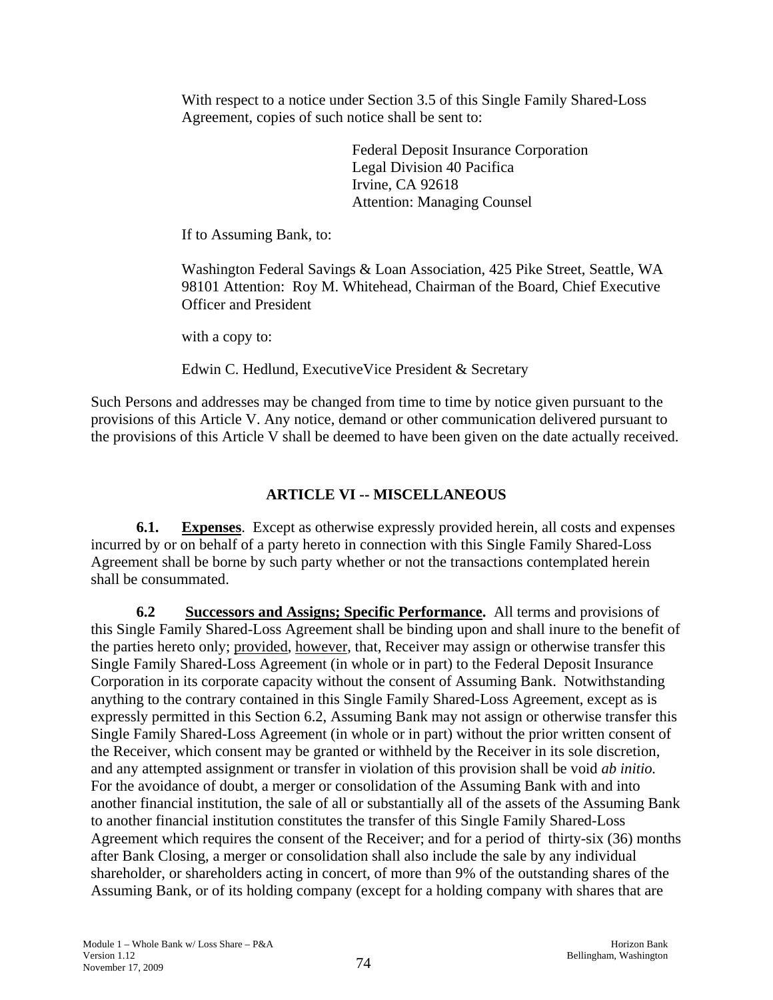With respect to a notice under Section 3.5 of this Single Family Shared-Loss Agreement, copies of such notice shall be sent to:

> Federal Deposit Insurance Corporation Legal Division 40 Pacifica Irvine, CA 92618 Attention: Managing Counsel

If to Assuming Bank, to:

Washington Federal Savings & Loan Association, 425 Pike Street, Seattle, WA 98101 Attention: Roy M. Whitehead, Chairman of the Board, Chief Executive Officer and President

with a copy to:

Edwin C. Hedlund, ExecutiveVice President & Secretary

Such Persons and addresses may be changed from time to time by notice given pursuant to the provisions of this Article V. Any notice, demand or other communication delivered pursuant to the provisions of this Article V shall be deemed to have been given on the date actually received.

## **ARTICLE VI -- MISCELLANEOUS**

**6.1. Expenses**. Except as otherwise expressly provided herein, all costs and expenses incurred by or on behalf of a party hereto in connection with this Single Family Shared-Loss Agreement shall be borne by such party whether or not the transactions contemplated herein shall be consummated.

**6.2 Successors and Assigns; Specific Performance.** All terms and provisions of this Single Family Shared-Loss Agreement shall be binding upon and shall inure to the benefit of the parties hereto only; provided, however, that, Receiver may assign or otherwise transfer this Single Family Shared-Loss Agreement (in whole or in part) to the Federal Deposit Insurance Corporation in its corporate capacity without the consent of Assuming Bank. Notwithstanding anything to the contrary contained in this Single Family Shared-Loss Agreement, except as is expressly permitted in this Section 6.2, Assuming Bank may not assign or otherwise transfer this Single Family Shared-Loss Agreement (in whole or in part) without the prior written consent of the Receiver, which consent may be granted or withheld by the Receiver in its sole discretion, and any attempted assignment or transfer in violation of this provision shall be void *ab initio.*  For the avoidance of doubt, a merger or consolidation of the Assuming Bank with and into another financial institution, the sale of all or substantially all of the assets of the Assuming Bank to another financial institution constitutes the transfer of this Single Family Shared-Loss Agreement which requires the consent of the Receiver; and for a period of thirty-six (36) months after Bank Closing, a merger or consolidation shall also include the sale by any individual shareholder, or shareholders acting in concert, of more than 9% of the outstanding shares of the Assuming Bank, or of its holding company (except for a holding company with shares that are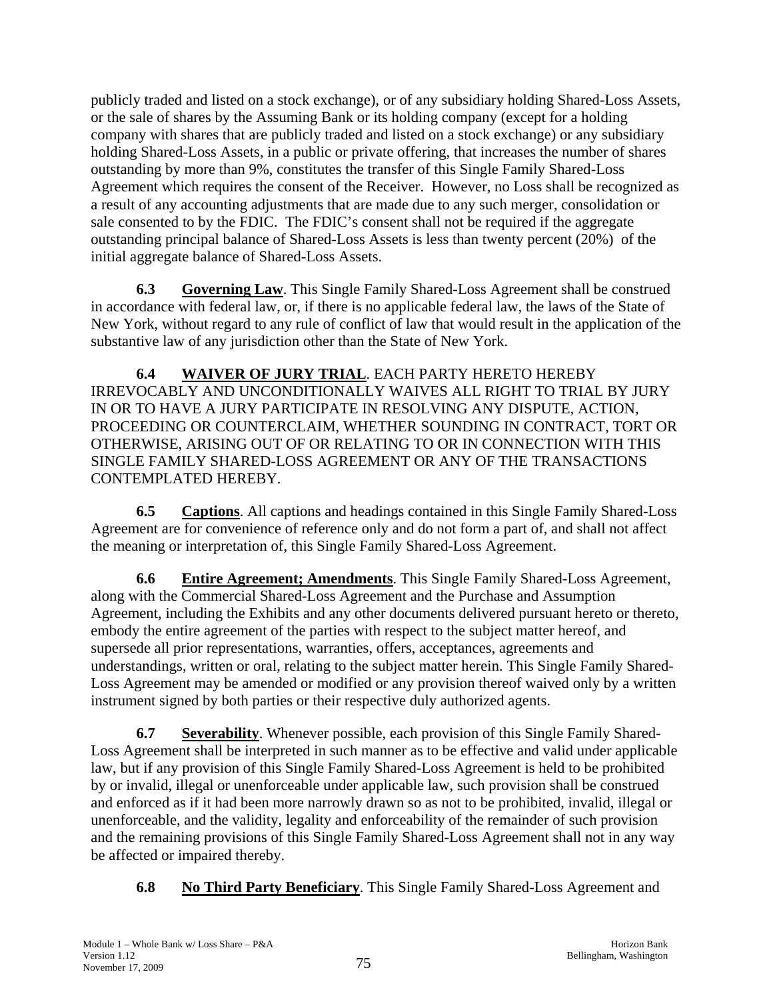publicly traded and listed on a stock exchange), or of any subsidiary holding Shared-Loss Assets, or the sale of shares by the Assuming Bank or its holding company (except for a holding company with shares that are publicly traded and listed on a stock exchange) or any subsidiary holding Shared-Loss Assets, in a public or private offering, that increases the number of shares outstanding by more than 9%, constitutes the transfer of this Single Family Shared-Loss Agreement which requires the consent of the Receiver. However, no Loss shall be recognized as a result of any accounting adjustments that are made due to any such merger, consolidation or sale consented to by the FDIC. The FDIC's consent shall not be required if the aggregate outstanding principal balance of Shared-Loss Assets is less than twenty percent (20%) of the initial aggregate balance of Shared-Loss Assets.

**6.3 Governing Law**. This Single Family Shared-Loss Agreement shall be construed in accordance with federal law, or, if there is no applicable federal law, the laws of the State of New York, without regard to any rule of conflict of law that would result in the application of the substantive law of any jurisdiction other than the State of New York.

**6.4 WAIVER OF JURY TRIAL**. EACH PARTY HERETO HEREBY IRREVOCABLY AND UNCONDITIONALLY WAIVES ALL RIGHT TO TRIAL BY JURY IN OR TO HAVE A JURY PARTICIPATE IN RESOLVING ANY DISPUTE, ACTION, PROCEEDING OR COUNTERCLAIM, WHETHER SOUNDING IN CONTRACT, TORT OR OTHERWISE, ARISING OUT OF OR RELATING TO OR IN CONNECTION WITH THIS SINGLE FAMILY SHARED-LOSS AGREEMENT OR ANY OF THE TRANSACTIONS CONTEMPLATED HEREBY.

**6.5 Captions**. All captions and headings contained in this Single Family Shared-Loss Agreement are for convenience of reference only and do not form a part of, and shall not affect the meaning or interpretation of, this Single Family Shared-Loss Agreement.

**6.6 Entire Agreement; Amendments**. This Single Family Shared-Loss Agreement, along with the Commercial Shared-Loss Agreement and the Purchase and Assumption Agreement, including the Exhibits and any other documents delivered pursuant hereto or thereto, embody the entire agreement of the parties with respect to the subject matter hereof, and supersede all prior representations, warranties, offers, acceptances, agreements and understandings, written or oral, relating to the subject matter herein. This Single Family Shared-Loss Agreement may be amended or modified or any provision thereof waived only by a written instrument signed by both parties or their respective duly authorized agents.

**6.7 Severability**. Whenever possible, each provision of this Single Family Shared-Loss Agreement shall be interpreted in such manner as to be effective and valid under applicable law, but if any provision of this Single Family Shared-Loss Agreement is held to be prohibited by or invalid, illegal or unenforceable under applicable law, such provision shall be construed and enforced as if it had been more narrowly drawn so as not to be prohibited, invalid, illegal or unenforceable, and the validity, legality and enforceability of the remainder of such provision and the remaining provisions of this Single Family Shared-Loss Agreement shall not in any way be affected or impaired thereby.

**6.8 No Third Party Beneficiary.** This Single Family Shared-Loss Agreement and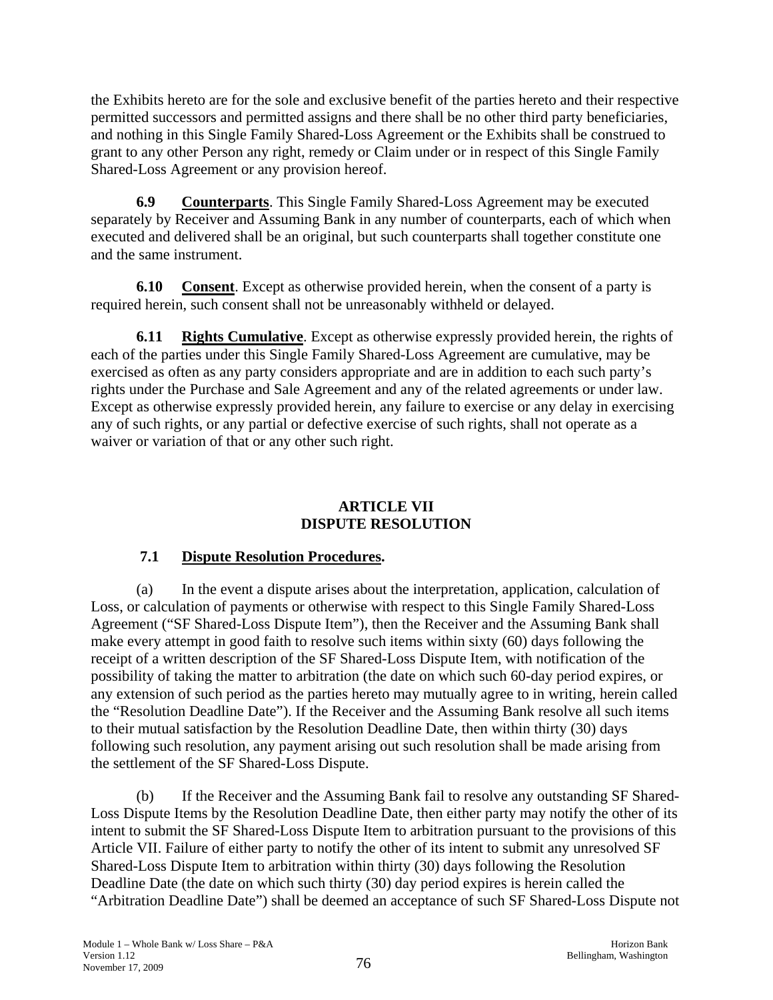the Exhibits hereto are for the sole and exclusive benefit of the parties hereto and their respective permitted successors and permitted assigns and there shall be no other third party beneficiaries, and nothing in this Single Family Shared-Loss Agreement or the Exhibits shall be construed to grant to any other Person any right, remedy or Claim under or in respect of this Single Family Shared-Loss Agreement or any provision hereof.

**6.9 Counterparts**. This Single Family Shared-Loss Agreement may be executed separately by Receiver and Assuming Bank in any number of counterparts, each of which when executed and delivered shall be an original, but such counterparts shall together constitute one and the same instrument.

**6.10 Consent**. Except as otherwise provided herein, when the consent of a party is required herein, such consent shall not be unreasonably withheld or delayed.

**6.11 Rights Cumulative.** Except as otherwise expressly provided herein, the rights of each of the parties under this Single Family Shared-Loss Agreement are cumulative, may be exercised as often as any party considers appropriate and are in addition to each such party's rights under the Purchase and Sale Agreement and any of the related agreements or under law. Except as otherwise expressly provided herein, any failure to exercise or any delay in exercising any of such rights, or any partial or defective exercise of such rights, shall not operate as a waiver or variation of that or any other such right.

## **ARTICLE VII DISPUTE RESOLUTION**

# **7.1 Dispute Resolution Procedures.**

(a) In the event a dispute arises about the interpretation, application, calculation of Loss, or calculation of payments or otherwise with respect to this Single Family Shared-Loss Agreement ("SF Shared-Loss Dispute Item"), then the Receiver and the Assuming Bank shall make every attempt in good faith to resolve such items within sixty (60) days following the receipt of a written description of the SF Shared-Loss Dispute Item, with notification of the possibility of taking the matter to arbitration (the date on which such 60-day period expires, or any extension of such period as the parties hereto may mutually agree to in writing, herein called the "Resolution Deadline Date"). If the Receiver and the Assuming Bank resolve all such items to their mutual satisfaction by the Resolution Deadline Date, then within thirty (30) days following such resolution, any payment arising out such resolution shall be made arising from the settlement of the SF Shared-Loss Dispute.

(b) If the Receiver and the Assuming Bank fail to resolve any outstanding SF Shared-Loss Dispute Items by the Resolution Deadline Date, then either party may notify the other of its intent to submit the SF Shared-Loss Dispute Item to arbitration pursuant to the provisions of this Article VII. Failure of either party to notify the other of its intent to submit any unresolved SF Shared-Loss Dispute Item to arbitration within thirty (30) days following the Resolution Deadline Date (the date on which such thirty (30) day period expires is herein called the "Arbitration Deadline Date") shall be deemed an acceptance of such SF Shared-Loss Dispute not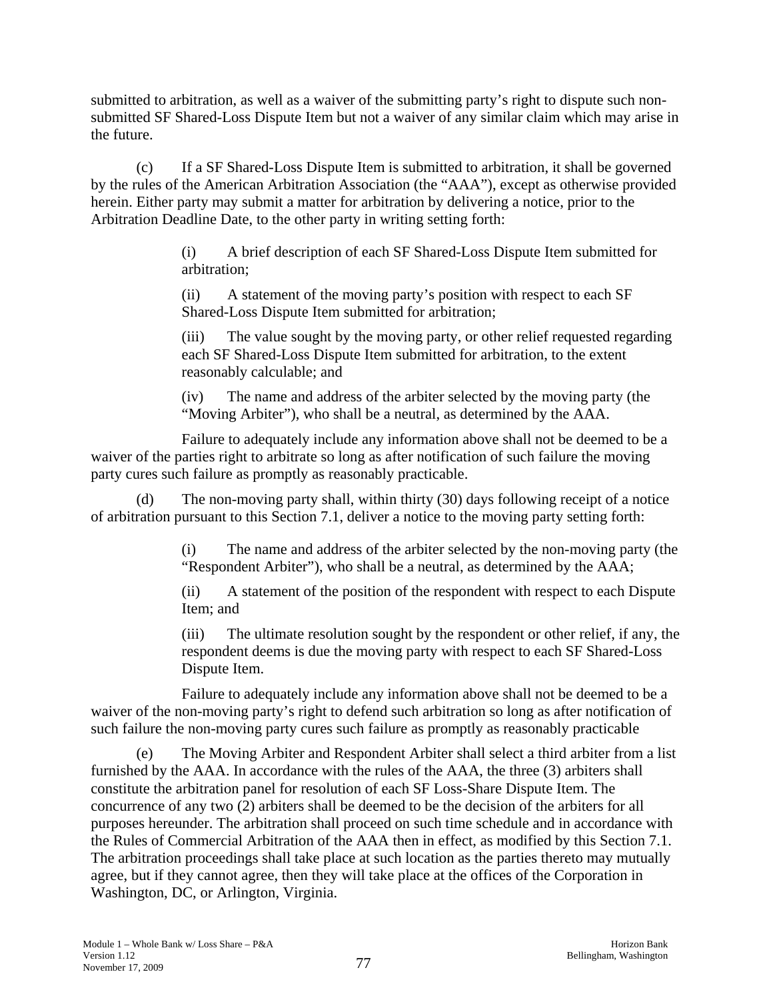submitted to arbitration, as well as a waiver of the submitting party's right to dispute such nonsubmitted SF Shared-Loss Dispute Item but not a waiver of any similar claim which may arise in the future.

(c) If a SF Shared-Loss Dispute Item is submitted to arbitration, it shall be governed by the rules of the American Arbitration Association (the "AAA"), except as otherwise provided herein. Either party may submit a matter for arbitration by delivering a notice, prior to the Arbitration Deadline Date, to the other party in writing setting forth:

> (i) A brief description of each SF Shared-Loss Dispute Item submitted for arbitration;

(ii) A statement of the moving party's position with respect to each SF Shared-Loss Dispute Item submitted for arbitration;

(iii) The value sought by the moving party, or other relief requested regarding each SF Shared-Loss Dispute Item submitted for arbitration, to the extent reasonably calculable; and

(iv) The name and address of the arbiter selected by the moving party (the "Moving Arbiter"), who shall be a neutral, as determined by the AAA.

Failure to adequately include any information above shall not be deemed to be a waiver of the parties right to arbitrate so long as after notification of such failure the moving party cures such failure as promptly as reasonably practicable.

(d) The non-moving party shall, within thirty (30) days following receipt of a notice of arbitration pursuant to this Section 7.1, deliver a notice to the moving party setting forth:

> (i) The name and address of the arbiter selected by the non-moving party (the "Respondent Arbiter"), who shall be a neutral, as determined by the AAA;

> (ii) A statement of the position of the respondent with respect to each Dispute Item; and

> (iii) The ultimate resolution sought by the respondent or other relief, if any, the respondent deems is due the moving party with respect to each SF Shared-Loss Dispute Item.

Failure to adequately include any information above shall not be deemed to be a waiver of the non-moving party's right to defend such arbitration so long as after notification of such failure the non-moving party cures such failure as promptly as reasonably practicable

(e) The Moving Arbiter and Respondent Arbiter shall select a third arbiter from a list furnished by the AAA. In accordance with the rules of the AAA, the three (3) arbiters shall constitute the arbitration panel for resolution of each SF Loss-Share Dispute Item. The concurrence of any two (2) arbiters shall be deemed to be the decision of the arbiters for all purposes hereunder. The arbitration shall proceed on such time schedule and in accordance with the Rules of Commercial Arbitration of the AAA then in effect, as modified by this Section 7.1. The arbitration proceedings shall take place at such location as the parties thereto may mutually agree, but if they cannot agree, then they will take place at the offices of the Corporation in Washington, DC, or Arlington, Virginia.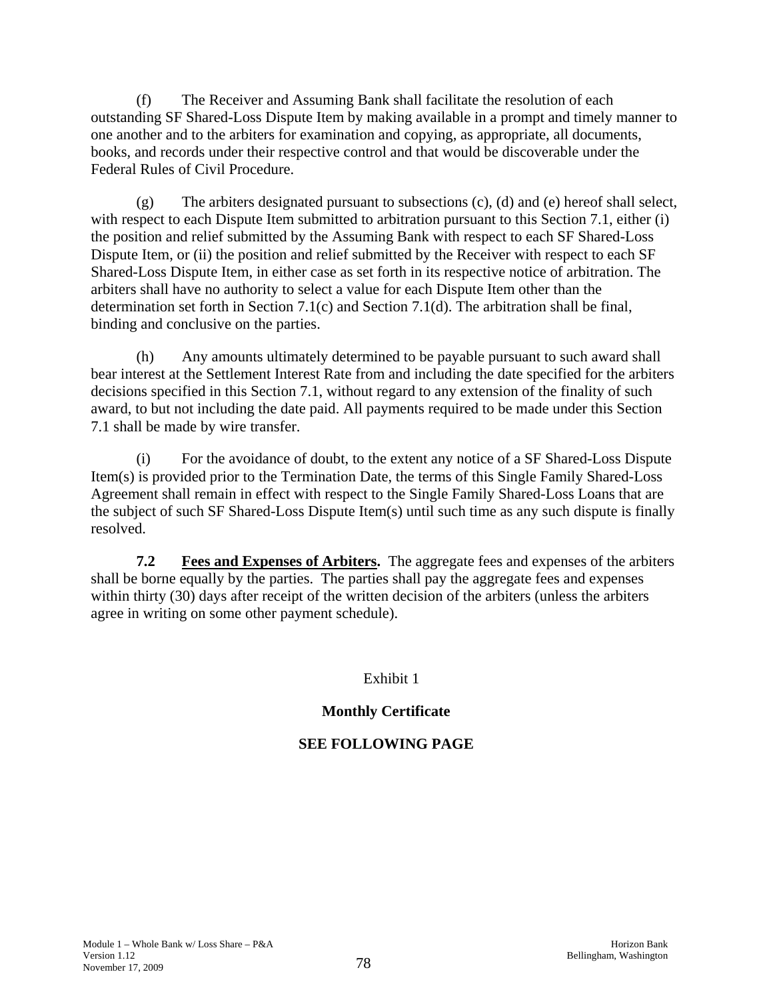(f) The Receiver and Assuming Bank shall facilitate the resolution of each outstanding SF Shared-Loss Dispute Item by making available in a prompt and timely manner to one another and to the arbiters for examination and copying, as appropriate, all documents, books, and records under their respective control and that would be discoverable under the Federal Rules of Civil Procedure.

 $(g)$  The arbiters designated pursuant to subsections  $(c)$ ,  $(d)$  and  $(e)$  hereof shall select, with respect to each Dispute Item submitted to arbitration pursuant to this Section 7.1, either (i) the position and relief submitted by the Assuming Bank with respect to each SF Shared-Loss Dispute Item, or (ii) the position and relief submitted by the Receiver with respect to each SF Shared-Loss Dispute Item, in either case as set forth in its respective notice of arbitration. The arbiters shall have no authority to select a value for each Dispute Item other than the determination set forth in Section 7.1(c) and Section 7.1(d). The arbitration shall be final, binding and conclusive on the parties.

(h) Any amounts ultimately determined to be payable pursuant to such award shall bear interest at the Settlement Interest Rate from and including the date specified for the arbiters decisions specified in this Section 7.1, without regard to any extension of the finality of such award, to but not including the date paid. All payments required to be made under this Section 7.1 shall be made by wire transfer.

(i) For the avoidance of doubt, to the extent any notice of a SF Shared-Loss Dispute Item(s) is provided prior to the Termination Date, the terms of this Single Family Shared-Loss Agreement shall remain in effect with respect to the Single Family Shared-Loss Loans that are the subject of such SF Shared-Loss Dispute Item(s) until such time as any such dispute is finally resolved.

**7.2 Fees and Expenses of Arbiters.** The aggregate fees and expenses of the arbiters shall be borne equally by the parties. The parties shall pay the aggregate fees and expenses within thirty (30) days after receipt of the written decision of the arbiters (unless the arbiters agree in writing on some other payment schedule).

## Exhibit 1

## **Monthly Certificate**

## **SEE FOLLOWING PAGE**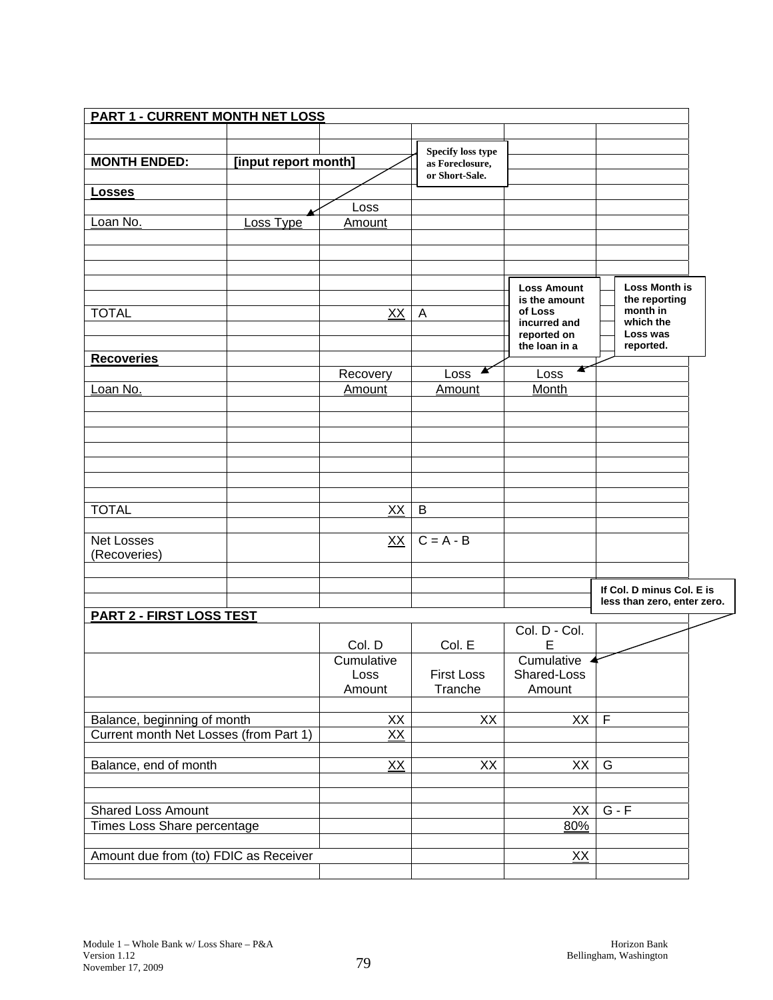| <b>PART 1 - CURRENT MONTH NET LOSS</b> |                      |                 |                                   |                         |                             |
|----------------------------------------|----------------------|-----------------|-----------------------------------|-------------------------|-----------------------------|
|                                        |                      |                 |                                   |                         |                             |
|                                        |                      |                 | <b>Specify loss type</b>          |                         |                             |
| <b>MONTH ENDED:</b>                    | [input report month] |                 | as Foreclosure,<br>or Short-Sale. |                         |                             |
| <b>Losses</b>                          |                      |                 |                                   |                         |                             |
|                                        |                      | Loss            |                                   |                         |                             |
| Loan No.                               | Loss Type            | Amount          |                                   |                         |                             |
|                                        |                      |                 |                                   |                         |                             |
|                                        |                      |                 |                                   |                         |                             |
|                                        |                      |                 |                                   |                         |                             |
|                                        |                      |                 |                                   | <b>Loss Amount</b>      | <b>Loss Month is</b>        |
|                                        |                      |                 |                                   | is the amount           | the reporting               |
| <b>TOTAL</b>                           |                      | XX              | $\overline{A}$                    | of Loss<br>incurred and | month in<br>which the       |
|                                        |                      |                 |                                   | reported on             | Loss was                    |
|                                        |                      |                 |                                   | the loan in a           | reported.                   |
| <b>Recoveries</b>                      |                      |                 |                                   | Ŧ                       |                             |
|                                        |                      | Recovery        | $Loss \nightharpoonup$            | Loss                    |                             |
| Loan No.                               |                      | Amount          | Amount                            | Month                   |                             |
|                                        |                      |                 |                                   |                         |                             |
|                                        |                      |                 |                                   |                         |                             |
|                                        |                      |                 |                                   |                         |                             |
|                                        |                      |                 |                                   |                         |                             |
|                                        |                      |                 |                                   |                         |                             |
|                                        |                      |                 |                                   |                         |                             |
| <b>TOTAL</b>                           |                      | XX              | B                                 |                         |                             |
|                                        |                      |                 |                                   |                         |                             |
| <b>Net Losses</b>                      |                      | XX              | $C = A - B$                       |                         |                             |
| (Recoveries)                           |                      |                 |                                   |                         |                             |
|                                        |                      |                 |                                   |                         |                             |
|                                        |                      |                 |                                   |                         | If Col. D minus Col. E is   |
|                                        |                      |                 |                                   |                         | less than zero, enter zero. |
| <b>PART 2 - FIRST LOSS TEST</b>        |                      |                 |                                   |                         |                             |
|                                        |                      |                 |                                   | Col. D - Col.           |                             |
|                                        |                      | Col. D          | Col. E                            | F                       |                             |
|                                        |                      | Cumulative      |                                   | Cumulative              |                             |
|                                        |                      | Loss            | <b>First Loss</b>                 | Shared-Loss             |                             |
|                                        |                      | Amount          | Tranche                           | Amount                  |                             |
| Balance, beginning of month            |                      | XX              | XX                                | XX                      | $\mathsf{F}$                |
| Current month Net Losses (from Part 1) |                      | $\overline{XX}$ |                                   |                         |                             |
|                                        |                      |                 |                                   |                         |                             |
| Balance, end of month                  |                      | XX              | XX                                | XX                      | G                           |
|                                        |                      |                 |                                   |                         |                             |
|                                        |                      |                 |                                   |                         |                             |
| <b>Shared Loss Amount</b>              |                      |                 |                                   | XX                      | $G - F$                     |
| Times Loss Share percentage            |                      |                 |                                   | 80%                     |                             |
|                                        |                      |                 |                                   |                         |                             |
| Amount due from (to) FDIC as Receiver  |                      |                 |                                   | <u>XX</u>               |                             |
|                                        |                      |                 |                                   |                         |                             |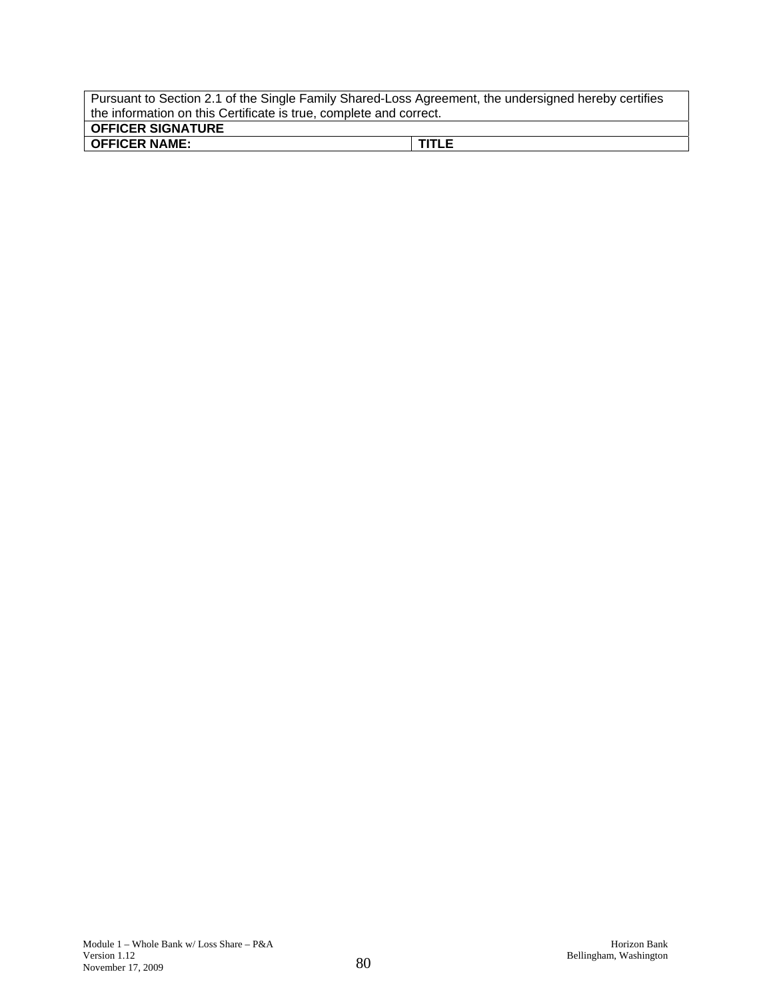| Pursuant to Section 2.1 of the Single Family Shared-Loss Agreement, the undersigned hereby certifies |  |  |  |
|------------------------------------------------------------------------------------------------------|--|--|--|
| the information on this Certificate is true, complete and correct.                                   |  |  |  |
| <b>OFFICER SIGNATURE</b>                                                                             |  |  |  |
| <b>TITLE</b><br><b>OFFICER NAME:</b>                                                                 |  |  |  |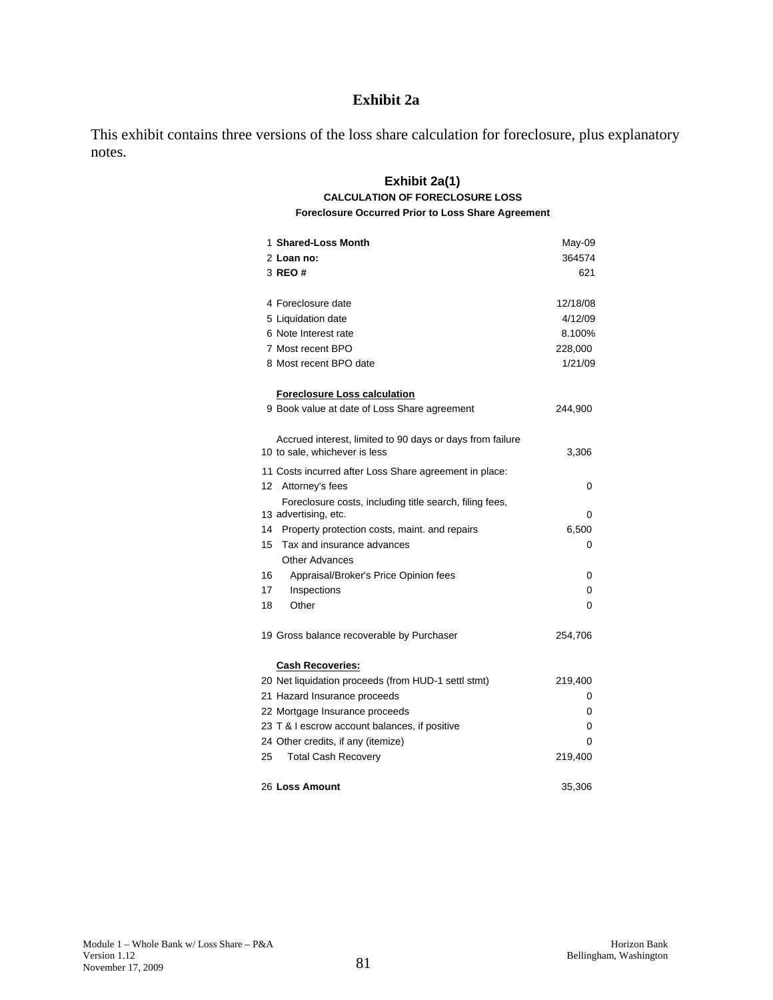### **Exhibit 2a**

This exhibit contains three versions of the loss share calculation for foreclosure, plus explanatory notes.

#### **Exhibit 2a(1) CALCULATION OF FORECLOSURE LOSS Foreclosure Occurred Prior to Loss Share Agreement**

|    | 1 Shared-Loss Month<br>2 Loan no:<br>3 REO #                                               | May-09<br>364574<br>621 |
|----|--------------------------------------------------------------------------------------------|-------------------------|
|    | 4 Foreclosure date                                                                         | 12/18/08                |
|    | 5 Liquidation date                                                                         | 4/12/09                 |
|    | 6 Note Interest rate                                                                       | 8.100%                  |
|    | 7 Most recent BPO                                                                          | 228,000                 |
|    | 8 Most recent BPO date                                                                     | 1/21/09                 |
|    | <b>Foreclosure Loss calculation</b>                                                        |                         |
|    | 9 Book value at date of Loss Share agreement                                               | 244,900                 |
|    | Accrued interest, limited to 90 days or days from failure<br>10 to sale, whichever is less | 3,306                   |
|    | 11 Costs incurred after Loss Share agreement in place:                                     |                         |
| 12 | Attorney's fees                                                                            | 0                       |
|    | Foreclosure costs, including title search, filing fees,                                    |                         |
|    | 13 advertising, etc.                                                                       | 0                       |
| 14 | Property protection costs, maint. and repairs                                              | 6,500                   |
| 15 | Tax and insurance advances                                                                 | 0                       |
|    | Other Advances                                                                             |                         |
| 16 | Appraisal/Broker's Price Opinion fees                                                      | 0                       |
| 17 | Inspections                                                                                | 0                       |
| 18 | Other                                                                                      | 0                       |
|    | 19 Gross balance recoverable by Purchaser                                                  | 254,706                 |
|    | <b>Cash Recoveries:</b>                                                                    |                         |
|    | 20 Net liquidation proceeds (from HUD-1 settl stmt)                                        | 219,400                 |
|    | 21 Hazard Insurance proceeds                                                               | 0                       |
|    | 22 Mortgage Insurance proceeds                                                             | 0                       |
|    | 23 T & I escrow account balances, if positive                                              | 0                       |
|    | 24 Other credits, if any (itemize)                                                         | 0                       |
| 25 | <b>Total Cash Recovery</b>                                                                 | 219,400                 |
|    | 26 Loss Amount                                                                             | 35,306                  |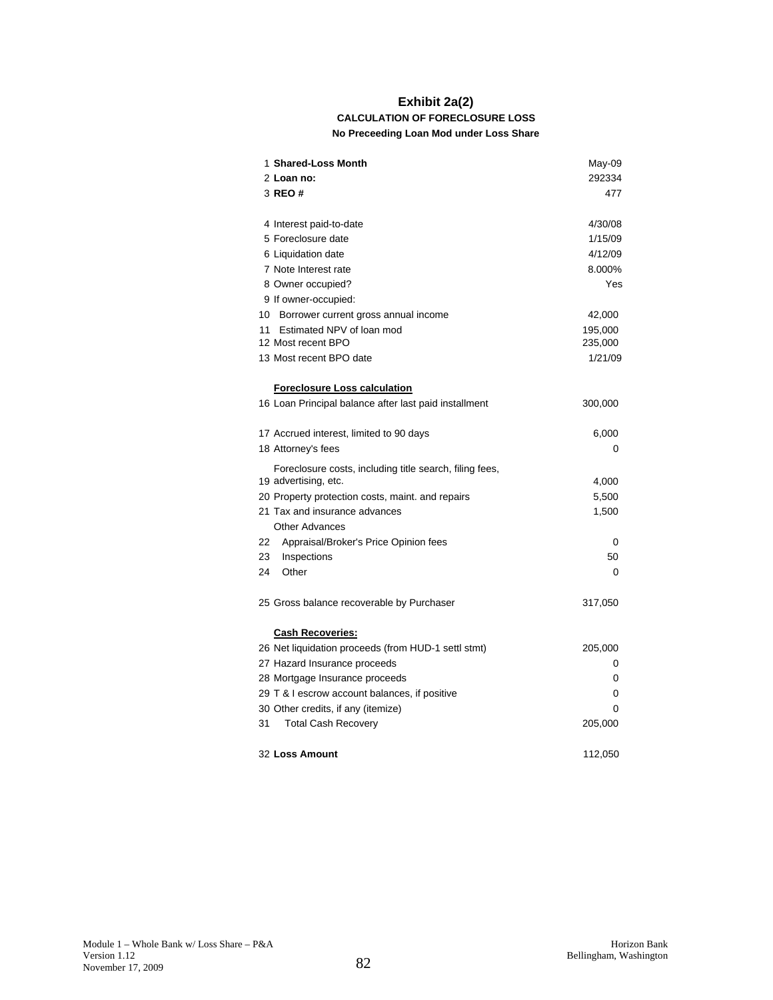#### **Exhibit 2a(2)**

#### **CALCULATION OF FORECLOSURE LOSS**

#### **No Preceeding Loan Mod under Loss Share**

| 1 Shared-Loss Month                                                             | May-09         |
|---------------------------------------------------------------------------------|----------------|
| 2 Loan no:                                                                      | 292334         |
| 3 REO #                                                                         | 477            |
| 4 Interest paid-to-date                                                         | 4/30/08        |
| 5 Foreclosure date                                                              | 1/15/09        |
| 6 Liquidation date                                                              | 4/12/09        |
| 7 Note Interest rate                                                            | 8.000%         |
| 8 Owner occupied?                                                               | Yes            |
| 9 If owner-occupied:                                                            |                |
| 10<br>Borrower current gross annual income                                      | 42,000         |
| Estimated NPV of loan mod<br>11                                                 | 195,000        |
| 12 Most recent BPO                                                              | 235,000        |
| 13 Most recent BPO date                                                         | 1/21/09        |
| <b>Foreclosure Loss calculation</b>                                             |                |
| 16 Loan Principal balance after last paid installment                           | 300,000        |
| 17 Accrued interest, limited to 90 days                                         | 6,000          |
| 18 Attorney's fees                                                              | 0              |
| Foreclosure costs, including title search, filing fees,<br>19 advertising, etc. |                |
| 20 Property protection costs, maint. and repairs                                | 4,000<br>5,500 |
| 21 Tax and insurance advances                                                   | 1,500          |
| <b>Other Advances</b>                                                           |                |
| 22<br>Appraisal/Broker's Price Opinion fees                                     | 0              |
| 23<br>Inspections                                                               | 50             |
| 24<br>Other                                                                     | 0              |
| 25 Gross balance recoverable by Purchaser                                       | 317,050        |
| <b>Cash Recoveries:</b>                                                         |                |
| 26 Net liquidation proceeds (from HUD-1 settl stmt)                             | 205,000        |
| 27 Hazard Insurance proceeds                                                    | 0              |
| 28 Mortgage Insurance proceeds                                                  | 0              |
| 29 T & I escrow account balances, if positive                                   | 0              |
| 30 Other credits, if any (itemize)                                              | 0              |
| 31<br><b>Total Cash Recovery</b>                                                | 205,000        |
| 32 Loss Amount                                                                  | 112,050        |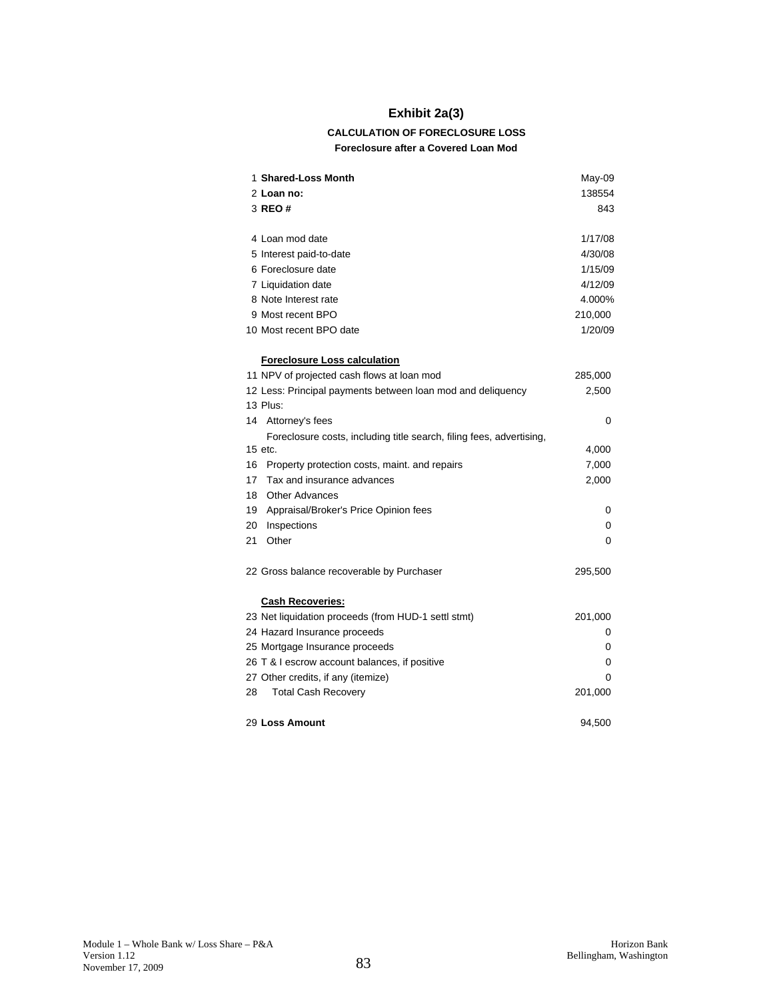## **Exhibit 2a(3)**

#### **CALCULATION OF FORECLOSURE LOSS Foreclosure after a Covered Loan Mod**

| 1 Shared-Loss Month                                                  | May-09  |
|----------------------------------------------------------------------|---------|
| 2 Loan no:                                                           | 138554  |
| 3 REO #                                                              | 843     |
|                                                                      |         |
| 4 Loan mod date                                                      | 1/17/08 |
| 5 Interest paid-to-date                                              | 4/30/08 |
| 6 Foreclosure date                                                   | 1/15/09 |
| 7 Liquidation date                                                   | 4/12/09 |
| 8 Note Interest rate                                                 | 4.000%  |
| 9 Most recent BPO                                                    | 210,000 |
| 10 Most recent BPO date                                              | 1/20/09 |
|                                                                      |         |
| <b>Foreclosure Loss calculation</b>                                  |         |
| 11 NPV of projected cash flows at loan mod                           | 285,000 |
| 12 Less: Principal payments between loan mod and deliquency          | 2,500   |
| 13 Plus:                                                             |         |
| 14<br>Attorney's fees                                                | 0       |
| Foreclosure costs, including title search, filing fees, advertising, |         |
| 15 etc.                                                              | 4,000   |
| 16<br>Property protection costs, maint. and repairs                  | 7,000   |
| 17<br>Tax and insurance advances                                     | 2,000   |
| 18<br><b>Other Advances</b>                                          |         |
| 19 Appraisal/Broker's Price Opinion fees                             | 0       |
| 20<br>Inspections                                                    | 0       |
| 21<br>Other                                                          | 0       |
|                                                                      |         |
| 22 Gross balance recoverable by Purchaser                            | 295,500 |
|                                                                      |         |
| <b>Cash Recoveries:</b>                                              |         |
| 23 Net liquidation proceeds (from HUD-1 settl stmt)                  | 201,000 |
| 24 Hazard Insurance proceeds                                         | 0       |
| 25 Mortgage Insurance proceeds                                       | 0       |
| 26 T & I escrow account balances, if positive                        | 0       |
| 27 Other credits, if any (itemize)                                   | 0       |
| 28<br><b>Total Cash Recovery</b>                                     | 201,000 |
|                                                                      |         |
| 29 Loss Amount                                                       | 94,500  |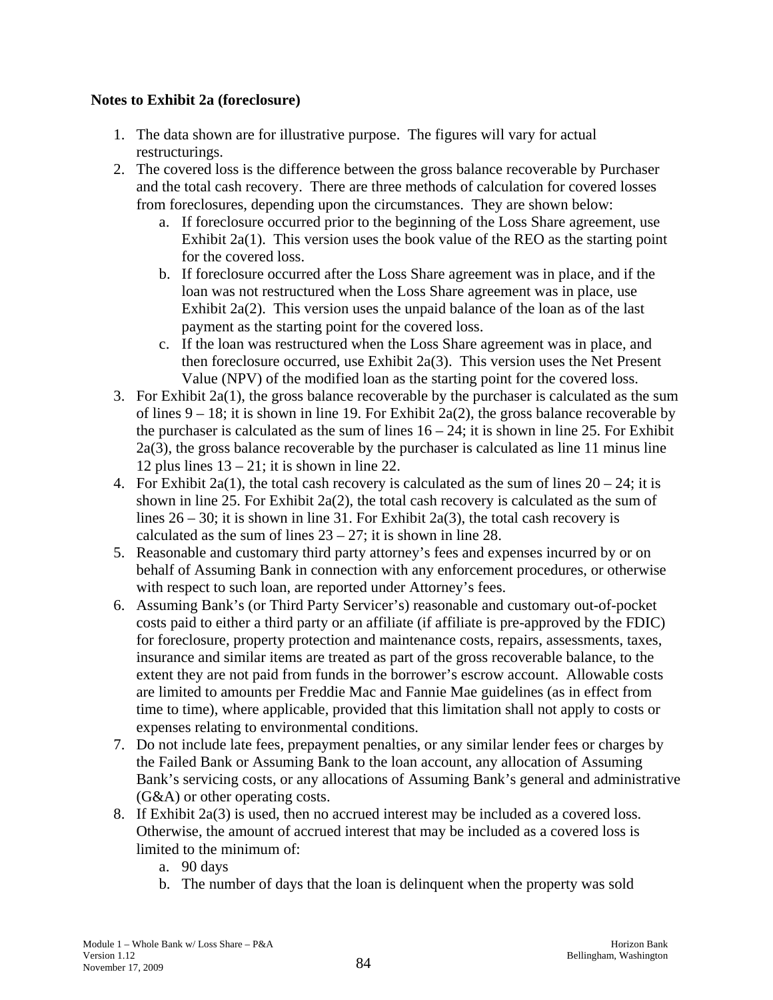## **Notes to Exhibit 2a (foreclosure)**

- 1. The data shown are for illustrative purpose. The figures will vary for actual restructurings.
- 2. The covered loss is the difference between the gross balance recoverable by Purchaser and the total cash recovery. There are three methods of calculation for covered losses from foreclosures, depending upon the circumstances. They are shown below:
	- a. If foreclosure occurred prior to the beginning of the Loss Share agreement, use Exhibit 2a(1). This version uses the book value of the REO as the starting point for the covered loss.
	- b. If foreclosure occurred after the Loss Share agreement was in place, and if the loan was not restructured when the Loss Share agreement was in place, use Exhibit 2a(2). This version uses the unpaid balance of the loan as of the last payment as the starting point for the covered loss.
	- c. If the loan was restructured when the Loss Share agreement was in place, and then foreclosure occurred, use Exhibit 2a(3). This version uses the Net Present Value (NPV) of the modified loan as the starting point for the covered loss.
- 3. For Exhibit  $2a(1)$ , the gross balance recoverable by the purchaser is calculated as the sum of lines  $9 - 18$ ; it is shown in line 19. For Exhibit 2a(2), the gross balance recoverable by the purchaser is calculated as the sum of lines  $16 - 24$ ; it is shown in line 25. For Exhibit 2a(3), the gross balance recoverable by the purchaser is calculated as line 11 minus line 12 plus lines  $13 - 21$ ; it is shown in line 22.
- 4. For Exhibit 2a(1), the total cash recovery is calculated as the sum of lines  $20 24$ ; it is shown in line 25. For Exhibit 2a(2), the total cash recovery is calculated as the sum of lines  $26 - 30$ ; it is shown in line 31. For Exhibit 2a(3), the total cash recovery is calculated as the sum of lines  $23 - 27$ ; it is shown in line 28.
- 5. Reasonable and customary third party attorney's fees and expenses incurred by or on behalf of Assuming Bank in connection with any enforcement procedures, or otherwise with respect to such loan, are reported under Attorney's fees.
- 6. Assuming Bank's (or Third Party Servicer's) reasonable and customary out-of-pocket costs paid to either a third party or an affiliate (if affiliate is pre-approved by the FDIC) for foreclosure, property protection and maintenance costs, repairs, assessments, taxes, insurance and similar items are treated as part of the gross recoverable balance, to the extent they are not paid from funds in the borrower's escrow account. Allowable costs are limited to amounts per Freddie Mac and Fannie Mae guidelines (as in effect from time to time), where applicable, provided that this limitation shall not apply to costs or expenses relating to environmental conditions.
- 7. Do not include late fees, prepayment penalties, or any similar lender fees or charges by the Failed Bank or Assuming Bank to the loan account, any allocation of Assuming Bank's servicing costs, or any allocations of Assuming Bank's general and administrative (G&A) or other operating costs.
- 8. If Exhibit  $2a(3)$  is used, then no accrued interest may be included as a covered loss. Otherwise, the amount of accrued interest that may be included as a covered loss is limited to the minimum of:
	- a. 90 days
	- b. The number of days that the loan is delinquent when the property was sold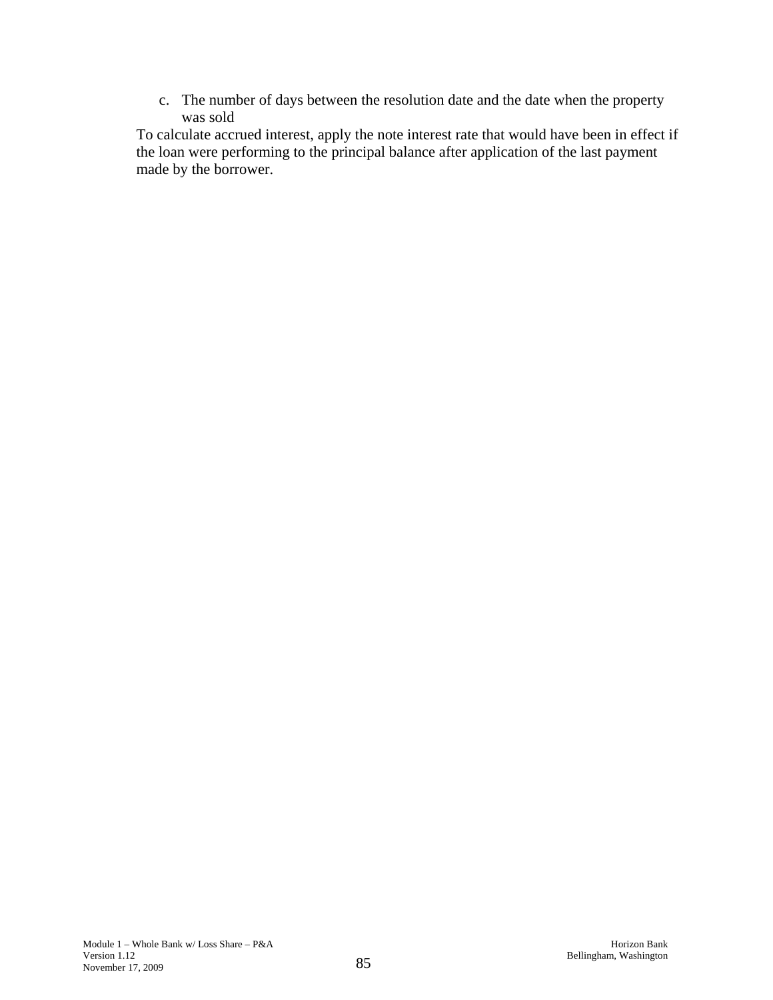c. The number of days between the resolution date and the date when the property was sold

To calculate accrued interest, apply the note interest rate that would have been in effect if the loan were performing to the principal balance after application of the last payment made by the borrower.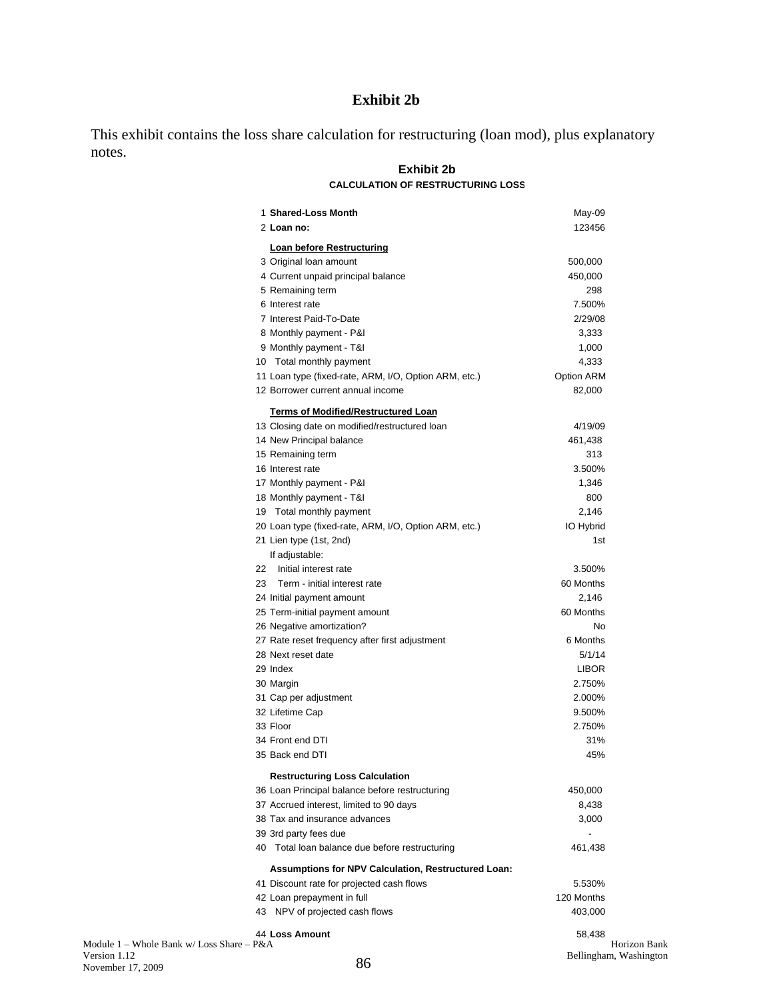## **Exhibit 2b**

This exhibit contains the loss share calculation for restructuring (loan mod), plus explanatory notes.

#### **Exhibit 2b CALCULATION OF RESTRUCTURING LOSS**

|       | 1 Shared-Loss Month                                   | May-09                 |  |
|-------|-------------------------------------------------------|------------------------|--|
|       | 2 Loan no:                                            | 123456                 |  |
|       | <b>Loan before Restructuring</b>                      |                        |  |
|       | 3 Original loan amount                                | 500,000                |  |
|       | 4 Current unpaid principal balance                    | 450,000                |  |
|       | 5 Remaining term                                      | 298                    |  |
|       | 6 Interest rate                                       | 7.500%                 |  |
|       | 7 Interest Paid-To-Date                               | 2/29/08                |  |
|       | 8 Monthly payment - P&I                               | 3,333                  |  |
|       | 9 Monthly payment - T&I                               | 1,000                  |  |
|       | 10 Total monthly payment                              | 4,333                  |  |
|       | 11 Loan type (fixed-rate, ARM, I/O, Option ARM, etc.) | <b>Option ARM</b>      |  |
|       | 12 Borrower current annual income                     | 82,000                 |  |
|       |                                                       |                        |  |
|       | <b>Terms of Modified/Restructured Loan</b>            |                        |  |
|       | 13 Closing date on modified/restructured loan         | 4/19/09                |  |
|       | 14 New Principal balance                              | 461,438                |  |
|       | 15 Remaining term                                     | 313                    |  |
|       | 16 Interest rate                                      | 3.500%                 |  |
|       | 17 Monthly payment - P&I                              | 1,346                  |  |
|       | 18 Monthly payment - T&I                              | 800                    |  |
|       | 19 Total monthly payment                              | 2,146                  |  |
|       | 20 Loan type (fixed-rate, ARM, I/O, Option ARM, etc.) | IO Hybrid              |  |
|       | 21 Lien type (1st, 2nd)                               | 1st                    |  |
|       | If adjustable:                                        |                        |  |
| 22    | Initial interest rate                                 | 3.500%                 |  |
| 23    | Term - initial interest rate                          | 60 Months              |  |
|       | 24 Initial payment amount                             | 2,146                  |  |
|       | 25 Term-initial payment amount                        | 60 Months              |  |
|       | 26 Negative amortization?                             | No                     |  |
|       | 27 Rate reset frequency after first adjustment        | 6 Months               |  |
|       | 28 Next reset date                                    | 5/1/14                 |  |
|       | 29 Index                                              | <b>LIBOR</b>           |  |
|       | 30 Margin                                             | 2.750%                 |  |
|       | 31 Cap per adjustment                                 | 2.000%                 |  |
|       | 32 Lifetime Cap                                       | 9.500%                 |  |
|       | 33 Floor                                              | 2.750%                 |  |
|       | 34 Front end DTI                                      | 31%                    |  |
|       | 35 Back end DTI                                       | 45%                    |  |
|       | <b>Restructuring Loss Calculation</b>                 |                        |  |
|       | 36 Loan Principal balance before restructuring        | 450,000                |  |
|       | 37 Accrued interest, limited to 90 days               | 8,438                  |  |
|       | 38 Tax and insurance advances                         | 3,000                  |  |
|       | 39 3rd party fees due                                 |                        |  |
|       | 40 Total loan balance due before restructuring        | 461,438                |  |
|       |                                                       |                        |  |
|       | Assumptions for NPV Calculation, Restructured Loan:   |                        |  |
|       | 41 Discount rate for projected cash flows             | 5.530%                 |  |
|       | 42 Loan prepayment in full                            | 120 Months             |  |
|       | 43 NPV of projected cash flows                        | 403,000                |  |
|       | 44 Loss Amount                                        | 58,438                 |  |
| - P&A |                                                       | Horizon Bank           |  |
|       | O                                                     | Bellingham, Washington |  |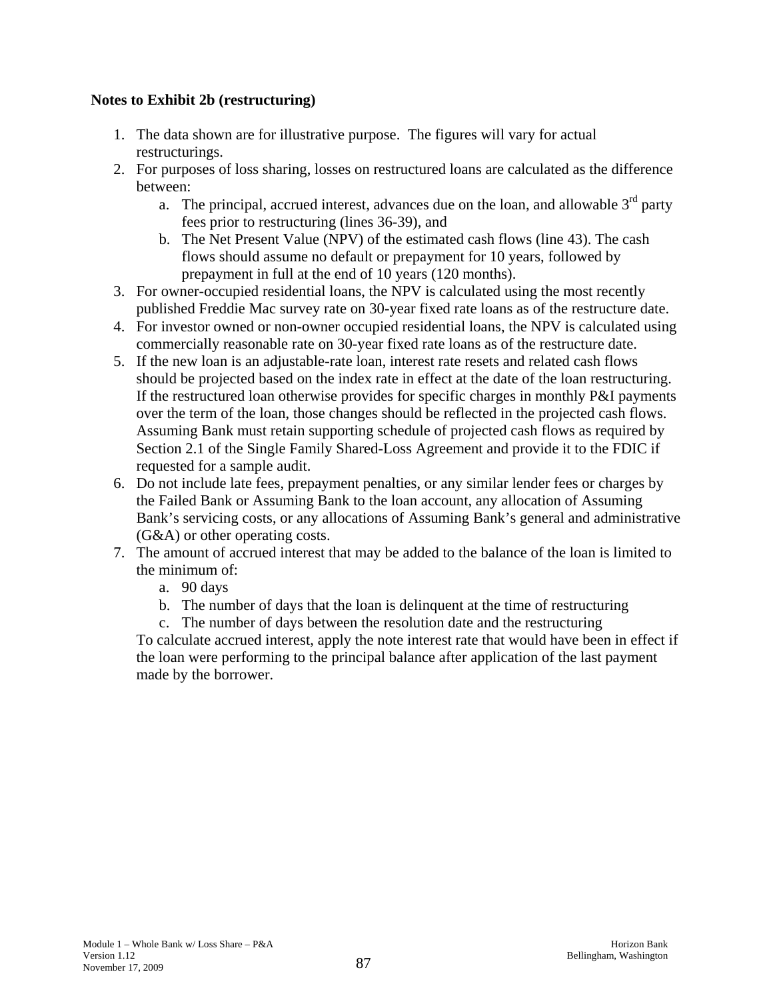## **Notes to Exhibit 2b (restructuring)**

- 1. The data shown are for illustrative purpose. The figures will vary for actual restructurings.
- 2. For purposes of loss sharing, losses on restructured loans are calculated as the difference between:
	- a. The principal, accrued interest, advances due on the loan, and allowable  $3<sup>rd</sup>$  party fees prior to restructuring (lines 36-39), and
	- b. The Net Present Value (NPV) of the estimated cash flows (line 43). The cash flows should assume no default or prepayment for 10 years, followed by prepayment in full at the end of 10 years (120 months).
- 3. For owner-occupied residential loans, the NPV is calculated using the most recently published Freddie Mac survey rate on 30-year fixed rate loans as of the restructure date.
- 4. For investor owned or non-owner occupied residential loans, the NPV is calculated using commercially reasonable rate on 30-year fixed rate loans as of the restructure date.
- 5. If the new loan is an adjustable-rate loan, interest rate resets and related cash flows should be projected based on the index rate in effect at the date of the loan restructuring. If the restructured loan otherwise provides for specific charges in monthly P&I payments over the term of the loan, those changes should be reflected in the projected cash flows. Assuming Bank must retain supporting schedule of projected cash flows as required by Section 2.1 of the Single Family Shared-Loss Agreement and provide it to the FDIC if requested for a sample audit.
- 6. Do not include late fees, prepayment penalties, or any similar lender fees or charges by the Failed Bank or Assuming Bank to the loan account, any allocation of Assuming Bank's servicing costs, or any allocations of Assuming Bank's general and administrative (G&A) or other operating costs.
- 7. The amount of accrued interest that may be added to the balance of the loan is limited to the minimum of:
	- a. 90 days
	- b. The number of days that the loan is delinquent at the time of restructuring

c. The number of days between the resolution date and the restructuring To calculate accrued interest, apply the note interest rate that would have been in effect if the loan were performing to the principal balance after application of the last payment made by the borrower.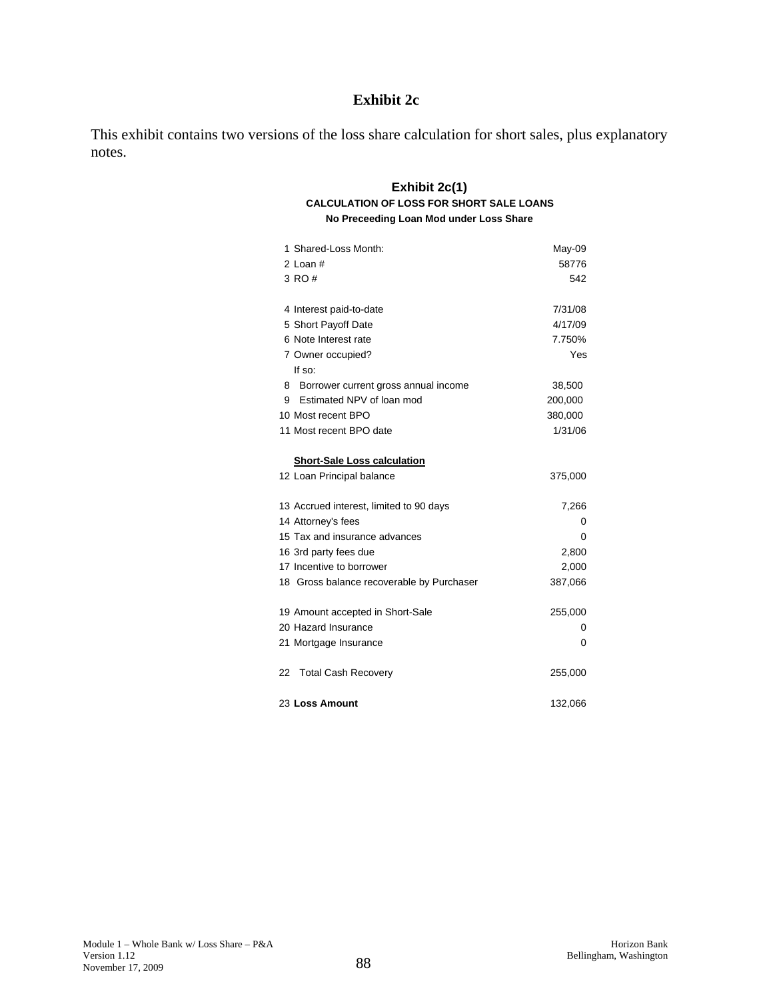### **Exhibit 2c**

This exhibit contains two versions of the loss share calculation for short sales, plus explanatory notes.

#### **Exhibit 2c(1) CALCULATION OF LOSS FOR SHORT SALE LOANS No Preceeding Loan Mod under Loss Share**

| 1 Shared-Loss Month:<br>2 Loan #<br>3 RO # | May-09<br>58776<br>542 |
|--------------------------------------------|------------------------|
| 4 Interest paid-to-date                    | 7/31/08                |
| 5 Short Payoff Date                        | 4/17/09                |
| 6 Note Interest rate                       | 7.750%                 |
| 7 Owner occupied?                          | Yes                    |
| If so:                                     |                        |
| Borrower current gross annual income<br>8  | 38,500                 |
| Estimated NPV of loan mod<br>9             | 200,000                |
| 10 Most recent BPO                         | 380,000                |
| 11 Most recent BPO date                    | 1/31/06                |
| <b>Short-Sale Loss calculation</b>         |                        |
| 12 Loan Principal balance                  | 375,000                |
| 13 Accrued interest, limited to 90 days    | 7,266                  |
| 14 Attorney's fees                         | 0                      |
| 15 Tax and insurance advances              | 0                      |
| 16 3rd party fees due                      | 2,800                  |
| 17 Incentive to borrower                   | 2,000                  |
| 18 Gross balance recoverable by Purchaser  | 387,066                |
| 19 Amount accepted in Short-Sale           | 255,000                |
| 20 Hazard Insurance                        | 0                      |
| 21 Mortgage Insurance                      | 0                      |
| 22 Total Cash Recovery                     | 255,000                |
| 23 Loss Amount                             | 132,066                |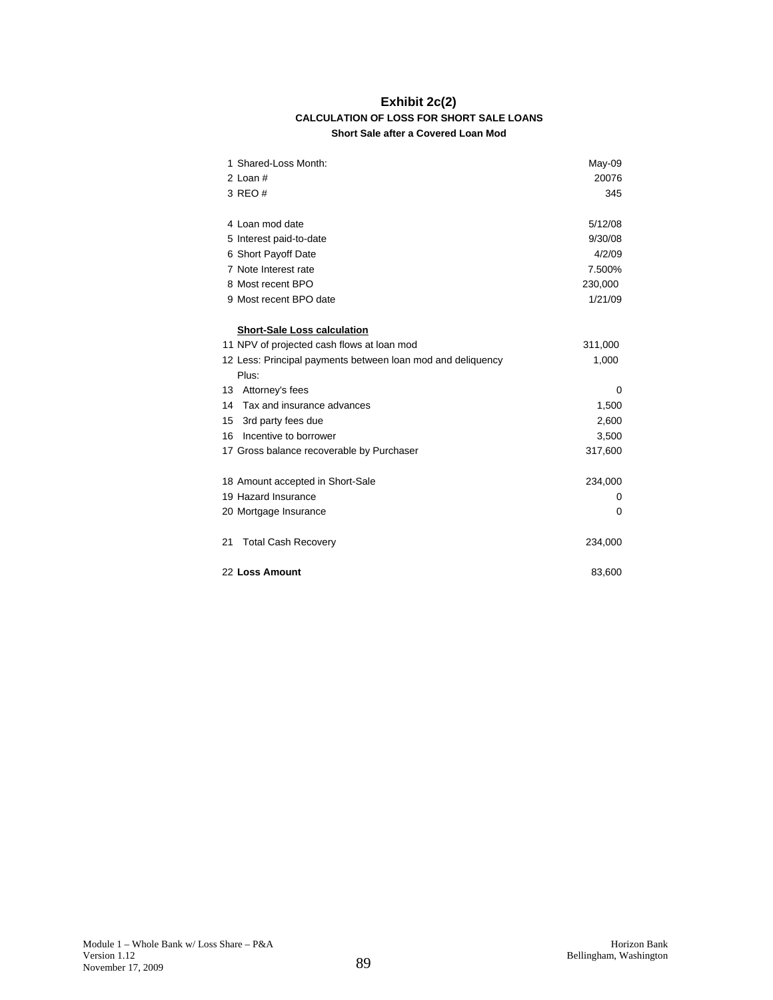#### **Exhibit 2c(2) CALCULATION OF LOSS FOR SHORT SALE LOANS Short Sale after a Covered Loan Mod**

| 1 Shared-Loss Month:                                        | May-09  |
|-------------------------------------------------------------|---------|
| 2 Loan $#$                                                  | 20076   |
| 3 REO #                                                     | 345     |
|                                                             |         |
| 4 Loan mod date                                             | 5/12/08 |
| 5 Interest paid-to-date                                     | 9/30/08 |
| 6 Short Payoff Date                                         | 4/2/09  |
| 7 Note Interest rate                                        | 7.500%  |
| 8 Most recent BPO                                           | 230,000 |
| 9 Most recent BPO date                                      | 1/21/09 |
|                                                             |         |
| <b>Short-Sale Loss calculation</b>                          |         |
| 11 NPV of projected cash flows at loan mod                  | 311,000 |
| 12 Less: Principal payments between loan mod and deliquency | 1,000   |
| Plus:                                                       |         |
| Attorney's fees<br>13                                       | 0       |
| Tax and insurance advances<br>14                            | 1,500   |
| 3rd party fees due<br>15                                    | 2,600   |
| 16<br>Incentive to borrower                                 | 3,500   |
| 17 Gross balance recoverable by Purchaser                   | 317,600 |
|                                                             |         |
| 18 Amount accepted in Short-Sale                            | 234,000 |
| 19 Hazard Insurance                                         | 0       |
| 20 Mortgage Insurance                                       | 0       |
|                                                             |         |
| <b>Total Cash Recovery</b><br>21                            | 234,000 |
|                                                             |         |
| 22 Loss Amount                                              | 83,600  |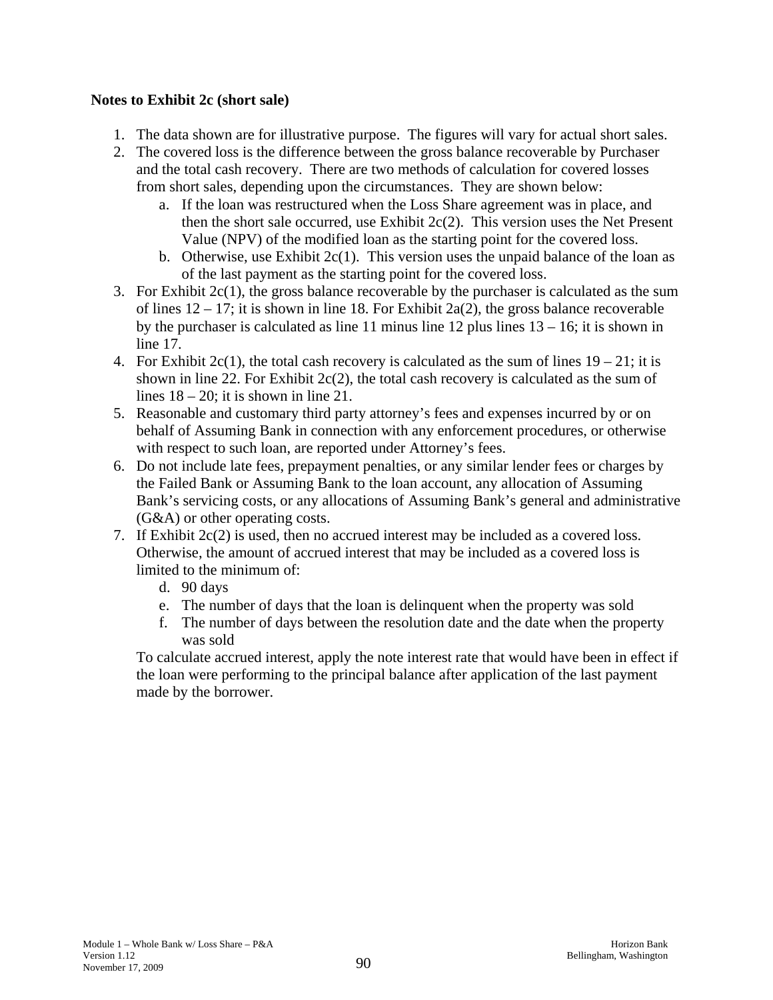## **Notes to Exhibit 2c (short sale)**

- 1. The data shown are for illustrative purpose. The figures will vary for actual short sales.
- 2. The covered loss is the difference between the gross balance recoverable by Purchaser and the total cash recovery. There are two methods of calculation for covered losses from short sales, depending upon the circumstances. They are shown below:
	- a. If the loan was restructured when the Loss Share agreement was in place, and then the short sale occurred, use Exhibit  $2c(2)$ . This version uses the Net Present Value (NPV) of the modified loan as the starting point for the covered loss.
	- b. Otherwise, use Exhibit  $2c(1)$ . This version uses the unpaid balance of the loan as of the last payment as the starting point for the covered loss.
- 3. For Exhibit  $2c(1)$ , the gross balance recoverable by the purchaser is calculated as the sum of lines  $12 - 17$ ; it is shown in line 18. For Exhibit 2a(2), the gross balance recoverable by the purchaser is calculated as line 11 minus line 12 plus lines 13 – 16; it is shown in line 17.
- 4. For Exhibit 2c(1), the total cash recovery is calculated as the sum of lines  $19 21$ ; it is shown in line 22. For Exhibit  $2c(2)$ , the total cash recovery is calculated as the sum of lines  $18 - 20$ ; it is shown in line 21.
- 5. Reasonable and customary third party attorney's fees and expenses incurred by or on behalf of Assuming Bank in connection with any enforcement procedures, or otherwise with respect to such loan, are reported under Attorney's fees.
- 6. Do not include late fees, prepayment penalties, or any similar lender fees or charges by the Failed Bank or Assuming Bank to the loan account, any allocation of Assuming Bank's servicing costs, or any allocations of Assuming Bank's general and administrative (G&A) or other operating costs.
- 7. If Exhibit  $2c(2)$  is used, then no accrued interest may be included as a covered loss. Otherwise, the amount of accrued interest that may be included as a covered loss is limited to the minimum of:
	- d. 90 days
	- e. The number of days that the loan is delinquent when the property was sold
	- f. The number of days between the resolution date and the date when the property was sold

To calculate accrued interest, apply the note interest rate that would have been in effect if the loan were performing to the principal balance after application of the last payment made by the borrower.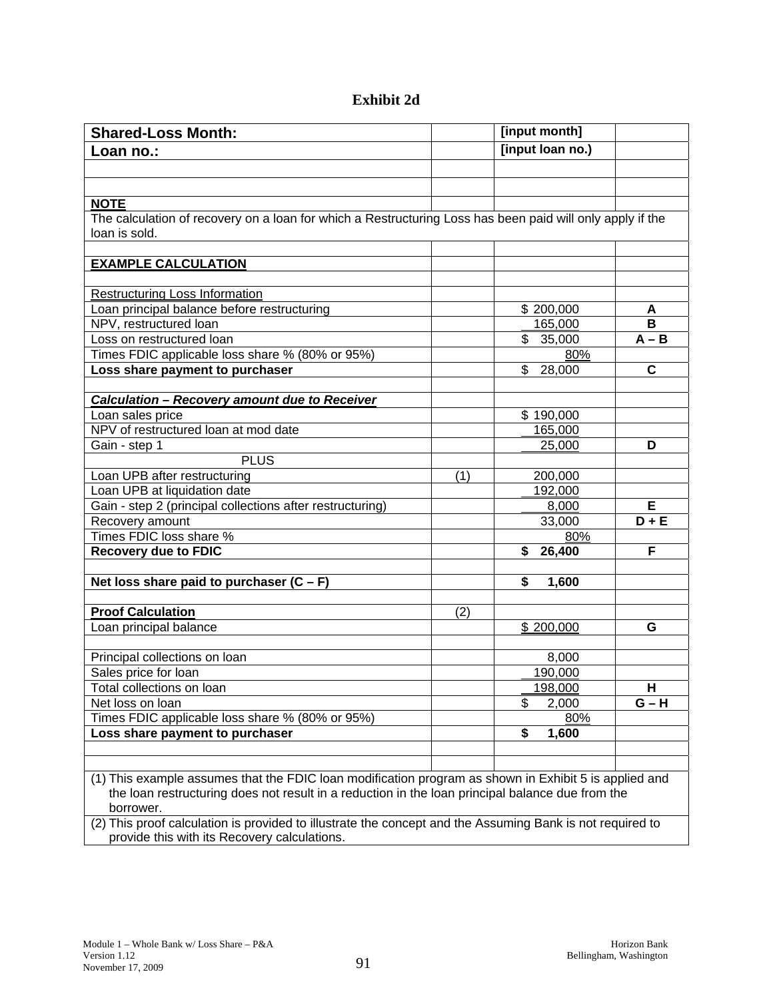# **Exhibit 2d**

| [input month]<br><b>Shared-Loss Month:</b>                                                                                                                |     |                 |         |
|-----------------------------------------------------------------------------------------------------------------------------------------------------------|-----|-----------------|---------|
| [input loan no.)<br>Loan no.:                                                                                                                             |     |                 |         |
|                                                                                                                                                           |     |                 |         |
|                                                                                                                                                           |     |                 |         |
| <b>NOTE</b>                                                                                                                                               |     |                 |         |
| The calculation of recovery on a loan for which a Restructuring Loss has been paid will only apply if the                                                 |     |                 |         |
| loan is sold.                                                                                                                                             |     |                 |         |
|                                                                                                                                                           |     |                 |         |
| <b>EXAMPLE CALCULATION</b>                                                                                                                                |     |                 |         |
|                                                                                                                                                           |     |                 |         |
| <b>Restructuring Loss Information</b>                                                                                                                     |     |                 |         |
| Loan principal balance before restructuring                                                                                                               |     | \$200,000       | A       |
| NPV, restructured loan                                                                                                                                    |     | 165,000         | B       |
| Loss on restructured loan                                                                                                                                 |     | \$35,000        | $A - B$ |
| Times FDIC applicable loss share % (80% or 95%)                                                                                                           |     | 80%             |         |
| Loss share payment to purchaser                                                                                                                           |     | \$28,000        | C       |
|                                                                                                                                                           |     |                 |         |
| Calculation - Recovery amount due to Receiver                                                                                                             |     |                 |         |
| Loan sales price                                                                                                                                          |     | \$190,000       |         |
| NPV of restructured loan at mod date                                                                                                                      |     | 165,000         |         |
| Gain - step 1                                                                                                                                             |     | 25,000          | D       |
| <b>PLUS</b>                                                                                                                                               |     |                 |         |
| Loan UPB after restructuring                                                                                                                              | (1) | 200,000         |         |
| Loan UPB at liquidation date                                                                                                                              |     | 192,000         | Е       |
| Gain - step 2 (principal collections after restructuring)<br>Recovery amount                                                                              |     | 8,000<br>33,000 | $D + E$ |
| Times FDIC loss share %                                                                                                                                   |     | 80%             |         |
| <b>Recovery due to FDIC</b>                                                                                                                               |     | \$26,400        | F       |
|                                                                                                                                                           |     |                 |         |
| Net loss share paid to purchaser $(C - F)$                                                                                                                |     | \$<br>1,600     |         |
|                                                                                                                                                           |     |                 |         |
| <b>Proof Calculation</b>                                                                                                                                  | (2) |                 |         |
| Loan principal balance                                                                                                                                    |     | \$200,000       | G       |
|                                                                                                                                                           |     |                 |         |
| Principal collections on loan                                                                                                                             |     | 8,000           |         |
| Sales price for loan                                                                                                                                      |     | 190,000         |         |
| Total collections on loan                                                                                                                                 |     | 198,000         | H       |
| Net loss on loan                                                                                                                                          |     | \$<br>2,000     | G – H   |
| Times FDIC applicable loss share % (80% or 95%)                                                                                                           |     | 80%             |         |
| Loss share payment to purchaser                                                                                                                           |     | 1,600<br>\$     |         |
|                                                                                                                                                           |     |                 |         |
|                                                                                                                                                           |     |                 |         |
| (1) This example assumes that the FDIC loan modification program as shown in Exhibit 5 is applied and                                                     |     |                 |         |
| the loan restructuring does not result in a reduction in the loan principal balance due from the                                                          |     |                 |         |
| borrower.                                                                                                                                                 |     |                 |         |
| (2) This proof calculation is provided to illustrate the concept and the Assuming Bank is not required to<br>provide this with its Recovery calculations. |     |                 |         |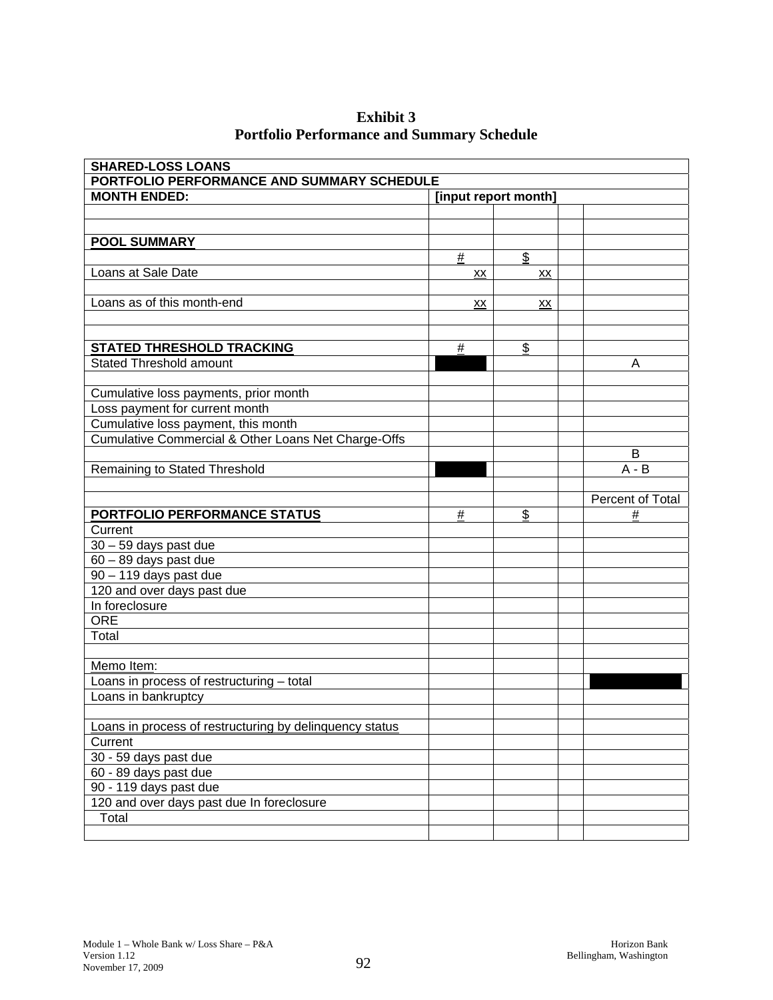| <b>SHARED-LOSS LOANS</b><br>PORTFOLIO PERFORMANCE AND SUMMARY SCHEDULE |                      |    |                  |
|------------------------------------------------------------------------|----------------------|----|------------------|
| <b>MONTH ENDED:</b>                                                    | [input report month] |    |                  |
|                                                                        |                      |    |                  |
|                                                                        |                      |    |                  |
| <b>POOL SUMMARY</b>                                                    |                      |    |                  |
|                                                                        | $\#$                 | \$ |                  |
| Loans at Sale Date                                                     | XX                   | XX |                  |
|                                                                        |                      |    |                  |
| Loans as of this month-end                                             | XX                   | XX |                  |
| <b>STATED THRESHOLD TRACKING</b>                                       | $\#$                 | \$ |                  |
| <b>Stated Threshold amount</b>                                         |                      |    | A                |
|                                                                        |                      |    |                  |
| Cumulative loss payments, prior month                                  |                      |    |                  |
| Loss payment for current month                                         |                      |    |                  |
| Cumulative loss payment, this month                                    |                      |    |                  |
| Cumulative Commercial & Other Loans Net Charge-Offs                    |                      |    |                  |
|                                                                        |                      |    | B                |
| Remaining to Stated Threshold                                          |                      |    | $A - B$          |
|                                                                        |                      |    |                  |
|                                                                        |                      |    | Percent of Total |
| <b>PORTFOLIO PERFORMANCE STATUS</b>                                    | $\#$                 | \$ | $\#$             |
| Current                                                                |                      |    |                  |
| $30 - 59$ days past due                                                |                      |    |                  |
| $60 - 89$ days past due                                                |                      |    |                  |
| $90 - 119$ days past due                                               |                      |    |                  |
| 120 and over days past due                                             |                      |    |                  |
| In foreclosure                                                         |                      |    |                  |
| <b>ORE</b>                                                             |                      |    |                  |
| Total                                                                  |                      |    |                  |
|                                                                        |                      |    |                  |
| Memo Item:                                                             |                      |    |                  |
| Loans in process of restructuring - total                              |                      |    |                  |
| Loans in bankruptcy                                                    |                      |    |                  |
|                                                                        |                      |    |                  |
| Loans in process of restructuring by delinguency status                |                      |    |                  |
| Current                                                                |                      |    |                  |
| 30 - 59 days past due                                                  |                      |    |                  |
| 60 - 89 days past due                                                  |                      |    |                  |
| 90 - 119 days past due                                                 |                      |    |                  |
| 120 and over days past due In foreclosure                              |                      |    |                  |
| Total                                                                  |                      |    |                  |
|                                                                        |                      |    |                  |

## **Exhibit 3 Portfolio Performance and Summary Schedule**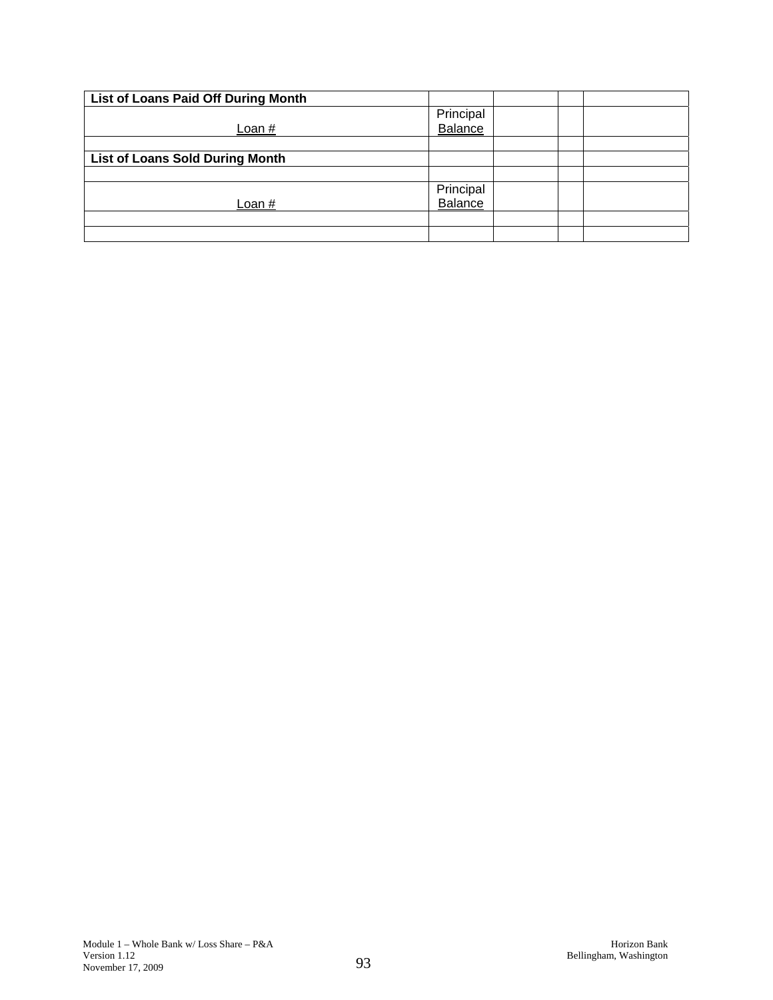| List of Loans Paid Off During Month    |                      |  |
|----------------------------------------|----------------------|--|
|                                        | Principal            |  |
| Loan #                                 | Balance              |  |
|                                        |                      |  |
| <b>List of Loans Sold During Month</b> |                      |  |
|                                        |                      |  |
|                                        | Principal<br>Balance |  |
| Loan #                                 |                      |  |
|                                        |                      |  |
|                                        |                      |  |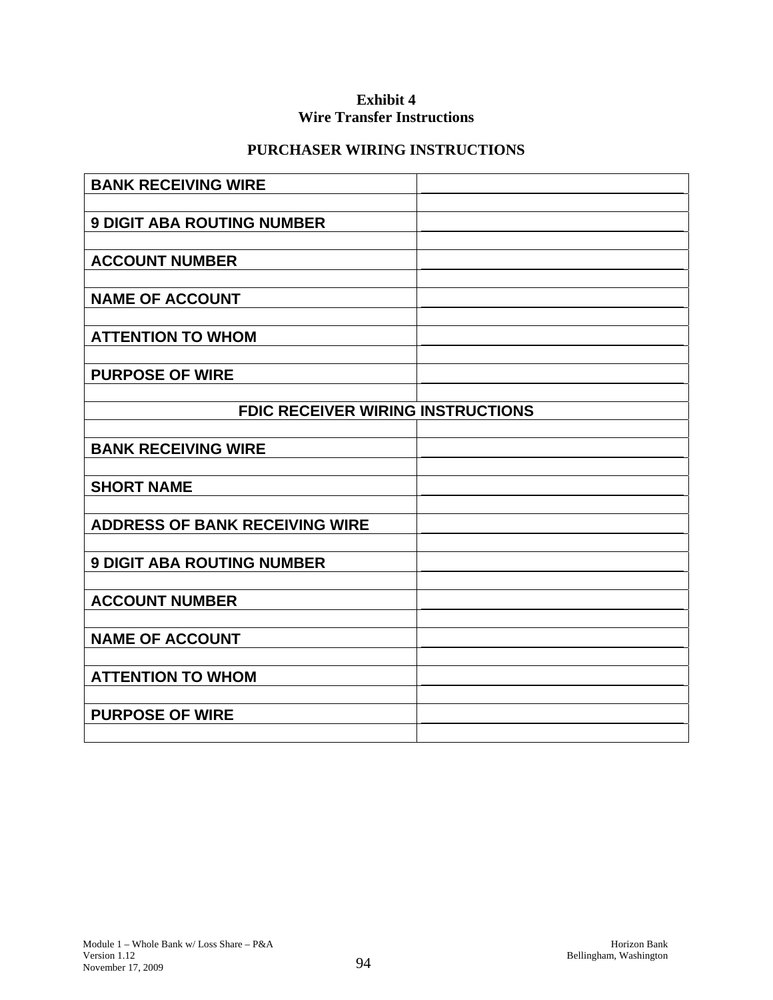## **Exhibit 4 Wire Transfer Instructions**

# **PURCHASER WIRING INSTRUCTIONS**

| <b>BANK RECEIVING WIRE</b>            |  |
|---------------------------------------|--|
|                                       |  |
| <b>9 DIGIT ABA ROUTING NUMBER</b>     |  |
|                                       |  |
| <b>ACCOUNT NUMBER</b>                 |  |
|                                       |  |
| <b>NAME OF ACCOUNT</b>                |  |
|                                       |  |
| <b>ATTENTION TO WHOM</b>              |  |
| <b>PURPOSE OF WIRE</b>                |  |
|                                       |  |
| FDIC RECEIVER WIRING INSTRUCTIONS     |  |
|                                       |  |
| <b>BANK RECEIVING WIRE</b>            |  |
|                                       |  |
| <b>SHORT NAME</b>                     |  |
|                                       |  |
| <b>ADDRESS OF BANK RECEIVING WIRE</b> |  |
|                                       |  |
| <b>9 DIGIT ABA ROUTING NUMBER</b>     |  |
|                                       |  |
| <b>ACCOUNT NUMBER</b>                 |  |
|                                       |  |
| <b>NAME OF ACCOUNT</b>                |  |
| <b>ATTENTION TO WHOM</b>              |  |
|                                       |  |
| <b>PURPOSE OF WIRE</b>                |  |
|                                       |  |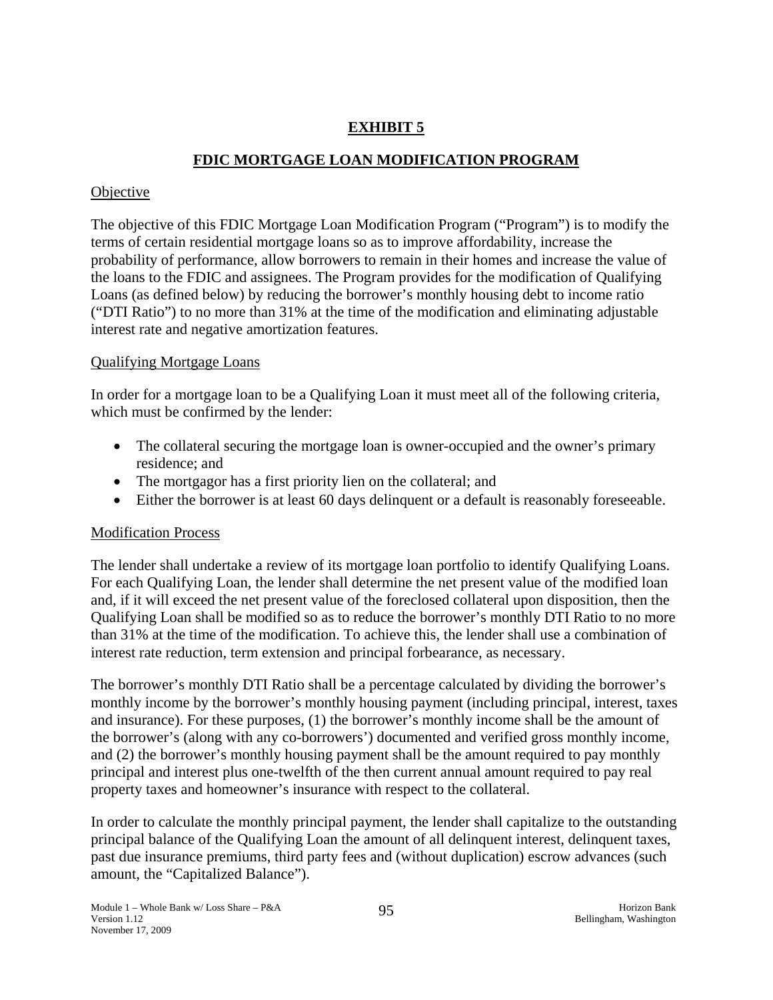# **EXHIBIT 5**

# **FDIC MORTGAGE LOAN MODIFICATION PROGRAM**

## **Objective**

The objective of this FDIC Mortgage Loan Modification Program ("Program") is to modify the terms of certain residential mortgage loans so as to improve affordability, increase the probability of performance, allow borrowers to remain in their homes and increase the value of the loans to the FDIC and assignees. The Program provides for the modification of Qualifying Loans (as defined below) by reducing the borrower's monthly housing debt to income ratio ("DTI Ratio") to no more than 31% at the time of the modification and eliminating adjustable interest rate and negative amortization features.

## Qualifying Mortgage Loans

In order for a mortgage loan to be a Qualifying Loan it must meet all of the following criteria, which must be confirmed by the lender:

- The collateral securing the mortgage loan is owner-occupied and the owner's primary residence; and
- The mortgagor has a first priority lien on the collateral; and
- Either the borrower is at least 60 days delinquent or a default is reasonably foreseeable.

## Modification Process

The lender shall undertake a review of its mortgage loan portfolio to identify Qualifying Loans. For each Qualifying Loan, the lender shall determine the net present value of the modified loan and, if it will exceed the net present value of the foreclosed collateral upon disposition, then the Qualifying Loan shall be modified so as to reduce the borrower's monthly DTI Ratio to no more than 31% at the time of the modification. To achieve this, the lender shall use a combination of interest rate reduction, term extension and principal forbearance, as necessary.

The borrower's monthly DTI Ratio shall be a percentage calculated by dividing the borrower's monthly income by the borrower's monthly housing payment (including principal, interest, taxes and insurance). For these purposes, (1) the borrower's monthly income shall be the amount of the borrower's (along with any co-borrowers') documented and verified gross monthly income, and (2) the borrower's monthly housing payment shall be the amount required to pay monthly principal and interest plus one-twelfth of the then current annual amount required to pay real property taxes and homeowner's insurance with respect to the collateral.

In order to calculate the monthly principal payment, the lender shall capitalize to the outstanding principal balance of the Qualifying Loan the amount of all delinquent interest, delinquent taxes, past due insurance premiums, third party fees and (without duplication) escrow advances (such amount, the "Capitalized Balance").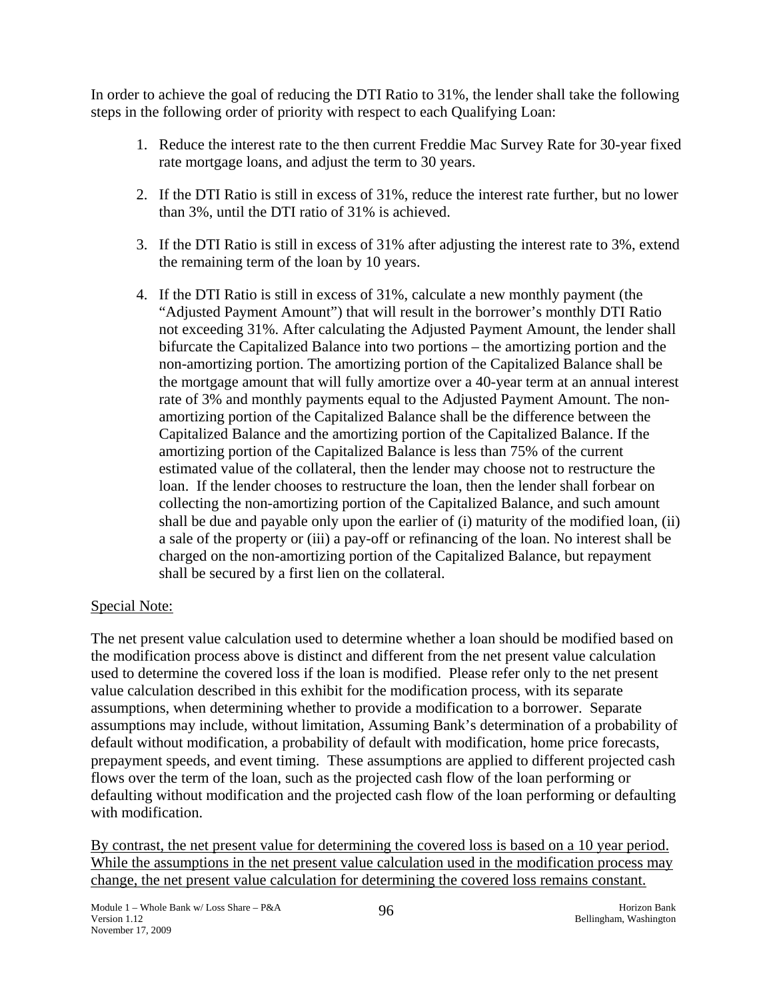In order to achieve the goal of reducing the DTI Ratio to 31%, the lender shall take the following steps in the following order of priority with respect to each Qualifying Loan:

- 1. Reduce the interest rate to the then current Freddie Mac Survey Rate for 30-year fixed rate mortgage loans, and adjust the term to 30 years.
- 2. If the DTI Ratio is still in excess of 31%, reduce the interest rate further, but no lower than 3%, until the DTI ratio of 31% is achieved.
- 3. If the DTI Ratio is still in excess of 31% after adjusting the interest rate to 3%, extend the remaining term of the loan by 10 years.
- 4. If the DTI Ratio is still in excess of 31%, calculate a new monthly payment (the "Adjusted Payment Amount") that will result in the borrower's monthly DTI Ratio not exceeding 31%. After calculating the Adjusted Payment Amount, the lender shall bifurcate the Capitalized Balance into two portions – the amortizing portion and the non-amortizing portion. The amortizing portion of the Capitalized Balance shall be the mortgage amount that will fully amortize over a 40-year term at an annual interest rate of 3% and monthly payments equal to the Adjusted Payment Amount. The nonamortizing portion of the Capitalized Balance shall be the difference between the Capitalized Balance and the amortizing portion of the Capitalized Balance. If the amortizing portion of the Capitalized Balance is less than 75% of the current estimated value of the collateral, then the lender may choose not to restructure the loan. If the lender chooses to restructure the loan, then the lender shall forbear on collecting the non-amortizing portion of the Capitalized Balance, and such amount shall be due and payable only upon the earlier of (i) maturity of the modified loan, (ii) a sale of the property or (iii) a pay-off or refinancing of the loan. No interest shall be charged on the non-amortizing portion of the Capitalized Balance, but repayment shall be secured by a first lien on the collateral.

## Special Note:

The net present value calculation used to determine whether a loan should be modified based on the modification process above is distinct and different from the net present value calculation used to determine the covered loss if the loan is modified. Please refer only to the net present value calculation described in this exhibit for the modification process, with its separate assumptions, when determining whether to provide a modification to a borrower. Separate assumptions may include, without limitation, Assuming Bank's determination of a probability of default without modification, a probability of default with modification, home price forecasts, prepayment speeds, and event timing. These assumptions are applied to different projected cash flows over the term of the loan, such as the projected cash flow of the loan performing or defaulting without modification and the projected cash flow of the loan performing or defaulting with modification.

change, the net present value calculation for determining the covered loss remains constant.<br>Module 1 – Whole Bank w/ Loss Share – P&A 196 Horizon Bank Bellingham, Washington Version 1.12 By contrast, the net present value for determining the covered loss is based on a 10 year period. While the assumptions in the net present value calculation used in the modification process may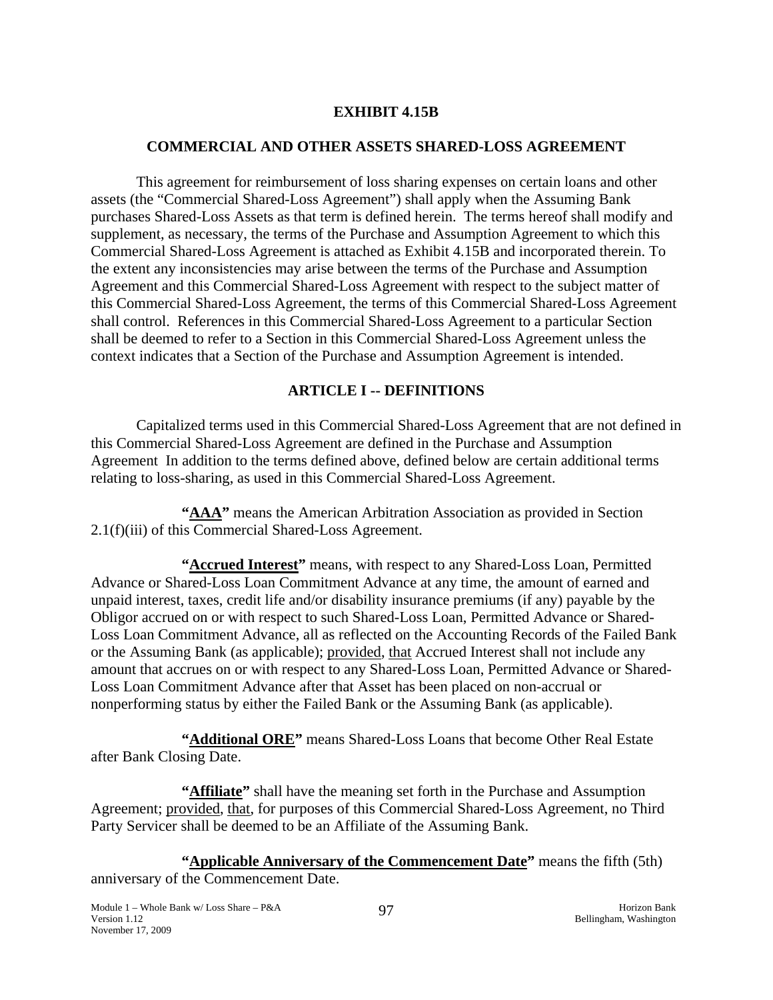### **EXHIBIT 4.15B**

### **COMMERCIAL AND OTHER ASSETS SHARED-LOSS AGREEMENT**

This agreement for reimbursement of loss sharing expenses on certain loans and other assets (the "Commercial Shared-Loss Agreement") shall apply when the Assuming Bank purchases Shared-Loss Assets as that term is defined herein. The terms hereof shall modify and supplement, as necessary, the terms of the Purchase and Assumption Agreement to which this Commercial Shared-Loss Agreement is attached as Exhibit 4.15B and incorporated therein. To the extent any inconsistencies may arise between the terms of the Purchase and Assumption Agreement and this Commercial Shared-Loss Agreement with respect to the subject matter of this Commercial Shared-Loss Agreement, the terms of this Commercial Shared-Loss Agreement shall control. References in this Commercial Shared-Loss Agreement to a particular Section shall be deemed to refer to a Section in this Commercial Shared-Loss Agreement unless the context indicates that a Section of the Purchase and Assumption Agreement is intended.

### **ARTICLE I -- DEFINITIONS**

Capitalized terms used in this Commercial Shared-Loss Agreement that are not defined in this Commercial Shared-Loss Agreement are defined in the Purchase and Assumption Agreement In addition to the terms defined above, defined below are certain additional terms relating to loss-sharing, as used in this Commercial Shared-Loss Agreement.

**"AAA"** means the American Arbitration Association as provided in Section 2.1(f)(iii) of this Commercial Shared-Loss Agreement.

**"Accrued Interest"** means, with respect to any Shared-Loss Loan, Permitted Advance or Shared-Loss Loan Commitment Advance at any time, the amount of earned and unpaid interest, taxes, credit life and/or disability insurance premiums (if any) payable by the Obligor accrued on or with respect to such Shared-Loss Loan, Permitted Advance or Shared-Loss Loan Commitment Advance, all as reflected on the Accounting Records of the Failed Bank or the Assuming Bank (as applicable); provided, that Accrued Interest shall not include any amount that accrues on or with respect to any Shared-Loss Loan, Permitted Advance or Shared-Loss Loan Commitment Advance after that Asset has been placed on non-accrual or nonperforming status by either the Failed Bank or the Assuming Bank (as applicable).

"**Additional ORE**" means Shared-Loss Loans that become Other Real Estate after Bank Closing Date.

"**Affiliate**" shall have the meaning set forth in the Purchase and Assumption Agreement; provided, that, for purposes of this Commercial Shared-Loss Agreement, no Third Party Servicer shall be deemed to be an Affiliate of the Assuming Bank.

**Examplicable Anniversary of the Commencement Date**" means the fifth (5th) anniversary of the Commencement Date.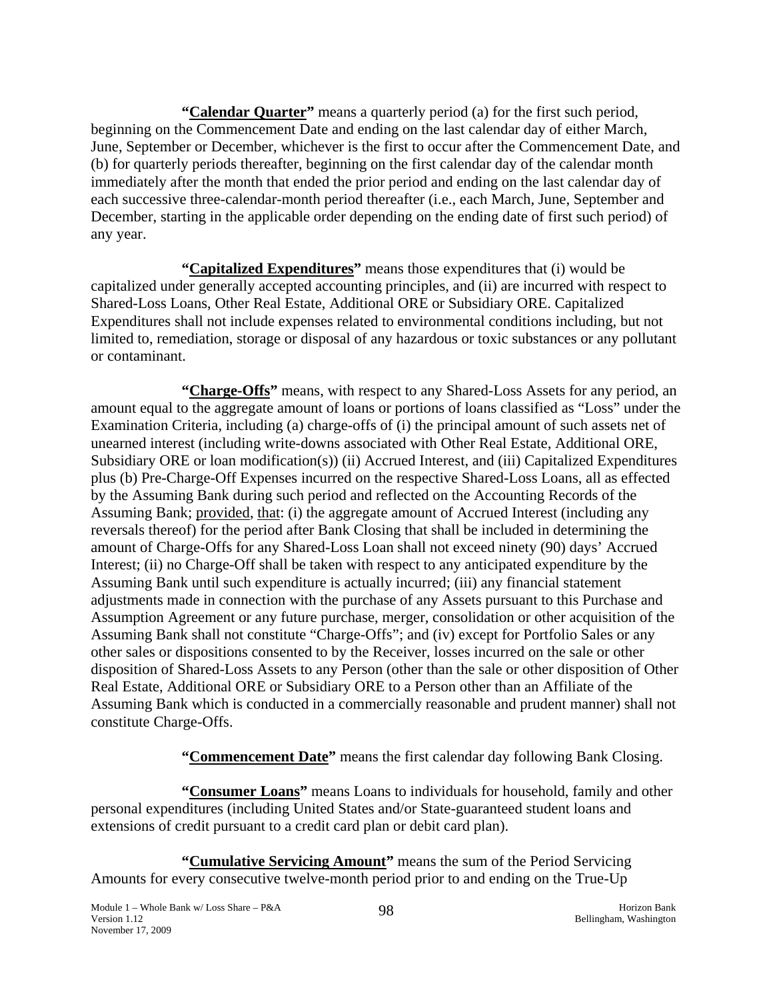**"Calendar Quarter"** means a quarterly period (a) for the first such period, beginning on the Commencement Date and ending on the last calendar day of either March, June, September or December, whichever is the first to occur after the Commencement Date, and (b) for quarterly periods thereafter, beginning on the first calendar day of the calendar month immediately after the month that ended the prior period and ending on the last calendar day of each successive three-calendar-month period thereafter (i.e., each March, June, September and December, starting in the applicable order depending on the ending date of first such period) of any year.

**"Capitalized Expenditures"** means those expenditures that (i) would be capitalized under generally accepted accounting principles, and (ii) are incurred with respect to Shared-Loss Loans, Other Real Estate, Additional ORE or Subsidiary ORE. Capitalized Expenditures shall not include expenses related to environmental conditions including, but not limited to, remediation, storage or disposal of any hazardous or toxic substances or any pollutant or contaminant.

**"Charge-Offs"** means, with respect to any Shared-Loss Assets for any period, an amount equal to the aggregate amount of loans or portions of loans classified as "Loss" under the Examination Criteria, including (a) charge-offs of (i) the principal amount of such assets net of unearned interest (including write-downs associated with Other Real Estate, Additional ORE, Subsidiary ORE or loan modification(s)) (ii) Accrued Interest, and (iii) Capitalized Expenditures plus (b) Pre-Charge-Off Expenses incurred on the respective Shared-Loss Loans, all as effected by the Assuming Bank during such period and reflected on the Accounting Records of the Assuming Bank; provided, that: (i) the aggregate amount of Accrued Interest (including any reversals thereof) for the period after Bank Closing that shall be included in determining the amount of Charge-Offs for any Shared-Loss Loan shall not exceed ninety (90) days' Accrued Interest; (ii) no Charge-Off shall be taken with respect to any anticipated expenditure by the Assuming Bank until such expenditure is actually incurred; (iii) any financial statement adjustments made in connection with the purchase of any Assets pursuant to this Purchase and Assumption Agreement or any future purchase, merger, consolidation or other acquisition of the Assuming Bank shall not constitute "Charge-Offs"; and (iv) except for Portfolio Sales or any other sales or dispositions consented to by the Receiver, losses incurred on the sale or other disposition of Shared-Loss Assets to any Person (other than the sale or other disposition of Other Real Estate, Additional ORE or Subsidiary ORE to a Person other than an Affiliate of the Assuming Bank which is conducted in a commercially reasonable and prudent manner) shall not constitute Charge-Offs.

**"Commencement Date"** means the first calendar day following Bank Closing.

**"Consumer Loans"** means Loans to individuals for household, family and other personal expenditures (including United States and/or State-guaranteed student loans and extensions of credit pursuant to a credit card plan or debit card plan).

**"Cumulative Servicing Amount"** means the sum of the Period Servicing Amounts for every consecutive twelve-month period prior to and ending on the True-Up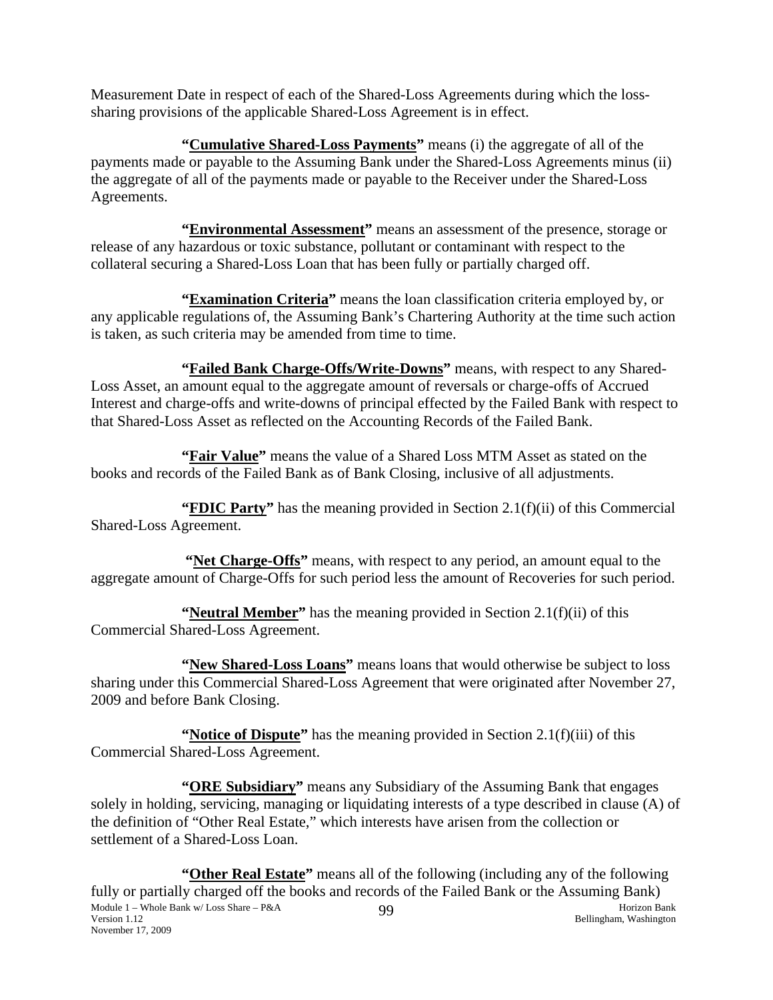Measurement Date in respect of each of the Shared-Loss Agreements during which the losssharing provisions of the applicable Shared-Loss Agreement is in effect.

**"Cumulative Shared-Loss Payments"** means (i) the aggregate of all of the payments made or payable to the Assuming Bank under the Shared-Loss Agreements minus (ii) the aggregate of all of the payments made or payable to the Receiver under the Shared-Loss Agreements.

**"Environmental Assessment"** means an assessment of the presence, storage or release of any hazardous or toxic substance, pollutant or contaminant with respect to the collateral securing a Shared-Loss Loan that has been fully or partially charged off.

**"Examination Criteria"** means the loan classification criteria employed by, or any applicable regulations of, the Assuming Bank's Chartering Authority at the time such action is taken, as such criteria may be amended from time to time.

**"Failed Bank Charge-Offs/Write-Downs"** means, with respect to any Shared-Loss Asset, an amount equal to the aggregate amount of reversals or charge-offs of Accrued Interest and charge-offs and write-downs of principal effected by the Failed Bank with respect to that Shared-Loss Asset as reflected on the Accounting Records of the Failed Bank.

**"Fair Value"** means the value of a Shared Loss MTM Asset as stated on the books and records of the Failed Bank as of Bank Closing, inclusive of all adjustments.

**"FDIC Party"** has the meaning provided in Section 2.1(f)(ii) of this Commercial Shared-Loss Agreement.

**"Net Charge-Offs"** means, with respect to any period, an amount equal to the aggregate amount of Charge-Offs for such period less the amount of Recoveries for such period.

 Commercial Shared-Loss Agreement. **"Neutral Member"** has the meaning provided in Section 2.1(f)(ii) of this

**"New Shared-Loss Loans"** means loans that would otherwise be subject to loss sharing under this Commercial Shared-Loss Agreement that were originated after November 27, 2009 and before Bank Closing.

**"Notice of Dispute"** has the meaning provided in Section 2.1(f)(iii) of this Commercial Shared-Loss Agreement.

**"ORE Subsidiary"** means any Subsidiary of the Assuming Bank that engages solely in holding, servicing, managing or liquidating interests of a type described in clause (A) of the definition of "Other Real Estate," which interests have arisen from the collection or settlement of a Shared-Loss Loan.

**"Other Real Estate"** means all of the following (including any of the following fully or partially charged off the books and records of the Failed Bank or the Assuming Bank) Module 1 – Whole Bank w/ Loss Share – P&A Horizon Bank Bellingham, Washington Bank Version 1.12 November 17, 2009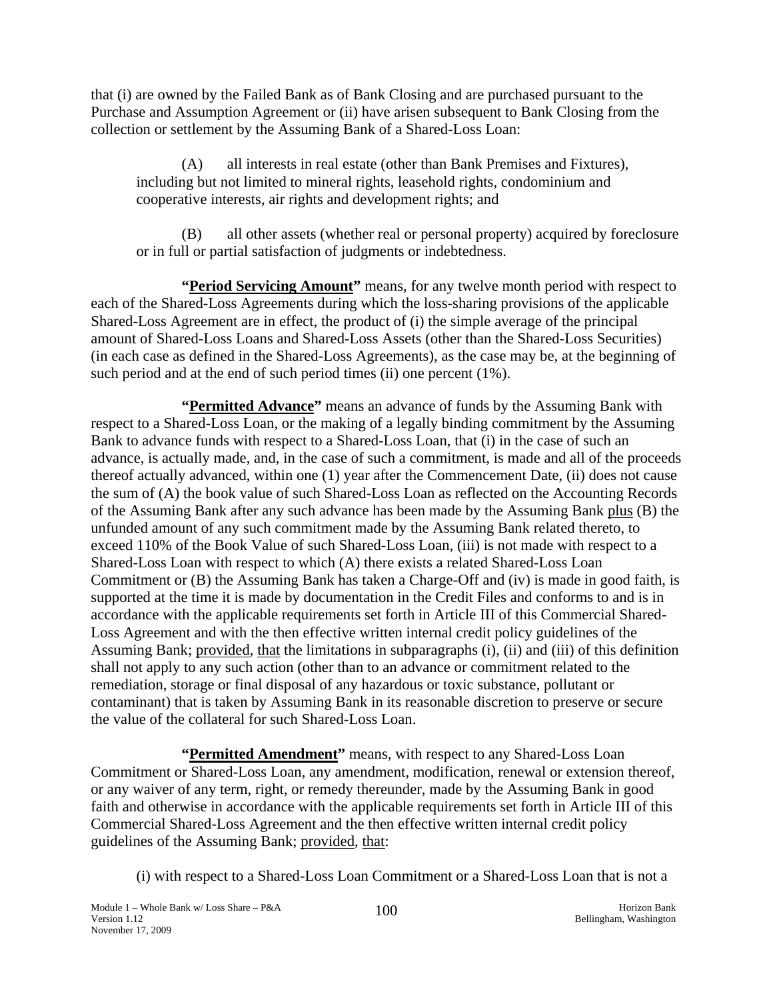that (i) are owned by the Failed Bank as of Bank Closing and are purchased pursuant to the Purchase and Assumption Agreement or (ii) have arisen subsequent to Bank Closing from the collection or settlement by the Assuming Bank of a Shared-Loss Loan:

(A) all interests in real estate (other than Bank Premises and Fixtures), including but not limited to mineral rights, leasehold rights, condominium and cooperative interests, air rights and development rights; and

(B) all other assets (whether real or personal property) acquired by foreclosure or in full or partial satisfaction of judgments or indebtedness.

**"Period Servicing Amount"** means, for any twelve month period with respect to each of the Shared-Loss Agreements during which the loss-sharing provisions of the applicable Shared-Loss Agreement are in effect, the product of (i) the simple average of the principal amount of Shared-Loss Loans and Shared-Loss Assets (other than the Shared-Loss Securities) (in each case as defined in the Shared-Loss Agreements), as the case may be, at the beginning of such period and at the end of such period times (ii) one percent (1%).

**"Permitted Advance"** means an advance of funds by the Assuming Bank with respect to a Shared-Loss Loan, or the making of a legally binding commitment by the Assuming Bank to advance funds with respect to a Shared-Loss Loan, that (i) in the case of such an advance, is actually made, and, in the case of such a commitment, is made and all of the proceeds thereof actually advanced, within one (1) year after the Commencement Date, (ii) does not cause the sum of (A) the book value of such Shared-Loss Loan as reflected on the Accounting Records of the Assuming Bank after any such advance has been made by the Assuming Bank plus (B) the unfunded amount of any such commitment made by the Assuming Bank related thereto, to exceed 110% of the Book Value of such Shared-Loss Loan, (iii) is not made with respect to a Shared-Loss Loan with respect to which (A) there exists a related Shared-Loss Loan Commitment or (B) the Assuming Bank has taken a Charge-Off and (iv) is made in good faith, is supported at the time it is made by documentation in the Credit Files and conforms to and is in accordance with the applicable requirements set forth in Article III of this Commercial Shared-Loss Agreement and with the then effective written internal credit policy guidelines of the Assuming Bank; provided, that the limitations in subparagraphs (i), (ii) and (iii) of this definition shall not apply to any such action (other than to an advance or commitment related to the remediation, storage or final disposal of any hazardous or toxic substance, pollutant or contaminant) that is taken by Assuming Bank in its reasonable discretion to preserve or secure the value of the collateral for such Shared-Loss Loan.

**"Permitted Amendment"** means, with respect to any Shared-Loss Loan Commitment or Shared-Loss Loan, any amendment, modification, renewal or extension thereof, or any waiver of any term, right, or remedy thereunder, made by the Assuming Bank in good faith and otherwise in accordance with the applicable requirements set forth in Article III of this Commercial Shared-Loss Agreement and the then effective written internal credit policy guidelines of the Assuming Bank; provided, that:

(i) with respect to a Shared-Loss Loan Commitment or a Shared-Loss Loan that is not a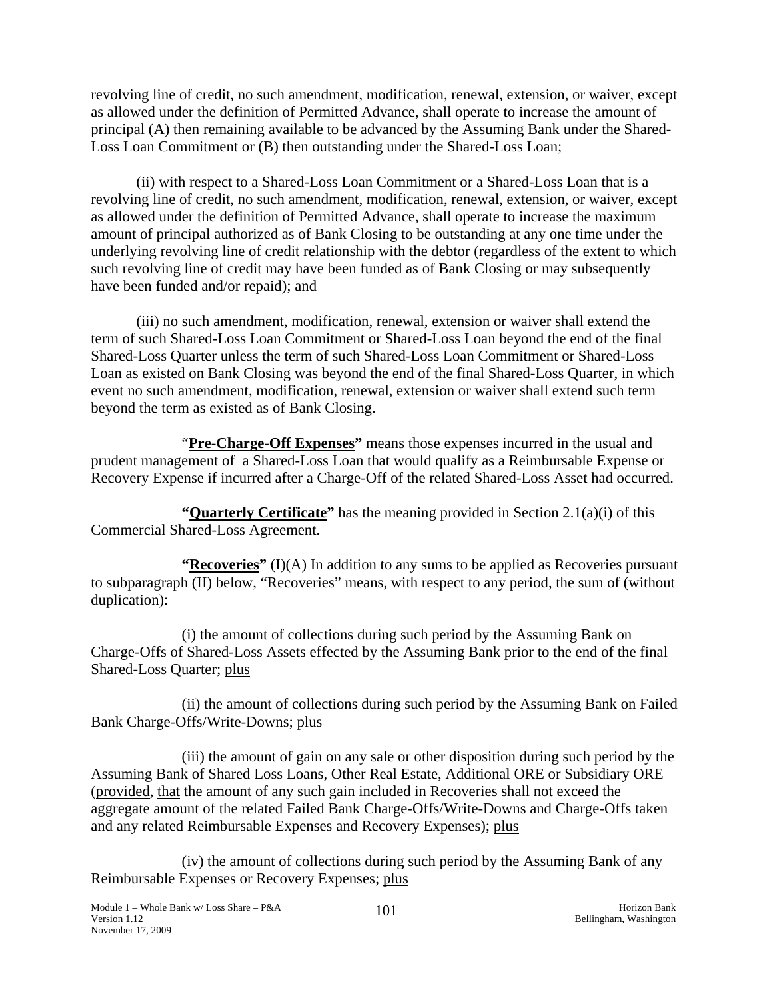revolving line of credit, no such amendment, modification, renewal, extension, or waiver, except as allowed under the definition of Permitted Advance, shall operate to increase the amount of principal (A) then remaining available to be advanced by the Assuming Bank under the Shared-Loss Loan Commitment or (B) then outstanding under the Shared-Loss Loan;

(ii) with respect to a Shared-Loss Loan Commitment or a Shared-Loss Loan that is a revolving line of credit, no such amendment, modification, renewal, extension, or waiver, except as allowed under the definition of Permitted Advance, shall operate to increase the maximum amount of principal authorized as of Bank Closing to be outstanding at any one time under the underlying revolving line of credit relationship with the debtor (regardless of the extent to which such revolving line of credit may have been funded as of Bank Closing or may subsequently have been funded and/or repaid); and

(iii) no such amendment, modification, renewal, extension or waiver shall extend the term of such Shared-Loss Loan Commitment or Shared-Loss Loan beyond the end of the final Shared-Loss Quarter unless the term of such Shared-Loss Loan Commitment or Shared-Loss Loan as existed on Bank Closing was beyond the end of the final Shared-Loss Quarter, in which event no such amendment, modification, renewal, extension or waiver shall extend such term beyond the term as existed as of Bank Closing.

"**Pre-Charge-Off Expenses"** means those expenses incurred in the usual and prudent management of a Shared-Loss Loan that would qualify as a Reimbursable Expense or Recovery Expense if incurred after a Charge-Off of the related Shared-Loss Asset had occurred.

**"Quarterly Certificate"** has the meaning provided in Section 2.1(a)(i) of this Commercial Shared-Loss Agreement.

**"Recoveries"** (I)(A) In addition to any sums to be applied as Recoveries pursuant to subparagraph (II) below, "Recoveries" means, with respect to any period, the sum of (without duplication):

**Shared-Loss Quarter; plus** (i) the amount of collections during such period by the Assuming Bank on Charge-Offs of Shared-Loss Assets effected by the Assuming Bank prior to the end of the final

(ii) the amount of collections during such period by the Assuming Bank on Failed Bank Charge-Offs/Write-Downs; plus

(iii) the amount of gain on any sale or other disposition during such period by the Assuming Bank of Shared Loss Loans, Other Real Estate, Additional ORE or Subsidiary ORE (provided, that the amount of any such gain included in Recoveries shall not exceed the aggregate amount of the related Failed Bank Charge-Offs/Write-Downs and Charge-Offs taken and any related Reimbursable Expenses and Recovery Expenses); plus

(iv) the amount of collections during such period by the Assuming Bank of any Reimbursable Expenses or Recovery Expenses; plus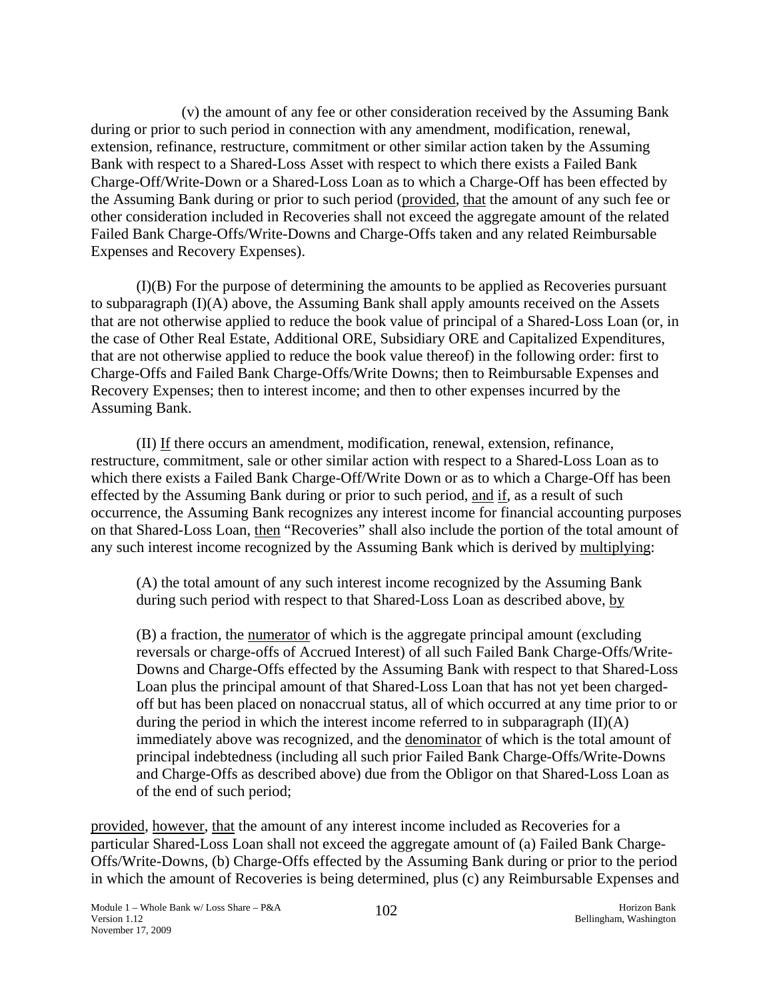(v) the amount of any fee or other consideration received by the Assuming Bank during or prior to such period in connection with any amendment, modification, renewal, extension, refinance, restructure, commitment or other similar action taken by the Assuming Bank with respect to a Shared-Loss Asset with respect to which there exists a Failed Bank Charge-Off/Write-Down or a Shared-Loss Loan as to which a Charge-Off has been effected by the Assuming Bank during or prior to such period (provided, that the amount of any such fee or other consideration included in Recoveries shall not exceed the aggregate amount of the related Failed Bank Charge-Offs/Write-Downs and Charge-Offs taken and any related Reimbursable Expenses and Recovery Expenses).

(I)(B) For the purpose of determining the amounts to be applied as Recoveries pursuant to subparagraph  $(I)(A)$  above, the Assuming Bank shall apply amounts received on the Assets that are not otherwise applied to reduce the book value of principal of a Shared-Loss Loan (or, in the case of Other Real Estate, Additional ORE, Subsidiary ORE and Capitalized Expenditures, that are not otherwise applied to reduce the book value thereof) in the following order: first to Charge-Offs and Failed Bank Charge-Offs/Write Downs; then to Reimbursable Expenses and Recovery Expenses; then to interest income; and then to other expenses incurred by the Assuming Bank.

(II) If there occurs an amendment, modification, renewal, extension, refinance, restructure, commitment, sale or other similar action with respect to a Shared-Loss Loan as to which there exists a Failed Bank Charge-Off/Write Down or as to which a Charge-Off has been effected by the Assuming Bank during or prior to such period, and if, as a result of such occurrence, the Assuming Bank recognizes any interest income for financial accounting purposes on that Shared-Loss Loan, then "Recoveries" shall also include the portion of the total amount of any such interest income recognized by the Assuming Bank which is derived by multiplying:

(A) the total amount of any such interest income recognized by the Assuming Bank during such period with respect to that Shared-Loss Loan as described above, by

(B) a fraction, the numerator of which is the aggregate principal amount (excluding reversals or charge-offs of Accrued Interest) of all such Failed Bank Charge-Offs/Write-Downs and Charge-Offs effected by the Assuming Bank with respect to that Shared-Loss Loan plus the principal amount of that Shared-Loss Loan that has not yet been chargedoff but has been placed on nonaccrual status, all of which occurred at any time prior to or during the period in which the interest income referred to in subparagraph (II)(A) immediately above was recognized, and the denominator of which is the total amount of principal indebtedness (including all such prior Failed Bank Charge-Offs/Write-Downs and Charge-Offs as described above) due from the Obligor on that Shared-Loss Loan as of the end of such period;

provided, however, that the amount of any interest income included as Recoveries for a particular Shared-Loss Loan shall not exceed the aggregate amount of (a) Failed Bank Charge-Offs/Write-Downs, (b) Charge-Offs effected by the Assuming Bank during or prior to the period in which the amount of Recoveries is being determined, plus (c) any Reimbursable Expenses and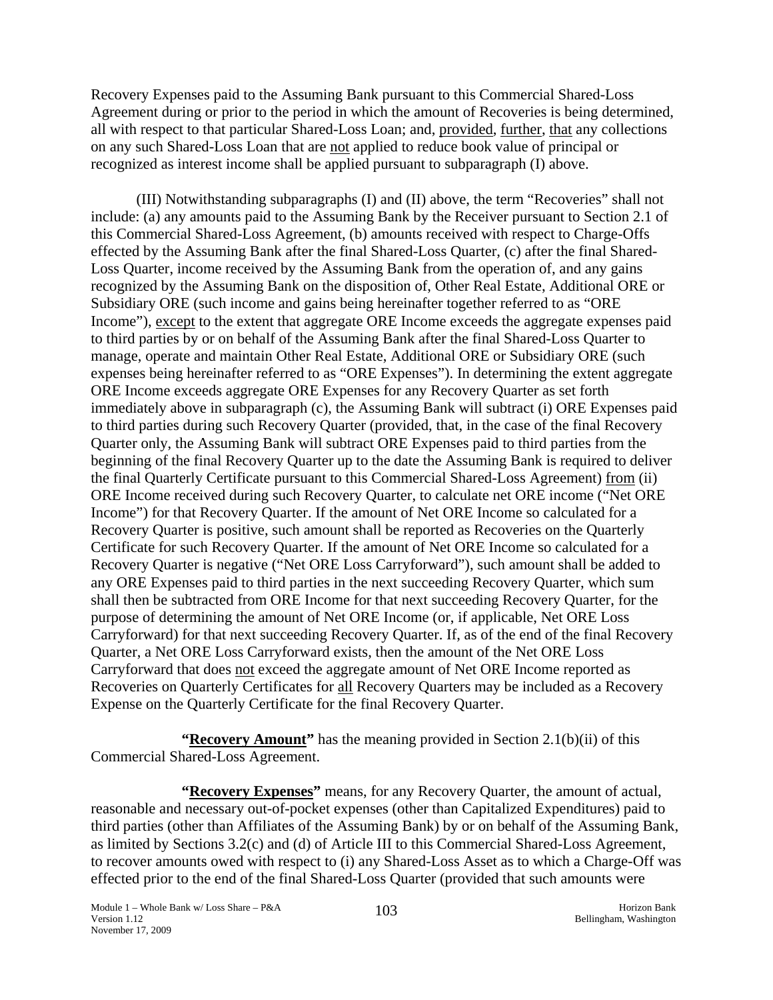Recovery Expenses paid to the Assuming Bank pursuant to this Commercial Shared-Loss Agreement during or prior to the period in which the amount of Recoveries is being determined, all with respect to that particular Shared-Loss Loan; and, provided, further, that any collections on any such Shared-Loss Loan that are not applied to reduce book value of principal or recognized as interest income shall be applied pursuant to subparagraph (I) above.

(III) Notwithstanding subparagraphs (I) and (II) above, the term "Recoveries" shall not include: (a) any amounts paid to the Assuming Bank by the Receiver pursuant to Section 2.1 of this Commercial Shared-Loss Agreement, (b) amounts received with respect to Charge-Offs effected by the Assuming Bank after the final Shared-Loss Quarter, (c) after the final Shared-Loss Quarter, income received by the Assuming Bank from the operation of, and any gains recognized by the Assuming Bank on the disposition of, Other Real Estate, Additional ORE or Subsidiary ORE (such income and gains being hereinafter together referred to as "ORE Income"), except to the extent that aggregate ORE Income exceeds the aggregate expenses paid to third parties by or on behalf of the Assuming Bank after the final Shared-Loss Quarter to manage, operate and maintain Other Real Estate, Additional ORE or Subsidiary ORE (such expenses being hereinafter referred to as "ORE Expenses"). In determining the extent aggregate ORE Income exceeds aggregate ORE Expenses for any Recovery Quarter as set forth immediately above in subparagraph (c), the Assuming Bank will subtract (i) ORE Expenses paid to third parties during such Recovery Quarter (provided, that, in the case of the final Recovery Quarter only, the Assuming Bank will subtract ORE Expenses paid to third parties from the beginning of the final Recovery Quarter up to the date the Assuming Bank is required to deliver the final Quarterly Certificate pursuant to this Commercial Shared-Loss Agreement) from (ii) ORE Income received during such Recovery Quarter, to calculate net ORE income ("Net ORE Income") for that Recovery Quarter. If the amount of Net ORE Income so calculated for a Recovery Quarter is positive, such amount shall be reported as Recoveries on the Quarterly Certificate for such Recovery Quarter. If the amount of Net ORE Income so calculated for a Recovery Quarter is negative ("Net ORE Loss Carryforward"), such amount shall be added to any ORE Expenses paid to third parties in the next succeeding Recovery Quarter, which sum shall then be subtracted from ORE Income for that next succeeding Recovery Quarter, for the purpose of determining the amount of Net ORE Income (or, if applicable, Net ORE Loss Carryforward) for that next succeeding Recovery Quarter. If, as of the end of the final Recovery Quarter, a Net ORE Loss Carryforward exists, then the amount of the Net ORE Loss Carryforward that does not exceed the aggregate amount of Net ORE Income reported as Recoveries on Quarterly Certificates for all Recovery Quarters may be included as a Recovery Expense on the Quarterly Certificate for the final Recovery Quarter.

**"Recovery Amount"** has the meaning provided in Section 2.1(b)(ii) of this Commercial Shared-Loss Agreement.

**"Recovery Expenses"** means, for any Recovery Quarter, the amount of actual, reasonable and necessary out-of-pocket expenses (other than Capitalized Expenditures) paid to third parties (other than Affiliates of the Assuming Bank) by or on behalf of the Assuming Bank, as limited by Sections 3.2(c) and (d) of Article III to this Commercial Shared-Loss Agreement, to recover amounts owed with respect to (i) any Shared-Loss Asset as to which a Charge-Off was effected prior to the end of the final Shared-Loss Quarter (provided that such amounts were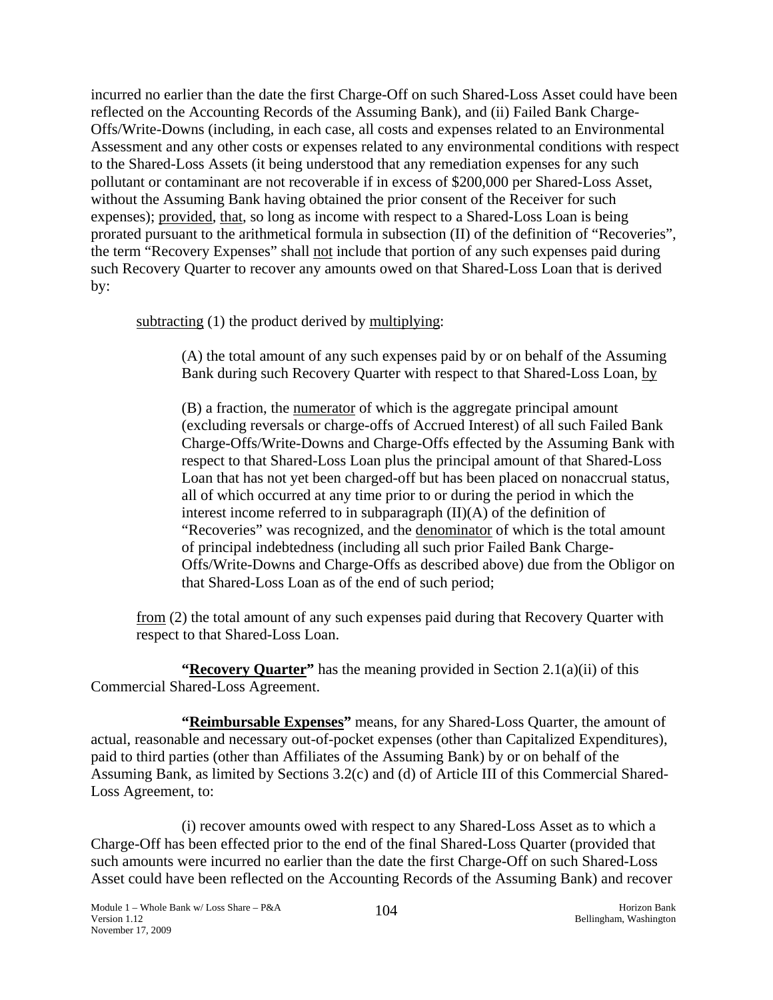incurred no earlier than the date the first Charge-Off on such Shared-Loss Asset could have been reflected on the Accounting Records of the Assuming Bank), and (ii) Failed Bank Charge-Offs/Write-Downs (including, in each case, all costs and expenses related to an Environmental Assessment and any other costs or expenses related to any environmental conditions with respect to the Shared-Loss Assets (it being understood that any remediation expenses for any such pollutant or contaminant are not recoverable if in excess of \$200,000 per Shared-Loss Asset, without the Assuming Bank having obtained the prior consent of the Receiver for such expenses); provided, that, so long as income with respect to a Shared-Loss Loan is being prorated pursuant to the arithmetical formula in subsection (II) of the definition of "Recoveries", the term "Recovery Expenses" shall not include that portion of any such expenses paid during such Recovery Quarter to recover any amounts owed on that Shared-Loss Loan that is derived by:

subtracting (1) the product derived by multiplying:

(A) the total amount of any such expenses paid by or on behalf of the Assuming Bank during such Recovery Quarter with respect to that Shared-Loss Loan, by

(B) a fraction, the numerator of which is the aggregate principal amount (excluding reversals or charge-offs of Accrued Interest) of all such Failed Bank Charge-Offs/Write-Downs and Charge-Offs effected by the Assuming Bank with respect to that Shared-Loss Loan plus the principal amount of that Shared-Loss Loan that has not yet been charged-off but has been placed on nonaccrual status, all of which occurred at any time prior to or during the period in which the interest income referred to in subparagraph  $(II)(A)$  of the definition of "Recoveries" was recognized, and the denominator of which is the total amount of principal indebtedness (including all such prior Failed Bank Charge-Offs/Write-Downs and Charge-Offs as described above) due from the Obligor on that Shared-Loss Loan as of the end of such period;

from (2) the total amount of any such expenses paid during that Recovery Quarter with respect to that Shared-Loss Loan.

**"Recovery Quarter"** has the meaning provided in Section 2.1(a)(ii) of this Commercial Shared-Loss Agreement.

**"Reimbursable Expenses"** means, for any Shared-Loss Quarter, the amount of actual, reasonable and necessary out-of-pocket expenses (other than Capitalized Expenditures), paid to third parties (other than Affiliates of the Assuming Bank) by or on behalf of the Assuming Bank, as limited by Sections 3.2(c) and (d) of Article III of this Commercial Shared-Loss Agreement, to:

(i) recover amounts owed with respect to any Shared-Loss Asset as to which a Charge-Off has been effected prior to the end of the final Shared-Loss Quarter (provided that such amounts were incurred no earlier than the date the first Charge-Off on such Shared-Loss Asset could have been reflected on the Accounting Records of the Assuming Bank) and recover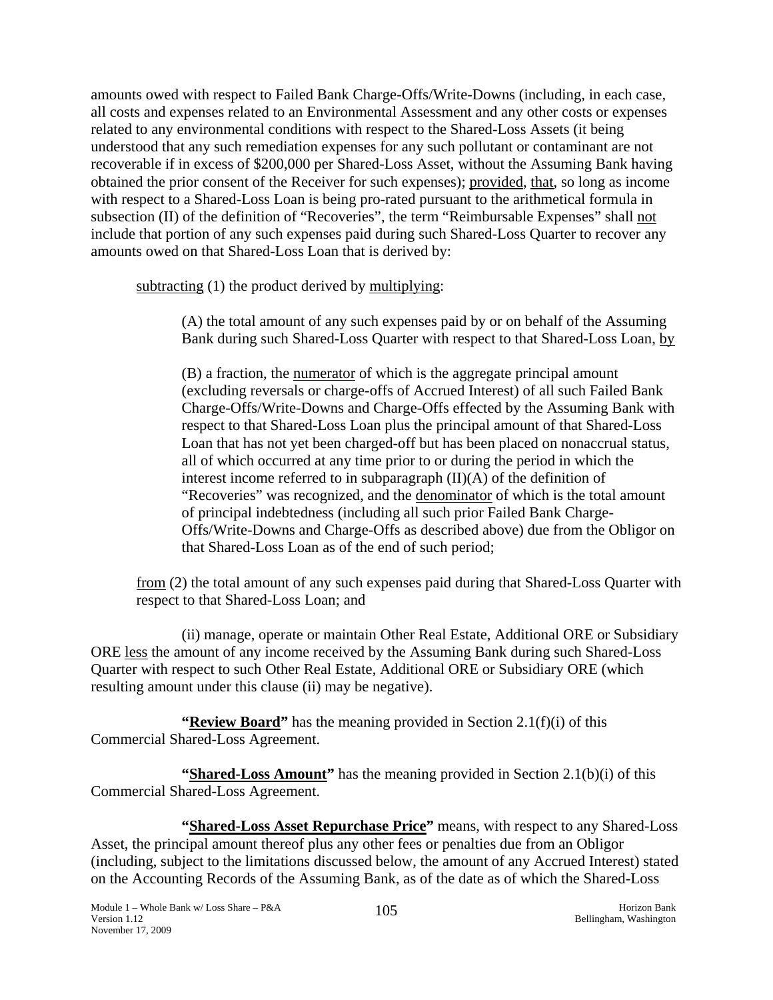amounts owed with respect to Failed Bank Charge-Offs/Write-Downs (including, in each case, all costs and expenses related to an Environmental Assessment and any other costs or expenses related to any environmental conditions with respect to the Shared-Loss Assets (it being understood that any such remediation expenses for any such pollutant or contaminant are not recoverable if in excess of \$200,000 per Shared-Loss Asset, without the Assuming Bank having obtained the prior consent of the Receiver for such expenses); provided, that, so long as income with respect to a Shared-Loss Loan is being pro-rated pursuant to the arithmetical formula in subsection (II) of the definition of "Recoveries", the term "Reimbursable Expenses" shall not include that portion of any such expenses paid during such Shared-Loss Quarter to recover any amounts owed on that Shared-Loss Loan that is derived by:

subtracting (1) the product derived by multiplying:

(A) the total amount of any such expenses paid by or on behalf of the Assuming Bank during such Shared-Loss Quarter with respect to that Shared-Loss Loan, by

(B) a fraction, the numerator of which is the aggregate principal amount (excluding reversals or charge-offs of Accrued Interest) of all such Failed Bank Charge-Offs/Write-Downs and Charge-Offs effected by the Assuming Bank with respect to that Shared-Loss Loan plus the principal amount of that Shared-Loss Loan that has not yet been charged-off but has been placed on nonaccrual status, all of which occurred at any time prior to or during the period in which the interest income referred to in subparagraph (II)(A) of the definition of "Recoveries" was recognized, and the denominator of which is the total amount of principal indebtedness (including all such prior Failed Bank Charge-Offs/Write-Downs and Charge-Offs as described above) due from the Obligor on that Shared-Loss Loan as of the end of such period;

from (2) the total amount of any such expenses paid during that Shared-Loss Quarter with respect to that Shared-Loss Loan; and

(ii) manage, operate or maintain Other Real Estate, Additional ORE or Subsidiary ORE less the amount of any income received by the Assuming Bank during such Shared-Loss Quarter with respect to such Other Real Estate, Additional ORE or Subsidiary ORE (which resulting amount under this clause (ii) may be negative).

**"Review Board"** has the meaning provided in Section 2.1(f)(i) of this Commercial Shared-Loss Agreement.

**"Shared-Loss Amount"** has the meaning provided in Section 2.1(b)(i) of this Commercial Shared-Loss Agreement.

**"Shared-Loss Asset Repurchase Price"** means, with respect to any Shared-Loss Asset, the principal amount thereof plus any other fees or penalties due from an Obligor (including, subject to the limitations discussed below, the amount of any Accrued Interest) stated on the Accounting Records of the Assuming Bank, as of the date as of which the Shared-Loss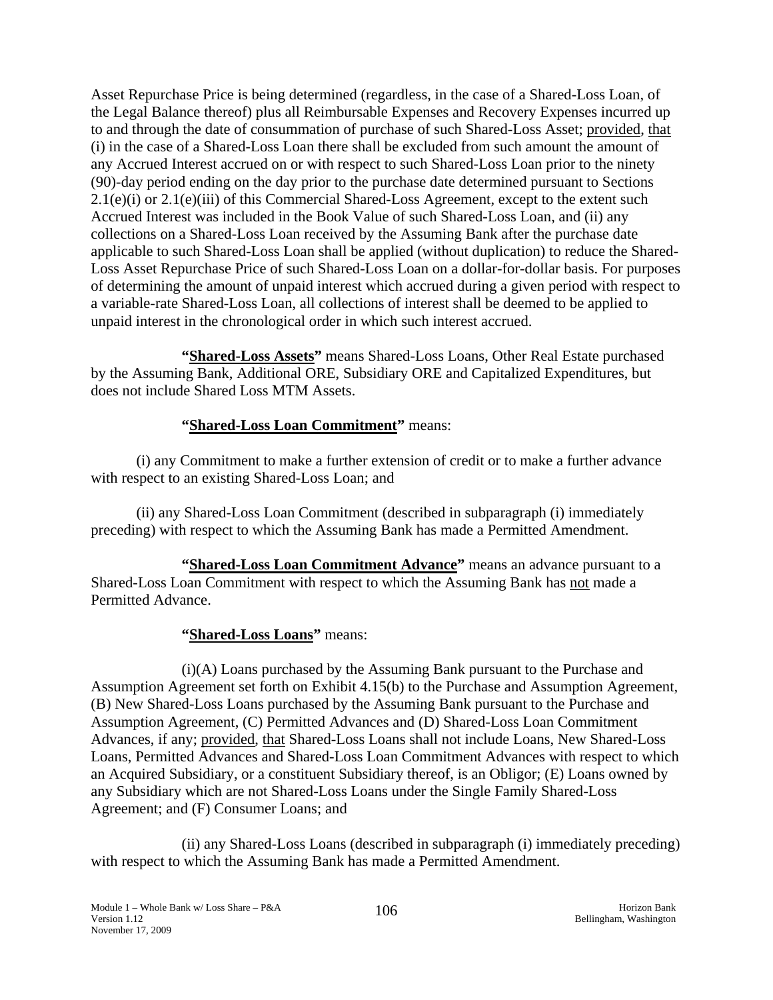Asset Repurchase Price is being determined (regardless, in the case of a Shared-Loss Loan, of the Legal Balance thereof) plus all Reimbursable Expenses and Recovery Expenses incurred up to and through the date of consummation of purchase of such Shared-Loss Asset; provided, that (i) in the case of a Shared-Loss Loan there shall be excluded from such amount the amount of any Accrued Interest accrued on or with respect to such Shared-Loss Loan prior to the ninety (90)-day period ending on the day prior to the purchase date determined pursuant to Sections 2.1(e)(i) or 2.1(e)(iii) of this Commercial Shared-Loss Agreement, except to the extent such Accrued Interest was included in the Book Value of such Shared-Loss Loan, and (ii) any collections on a Shared-Loss Loan received by the Assuming Bank after the purchase date applicable to such Shared-Loss Loan shall be applied (without duplication) to reduce the Shared-Loss Asset Repurchase Price of such Shared-Loss Loan on a dollar-for-dollar basis. For purposes of determining the amount of unpaid interest which accrued during a given period with respect to a variable-rate Shared-Loss Loan, all collections of interest shall be deemed to be applied to unpaid interest in the chronological order in which such interest accrued.

**"Shared-Loss Assets"** means Shared-Loss Loans, Other Real Estate purchased by the Assuming Bank, Additional ORE, Subsidiary ORE and Capitalized Expenditures, but does not include Shared Loss MTM Assets.

#### "Shared-Loss Loan Commitment" means:

(i) any Commitment to make a further extension of credit or to make a further advance with respect to an existing Shared-Loss Loan; and

(ii) any Shared-Loss Loan Commitment (described in subparagraph (i) immediately preceding) with respect to which the Assuming Bank has made a Permitted Amendment.

**"Shared-Loss Loan Commitment Advance"** means an advance pursuant to a Shared-Loss Loan Commitment with respect to which the Assuming Bank has not made a Permitted Advance.

# **"Shared-Loss Loans"** means:

(i)(A) Loans purchased by the Assuming Bank pursuant to the Purchase and Assumption Agreement set forth on Exhibit 4.15(b) to the Purchase and Assumption Agreement, (B) New Shared-Loss Loans purchased by the Assuming Bank pursuant to the Purchase and Assumption Agreement, (C) Permitted Advances and (D) Shared-Loss Loan Commitment Advances, if any; provided, that Shared-Loss Loans shall not include Loans, New Shared-Loss Loans, Permitted Advances and Shared-Loss Loan Commitment Advances with respect to which an Acquired Subsidiary, or a constituent Subsidiary thereof, is an Obligor; (E) Loans owned by any Subsidiary which are not Shared-Loss Loans under the Single Family Shared-Loss Agreement; and (F) Consumer Loans; and

(ii) any Shared-Loss Loans (described in subparagraph (i) immediately preceding) with respect to which the Assuming Bank has made a Permitted Amendment.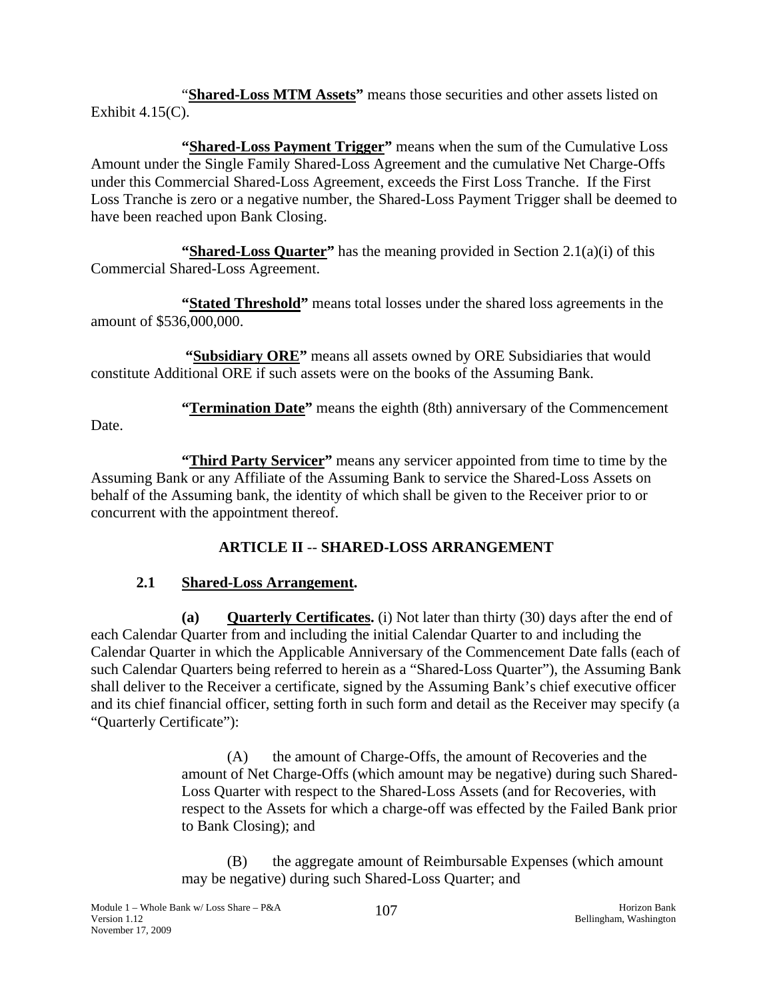"Shared-Loss MTM Assets" means those securities and other assets listed on Exhibit  $4.15(C)$ .

**"Shared-Loss Payment Trigger"** means when the sum of the Cumulative Loss Amount under the Single Family Shared-Loss Agreement and the cumulative Net Charge-Offs under this Commercial Shared-Loss Agreement, exceeds the First Loss Tranche. If the First Loss Tranche is zero or a negative number, the Shared-Loss Payment Trigger shall be deemed to have been reached upon Bank Closing.

**"Shared-Loss Quarter"** has the meaning provided in Section 2.1(a)(i) of this Commercial Shared-Loss Agreement.

**"Stated Threshold"** means total losses under the shared loss agreements in the amount of \$536,000,000.

**"Subsidiary ORE"** means all assets owned by ORE Subsidiaries that would constitute Additional ORE if such assets were on the books of the Assuming Bank.

**"Termination Date"** means the eighth (8th) anniversary of the Commencement

**"Third Party Servicer"** means any servicer appointed from time to time by the Assuming Bank or any Affiliate of the Assuming Bank to service the Shared-Loss Assets on behalf of the Assuming bank, the identity of which shall be given to the Receiver prior to or concurrent with the appointment thereof.

# **ARTICLE II** -- **SHARED-LOSS ARRANGEMENT**

# **2.1 Shared-Loss Arrangement.**

Date.

**(a) Quarterly Certificates.** (i) Not later than thirty (30) days after the end of each Calendar Quarter from and including the initial Calendar Quarter to and including the Calendar Quarter in which the Applicable Anniversary of the Commencement Date falls (each of such Calendar Quarters being referred to herein as a "Shared-Loss Quarter"), the Assuming Bank shall deliver to the Receiver a certificate, signed by the Assuming Bank's chief executive officer and its chief financial officer, setting forth in such form and detail as the Receiver may specify (a "Quarterly Certificate"):

> (A) the amount of Charge-Offs, the amount of Recoveries and the amount of Net Charge-Offs (which amount may be negative) during such Shared-Loss Quarter with respect to the Shared-Loss Assets (and for Recoveries, with respect to the Assets for which a charge-off was effected by the Failed Bank prior to Bank Closing); and

(B) the aggregate amount of Reimbursable Expenses (which amount may be negative) during such Shared-Loss Quarter; and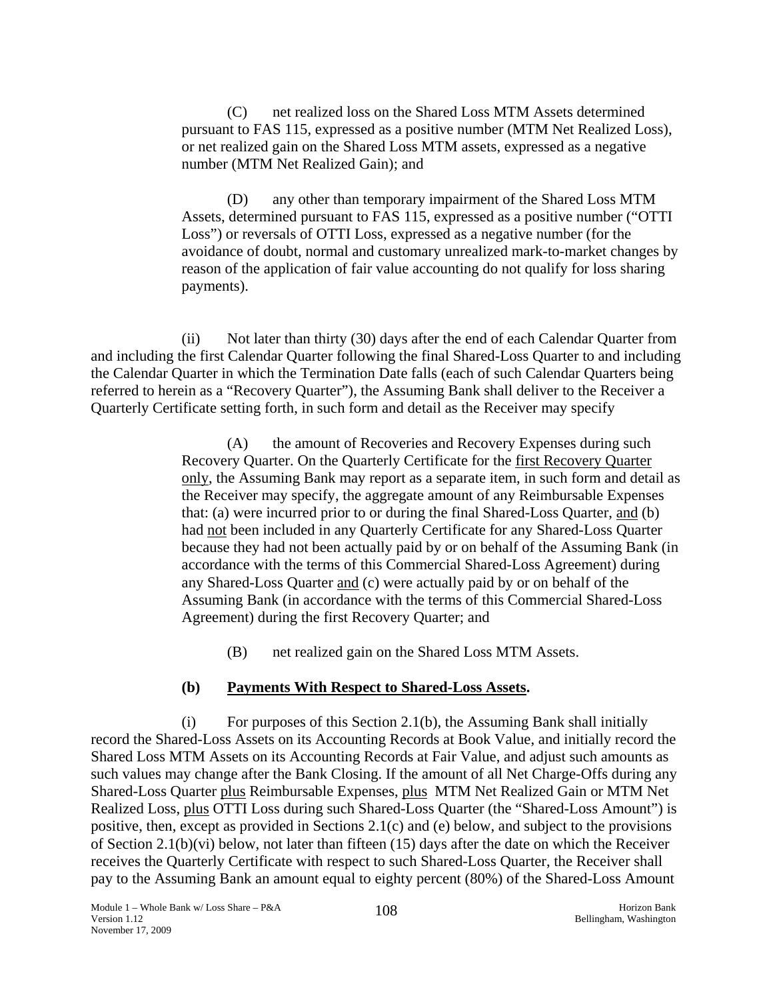(C) net realized loss on the Shared Loss MTM Assets determined pursuant to FAS 115, expressed as a positive number (MTM Net Realized Loss), or net realized gain on the Shared Loss MTM assets, expressed as a negative number (MTM Net Realized Gain); and

(D) any other than temporary impairment of the Shared Loss MTM Assets, determined pursuant to FAS 115, expressed as a positive number ("OTTI Loss") or reversals of OTTI Loss, expressed as a negative number (for the avoidance of doubt, normal and customary unrealized mark-to-market changes by reason of the application of fair value accounting do not qualify for loss sharing payments).

(ii) Not later than thirty (30) days after the end of each Calendar Quarter from and including the first Calendar Quarter following the final Shared-Loss Quarter to and including the Calendar Quarter in which the Termination Date falls (each of such Calendar Quarters being referred to herein as a "Recovery Quarter"), the Assuming Bank shall deliver to the Receiver a Quarterly Certificate setting forth, in such form and detail as the Receiver may specify

> (A) the amount of Recoveries and Recovery Expenses during such Recovery Quarter. On the Quarterly Certificate for the first Recovery Quarter only, the Assuming Bank may report as a separate item, in such form and detail as the Receiver may specify, the aggregate amount of any Reimbursable Expenses that: (a) were incurred prior to or during the final Shared-Loss Quarter, and (b) had not been included in any Quarterly Certificate for any Shared-Loss Quarter because they had not been actually paid by or on behalf of the Assuming Bank (in accordance with the terms of this Commercial Shared-Loss Agreement) during any Shared-Loss Quarter and (c) were actually paid by or on behalf of the Assuming Bank (in accordance with the terms of this Commercial Shared-Loss Agreement) during the first Recovery Quarter; and

(B) net realized gain on the Shared Loss MTM Assets.

# **(b) Payments With Respect to Shared-Loss Assets.**

(i) For purposes of this Section 2.1(b), the Assuming Bank shall initially record the Shared-Loss Assets on its Accounting Records at Book Value, and initially record the Shared Loss MTM Assets on its Accounting Records at Fair Value, and adjust such amounts as such values may change after the Bank Closing. If the amount of all Net Charge-Offs during any Shared-Loss Quarter plus Reimbursable Expenses, plus MTM Net Realized Gain or MTM Net Realized Loss, plus OTTI Loss during such Shared-Loss Quarter (the "Shared-Loss Amount") is positive, then, except as provided in Sections 2.1(c) and (e) below, and subject to the provisions of Section 2.1(b)(vi) below, not later than fifteen (15) days after the date on which the Receiver receives the Quarterly Certificate with respect to such Shared-Loss Quarter, the Receiver shall pay to the Assuming Bank an amount equal to eighty percent (80%) of the Shared-Loss Amount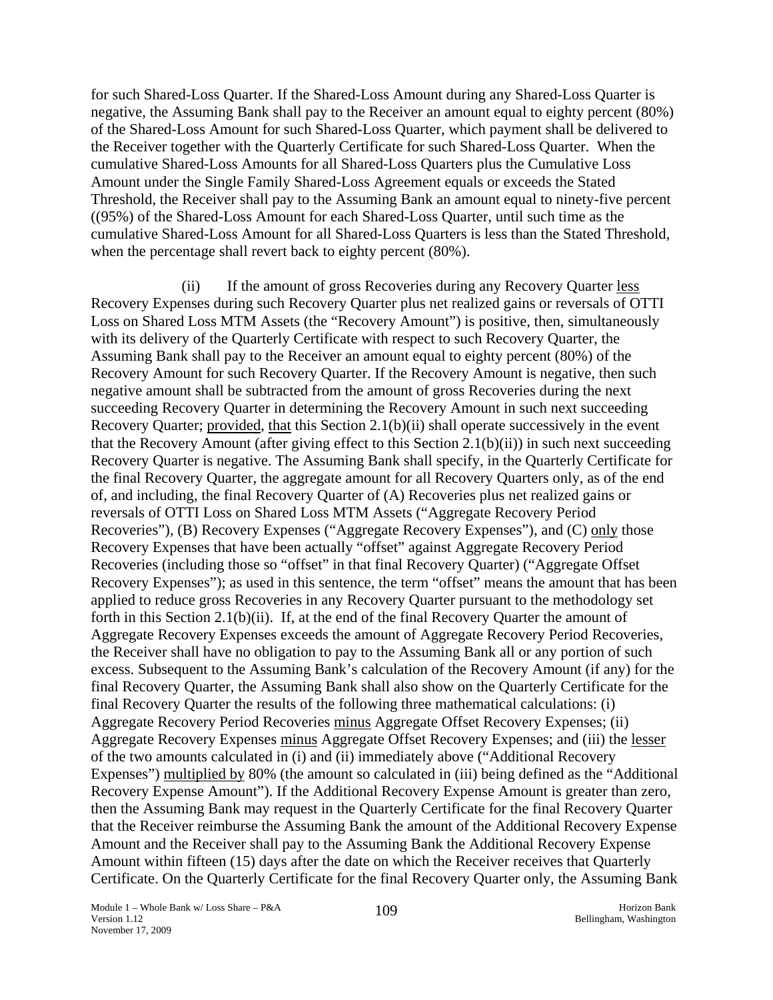for such Shared-Loss Quarter. If the Shared-Loss Amount during any Shared-Loss Quarter is negative, the Assuming Bank shall pay to the Receiver an amount equal to eighty percent (80%) of the Shared-Loss Amount for such Shared-Loss Quarter, which payment shall be delivered to the Receiver together with the Quarterly Certificate for such Shared-Loss Quarter. When the cumulative Shared-Loss Amounts for all Shared-Loss Quarters plus the Cumulative Loss Amount under the Single Family Shared-Loss Agreement equals or exceeds the Stated Threshold, the Receiver shall pay to the Assuming Bank an amount equal to ninety-five percent ((95%) of the Shared-Loss Amount for each Shared-Loss Quarter, until such time as the cumulative Shared-Loss Amount for all Shared-Loss Quarters is less than the Stated Threshold, when the percentage shall revert back to eighty percent (80%).

(ii) If the amount of gross Recoveries during any Recovery Quarter less Recovery Expenses during such Recovery Quarter plus net realized gains or reversals of OTTI Loss on Shared Loss MTM Assets (the "Recovery Amount") is positive, then, simultaneously with its delivery of the Quarterly Certificate with respect to such Recovery Quarter, the Assuming Bank shall pay to the Receiver an amount equal to eighty percent (80%) of the Recovery Amount for such Recovery Quarter. If the Recovery Amount is negative, then such negative amount shall be subtracted from the amount of gross Recoveries during the next succeeding Recovery Quarter in determining the Recovery Amount in such next succeeding Recovery Quarter; provided, that this Section 2.1(b)(ii) shall operate successively in the event that the Recovery Amount (after giving effect to this Section 2.1(b)(ii)) in such next succeeding Recovery Quarter is negative. The Assuming Bank shall specify, in the Quarterly Certificate for the final Recovery Quarter, the aggregate amount for all Recovery Quarters only, as of the end of, and including, the final Recovery Quarter of (A) Recoveries plus net realized gains or reversals of OTTI Loss on Shared Loss MTM Assets ("Aggregate Recovery Period Recoveries"), (B) Recovery Expenses ("Aggregate Recovery Expenses"), and (C) only those Recovery Expenses that have been actually "offset" against Aggregate Recovery Period Recoveries (including those so "offset" in that final Recovery Quarter) ("Aggregate Offset Recovery Expenses"); as used in this sentence, the term "offset" means the amount that has been applied to reduce gross Recoveries in any Recovery Quarter pursuant to the methodology set forth in this Section 2.1(b)(ii). If, at the end of the final Recovery Quarter the amount of Aggregate Recovery Expenses exceeds the amount of Aggregate Recovery Period Recoveries, the Receiver shall have no obligation to pay to the Assuming Bank all or any portion of such excess. Subsequent to the Assuming Bank's calculation of the Recovery Amount (if any) for the final Recovery Quarter, the Assuming Bank shall also show on the Quarterly Certificate for the final Recovery Quarter the results of the following three mathematical calculations: (i) Aggregate Recovery Period Recoveries minus Aggregate Offset Recovery Expenses; (ii) Aggregate Recovery Expenses minus Aggregate Offset Recovery Expenses; and (iii) the lesser of the two amounts calculated in (i) and (ii) immediately above ("Additional Recovery Expenses") multiplied by 80% (the amount so calculated in (iii) being defined as the "Additional Recovery Expense Amount"). If the Additional Recovery Expense Amount is greater than zero, then the Assuming Bank may request in the Quarterly Certificate for the final Recovery Quarter that the Receiver reimburse the Assuming Bank the amount of the Additional Recovery Expense Amount and the Receiver shall pay to the Assuming Bank the Additional Recovery Expense Amount within fifteen (15) days after the date on which the Receiver receives that Quarterly Certificate. On the Quarterly Certificate for the final Recovery Quarter only, the Assuming Bank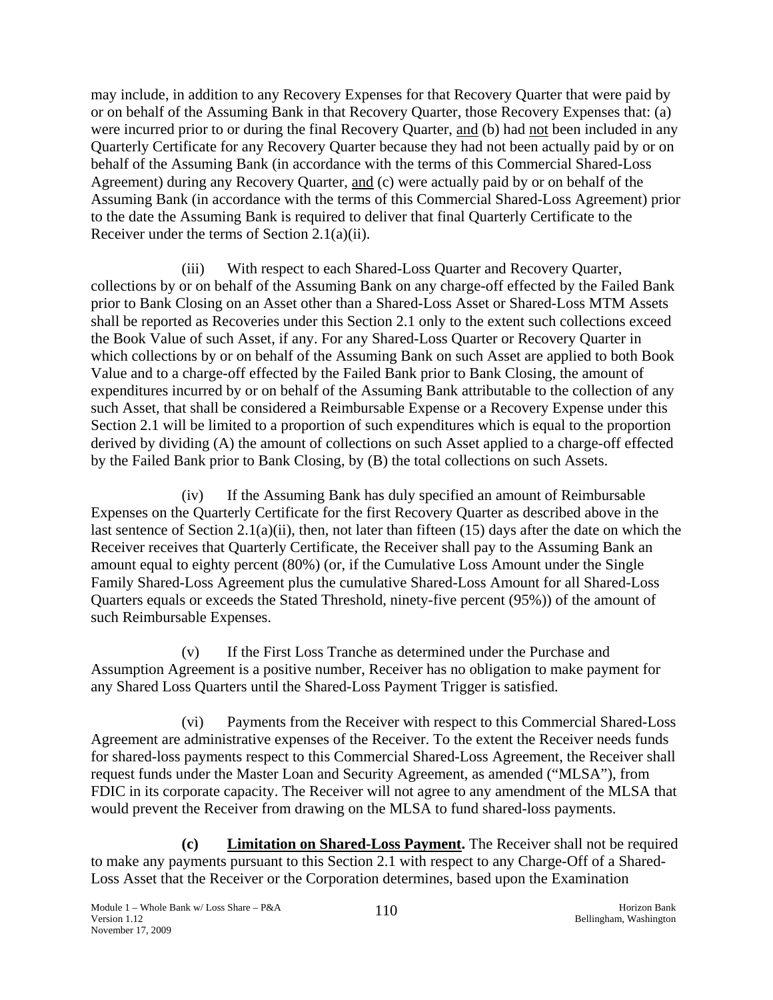may include, in addition to any Recovery Expenses for that Recovery Quarter that were paid by or on behalf of the Assuming Bank in that Recovery Quarter, those Recovery Expenses that: (a) were incurred prior to or during the final Recovery Quarter, and (b) had not been included in any Quarterly Certificate for any Recovery Quarter because they had not been actually paid by or on behalf of the Assuming Bank (in accordance with the terms of this Commercial Shared-Loss Agreement) during any Recovery Quarter, and (c) were actually paid by or on behalf of the Assuming Bank (in accordance with the terms of this Commercial Shared-Loss Agreement) prior to the date the Assuming Bank is required to deliver that final Quarterly Certificate to the Receiver under the terms of Section 2.1(a)(ii).

(iii) With respect to each Shared-Loss Quarter and Recovery Quarter, collections by or on behalf of the Assuming Bank on any charge-off effected by the Failed Bank prior to Bank Closing on an Asset other than a Shared-Loss Asset or Shared-Loss MTM Assets shall be reported as Recoveries under this Section 2.1 only to the extent such collections exceed the Book Value of such Asset, if any. For any Shared-Loss Quarter or Recovery Quarter in which collections by or on behalf of the Assuming Bank on such Asset are applied to both Book Value and to a charge-off effected by the Failed Bank prior to Bank Closing, the amount of expenditures incurred by or on behalf of the Assuming Bank attributable to the collection of any such Asset, that shall be considered a Reimbursable Expense or a Recovery Expense under this Section 2.1 will be limited to a proportion of such expenditures which is equal to the proportion derived by dividing (A) the amount of collections on such Asset applied to a charge-off effected by the Failed Bank prior to Bank Closing, by (B) the total collections on such Assets.

(iv) If the Assuming Bank has duly specified an amount of Reimbursable Expenses on the Quarterly Certificate for the first Recovery Quarter as described above in the last sentence of Section 2.1(a)(ii), then, not later than fifteen (15) days after the date on which the Receiver receives that Quarterly Certificate, the Receiver shall pay to the Assuming Bank an amount equal to eighty percent (80%) (or, if the Cumulative Loss Amount under the Single Family Shared-Loss Agreement plus the cumulative Shared-Loss Amount for all Shared-Loss Quarters equals or exceeds the Stated Threshold, ninety-five percent (95%)) of the amount of such Reimbursable Expenses.

(v) If the First Loss Tranche as determined under the Purchase and Assumption Agreement is a positive number, Receiver has no obligation to make payment for any Shared Loss Quarters until the Shared-Loss Payment Trigger is satisfied.

(vi) Payments from the Receiver with respect to this Commercial Shared-Loss Agreement are administrative expenses of the Receiver. To the extent the Receiver needs funds for shared-loss payments respect to this Commercial Shared-Loss Agreement, the Receiver shall request funds under the Master Loan and Security Agreement, as amended ("MLSA"), from FDIC in its corporate capacity. The Receiver will not agree to any amendment of the MLSA that would prevent the Receiver from drawing on the MLSA to fund shared-loss payments.

**(c) Limitation on Shared-Loss Payment.** The Receiver shall not be required to make any payments pursuant to this Section 2.1 with respect to any Charge-Off of a Shared-Loss Asset that the Receiver or the Corporation determines, based upon the Examination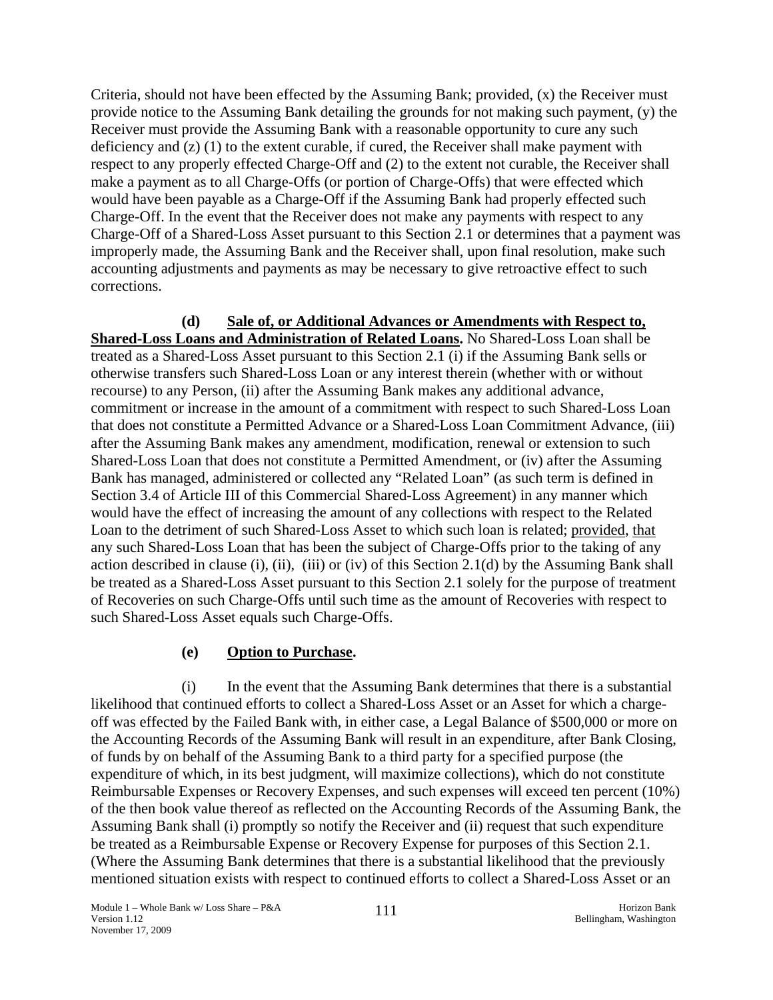Criteria, should not have been effected by the Assuming Bank; provided, (x) the Receiver must provide notice to the Assuming Bank detailing the grounds for not making such payment, (y) the Receiver must provide the Assuming Bank with a reasonable opportunity to cure any such deficiency and  $(z)$  (1) to the extent curable, if cured, the Receiver shall make payment with respect to any properly effected Charge-Off and (2) to the extent not curable, the Receiver shall make a payment as to all Charge-Offs (or portion of Charge-Offs) that were effected which would have been payable as a Charge-Off if the Assuming Bank had properly effected such Charge-Off. In the event that the Receiver does not make any payments with respect to any Charge-Off of a Shared-Loss Asset pursuant to this Section 2.1 or determines that a payment was improperly made, the Assuming Bank and the Receiver shall, upon final resolution, make such accounting adjustments and payments as may be necessary to give retroactive effect to such corrections.

Loan to the detriment of such Shared-Loss Asset to which such loan is related; provided, that **(d) Sale of, or Additional Advances or Amendments with Respect to, Shared-Loss Loans and Administration of Related Loans.** No Shared-Loss Loan shall be treated as a Shared-Loss Asset pursuant to this Section 2.1 (i) if the Assuming Bank sells or otherwise transfers such Shared-Loss Loan or any interest therein (whether with or without recourse) to any Person, (ii) after the Assuming Bank makes any additional advance, commitment or increase in the amount of a commitment with respect to such Shared-Loss Loan that does not constitute a Permitted Advance or a Shared-Loss Loan Commitment Advance, (iii) after the Assuming Bank makes any amendment, modification, renewal or extension to such Shared-Loss Loan that does not constitute a Permitted Amendment, or (iv) after the Assuming Bank has managed, administered or collected any "Related Loan" (as such term is defined in Section 3.4 of Article III of this Commercial Shared-Loss Agreement) in any manner which would have the effect of increasing the amount of any collections with respect to the Related any such Shared-Loss Loan that has been the subject of Charge-Offs prior to the taking of any action described in clause (i), (ii), (iii) or (iv) of this Section 2.1(d) by the Assuming Bank shall be treated as a Shared-Loss Asset pursuant to this Section 2.1 solely for the purpose of treatment of Recoveries on such Charge-Offs until such time as the amount of Recoveries with respect to such Shared-Loss Asset equals such Charge-Offs.

# **(e) Option to Purchase.**

(i) In the event that the Assuming Bank determines that there is a substantial likelihood that continued efforts to collect a Shared-Loss Asset or an Asset for which a chargeoff was effected by the Failed Bank with, in either case, a Legal Balance of \$500,000 or more on the Accounting Records of the Assuming Bank will result in an expenditure, after Bank Closing, of funds by on behalf of the Assuming Bank to a third party for a specified purpose (the expenditure of which, in its best judgment, will maximize collections), which do not constitute Reimbursable Expenses or Recovery Expenses, and such expenses will exceed ten percent (10%) of the then book value thereof as reflected on the Accounting Records of the Assuming Bank, the Assuming Bank shall (i) promptly so notify the Receiver and (ii) request that such expenditure be treated as a Reimbursable Expense or Recovery Expense for purposes of this Section 2.1. (Where the Assuming Bank determines that there is a substantial likelihood that the previously mentioned situation exists with respect to continued efforts to collect a Shared-Loss Asset or an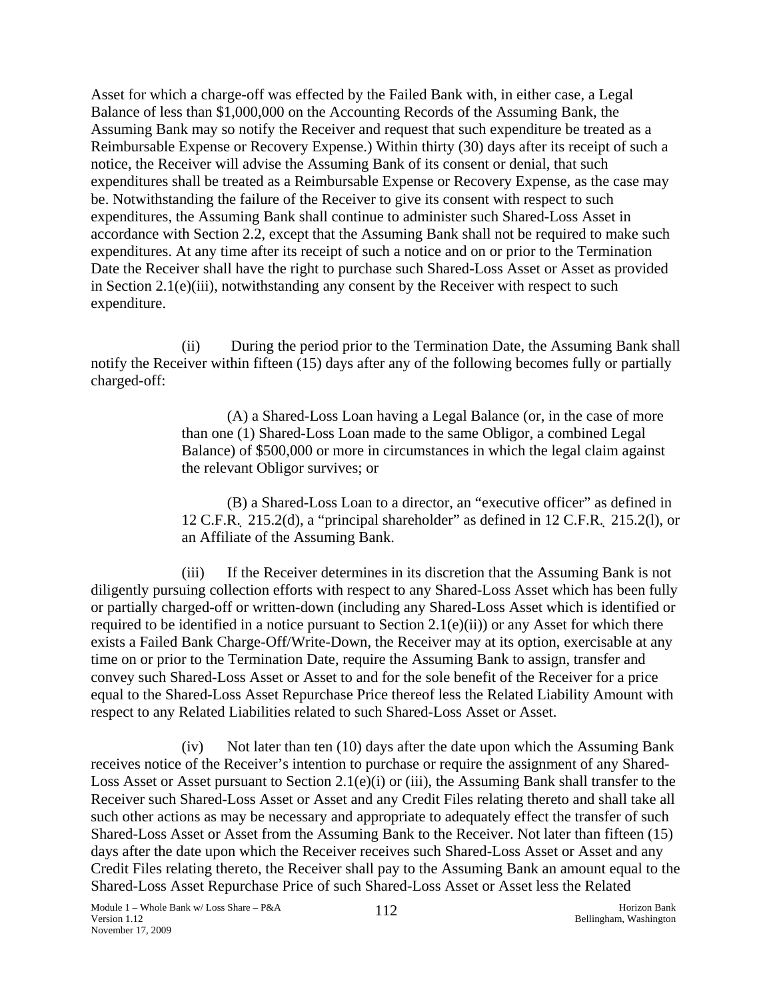Asset for which a charge-off was effected by the Failed Bank with, in either case, a Legal Balance of less than \$1,000,000 on the Accounting Records of the Assuming Bank, the Assuming Bank may so notify the Receiver and request that such expenditure be treated as a Reimbursable Expense or Recovery Expense.) Within thirty (30) days after its receipt of such a notice, the Receiver will advise the Assuming Bank of its consent or denial, that such expenditures shall be treated as a Reimbursable Expense or Recovery Expense, as the case may be. Notwithstanding the failure of the Receiver to give its consent with respect to such expenditures, the Assuming Bank shall continue to administer such Shared-Loss Asset in accordance with Section 2.2, except that the Assuming Bank shall not be required to make such expenditures. At any time after its receipt of such a notice and on or prior to the Termination Date the Receiver shall have the right to purchase such Shared-Loss Asset or Asset as provided in Section 2.1(e)(iii), notwithstanding any consent by the Receiver with respect to such expenditure.

(ii) During the period prior to the Termination Date, the Assuming Bank shall notify the Receiver within fifteen (15) days after any of the following becomes fully or partially charged-off:

> (A) a Shared-Loss Loan having a Legal Balance (or, in the case of more than one (1) Shared-Loss Loan made to the same Obligor, a combined Legal Balance) of \$500,000 or more in circumstances in which the legal claim against the relevant Obligor survives; or

(B) a Shared-Loss Loan to a director, an "executive officer" as defined in 12 C.F.R. 215.2(d), a "principal shareholder" as defined in 12 C.F.R. 215.2(l), or an Affiliate of the Assuming Bank.

(iii) If the Receiver determines in its discretion that the Assuming Bank is not diligently pursuing collection efforts with respect to any Shared-Loss Asset which has been fully or partially charged-off or written-down (including any Shared-Loss Asset which is identified or required to be identified in a notice pursuant to Section 2.1(e)(ii)) or any Asset for which there exists a Failed Bank Charge-Off/Write-Down, the Receiver may at its option, exercisable at any time on or prior to the Termination Date, require the Assuming Bank to assign, transfer and convey such Shared-Loss Asset or Asset to and for the sole benefit of the Receiver for a price equal to the Shared-Loss Asset Repurchase Price thereof less the Related Liability Amount with respect to any Related Liabilities related to such Shared-Loss Asset or Asset.

(iv) Not later than ten (10) days after the date upon which the Assuming Bank receives notice of the Receiver's intention to purchase or require the assignment of any Shared-Loss Asset or Asset pursuant to Section 2.1(e)(i) or (iii), the Assuming Bank shall transfer to the Receiver such Shared-Loss Asset or Asset and any Credit Files relating thereto and shall take all such other actions as may be necessary and appropriate to adequately effect the transfer of such Shared-Loss Asset or Asset from the Assuming Bank to the Receiver. Not later than fifteen (15) days after the date upon which the Receiver receives such Shared-Loss Asset or Asset and any Credit Files relating thereto, the Receiver shall pay to the Assuming Bank an amount equal to the Shared-Loss Asset Repurchase Price of such Shared-Loss Asset or Asset less the Related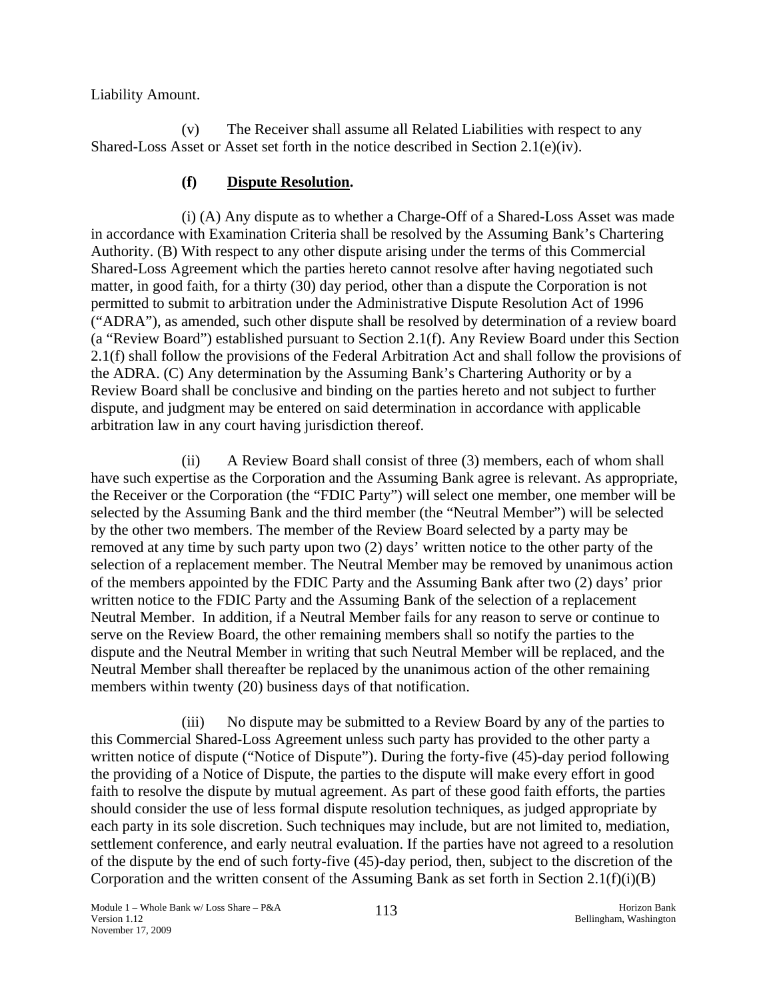Liability Amount.

(v) The Receiver shall assume all Related Liabilities with respect to any Shared-Loss Asset or Asset set forth in the notice described in Section 2.1(e)(iv).

### **(f) Dispute Resolution.**

(i) (A) Any dispute as to whether a Charge-Off of a Shared-Loss Asset was made in accordance with Examination Criteria shall be resolved by the Assuming Bank's Chartering Authority. (B) With respect to any other dispute arising under the terms of this Commercial Shared-Loss Agreement which the parties hereto cannot resolve after having negotiated such matter, in good faith, for a thirty (30) day period, other than a dispute the Corporation is not permitted to submit to arbitration under the Administrative Dispute Resolution Act of 1996 ("ADRA"), as amended, such other dispute shall be resolved by determination of a review board (a "Review Board") established pursuant to Section 2.1(f). Any Review Board under this Section 2.1(f) shall follow the provisions of the Federal Arbitration Act and shall follow the provisions of the ADRA. (C) Any determination by the Assuming Bank's Chartering Authority or by a Review Board shall be conclusive and binding on the parties hereto and not subject to further dispute, and judgment may be entered on said determination in accordance with applicable arbitration law in any court having jurisdiction thereof.

(ii) A Review Board shall consist of three (3) members, each of whom shall have such expertise as the Corporation and the Assuming Bank agree is relevant. As appropriate, the Receiver or the Corporation (the "FDIC Party") will select one member, one member will be selected by the Assuming Bank and the third member (the "Neutral Member") will be selected by the other two members. The member of the Review Board selected by a party may be removed at any time by such party upon two (2) days' written notice to the other party of the selection of a replacement member. The Neutral Member may be removed by unanimous action of the members appointed by the FDIC Party and the Assuming Bank after two (2) days' prior written notice to the FDIC Party and the Assuming Bank of the selection of a replacement Neutral Member. In addition, if a Neutral Member fails for any reason to serve or continue to serve on the Review Board, the other remaining members shall so notify the parties to the dispute and the Neutral Member in writing that such Neutral Member will be replaced, and the Neutral Member shall thereafter be replaced by the unanimous action of the other remaining members within twenty (20) business days of that notification.

(iii) No dispute may be submitted to a Review Board by any of the parties to this Commercial Shared-Loss Agreement unless such party has provided to the other party a written notice of dispute ("Notice of Dispute"). During the forty-five (45)-day period following the providing of a Notice of Dispute, the parties to the dispute will make every effort in good faith to resolve the dispute by mutual agreement. As part of these good faith efforts, the parties should consider the use of less formal dispute resolution techniques, as judged appropriate by each party in its sole discretion. Such techniques may include, but are not limited to, mediation, settlement conference, and early neutral evaluation. If the parties have not agreed to a resolution of the dispute by the end of such forty-five (45)-day period, then, subject to the discretion of the Corporation and the written consent of the Assuming Bank as set forth in Section 2.1(f)(i)(B)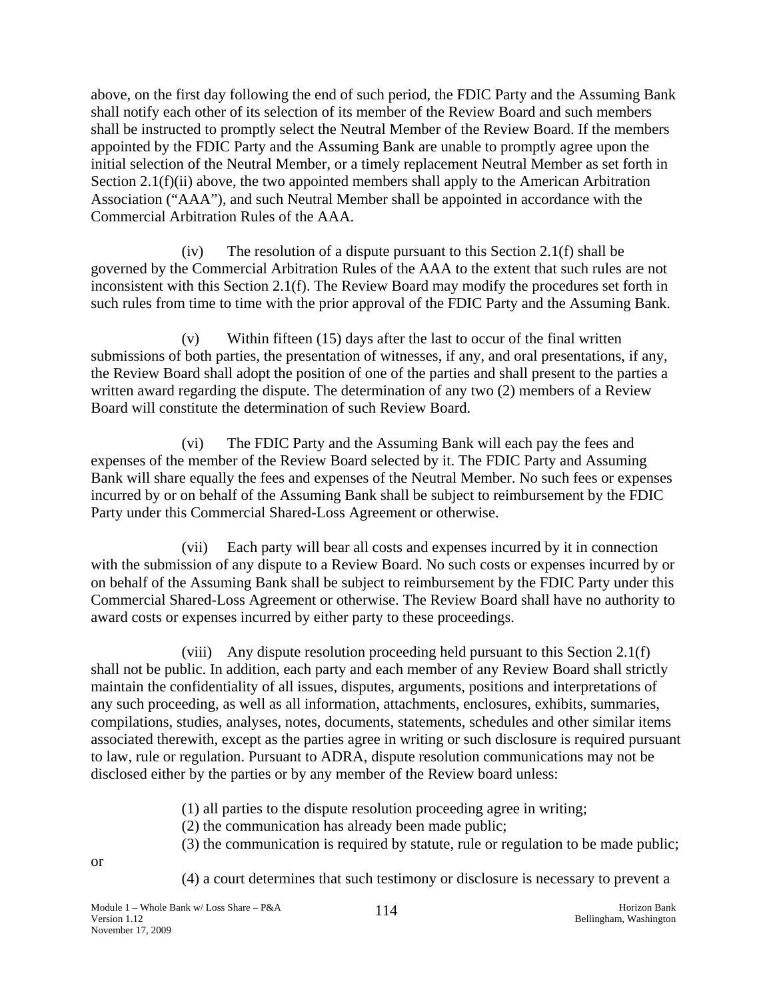above, on the first day following the end of such period, the FDIC Party and the Assuming Bank shall notify each other of its selection of its member of the Review Board and such members shall be instructed to promptly select the Neutral Member of the Review Board. If the members appointed by the FDIC Party and the Assuming Bank are unable to promptly agree upon the initial selection of the Neutral Member, or a timely replacement Neutral Member as set forth in Section 2.1(f)(ii) above, the two appointed members shall apply to the American Arbitration Association ("AAA"), and such Neutral Member shall be appointed in accordance with the Commercial Arbitration Rules of the AAA.

(iv) The resolution of a dispute pursuant to this Section 2.1(f) shall be governed by the Commercial Arbitration Rules of the AAA to the extent that such rules are not inconsistent with this Section 2.1(f). The Review Board may modify the procedures set forth in such rules from time to time with the prior approval of the FDIC Party and the Assuming Bank.

(v) Within fifteen (15) days after the last to occur of the final written submissions of both parties, the presentation of witnesses, if any, and oral presentations, if any, the Review Board shall adopt the position of one of the parties and shall present to the parties a written award regarding the dispute. The determination of any two  $(2)$  members of a Review Board will constitute the determination of such Review Board.

(vi) The FDIC Party and the Assuming Bank will each pay the fees and expenses of the member of the Review Board selected by it. The FDIC Party and Assuming Bank will share equally the fees and expenses of the Neutral Member. No such fees or expenses incurred by or on behalf of the Assuming Bank shall be subject to reimbursement by the FDIC Party under this Commercial Shared-Loss Agreement or otherwise.

(vii) Each party will bear all costs and expenses incurred by it in connection with the submission of any dispute to a Review Board. No such costs or expenses incurred by or on behalf of the Assuming Bank shall be subject to reimbursement by the FDIC Party under this Commercial Shared-Loss Agreement or otherwise. The Review Board shall have no authority to award costs or expenses incurred by either party to these proceedings.

(viii) Any dispute resolution proceeding held pursuant to this Section 2.1(f) shall not be public. In addition, each party and each member of any Review Board shall strictly maintain the confidentiality of all issues, disputes, arguments, positions and interpretations of any such proceeding, as well as all information, attachments, enclosures, exhibits, summaries, compilations, studies, analyses, notes, documents, statements, schedules and other similar items associated therewith, except as the parties agree in writing or such disclosure is required pursuant to law, rule or regulation. Pursuant to ADRA, dispute resolution communications may not be disclosed either by the parties or by any member of the Review board unless:

(1) all parties to the dispute resolution proceeding agree in writing;

- (2) the communication has already been made public;
- (3) the communication is required by statute, rule or regulation to be made public;

or

(4) a court determines that such testimony or disclosure is necessary to prevent a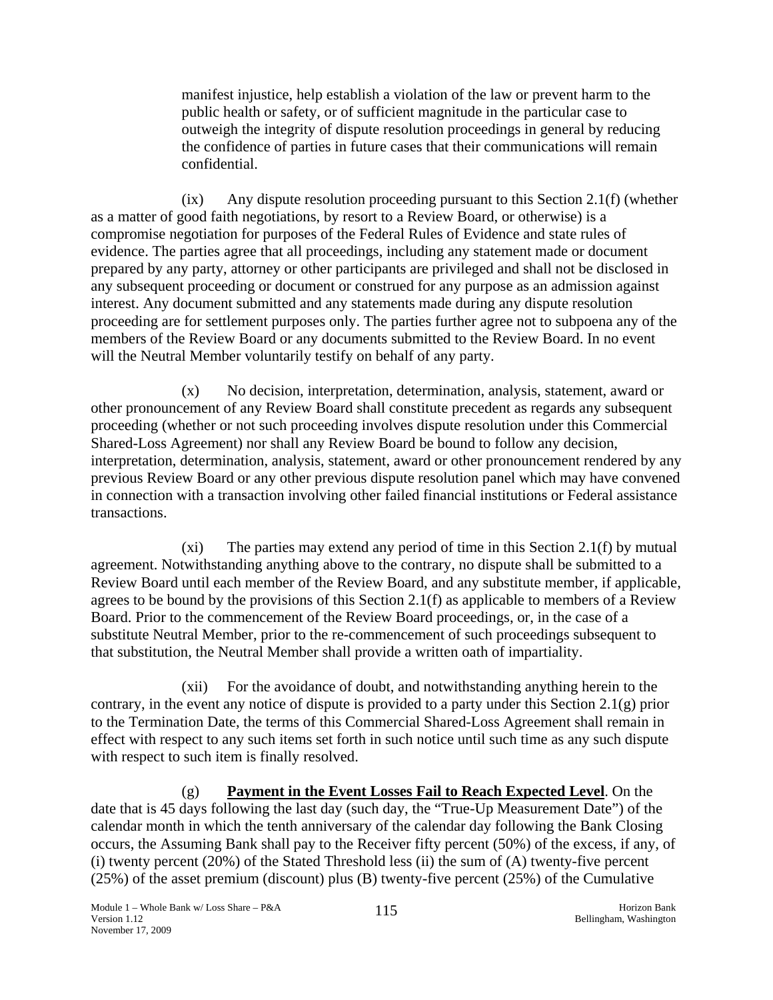manifest injustice, help establish a violation of the law or prevent harm to the public health or safety, or of sufficient magnitude in the particular case to outweigh the integrity of dispute resolution proceedings in general by reducing the confidence of parties in future cases that their communications will remain confidential.

 $(ix)$  Any dispute resolution proceeding pursuant to this Section 2.1(f) (whether as a matter of good faith negotiations, by resort to a Review Board, or otherwise) is a compromise negotiation for purposes of the Federal Rules of Evidence and state rules of evidence. The parties agree that all proceedings, including any statement made or document prepared by any party, attorney or other participants are privileged and shall not be disclosed in any subsequent proceeding or document or construed for any purpose as an admission against interest. Any document submitted and any statements made during any dispute resolution proceeding are for settlement purposes only. The parties further agree not to subpoena any of the members of the Review Board or any documents submitted to the Review Board. In no event will the Neutral Member voluntarily testify on behalf of any party.

(x) No decision, interpretation, determination, analysis, statement, award or other pronouncement of any Review Board shall constitute precedent as regards any subsequent proceeding (whether or not such proceeding involves dispute resolution under this Commercial Shared-Loss Agreement) nor shall any Review Board be bound to follow any decision, interpretation, determination, analysis, statement, award or other pronouncement rendered by any previous Review Board or any other previous dispute resolution panel which may have convened in connection with a transaction involving other failed financial institutions or Federal assistance transactions.

(xi) The parties may extend any period of time in this Section 2.1(f) by mutual agreement. Notwithstanding anything above to the contrary, no dispute shall be submitted to a Review Board until each member of the Review Board, and any substitute member, if applicable, agrees to be bound by the provisions of this Section 2.1(f) as applicable to members of a Review Board. Prior to the commencement of the Review Board proceedings, or, in the case of a substitute Neutral Member, prior to the re-commencement of such proceedings subsequent to that substitution, the Neutral Member shall provide a written oath of impartiality.

(xii) For the avoidance of doubt, and notwithstanding anything herein to the contrary, in the event any notice of dispute is provided to a party under this Section 2.1(g) prior to the Termination Date, the terms of this Commercial Shared-Loss Agreement shall remain in effect with respect to any such items set forth in such notice until such time as any such dispute with respect to such item is finally resolved.

 (g) **Payment in the Event Losses Fail to Reach Expected Level**. On the date that is 45 days following the last day (such day, the "True-Up Measurement Date") of the calendar month in which the tenth anniversary of the calendar day following the Bank Closing occurs, the Assuming Bank shall pay to the Receiver fifty percent (50%) of the excess, if any, of  $(i)$  twenty percent (20%) of the Stated Threshold less  $(ii)$  the sum of  $(A)$  twenty-five percent (25%) of the asset premium (discount) plus (B) twenty-five percent (25%) of the Cumulative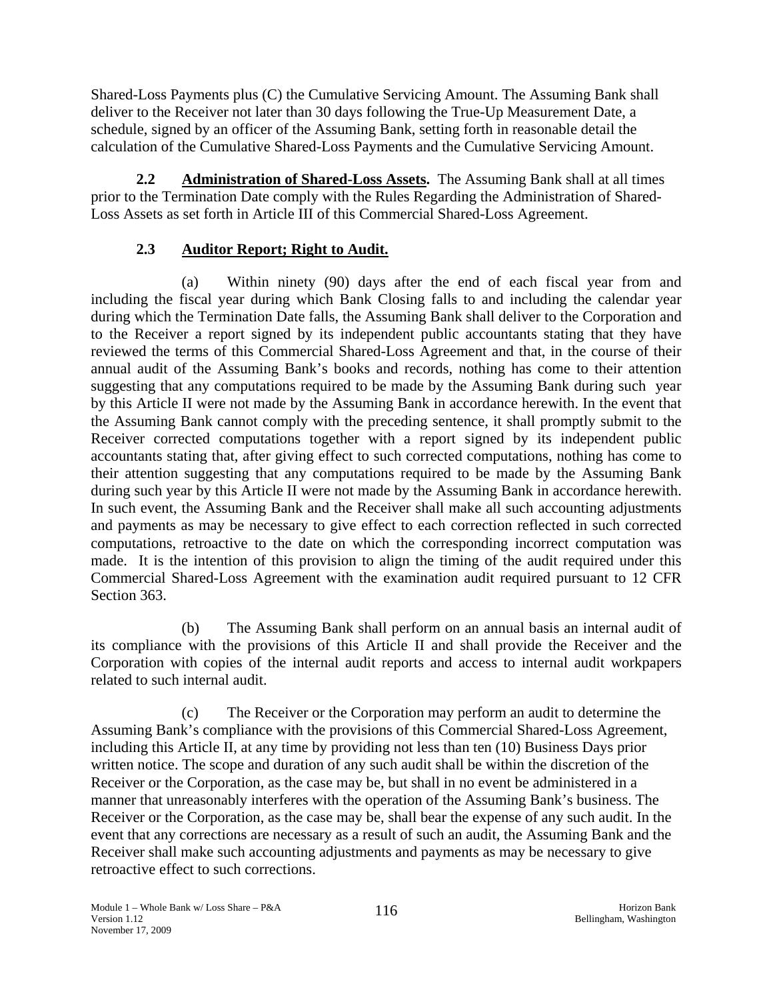Shared-Loss Payments plus (C) the Cumulative Servicing Amount. The Assuming Bank shall deliver to the Receiver not later than 30 days following the True-Up Measurement Date, a schedule, signed by an officer of the Assuming Bank, setting forth in reasonable detail the calculation of the Cumulative Shared-Loss Payments and the Cumulative Servicing Amount.

**2.2 Administration of Shared-Loss Assets.** The Assuming Bank shall at all times prior to the Termination Date comply with the Rules Regarding the Administration of Shared-Loss Assets as set forth in Article III of this Commercial Shared-Loss Agreement.

# **2.3 Auditor Report; Right to Audit.**

(a) Within ninety (90) days after the end of each fiscal year from and including the fiscal year during which Bank Closing falls to and including the calendar year during which the Termination Date falls, the Assuming Bank shall deliver to the Corporation and to the Receiver a report signed by its independent public accountants stating that they have reviewed the terms of this Commercial Shared-Loss Agreement and that, in the course of their annual audit of the Assuming Bank's books and records, nothing has come to their attention suggesting that any computations required to be made by the Assuming Bank during such year by this Article II were not made by the Assuming Bank in accordance herewith. In the event that the Assuming Bank cannot comply with the preceding sentence, it shall promptly submit to the Receiver corrected computations together with a report signed by its independent public accountants stating that, after giving effect to such corrected computations, nothing has come to their attention suggesting that any computations required to be made by the Assuming Bank during such year by this Article II were not made by the Assuming Bank in accordance herewith. In such event, the Assuming Bank and the Receiver shall make all such accounting adjustments and payments as may be necessary to give effect to each correction reflected in such corrected computations, retroactive to the date on which the corresponding incorrect computation was made. It is the intention of this provision to align the timing of the audit required under this Commercial Shared-Loss Agreement with the examination audit required pursuant to 12 CFR Section 363.

(b) The Assuming Bank shall perform on an annual basis an internal audit of its compliance with the provisions of this Article II and shall provide the Receiver and the Corporation with copies of the internal audit reports and access to internal audit workpapers related to such internal audit.

(c) The Receiver or the Corporation may perform an audit to determine the Assuming Bank's compliance with the provisions of this Commercial Shared-Loss Agreement, including this Article II, at any time by providing not less than ten (10) Business Days prior written notice. The scope and duration of any such audit shall be within the discretion of the Receiver or the Corporation, as the case may be, but shall in no event be administered in a manner that unreasonably interferes with the operation of the Assuming Bank's business. The Receiver or the Corporation, as the case may be, shall bear the expense of any such audit. In the event that any corrections are necessary as a result of such an audit, the Assuming Bank and the Receiver shall make such accounting adjustments and payments as may be necessary to give retroactive effect to such corrections.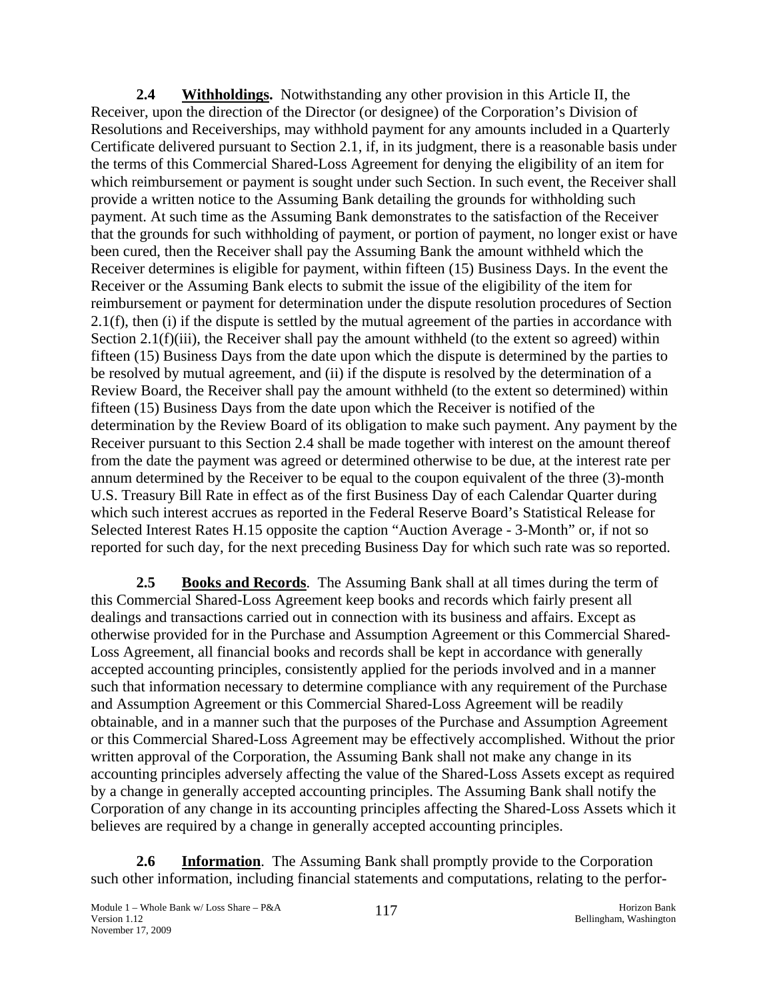**2.4 Withholdings.** Notwithstanding any other provision in this Article II, the Receiver, upon the direction of the Director (or designee) of the Corporation's Division of Resolutions and Receiverships, may withhold payment for any amounts included in a Quarterly Certificate delivered pursuant to Section 2.1, if, in its judgment, there is a reasonable basis under the terms of this Commercial Shared-Loss Agreement for denying the eligibility of an item for which reimbursement or payment is sought under such Section. In such event, the Receiver shall provide a written notice to the Assuming Bank detailing the grounds for withholding such payment. At such time as the Assuming Bank demonstrates to the satisfaction of the Receiver that the grounds for such withholding of payment, or portion of payment, no longer exist or have been cured, then the Receiver shall pay the Assuming Bank the amount withheld which the Receiver determines is eligible for payment, within fifteen (15) Business Days. In the event the Receiver or the Assuming Bank elects to submit the issue of the eligibility of the item for reimbursement or payment for determination under the dispute resolution procedures of Section 2.1(f), then (i) if the dispute is settled by the mutual agreement of the parties in accordance with Section 2.1(f)(iii), the Receiver shall pay the amount withheld (to the extent so agreed) within fifteen (15) Business Days from the date upon which the dispute is determined by the parties to be resolved by mutual agreement, and (ii) if the dispute is resolved by the determination of a Review Board, the Receiver shall pay the amount withheld (to the extent so determined) within fifteen (15) Business Days from the date upon which the Receiver is notified of the determination by the Review Board of its obligation to make such payment. Any payment by the Receiver pursuant to this Section 2.4 shall be made together with interest on the amount thereof from the date the payment was agreed or determined otherwise to be due, at the interest rate per annum determined by the Receiver to be equal to the coupon equivalent of the three (3)-month U.S. Treasury Bill Rate in effect as of the first Business Day of each Calendar Quarter during which such interest accrues as reported in the Federal Reserve Board's Statistical Release for Selected Interest Rates H.15 opposite the caption "Auction Average - 3-Month" or, if not so reported for such day, for the next preceding Business Day for which such rate was so reported.

**2.5 Books and Records**. The Assuming Bank shall at all times during the term of this Commercial Shared-Loss Agreement keep books and records which fairly present all dealings and transactions carried out in connection with its business and affairs. Except as otherwise provided for in the Purchase and Assumption Agreement or this Commercial Shared-Loss Agreement, all financial books and records shall be kept in accordance with generally accepted accounting principles, consistently applied for the periods involved and in a manner such that information necessary to determine compliance with any requirement of the Purchase and Assumption Agreement or this Commercial Shared-Loss Agreement will be readily obtainable, and in a manner such that the purposes of the Purchase and Assumption Agreement or this Commercial Shared-Loss Agreement may be effectively accomplished. Without the prior written approval of the Corporation, the Assuming Bank shall not make any change in its accounting principles adversely affecting the value of the Shared-Loss Assets except as required by a change in generally accepted accounting principles. The Assuming Bank shall notify the Corporation of any change in its accounting principles affecting the Shared-Loss Assets which it believes are required by a change in generally accepted accounting principles.

**2.6 Information**. The Assuming Bank shall promptly provide to the Corporation such other information, including financial statements and computations, relating to the perfor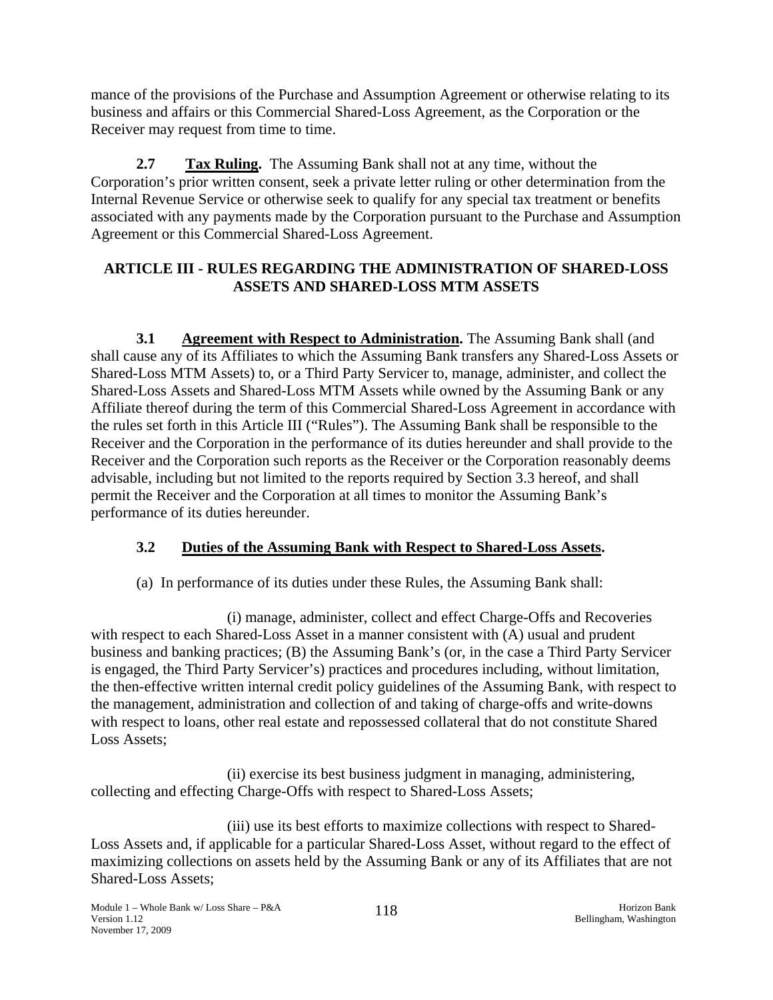mance of the provisions of the Purchase and Assumption Agreement or otherwise relating to its business and affairs or this Commercial Shared-Loss Agreement, as the Corporation or the Receiver may request from time to time.

**2.7 Tax Ruling.** The Assuming Bank shall not at any time, without the Corporation's prior written consent, seek a private letter ruling or other determination from the Internal Revenue Service or otherwise seek to qualify for any special tax treatment or benefits associated with any payments made by the Corporation pursuant to the Purchase and Assumption Agreement or this Commercial Shared-Loss Agreement.

# **ARTICLE III - RULES REGARDING THE ADMINISTRATION OF SHARED-LOSS ASSETS AND SHARED-LOSS MTM ASSETS**

**3.1** Agreement with Respect to Administration. The Assuming Bank shall (and shall cause any of its Affiliates to which the Assuming Bank transfers any Shared-Loss Assets or Shared-Loss MTM Assets) to, or a Third Party Servicer to, manage, administer, and collect the Shared-Loss Assets and Shared-Loss MTM Assets while owned by the Assuming Bank or any Affiliate thereof during the term of this Commercial Shared-Loss Agreement in accordance with the rules set forth in this Article III ("Rules"). The Assuming Bank shall be responsible to the Receiver and the Corporation in the performance of its duties hereunder and shall provide to the Receiver and the Corporation such reports as the Receiver or the Corporation reasonably deems advisable, including but not limited to the reports required by Section 3.3 hereof, and shall permit the Receiver and the Corporation at all times to monitor the Assuming Bank's performance of its duties hereunder.

# **3.2 Duties of the Assuming Bank with Respect to Shared-Loss Assets.**

(a) In performance of its duties under these Rules, the Assuming Bank shall:

(i) manage, administer, collect and effect Charge-Offs and Recoveries with respect to each Shared-Loss Asset in a manner consistent with (A) usual and prudent business and banking practices; (B) the Assuming Bank's (or, in the case a Third Party Servicer is engaged, the Third Party Servicer's) practices and procedures including, without limitation, the then-effective written internal credit policy guidelines of the Assuming Bank, with respect to the management, administration and collection of and taking of charge-offs and write-downs with respect to loans, other real estate and repossessed collateral that do not constitute Shared Loss Assets;

(ii) exercise its best business judgment in managing, administering, collecting and effecting Charge-Offs with respect to Shared-Loss Assets;

(iii) use its best efforts to maximize collections with respect to Shared-Loss Assets and, if applicable for a particular Shared-Loss Asset, without regard to the effect of maximizing collections on assets held by the Assuming Bank or any of its Affiliates that are not Shared-Loss Assets;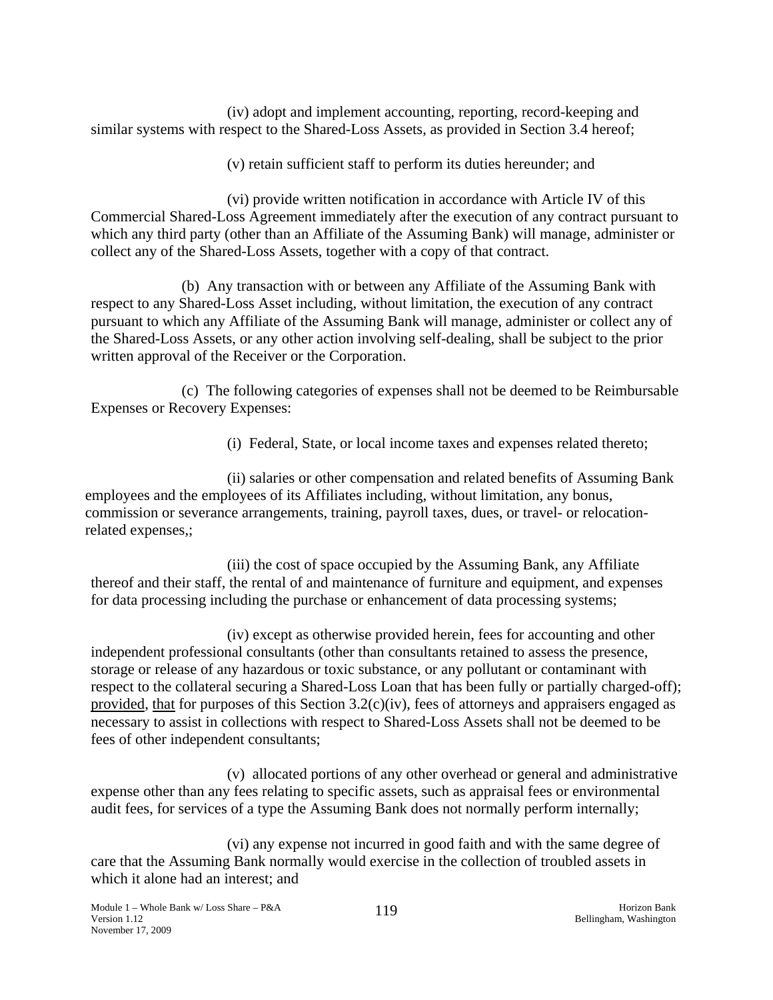(iv) adopt and implement accounting, reporting, record-keeping and similar systems with respect to the Shared-Loss Assets, as provided in Section 3.4 hereof;

(v) retain sufficient staff to perform its duties hereunder; and

(vi) provide written notification in accordance with Article IV of this Commercial Shared-Loss Agreement immediately after the execution of any contract pursuant to which any third party (other than an Affiliate of the Assuming Bank) will manage, administer or collect any of the Shared-Loss Assets, together with a copy of that contract.

(b) Any transaction with or between any Affiliate of the Assuming Bank with respect to any Shared-Loss Asset including, without limitation, the execution of any contract pursuant to which any Affiliate of the Assuming Bank will manage, administer or collect any of the Shared-Loss Assets, or any other action involving self-dealing, shall be subject to the prior written approval of the Receiver or the Corporation.

(c) The following categories of expenses shall not be deemed to be Reimbursable Expenses or Recovery Expenses:

(i) Federal, State, or local income taxes and expenses related thereto;

(ii) salaries or other compensation and related benefits of Assuming Bank employees and the employees of its Affiliates including, without limitation, any bonus, commission or severance arrangements, training, payroll taxes, dues, or travel- or relocationrelated expenses,;

(iii) the cost of space occupied by the Assuming Bank, any Affiliate thereof and their staff, the rental of and maintenance of furniture and equipment, and expenses for data processing including the purchase or enhancement of data processing systems;

(iv) except as otherwise provided herein, fees for accounting and other independent professional consultants (other than consultants retained to assess the presence, storage or release of any hazardous or toxic substance, or any pollutant or contaminant with respect to the collateral securing a Shared-Loss Loan that has been fully or partially charged-off); provided, that for purposes of this Section  $3.2(c)(iv)$ , fees of attorneys and appraisers engaged as necessary to assist in collections with respect to Shared-Loss Assets shall not be deemed to be fees of other independent consultants;

(v) allocated portions of any other overhead or general and administrative expense other than any fees relating to specific assets, such as appraisal fees or environmental audit fees, for services of a type the Assuming Bank does not normally perform internally;

(vi) any expense not incurred in good faith and with the same degree of care that the Assuming Bank normally would exercise in the collection of troubled assets in which it alone had an interest; and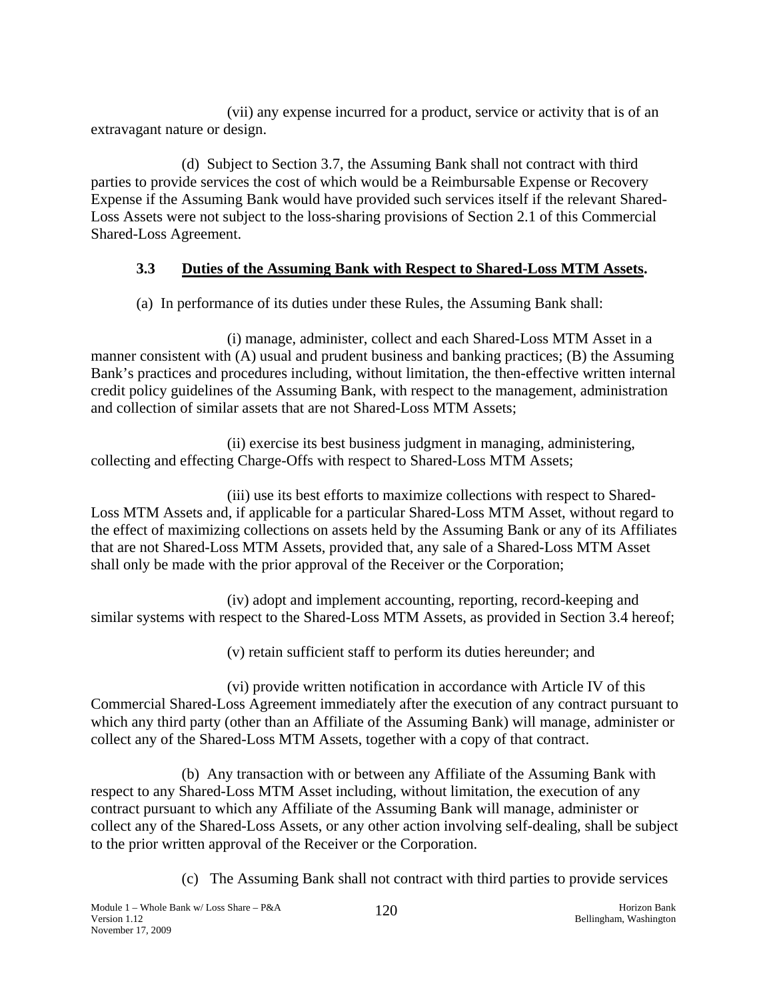(vii) any expense incurred for a product, service or activity that is of an extravagant nature or design.

(d) Subject to Section 3.7, the Assuming Bank shall not contract with third parties to provide services the cost of which would be a Reimbursable Expense or Recovery Expense if the Assuming Bank would have provided such services itself if the relevant Shared-Loss Assets were not subject to the loss-sharing provisions of Section 2.1 of this Commercial Shared-Loss Agreement.

# **3.3 Duties of the Assuming Bank with Respect to Shared-Loss MTM Assets.**

(a) In performance of its duties under these Rules, the Assuming Bank shall:

(i) manage, administer, collect and each Shared-Loss MTM Asset in a manner consistent with (A) usual and prudent business and banking practices; (B) the Assuming Bank's practices and procedures including, without limitation, the then-effective written internal credit policy guidelines of the Assuming Bank, with respect to the management, administration and collection of similar assets that are not Shared-Loss MTM Assets;

(ii) exercise its best business judgment in managing, administering, collecting and effecting Charge-Offs with respect to Shared-Loss MTM Assets;

(iii) use its best efforts to maximize collections with respect to Shared-Loss MTM Assets and, if applicable for a particular Shared-Loss MTM Asset, without regard to the effect of maximizing collections on assets held by the Assuming Bank or any of its Affiliates that are not Shared-Loss MTM Assets, provided that, any sale of a Shared-Loss MTM Asset shall only be made with the prior approval of the Receiver or the Corporation;

(iv) adopt and implement accounting, reporting, record-keeping and similar systems with respect to the Shared-Loss MTM Assets, as provided in Section 3.4 hereof;

(v) retain sufficient staff to perform its duties hereunder; and

(vi) provide written notification in accordance with Article IV of this Commercial Shared-Loss Agreement immediately after the execution of any contract pursuant to which any third party (other than an Affiliate of the Assuming Bank) will manage, administer or collect any of the Shared-Loss MTM Assets, together with a copy of that contract.

(b) Any transaction with or between any Affiliate of the Assuming Bank with respect to any Shared-Loss MTM Asset including, without limitation, the execution of any contract pursuant to which any Affiliate of the Assuming Bank will manage, administer or collect any of the Shared-Loss Assets, or any other action involving self-dealing, shall be subject to the prior written approval of the Receiver or the Corporation.

(c) The Assuming Bank shall not contract with third parties to provide services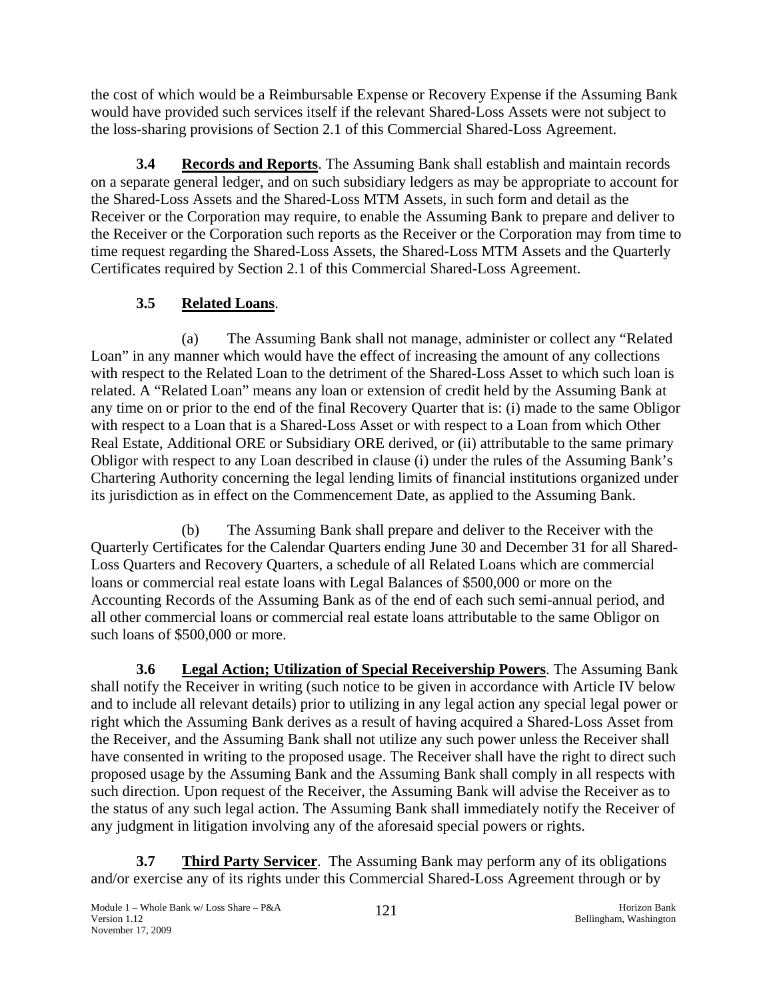the cost of which would be a Reimbursable Expense or Recovery Expense if the Assuming Bank would have provided such services itself if the relevant Shared-Loss Assets were not subject to the loss-sharing provisions of Section 2.1 of this Commercial Shared-Loss Agreement.

**3.4 Records and Reports**. The Assuming Bank shall establish and maintain records on a separate general ledger, and on such subsidiary ledgers as may be appropriate to account for the Shared-Loss Assets and the Shared-Loss MTM Assets, in such form and detail as the Receiver or the Corporation may require, to enable the Assuming Bank to prepare and deliver to the Receiver or the Corporation such reports as the Receiver or the Corporation may from time to time request regarding the Shared-Loss Assets, the Shared-Loss MTM Assets and the Quarterly Certificates required by Section 2.1 of this Commercial Shared-Loss Agreement.

# **3.5 Related Loans**.

(a) The Assuming Bank shall not manage, administer or collect any "Related Loan" in any manner which would have the effect of increasing the amount of any collections with respect to the Related Loan to the detriment of the Shared-Loss Asset to which such loan is related. A "Related Loan" means any loan or extension of credit held by the Assuming Bank at any time on or prior to the end of the final Recovery Quarter that is: (i) made to the same Obligor with respect to a Loan that is a Shared-Loss Asset or with respect to a Loan from which Other Real Estate, Additional ORE or Subsidiary ORE derived, or (ii) attributable to the same primary Obligor with respect to any Loan described in clause (i) under the rules of the Assuming Bank's Chartering Authority concerning the legal lending limits of financial institutions organized under its jurisdiction as in effect on the Commencement Date, as applied to the Assuming Bank.

(b) The Assuming Bank shall prepare and deliver to the Receiver with the Quarterly Certificates for the Calendar Quarters ending June 30 and December 31 for all Shared-Loss Quarters and Recovery Quarters, a schedule of all Related Loans which are commercial loans or commercial real estate loans with Legal Balances of \$500,000 or more on the Accounting Records of the Assuming Bank as of the end of each such semi-annual period, and all other commercial loans or commercial real estate loans attributable to the same Obligor on such loans of \$500,000 or more.

**3.6 Legal Action; Utilization of Special Receivership Powers**. The Assuming Bank shall notify the Receiver in writing (such notice to be given in accordance with Article IV below and to include all relevant details) prior to utilizing in any legal action any special legal power or right which the Assuming Bank derives as a result of having acquired a Shared-Loss Asset from the Receiver, and the Assuming Bank shall not utilize any such power unless the Receiver shall have consented in writing to the proposed usage. The Receiver shall have the right to direct such proposed usage by the Assuming Bank and the Assuming Bank shall comply in all respects with such direction. Upon request of the Receiver, the Assuming Bank will advise the Receiver as to the status of any such legal action. The Assuming Bank shall immediately notify the Receiver of any judgment in litigation involving any of the aforesaid special powers or rights.

**3.7 Third Party Servicer**. The Assuming Bank may perform any of its obligations and/or exercise any of its rights under this Commercial Shared-Loss Agreement through or by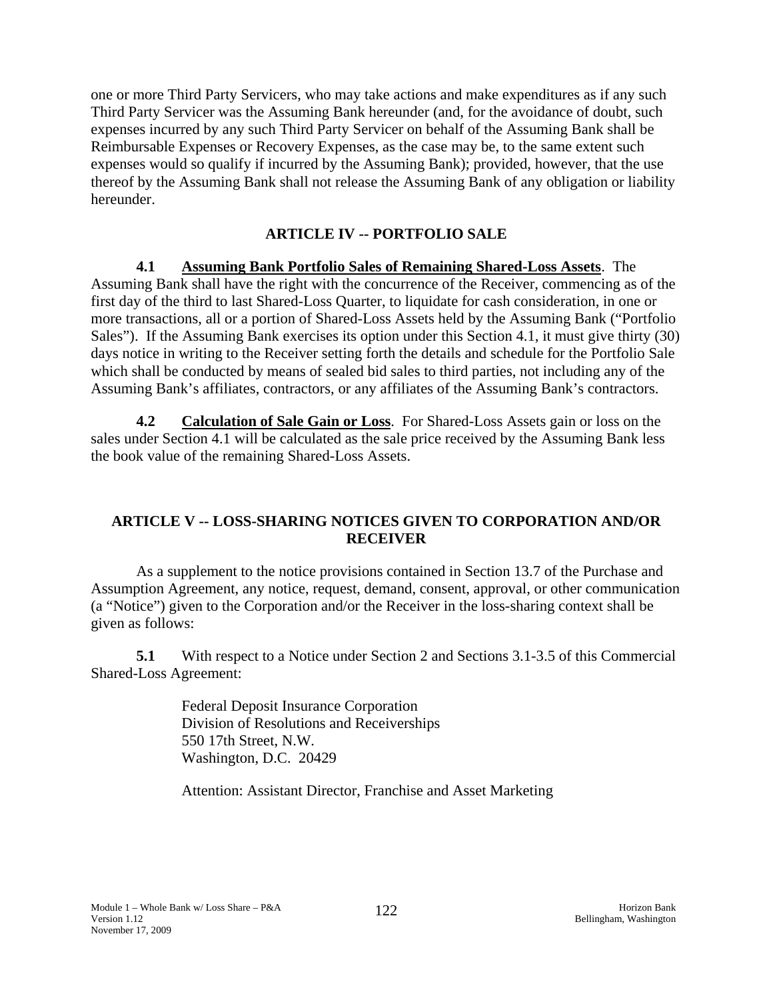one or more Third Party Servicers, who may take actions and make expenditures as if any such Third Party Servicer was the Assuming Bank hereunder (and, for the avoidance of doubt, such expenses incurred by any such Third Party Servicer on behalf of the Assuming Bank shall be Reimbursable Expenses or Recovery Expenses, as the case may be, to the same extent such expenses would so qualify if incurred by the Assuming Bank); provided, however, that the use thereof by the Assuming Bank shall not release the Assuming Bank of any obligation or liability hereunder.

#### **ARTICLE IV -- PORTFOLIO SALE**

**4.1 Assuming Bank Portfolio Sales of Remaining Shared-Loss Assets**. The Assuming Bank shall have the right with the concurrence of the Receiver, commencing as of the first day of the third to last Shared-Loss Quarter, to liquidate for cash consideration, in one or more transactions, all or a portion of Shared-Loss Assets held by the Assuming Bank ("Portfolio Sales"). If the Assuming Bank exercises its option under this Section 4.1, it must give thirty (30) days notice in writing to the Receiver setting forth the details and schedule for the Portfolio Sale which shall be conducted by means of sealed bid sales to third parties, not including any of the Assuming Bank's affiliates, contractors, or any affiliates of the Assuming Bank's contractors.

**4.2 Calculation of Sale Gain or Loss**. For Shared-Loss Assets gain or loss on the sales under Section 4.1 will be calculated as the sale price received by the Assuming Bank less the book value of the remaining Shared-Loss Assets.

#### **ARTICLE V -- LOSS-SHARING NOTICES GIVEN TO CORPORATION AND/OR RECEIVER**

As a supplement to the notice provisions contained in Section 13.7 of the Purchase and Assumption Agreement, any notice, request, demand, consent, approval, or other communication (a "Notice") given to the Corporation and/or the Receiver in the loss-sharing context shall be given as follows:

**5.1** With respect to a Notice under Section 2 and Sections 3.1-3.5 of this Commercial Shared-Loss Agreement:

> Federal Deposit Insurance Corporation Division of Resolutions and Receiverships 550 17th Street, N.W. Washington, D.C. 20429

Attention: Assistant Director, Franchise and Asset Marketing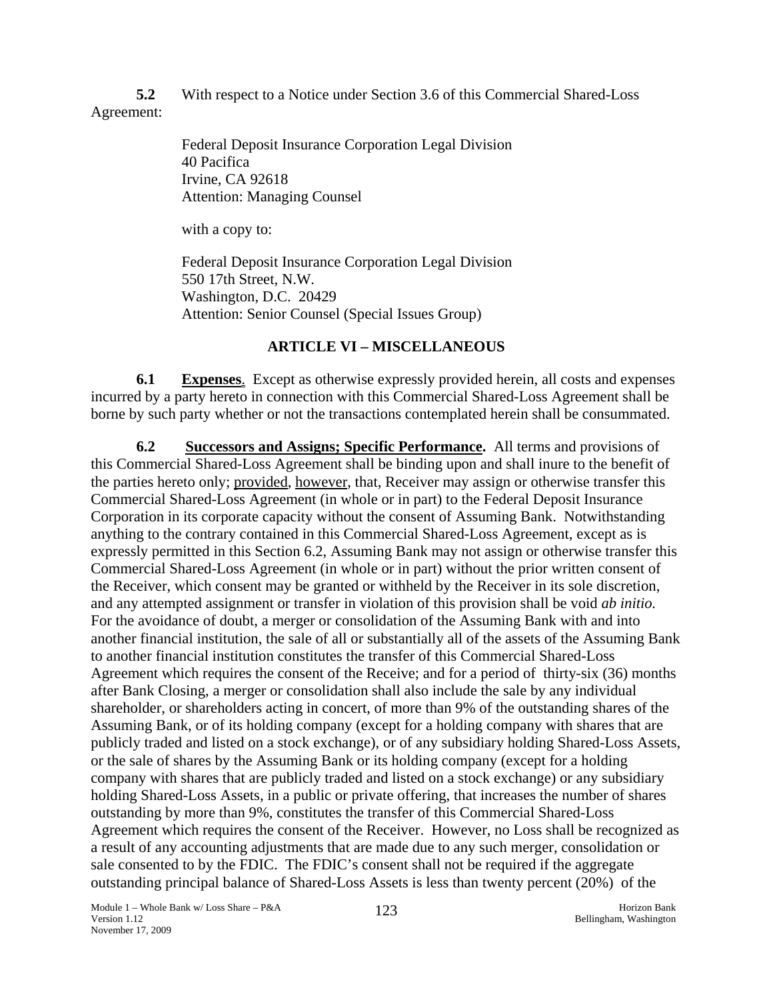**5.2** With respect to a Notice under Section 3.6 of this Commercial Shared-Loss Agreement:

> Federal Deposit Insurance Corporation Legal Division 40 Pacifica Irvine, CA 92618 Attention: Managing Counsel

with a copy to:

Federal Deposit Insurance Corporation Legal Division 550 17th Street, N.W. Washington, D.C. 20429 Attention: Senior Counsel (Special Issues Group)

# **ARTICLE VI – MISCELLANEOUS**

**6.1 Expenses.** Except as otherwise expressly provided herein, all costs and expenses incurred by a party hereto in connection with this Commercial Shared-Loss Agreement shall be borne by such party whether or not the transactions contemplated herein shall be consummated.

**6.2 Successors and Assigns; Specific Performance.** All terms and provisions of this Commercial Shared-Loss Agreement shall be binding upon and shall inure to the benefit of the parties hereto only; provided, however, that, Receiver may assign or otherwise transfer this Commercial Shared-Loss Agreement (in whole or in part) to the Federal Deposit Insurance Corporation in its corporate capacity without the consent of Assuming Bank. Notwithstanding anything to the contrary contained in this Commercial Shared-Loss Agreement, except as is expressly permitted in this Section 6.2, Assuming Bank may not assign or otherwise transfer this Commercial Shared-Loss Agreement (in whole or in part) without the prior written consent of the Receiver, which consent may be granted or withheld by the Receiver in its sole discretion, and any attempted assignment or transfer in violation of this provision shall be void *ab initio.*  For the avoidance of doubt, a merger or consolidation of the Assuming Bank with and into another financial institution, the sale of all or substantially all of the assets of the Assuming Bank to another financial institution constitutes the transfer of this Commercial Shared-Loss Agreement which requires the consent of the Receive; and for a period of thirty-six (36) months after Bank Closing, a merger or consolidation shall also include the sale by any individual shareholder, or shareholders acting in concert, of more than 9% of the outstanding shares of the Assuming Bank, or of its holding company (except for a holding company with shares that are publicly traded and listed on a stock exchange), or of any subsidiary holding Shared-Loss Assets, or the sale of shares by the Assuming Bank or its holding company (except for a holding company with shares that are publicly traded and listed on a stock exchange) or any subsidiary holding Shared-Loss Assets, in a public or private offering, that increases the number of shares outstanding by more than 9%, constitutes the transfer of this Commercial Shared-Loss Agreement which requires the consent of the Receiver. However, no Loss shall be recognized as a result of any accounting adjustments that are made due to any such merger, consolidation or sale consented to by the FDIC. The FDIC's consent shall not be required if the aggregate outstanding principal balance of Shared-Loss Assets is less than twenty percent (20%) of the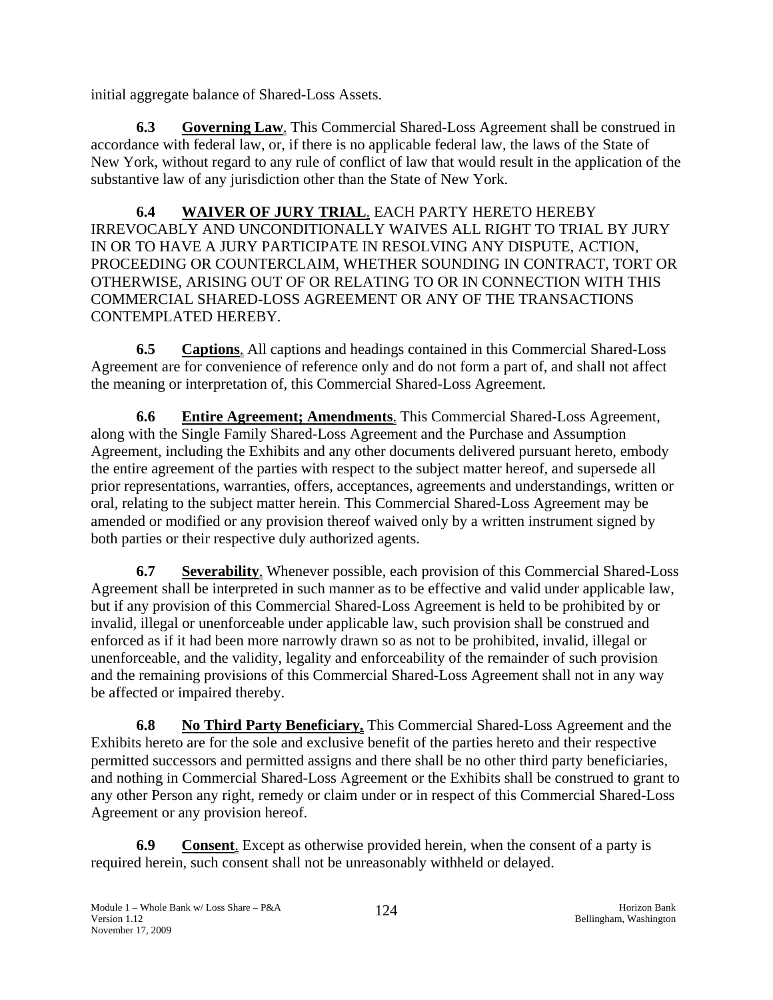initial aggregate balance of Shared-Loss Assets.

**6.3 Governing Law**. This Commercial Shared-Loss Agreement shall be construed in accordance with federal law, or, if there is no applicable federal law, the laws of the State of New York, without regard to any rule of conflict of law that would result in the application of the substantive law of any jurisdiction other than the State of New York.

**6.4 WAIVER OF JURY TRIAL**. EACH PARTY HERETO HEREBY IRREVOCABLY AND UNCONDITIONALLY WAIVES ALL RIGHT TO TRIAL BY JURY IN OR TO HAVE A JURY PARTICIPATE IN RESOLVING ANY DISPUTE, ACTION, PROCEEDING OR COUNTERCLAIM, WHETHER SOUNDING IN CONTRACT, TORT OR OTHERWISE, ARISING OUT OF OR RELATING TO OR IN CONNECTION WITH THIS COMMERCIAL SHARED-LOSS AGREEMENT OR ANY OF THE TRANSACTIONS CONTEMPLATED HEREBY.

**6.5 Captions**. All captions and headings contained in this Commercial Shared-Loss Agreement are for convenience of reference only and do not form a part of, and shall not affect the meaning or interpretation of, this Commercial Shared-Loss Agreement.

**6.6 Entire Agreement; Amendments**. This Commercial Shared-Loss Agreement, along with the Single Family Shared-Loss Agreement and the Purchase and Assumption Agreement, including the Exhibits and any other documents delivered pursuant hereto, embody the entire agreement of the parties with respect to the subject matter hereof, and supersede all prior representations, warranties, offers, acceptances, agreements and understandings, written or oral, relating to the subject matter herein. This Commercial Shared-Loss Agreement may be amended or modified or any provision thereof waived only by a written instrument signed by both parties or their respective duly authorized agents.

**6.7 Severability**. Whenever possible, each provision of this Commercial Shared-Loss Agreement shall be interpreted in such manner as to be effective and valid under applicable law, but if any provision of this Commercial Shared-Loss Agreement is held to be prohibited by or invalid, illegal or unenforceable under applicable law, such provision shall be construed and enforced as if it had been more narrowly drawn so as not to be prohibited, invalid, illegal or unenforceable, and the validity, legality and enforceability of the remainder of such provision and the remaining provisions of this Commercial Shared-Loss Agreement shall not in any way be affected or impaired thereby.

**6.8 No Third Party Beneficiary.** This Commercial Shared-Loss Agreement and the Exhibits hereto are for the sole and exclusive benefit of the parties hereto and their respective permitted successors and permitted assigns and there shall be no other third party beneficiaries, and nothing in Commercial Shared-Loss Agreement or the Exhibits shall be construed to grant to any other Person any right, remedy or claim under or in respect of this Commercial Shared-Loss Agreement or any provision hereof.

**6.9** Consent. Except as otherwise provided herein, when the consent of a party is required herein, such consent shall not be unreasonably withheld or delayed.